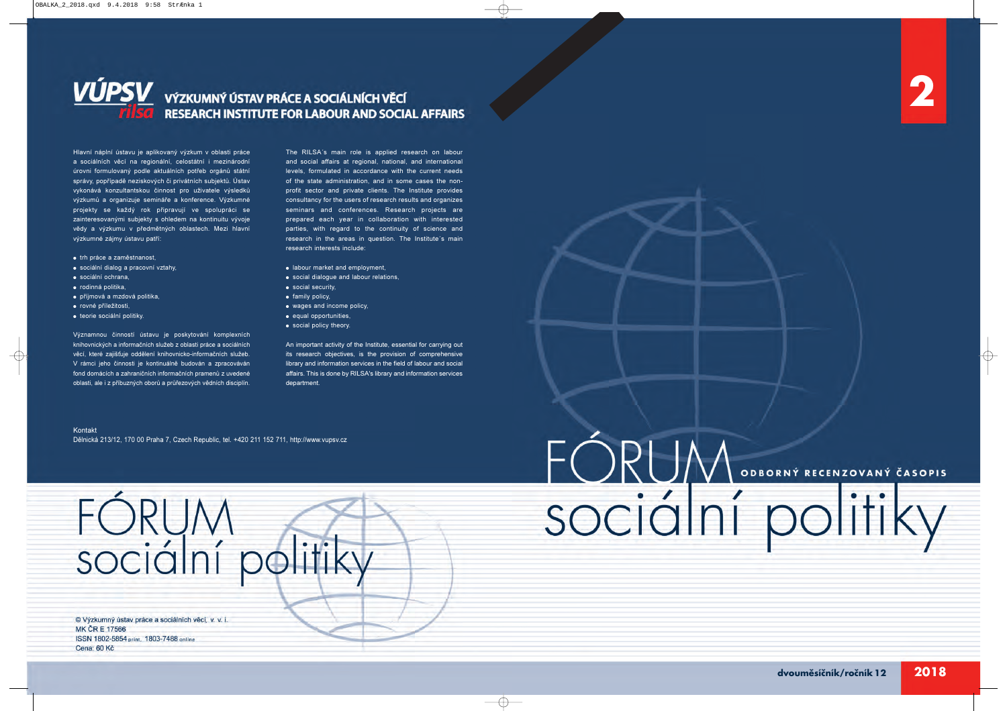# FÓRUM ODENT RECEIVENT ČASOPIS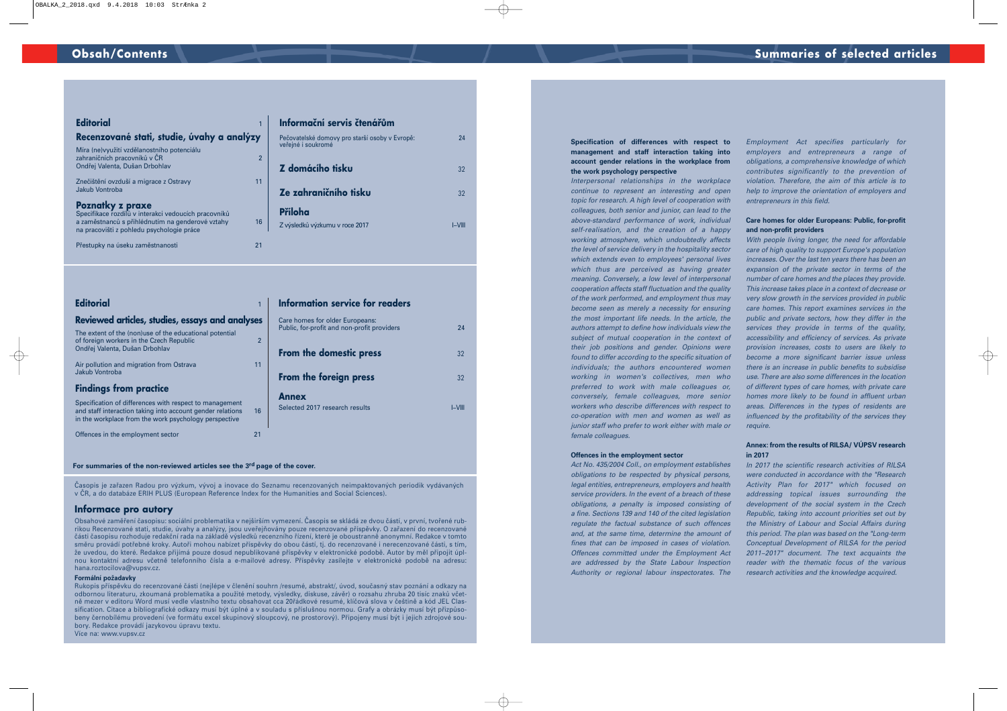| Editorial                                                                                                                                                                        |    |
|----------------------------------------------------------------------------------------------------------------------------------------------------------------------------------|----|
| Recenzované stati, studie, úvahy a analýzy                                                                                                                                       |    |
| Míra (ne) využití vzdělanostního potenciálu<br>zahraničních pracovníků v ČR<br>Ondřej Valenta, Dušan Drbohlav                                                                    |    |
| Znečištění ovzduší a migrace z Ostravy<br>Jakub Vontroba                                                                                                                         | 11 |
| <b>Poznatky z praxe</b><br>Specifikace rozdílů v interakci vedoucích pracovníků<br>a zaměstnanců s přihlédnutím na genderové vztahy<br>na pracovišti z pohledu psychologie práce | 16 |
| Přestupky na úseku zaměstnanosti                                                                                                                                                 | 21 |

#### **Informační servis čtenářům**

| Pečovatelské domovy pro starší osoby v Evropě:<br>veřejné i soukromé | 24     |
|----------------------------------------------------------------------|--------|
| Z domácího tisku                                                     | 32     |
| Ze zahraničního tisku                                                | 32     |
| Příloha                                                              |        |
| Z výsledků výzkumu v roce 2017                                       | I-VIII |

| <b>Editorial</b>                                                                                                                                                                     | <b>Information</b>                       |
|--------------------------------------------------------------------------------------------------------------------------------------------------------------------------------------|------------------------------------------|
| Reviewed articles, studies, essays and analyses                                                                                                                                      | Care homes for                           |
| The extent of the (non)use of the educational potential<br>$\overline{2}$<br>of foreign workers in the Czech Republic<br>Ondřej Valenta, Dušan Drbohlav                              | Public, for-profit<br><b>From the de</b> |
| 11<br>Air pollution and migration from Ostrava<br>Jakub Vontroba                                                                                                                     | From the fo                              |
| <b>Findings from practice</b>                                                                                                                                                        | <b>Annex</b>                             |
| Specification of differences with respect to management<br>16<br>and staff interaction taking into account gender relations<br>in the workplace from the work psychology perspective | Selected 2017 re                         |
| Offences in the employment sector<br>21                                                                                                                                              |                                          |

#### **Information service for readers**

| Care homes for older Europeans:<br>Public, for-profit and non-profit providers | 24     |
|--------------------------------------------------------------------------------|--------|
| From the domestic press                                                        | 32     |
| From the foreign press                                                         | 32     |
| <b>Annex</b><br>Selected 2017 research results                                 | I-VIII |

#### **For summaries of the non-reviewed articles see the 3rd page of the cover.**

Časopis je zařazen Radou pro výzkum, vývoj a inovace do Seznamu recenzovaných neimpaktovaných periodik vydávaných v ČR, a do databáze ERIH PLUS (European Reference Index for the Humanities and Social Sciences).

#### **Informace pro autory**

Obsahové zaměření časopisu: sociální problematika v nejširším vymezení. Časopis se skládá ze dvou částí, v první, tvořené rubrikou Recenzované stati, studie, úvahy a analýzy, jsou uveřejňovány pouze recenzované příspěvky. O zařazení do recenzované části časopisu rozhoduje redakční rada na základě výsledků recenzního řízení, které je oboustranně anonymní. Redakce v tomto směru provádí potřebné kroky. Autoři mohou nabízet příspěvky do obou částí, tj. do recenzované i nerecenzované části, s tím, že uvedou, do které. Redakce přijímá pouze dosud nepublikované příspěvky v elektronické podobě. Autor by měl připojit úplnou kontaktní adresu včetně telefonního čísla a e-mailové adresy. Příspěvky zasílejte v elektronické podobě na adresu: hana.roztocilova@vupsv.cz.

#### **Formální požadavky**

Rukopis příspěvku do recenzované části (nejlépe v členění souhrn /resumé, abstrakt/, úvod, současný stav poznání a odkazy na odbornou literaturu, zkoumaná problematika a použité metody, výsledky, diskuse, závěr) o rozsahu zhruba 20 tisíc znaků včetně mezer v editoru Word musí vedle vlastního textu obsahovat cca 20řádkové resumé, klíčová slova v češtině a kód JEL Classification. Citace a bibliografické odkazy musí být úplné a v souladu s příslušnou normou. Grafy a obrázky musí být přizpůsobeny černobílému provedení (ve formátu excel skupinový sloupcový, ne prostorový). Připojeny musí být i jejich zdrojové soubory. Redakce provádí jazykovou úpravu textu.

Více na: www.vupsv.cz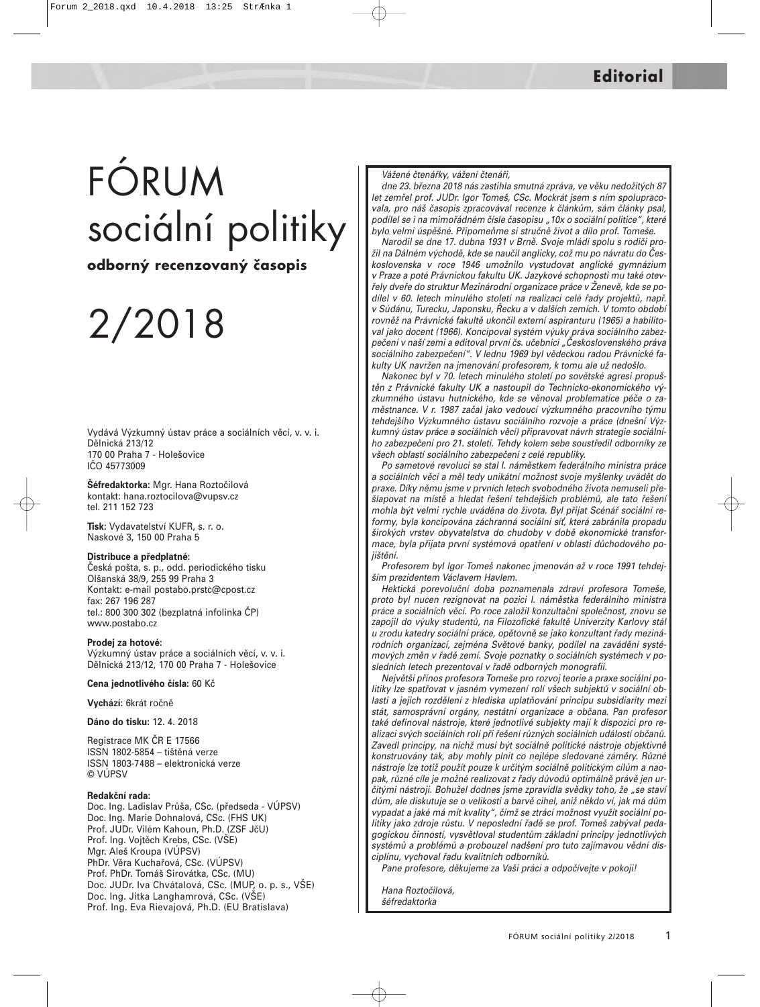# FÓRUM sociální politiky

**odborný recenzovaný časopis**

# 2/2018

Vydává Výzkumný ústav práce a sociálních věcí, v. v. i. Dělnická 213/12 170 00 Praha 7 - Holešovice IČO 45773009

**Šéfredaktorka:** Mgr. Hana Roztočilová kontakt: hana.roztocilova@vupsv.cz tel. 211 152 723

**Tisk:** Vydavatelství KUFR, s. r. o. Naskové 3, 150 00 Praha 5

#### **Distribuce a předplatné:**

Česká pošta, s. p., odd. periodického tisku Olšanská 38/9, 255 99 Praha 3 Kontakt: e-mail postabo.prstc@cpost.cz fax: 267 196 287 tel.: 800 300 302 (bezplatná infolinka ČP) www.postabo.cz

#### **Prodej za hotové:**

Výzkumný ústav práce a sociálních věcí, v. v. i. Dělnická 213/12, 170 00 Praha 7 - Holešovice

#### **Cena jednotlivého čísla:** 60 Kč

**Vychází:** 6krát ročně

**Dáno do tisku:** 12. 4. 2018

Registrace MK ČR E 17566 ISSN 1802-5854 – tištěná verze ISSN 1803-7488 – elektronická verze © VÚPSV

#### **Redakční rada:**

Doc. Ing. Ladislav Průša, CSc. (předseda - VÚPSV) Doc. Ing. Marie Dohnalová, CSc. (FHS UK) Prof. JUDr. Vilém Kahoun, Ph.D. (ZSF JčU) Prof. Ing. Vojtěch Krebs, CSc. (VŠE) Mgr. Aleš Kroupa (VÚPSV) PhDr. Věra Kuchařová, CSc. (VÚPSV) Prof. PhDr. Tomáš Sirovátka, CSc. (MU) Doc. JUDr. Iva Chvátalová, CSc. (MUP, o. p. s., VŠE) Doc. Ing. Jitka Langhamrová, CSc. (VŠE) Prof. Ing. Eva Rievajová, Ph.D. (EU Bratislava)

#### Vážené čtenářky, vážení čtenáři,

dne 23. března 2018 nás zastihla smutná zpráva, ve věku nedožitých 87 let zemřel prof. JUDr. Igor Tomeš, CSc. Mockrát jsem s ním spolupracovala, pro náš časopis zpracovával recenze k článkům, sám články psal, podílel se i na mimořádném čísle časopisu "10x o sociální politice", které bylo velmi úspěšné. Připomeňme si stručně život a dílo prof. Tomeše.

Narodil se dne 17. dubna 1931 v Brně. Svoje mládí spolu s rodiči prožil na Dálném východě, kde se naučil anglicky, což mu po návratu do Československa v roce 1946 umožnilo vystudovat anglické gymnázium v Praze a poté Právnickou fakultu UK. Jazykové schopnosti mu také otevřely dveře do struktur Mezinárodní organizace práce v Ženevě, kde se podílel v 60. letech minulého století na realizaci celé řady projektů, např. v Súdánu, Turecku, Japonsku, Řecku a v dalších zemích. V tomto období rovněž na Právnické fakultě ukončil externí aspiranturu (1965) a habilitoval jako docent (1966). Koncipoval systém výuky práva sociálního zabezpečení v naší zemi a editoval první čs. učebnici "Československého práva sociálního zabezpečení". V lednu 1969 byl vědeckou radou Právnické fakulty UK navržen na jmenování profesorem, k tomu ale už nedošlo.

Nakonec byl v 70. letech minulého století po sovětské agresi propuštěn z Právnické fakulty UK a nastoupil do Technicko-ekonomického výzkumného ústavu hutnického, kde se věnoval problematice péče o zaměstnance. V r. 1987 začal jako vedoucí výzkumného pracovního týmu tehdejšího Výzkumného ústavu sociálního rozvoje a práce (dnešní Výzkumný ústav práce a sociálních věcí) připravovat návrh strategie sociálního zabezpečení pro 21. století. Tehdy kolem sebe soustředil odborníky ze všech oblastí sociálního zabezpečení z celé republiky.

Po sametové revoluci se stal I. náměstkem federálního ministra práce a sociálních věcí a měl tedy unikátní možnost svoje myšlenky uvádět do praxe. Díky němu jsme v prvních letech svobodného života nemuseli přešlapovat na místě a hledat řešení tehdejších problémů, ale tato řešení mohla být velmi rychle uváděna do života. Byl přijat Scénář sociální reformy, byla koncipována záchranná sociální síť, která zabránila propadu širokých vrstev obyvatelstva do chudoby v době ekonomické transformace, byla přijata první systémová opatření v oblasti důchodového pojištění.

Profesorem byl Igor Tomeš nakonec jmenován až v roce 1991 tehdejším prezidentem Václavem Havlem.

Hektická porevoluční doba poznamenala zdraví profesora Tomeše, proto byl nucen rezignovat na pozici I. náměstka federálního ministra práce a sociálních věcí. Po roce založil konzultační společnost, znovu se zapojil do výuky studentů, na Filozofické fakultě Univerzity Karlovy stál u zrodu katedry sociální práce, opětovně se jako konzultant řady mezinárodních organizací, zejména Světové banky, podílel na zavádění systémových změn v řadě zemí. Svoje poznatky o sociálních systémech v posledních letech prezentoval v řadě odborných monografií.

Největší přínos profesora Tomeše pro rozvoj teorie a praxe sociální politiky lze spatřovat v jasném vymezení rolí všech subjektů v sociální oblasti a jejich rozdělení z hlediska uplatňování principu subsidiarity mezi stát, samosprávní orgány, nestátní organizace a občana. Pan profesor také definoval nástroje, které jednotlivé subjekty mají k dispozici pro realizaci svých sociálních rolí při řešení různých sociálních událostí občanů. Zavedl principy, na nichž musí být sociálně politické nástroje objektivně konstruovány tak, aby mohly plnit co nejlépe sledované záměry. Různé nástroje lze totiž použít pouze k určitým sociálně politickým cílům a naopak, různé cíle je možné realizovat z řady důvodů optimálně právě jen určitými nástroji. Bohužel dodnes jsme zpravidla svědky toho, že "se staví dům, ale diskutuje se o velikosti a barvě cihel, aniž někdo ví, jak má dům vypadat a jaké má mít kvality", čímž se ztrácí možnost využít sociální politiky jako zdroje růstu. V neposlední řadě se prof. Tomeš zabýval pedagogickou činností, vysvětloval studentům základní principy jednotlivých systémů a problémů a probouzel nadšení pro tuto zajímavou vědní disciplínu, vychoval řadu kvalitních odborníků.

Pane profesore, děkujeme za Vaši práci a odpočívejte v pokoji!

Hana Roztočilová, šéfredaktorka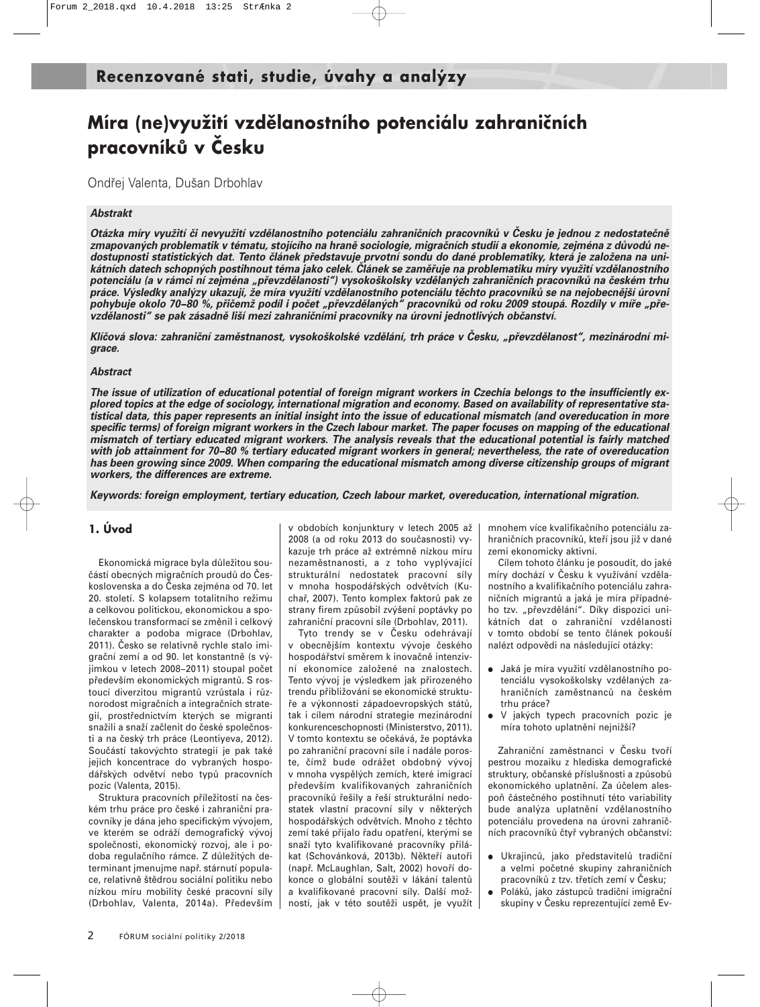## **Míra (ne)využití vzdělanostního potenciálu zahraničních pracovníků v Česku**

Ondřej Valenta, Dušan Drbohlav

#### *Abstrakt*

*Otázka míry využití či nevyužití vzdělanostního potenciálu zahraničních pracovníků v Česku je jednou z nedostatečně zmapovaných problematik v tématu, stojícího na hraně sociologie, migračních studií a ekonomie, zejména z důvodů nedostupnosti statistických dat. Tento článek představuje prvotní sondu do dané problematiky, která je založena na unikátních datech schopných postihnout téma jako celek. Článek se zaměřuje na problematiku míry využití vzdělanostního potenciálu (a v rámci ní zejména "převzdělanosti") vysokoškolsky vzdělaných zahraničních pracovníků na českém trhu práce. Výsledky analýzy ukazují, že míra využití vzdělanostního potenciálu těchto pracovníků se na nejobecnější úrovni pohybuje okolo 70−80 %, přičemž podíl i počet "převzdělaných" pracovníků od roku 2009 stoupá. Rozdíly v míře "převzdělanosti" se pak zásadně liší mezi zahraničními pracovníky na úrovni jednotlivých občanství.* 

*Klíčová slova: zahraniční zaměstnanost, vysokoškolské vzdělání, trh práce v Česku, "převzdělanost", mezinárodní migrace.*

#### *Abstract*

*The issue of utilization of educational potential of foreign migrant workers in Czechia belongs to the insufficiently explored topics at the edge of sociology, international migration and economy. Based on availability of representative statistical data, this paper represents an initial insight into the issue of educational mismatch (and overeducation in more specific terms) of foreign migrant workers in the Czech labour market. The paper focuses on mapping of the educational mismatch of tertiary educated migrant workers. The analysis reveals that the educational potential is fairly matched with job attainment for 70−80 % tertiary educated migrant workers in general; nevertheless, the rate of overeducation has been growing since 2009. When comparing the educational mismatch among diverse citizenship groups of migrant workers, the differences are extreme.* 

*Keywords: foreign employment, tertiary education, Czech labour market, overeducation, international migration.*

#### **1. Úvod**

Ekonomická migrace byla důležitou součástí obecných migračních proudů do Československa a do Česka zejména od 70. let 20. století. S kolapsem totalitního režimu a celkovou politickou, ekonomickou a společenskou transformací se změnil i celkový charakter a podoba migrace (Drbohlav, 2011). Česko se relativně rychle stalo imigrační zemí a od 90. let konstantně (s výjimkou v letech 2008−2011) stoupal počet především ekonomických migrantů. S rostoucí diverzitou migrantů vzrůstala i různorodost migračních a integračních strategií, prostřednictvím kterých se migranti snažili a snaží začlenit do české společnosti a na český trh práce (Leontiyeva, 2012). Součástí takovýchto strategií je pak také jejich koncentrace do vybraných hospodářských odvětví nebo typů pracovních pozic (Valenta, 2015).

Struktura pracovních příležitostí na českém trhu práce pro české i zahraniční pracovníky je dána jeho specifickým vývojem, ve kterém se odráží demografický vývoj společnosti, ekonomický rozvoj, ale i podoba regulačního rámce. Z důležitých determinant jmenujme např. stárnutí populace, relativně štědrou sociální politiku nebo nízkou míru mobility české pracovní síly (Drbohlav, Valenta, 2014a). Především v obdobích konjunktury v letech 2005 až 2008 (a od roku 2013 do současnosti) vykazuje trh práce až extrémně nízkou míru nezaměstnanosti, a z toho vyplývající strukturální nedostatek pracovní síly v mnoha hospodářských odvětvích (Kuchař, 2007). Tento komplex faktorů pak ze strany firem způsobil zvýšení poptávky po zahraniční pracovní síle (Drbohlav, 2011).

Tyto trendy se v Česku odehrávají v obecnějším kontextu vývoje českého hospodářství směrem k inovačně intenzivní ekonomice založené na znalostech. Tento vývoj je výsledkem jak přirozeného trendu přibližování se ekonomické struktuře a výkonnosti západoevropských států, tak i cílem národní strategie mezinárodní konkurenceschopnosti (Ministerstvo, 2011). V tomto kontextu se očekává, že poptávka po zahraniční pracovní síle i nadále poroste, čímž bude odrážet obdobný vývoj v mnoha vyspělých zemích, které imigrací především kvalifikovaných zahraničních pracovníků řešily a řeší strukturální nedostatek vlastní pracovní síly v některých hospodářských odvětvích. Mnoho z těchto zemí také přijalo řadu opatření, kterými se snaží tyto kvalifikované pracovníky přilákat (Schovánková, 2013b). Někteří autoři (např. McLaughlan, Salt, 2002) hovoří dokonce o globální soutěži v lákání talentů a kvalifikované pracovní síly. Další možností, jak v této soutěži uspět, je využít mnohem více kvalifikačního potenciálu zahraničních pracovníků, kteří jsou již v dané zemi ekonomicky aktivní.

Cílem tohoto článku je posoudit, do jaké míry dochází v Česku k využívání vzdělanostního a kvalifikačního potenciálu zahraničních migrantů a jaká je míra případného tzv. "převzdělání". Díky dispozici unikátních dat o zahraniční vzdělanosti v tomto období se tento článek pokouší nalézt odpovědi na následující otázky:

- Jaká je míra využití vzdělanostního potenciálu vysokoškolsky vzdělaných zahraničních zaměstnanců na českém trhu práce?
- V jakých typech pracovních pozic je míra tohoto uplatnění nejnižší?

Zahraniční zaměstnanci v Česku tvoří pestrou mozaiku z hlediska demografické struktury, občanské příslušnosti a způsobů ekonomického uplatnění. Za účelem alespoň částečného postihnutí této variability bude analýza uplatnění vzdělanostního potenciálu provedena na úrovni zahraničních pracovníků čtyř vybraných občanství:

- Ukrajinců, jako představitelů tradiční a velmi početné skupiny zahraničních pracovníků z tzv. třetích zemí v Česku;
- Poláků, jako zástupců tradiční imigrační skupiny v Česku reprezentující země Ev-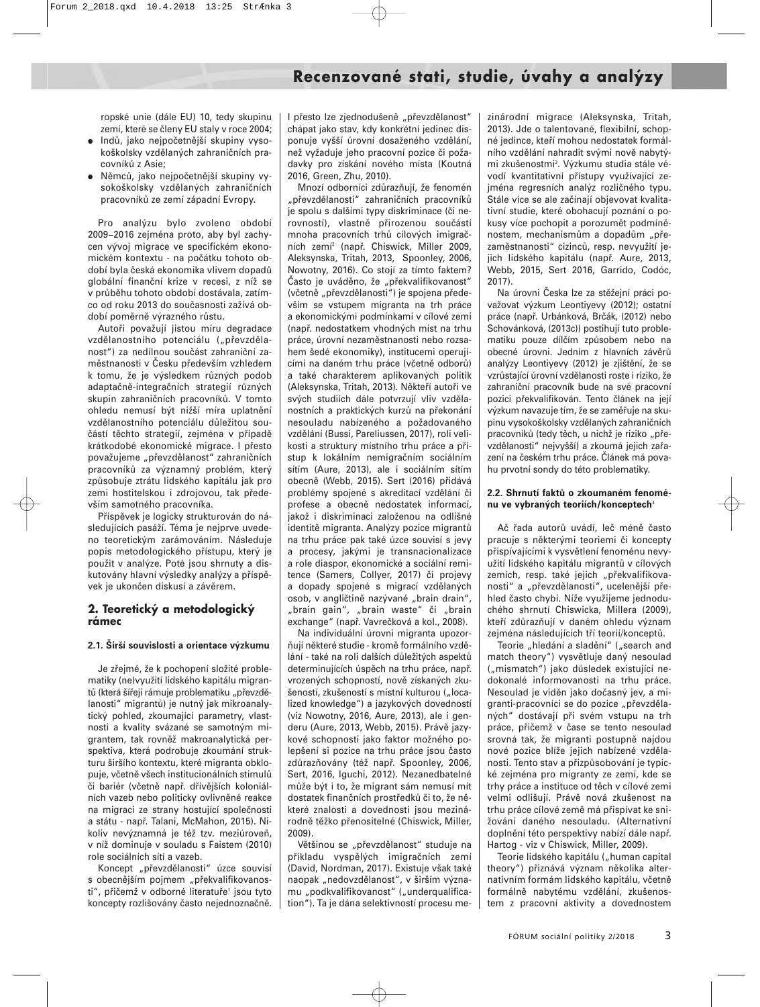ropské unie (dále EU) 10, tedy skupinu zemí, které se členy EU staly v roce 2004;

- Indů, jako nejpočetnější skupiny vysokoškolsky vzdělaných zahraničních pracovníků z Asie;
- Němců, jako nejpočetnější skupiny vysokoškolsky vzdělaných zahraničních pracovníků ze zemí západní Evropy.

Pro analýzu bylo zvoleno období 2009−2016 zejména proto, aby byl zachycen vývoj migrace ve specifickém ekonomickém kontextu - na počátku tohoto období byla česká ekonomika vlivem dopadů globální finanční krize v recesi, z níž se v průběhu tohoto období dostávala, zatímco od roku 2013 do současnosti zažívá období poměrně výrazného růstu.

Autoři považují jistou míru degradace vzdělanostního potenciálu ("převzdělanost") za nedílnou součást zahraniční zaměstnanosti v Česku především vzhledem k tomu, že je výsledkem různých podob adaptačně-integračních strategií různých skupin zahraničních pracovníků. V tomto ohledu nemusí být nižší míra uplatnění vzdělanostního potenciálu důležitou součástí těchto strategií, zejména v případě krátkodobé ekonomické migrace. I přesto považujeme "převzdělanost" zahraničních pracovníků za významný problém, který způsobuje ztrátu lidského kapitálu jak pro zemi hostitelskou i zdrojovou, tak především samotného pracovníka.

Příspěvek je logicky strukturován do následujících pasáží. Téma je nejprve uvedeno teoretickým zarámováním. Následuje popis metodologického přístupu, který je použit v analýze. Poté jsou shrnuty a diskutovány hlavní výsledky analýzy a příspěvek je ukončen diskusí a závěrem.

#### **2. Teoretický a metodologický rámec**

#### **2.1. Širší souvislosti a orientace výzkumu**

Je zřejmé, že k pochopení složité problematiky (ne)využití lidského kapitálu migrantů (která šířeji rámuje problematiku "převzdělanosti" migrantů) je nutný jak mikroanalytický pohled, zkoumající parametry, vlastnosti a kvality svázané se samotným migrantem, tak rovněž makroanalytická perspektiva, která podrobuje zkoumání strukturu širšího kontextu, které migranta obklopuje, včetně všech institucionálních stimulů či bariér (včetně např. dřívějších koloniálních vazeb nebo politicky ovlivněné reakce na migraci ze strany hostující společnosti a státu - např. Talani, McMahon, 2015). Nikoliv nevýznamná je též tzv. meziúroveň, v níž dominuje v souladu s Faistem (2010) role sociálních sítí a vazeb.

Koncept "převzdělanosti" úzce souvisí s obecnějším pojmem "překvalifikovanosti", přičemž v odborné literatuře<sup>1</sup> jsou tyto koncepty rozlišovány často nejednoznačně.

I přesto lze zjednodušeně "převzdělanost" chápat jako stav, kdy konkrétní jedinec disponuje vyšší úrovní dosaženého vzdělání, než vyžaduje jeho pracovní pozice či požadavky pro získání nového místa (Koutná 2016, Green, Zhu, 2010).

Mnozí odborníci zdůrazňují, že fenomén "převzdělanosti" zahraničních pracovníků je spolu s dalšími typy diskriminace (či nerovností), vlastně přirozenou součástí mnoha pracovních trhů cílových imigračních zemí2 (např. Chiswick, Miller 2009, Aleksynska, Tritah, 2013, Spoonley, 2006, Nowotny, 2016). Co stojí za tímto faktem? Často je uváděno, že "překvalifikovanost" (včetně "převzdělanosti") je spojena především se vstupem migranta na trh práce a ekonomickými podmínkami v cílové zemi (např. nedostatkem vhodných míst na trhu práce, úrovní nezaměstnanosti nebo rozsahem šedé ekonomiky), institucemi operujícími na daném trhu práce (včetně odborů) a také charakterem aplikovaných politik (Aleksynska, Tritah, 2013). Někteří autoři ve svých studiích dále potvrzují vliv vzdělanostních a praktických kurzů na překonání nesouladu nabízeného a požadovaného vzdělání (Bussi, Pareliussen, 2017), roli velikosti a struktury místního trhu práce a přístup k lokálním nemigračním sociálním sítím (Aure, 2013), ale i sociálním sítím obecně (Webb, 2015). Sert (2016) přidává problémy spojené s akreditací vzdělání či profese a obecně nedostatek informací, jakož i diskriminaci založenou na odlišné identitě migranta. Analýzy pozice migrantů na trhu práce pak také úzce souvisí s jevy a procesy, jakými je transnacionalizace a role diaspor, ekonomické a sociální remitence (Samers, Collyer, 2017) či projevy a dopady spojené s migrací vzdělaných osob, v angličtině nazývané "brain drain", "brain gain", "brain waste" či "brain exchange" (např. Vavrečková a kol., 2008).

Na individuální úrovni migranta upozorňují některé studie - kromě formálního vzdělání - také na roli dalších důležitých aspektů determinujících úspěch na trhu práce, např. vrozených schopností, nově získaných zkušeností, zkušeností s místní kulturou ("localized knowledge") a jazykových dovedností (viz Nowotny, 2016, Aure, 2013), ale i genderu (Aure, 2013, Webb, 2015). Právě jazykové schopnosti jako faktor možného polepšení si pozice na trhu práce jsou často zdůrazňovány (též např. Spoonley, 2006, Sert, 2016, Iguchi, 2012). Nezanedbatelné může být i to, že migrant sám nemusí mít dostatek finančních prostředků či to, že některé znalosti a dovednosti jsou mezinárodně těžko přenositelné (Chiswick, Miller, 2009).

Většinou se "převzdělanost" studuje na příkladu vyspělých imigračních zemí (David, Nordman, 2017). Existuje však také naopak "nedovzdělanost", v širším významu "podkvalifikovanost" ("underqualification"). Ta je dána selektivností procesu mezinárodní migrace (Aleksynska, Tritah, 2013). Jde o talentované, flexibilní, schopné jedince, kteří mohou nedostatek formálního vzdělání nahradit svými nově nabytými zkušenostmi3 . Výzkumu studia stále vévodí kvantitativní přístupy využívající zejména regresních analýz rozličného typu. Stále více se ale začínají objevovat kvalitativní studie, které obohacují poznání o pokusy více pochopit a porozumět podmíněnostem, mechanismům a dopadům "přezaměstnanosti" cizinců, resp. nevyužití jejich lidského kapitálu (např. Aure, 2013, Webb, 2015, Sert 2016, Garrido, Codóc, 2017).

Na úrovni Česka lze za stěžejní práci považovat výzkum Leontiyevy (2012); ostatní práce (např. Urbánková, Brčák, (2012) nebo Schovánková, (2013c)) postihují tuto problematiku pouze dílčím způsobem nebo na obecné úrovni. Jedním z hlavních závěrů analýzy Leontiyevy (2012) je zjištění, že se vzrůstající úrovní vzdělanosti roste i riziko, že zahraniční pracovník bude na své pracovní pozici překvalifikován. Tento článek na její výzkum navazuje tím, že se zaměřuje na skupinu vysokoškolsky vzdělaných zahraničních pracovníků (tedy těch, u nichž je riziko "převzdělanosti" nejvyšší) a zkoumá jejich zařazení na českém trhu práce. Článek má povahu prvotní sondy do této problematiky.

#### **2.2. Shrnutí faktů o zkoumaném fenoménu ve vybraných teoriích/konceptech**<sup>4</sup>

Ač řada autorů uvádí, leč méně často pracuje s některými teoriemi či koncepty přispívajícími k vysvětlení fenoménu nevyužití lidského kapitálu migrantů v cílových zemích, resp. také jejich "překvalifikovanosti" a "převzdělanosti", ucelenější přehled často chybí. Níže využijeme jednoduchého shrnutí Chiswicka, Millera (2009), kteří zdůrazňují v daném ohledu význam zejména následujících tří teorií/konceptů.

Teorie "hledání a sladění" ("search and match theory") vysvětluje daný nesoulad ("mismatch") jako důsledek existující nedokonalé informovanosti na trhu práce. Nesoulad je viděn jako dočasný jev, a migranti-pracovníci se do pozice "převzdělaných" dostávají při svém vstupu na trh práce, přičemž v čase se tento nesoulad srovná tak, že migranti postupně najdou nové pozice blíže jejich nabízené vzdělanosti. Tento stav a přizpůsobování je typické zejména pro migranty ze zemí, kde se trhy práce a instituce od těch v cílové zemi velmi odlišují. Právě nová zkušenost na trhu práce cílové země má přispívat ke snižování daného nesouladu. (Alternativní doplnění této perspektivy nabízí dále např. Hartog - viz v Chiswick, Miller, 2009).

Teorie lidského kapitálu ("human capital theory") přiznává význam několika alternativním formám lidského kapitálu, včetně formálně nabytému vzdělání, zkušenostem z pracovní aktivity a dovednostem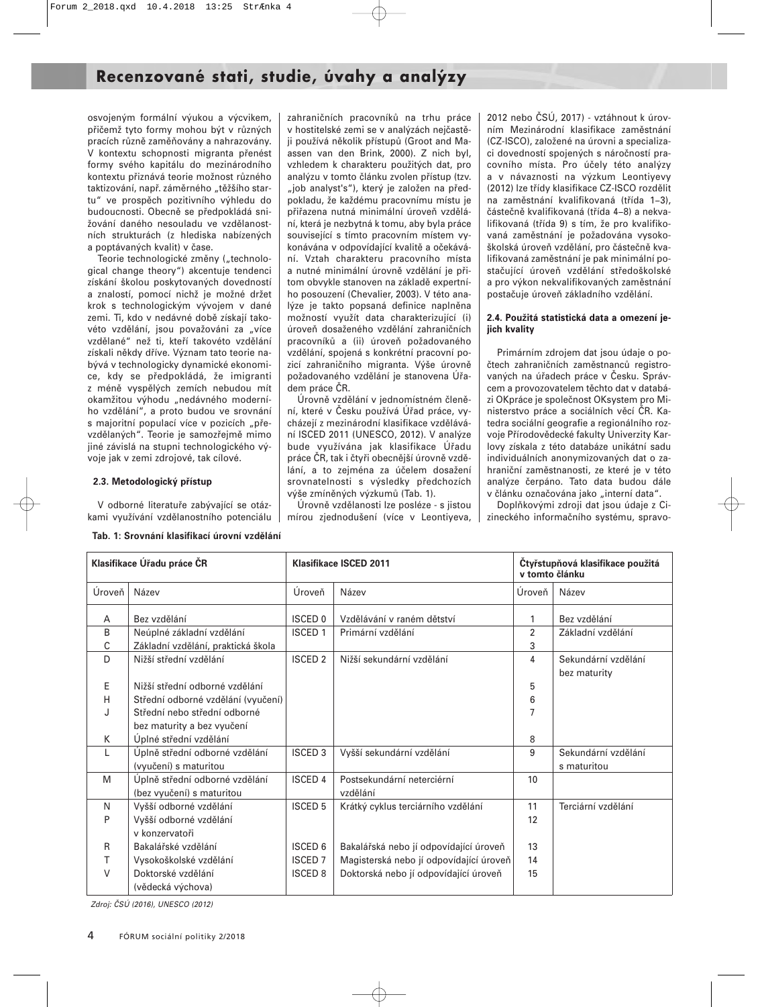osvojeným formální výukou a výcvikem, přičemž tyto formy mohou být v různých pracích různě zaměňovány a nahrazovány. V kontextu schopnosti migranta přenést formy svého kapitálu do mezinárodního kontextu přiznává teorie možnost různého taktizování, např. záměrného "těžšího startu" ve prospěch pozitivního výhledu do budoucnosti. Obecně se předpokládá snižování daného nesouladu ve vzdělanostních strukturách (z hlediska nabízených a poptávaných kvalit) v čase.

Teorie technologické změny ("technological change theory") akcentuje tendenci získání školou poskytovaných dovedností a znalostí, pomocí nichž je možné držet krok s technologickým vývojem v dané zemi. Ti, kdo v nedávné době získají takovéto vzdělání, jsou považováni za "více vzdělané" než ti, kteří takovéto vzdělání získali někdy dříve. Význam tato teorie nabývá v technologicky dynamické ekonomice, kdy se předpokládá, že imigranti z méně vyspělých zemích nebudou mít okamžitou výhodu "nedávného moderního vzdělání", a proto budou ve srovnání s majoritní populací více v pozicích "převzdělaných". Teorie je samozřejmě mimo jiné závislá na stupni technologického vývoje jak v zemi zdrojové, tak cílové.

#### **2.3. Metodologický přístup**

V odborné literatuře zabývající se otázkami využívání vzdělanostního potenciálu

**Tab. 1: Srovnání klasifikací úrovní vzdělání** 

zahraničních pracovníků na trhu práce v hostitelské zemi se v analýzách nejčastěji používá několik přístupů (Groot and Maassen van den Brink, 2000). Z nich byl, vzhledem k charakteru použitých dat, pro analýzu v tomto článku zvolen přístup (tzv. "job analyst's"), který je založen na předpokladu, že každému pracovnímu místu je přiřazena nutná minimální úroveň vzdělání, která je nezbytná k tomu, aby byla práce související s tímto pracovním místem vykonávána v odpovídající kvalitě a očekávání. Vztah charakteru pracovního místa a nutné minimální úrovně vzdělání je přitom obvykle stanoven na základě expertního posouzení (Chevalier, 2003). V této analýze je takto popsaná definice naplněna možností využít data charakterizující (i) úroveň dosaženého vzdělání zahraničních pracovníků a (ii) úroveň požadovaného vzdělání, spojená s konkrétní pracovní pozicí zahraničního migranta. Výše úrovně požadovaného vzdělání je stanovena Úřadem práce ČR.

Úrovně vzdělání v jednomístném členění, které v Česku používá Úřad práce, vycházejí z mezinárodní klasifikace vzdělávání ISCED 2011 (UNESCO, 2012). V analýze bude využívána jak klasifikace Úřadu práce ČR, tak i čtyři obecnější úrovně vzdělání, a to zejména za účelem dosažení srovnatelnosti s výsledky předchozích výše zmíněných výzkumů (Tab. 1).

Úrovně vzdělanosti lze posléze - s jistou mírou zjednodušení (více v Leontiyeva,

2012 nebo ČSÚ, 2017) - vztáhnout k úrovním Mezinárodní klasifikace zaměstnání (CZ-ISCO), založené na úrovni a specializaci dovedností spojených s náročností pracovního místa. Pro účely této analýzy a v návaznosti na výzkum Leontiyevy (2012) lze třídy klasifikace CZ-ISCO rozdělit na zaměstnání kvalifikovaná (třída 1−3), částečně kvalifikovaná (třída 4−8) a nekvalifikovaná (třída 9) s tím, že pro kvalifikovaná zaměstnání je požadována vysokoškolská úroveň vzdělání, pro částečně kvalifikovaná zaměstnání je pak minimální postačující úroveň vzdělání středoškolské a pro výkon nekvalifikovaných zaměstnání postačuje úroveň základního vzdělání.

#### **2.4. Použitá statistická data a omezení jejich kvality**

Primárním zdrojem dat jsou údaje o počtech zahraničních zaměstnanců registrovaných na úřadech práce v Česku. Správcem a provozovatelem těchto dat v databázi OKpráce je společnost OKsystem pro Ministerstvo práce a sociálních věcí ČR. Katedra sociální geografie a regionálního rozvoje Přírodovědecké fakulty Univerzity Karlovy získala z této databáze unikátní sadu individuálních anonymizovaných dat o zahraniční zaměstnanosti, ze které je v této analýze čerpáno. Tato data budou dále v článku označována jako "interní data".

Doplňkovými zdroji dat jsou údaje z Cizineckého informačního systému, spravo-

| Klasifikace Úřadu práce ČR |                                    | Klasifikace ISCED 2011   |                                         |                | Čtyřstupňová klasifikace použitá<br>v tomto článku |  |  |
|----------------------------|------------------------------------|--------------------------|-----------------------------------------|----------------|----------------------------------------------------|--|--|
| Úroveň                     | Název                              | Úroveň                   | Název                                   |                | Název                                              |  |  |
| A                          | Bez vzdělání                       | <b>ISCED 0</b>           | Vzdělávání v raném dětství              |                | Bez vzdělání                                       |  |  |
| B                          | Neúplné základní vzdělání          | <b>ISCED 1</b>           | Primární vzdělání                       | $\overline{2}$ | Základní vzdělání                                  |  |  |
| С                          | Základní vzdělání, praktická škola |                          |                                         | 3              |                                                    |  |  |
| D                          | Nižší střední vzdělání             | <b>ISCED 2</b>           | Nižší sekundární vzdělání               | 4              | Sekundární vzdělání                                |  |  |
|                            |                                    |                          |                                         |                | bez maturity                                       |  |  |
| E                          | Nižší střední odborné vzdělání     |                          |                                         | 5              |                                                    |  |  |
| н                          | Střední odborné vzdělání (vyučení) |                          |                                         | 6              |                                                    |  |  |
|                            | Střední nebo střední odborné       |                          |                                         |                |                                                    |  |  |
|                            | bez maturity a bez vyučení         |                          |                                         |                |                                                    |  |  |
| К                          | Úplné střední vzdělání             |                          |                                         | 8              |                                                    |  |  |
| L                          | Úplně střední odborné vzdělání     | <b>ISCED 3</b>           | Vyšší sekundární vzdělání               | 9              | Sekundární vzdělání                                |  |  |
|                            | (vyučení) s maturitou              |                          |                                         |                | s maturitou                                        |  |  |
| M                          | Úplně střední odborné vzdělání     | <b>ISCED 4</b>           | Postsekundární neterciérní              | 10             |                                                    |  |  |
|                            | (bez vyučení) s maturitou          |                          | vzdělání                                |                |                                                    |  |  |
| N                          | Vyšší odborné vzdělání             | <b>ISCED 5</b>           | Krátký cyklus terciárního vzdělání      | 11             | Terciární vzdělání                                 |  |  |
| P                          | Vyšší odborné vzdělání             |                          |                                         | 12             |                                                    |  |  |
|                            | v konzervatoři                     |                          |                                         |                |                                                    |  |  |
| R                          | Bakalářské vzdělání                | <b>ISCED 6</b>           | Bakalářská nebo jí odpovídající úroveň  | 13             |                                                    |  |  |
| т                          | Vysokoškolské vzdělání             | <b>ISCED 7</b>           | Magisterská nebo jí odpovídající úroveň | 14             |                                                    |  |  |
| V                          | Doktorské vzdělání                 | <b>ISCED<sub>8</sub></b> | Doktorská nebo jí odpovídající úroveň   | 15             |                                                    |  |  |
|                            | (vědecká výchova)                  |                          |                                         |                |                                                    |  |  |

Zdroj: ČSÚ (2016), UNESCO (2012)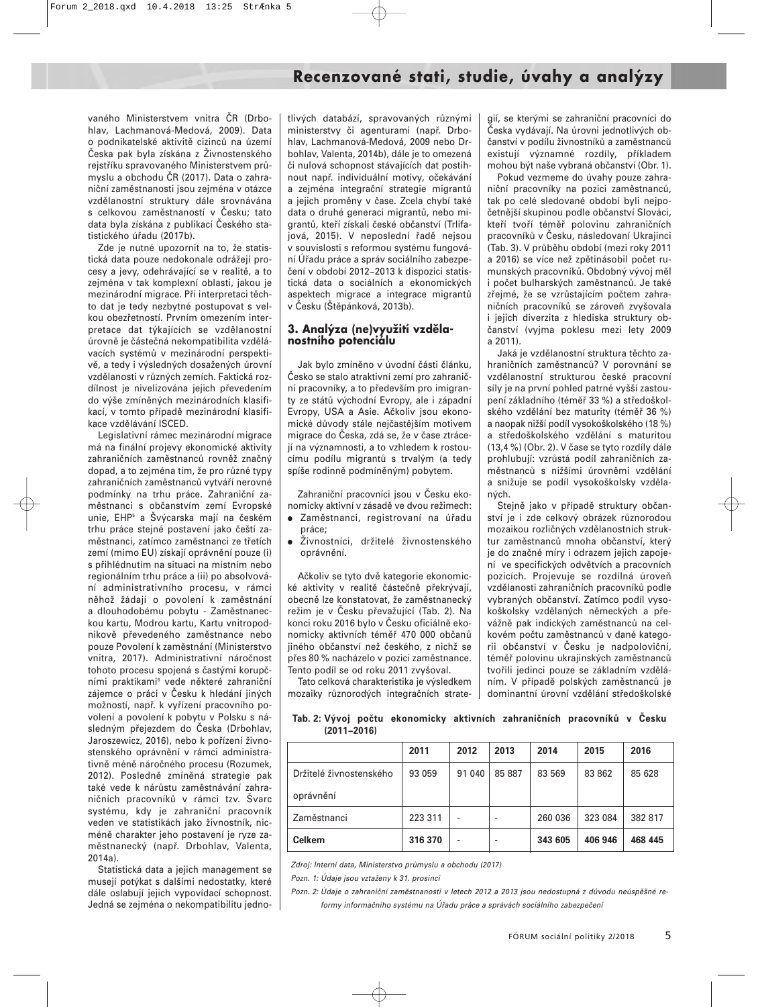vaného Ministerstvem vnitra ČR (Drbohlav, Lachmanová-Medová, 2009). Data o podnikatelské aktivitě cizinců na území Česka pak byla získána z Živnostenského rejstříku spravovaného Ministerstvem průmyslu a obchodu ČR (2017). Data o zahraniční zaměstnanosti jsou zejména v otázce vzdělanostní struktury dále srovnávána s celkovou zaměstnaností v Česku; tato data byla získána z publikací Českého statistického úřadu (2017b).

Zde je nutné upozornit na to, že statistická data pouze nedokonale odrážejí procesy a jevy, odehrávající se v realitě, a to zejména v tak komplexní oblasti, jakou je mezinárodní migrace. Při interpretaci těchto dat je tedy nezbytné postupovat s velkou obezřetností. Prvním omezením interpretace dat týkajících se vzdělanostní úrovně je částečná nekompatibilita vzdělávacích systémů v mezinárodní perspektivě, a tedy i výsledných dosažených úrovní vzdělanosti v různých zemích. Faktická rozdílnost je nivelizována jejich převedením do výše zmíněných mezinárodních klasifikací, v tomto případě mezinárodní klasifikace vzdělávání ISCED.

Legislativní rámec mezinárodní migrace má na finální projevy ekonomické aktivity zahraničních zaměstnanců rovněž značný dopad, a to zejména tím, že pro různé typy zahraničních zaměstnanců vytváří nerovné podmínky na trhu práce. Zahraniční zaměstnanci s občanstvím zemí Evropské unie, EHP5 a Švýcarska mají na českém trhu práce stejné postavení jako čeští zaměstnanci, zatímco zaměstnanci ze třetích zemí (mimo EU) získají oprávnění pouze (i) s přihlédnutím na situaci na místním nebo regionálním trhu práce a (ii) po absolvování administrativního procesu, v rámci něhož žádají o povolení k zaměstnání a dlouhodobému pobytu - Zaměstnaneckou kartu, Modrou kartu, Kartu vnitropodnikově převedeného zaměstnance nebo pouze Povolení k zaměstnání (Ministerstvo vnitra, 2017). Administrativní náročnost tohoto procesu spojená s častými korupčními praktikami6 vede některé zahraniční zájemce o práci v Česku k hledání jiných možností, např. k vyřízení pracovního povolení a povolení k pobytu v Polsku s následným přejezdem do Česka (Drbohlav, Jaroszewicz, 2016), nebo k pořízení živnostenského oprávnění v rámci administrativně méně náročného procesu (Rozumek, 2012). Posledně zmíněná strategie pak také vede k nárůstu zaměstnávání zahraničních pracovníků v rámci tzv. Švarc systému, kdy je zahraniční pracovník veden ve statistikách jako živnostník, nicméně charakter jeho postavení je ryze zaměstnanecký (např. Drbohlav, Valenta, 2014a).

Statistická data a jejich management se musejí potýkat s dalšími nedostatky, které dále oslabují jejich vypovídací schopnost. Jedná se zejména o nekompatibilitu jednotlivých databází, spravovaných různými ministerstvy či agenturami (např. Drbohlav, Lachmanová-Medová, 2009 nebo Drbohlav, Valenta, 2014b), dále je to omezená či nulová schopnost stávajících dat postihnout např. individuální motivy, očekávání a zejména integrační strategie migrantů a jejich proměny v čase. Zcela chybí také data o druhé generaci migrantů, nebo migrantů, kteří získali české občanství (Trlifajová, 2015). V neposlední řadě nejsou v souvislosti s reformou systému fungování Úřadu práce a správ sociálního zabezpečení v období 2012−2013 k dispozici statistická data o sociálních a ekonomických aspektech migrace a integrace migrantů v Česku (Štěpánková, 2013b).

#### **3. Analýza (ne)využití vzdělanostního potenciálu**

Jak bylo zmíněno v úvodní části článku, Česko se stalo atraktivní zemí pro zahraniční pracovníky, a to především pro imigranty ze států východní Evropy, ale i západní Evropy, USA a Asie. Ačkoliv jsou ekonomické důvody stále nejčastějším motivem migrace do Česka, zdá se, že v čase ztrácejí na významnosti, a to vzhledem k rostoucímu podílu migrantů s trvalým (a tedy spíše rodinně podmíněným) pobytem.

Zahraniční pracovníci jsou v Česku ekonomicky aktivní v zásadě ve dvou režimech:

- Zaměstnanci, registrovaní na úřadu práce;
- Živnostníci, držitelé živnostenského oprávnění.

Ačkoliv se tyto dvě kategorie ekonomické aktivity v realitě částečně překrývají, obecně lze konstatovat, že zaměstnanecký režim je v Česku převažující (Tab. 2). Na konci roku 2016 bylo v Česku oficiálně ekonomicky aktivních téměř 470 000 občanů jiného občanství než českého, z nichž se přes 80 % nacházelo v pozici zaměstnance. Tento podíl se od roku 2011 zvyšoval.

Tato celková charakteristika je výsledkem mozaiky různorodých integračních strate-

gií, se kterými se zahraniční pracovníci do Česka vydávají. Na úrovni jednotlivých občanství v podílu živnostníků a zaměstnanců existují významné rozdíly, příkladem mohou být naše vybraná občanství (Obr. 1).

Pokud vezmeme do úvahy pouze zahraniční pracovníky na pozici zaměstnanců, tak po celé sledované období byli nejpočetnější skupinou podle občanství Slováci, kteří tvoří téměř polovinu zahraničních pracovníků v Česku, následovaní Ukrajinci (Tab. 3). V průběhu období (mezi roky 2011 a 2016) se více než zpětinásobil počet rumunských pracovníků. Obdobný vývoj měl i počet bulharských zaměstnanců. Je také zřejmé, že se vzrůstajícím počtem zahraničních pracovníků se zároveň zvyšovala i jejich diverzita z hlediska struktury občanství (vyjma poklesu mezi lety 2009 a 2011).

Jaká je vzdělanostní struktura těchto zahraničních zaměstnanců? V porovnání se vzdělanostní strukturou české pracovní síly je na první pohled patrné vyšší zastoupení základního (téměř 33 %) a středoškolského vzdělání bez maturity (téměř 36 %) a naopak nižší podíl vysokoškolského (18 %) a středoškolského vzdělání s maturitou (13,4 %) (Obr. 2). V čase se tyto rozdíly dále prohlubují: vzrůstá podíl zahraničních zaměstnanců s nižšími úrovněmi vzdělání a snižuje se podíl vysokoškolsky vzdělaných.

Stejně jako v případě struktury občanství je i zde celkový obrázek různorodou mozaikou rozličných vzdělanostních struktur zaměstnanců mnoha občanství, který je do značné míry i odrazem jejich zapojení ve specifických odvětvích a pracovních pozicích. Projevuje se rozdílná úroveň vzdělanosti zahraničních pracovníků podle vybraných občanství. Zatímco podíl vysokoškolsky vzdělaných německých a převážně pak indických zaměstnanců na celkovém počtu zaměstnanců v dané kategorii občanství v Česku je nadpoloviční, téměř polovinu ukrajinských zaměstnanců tvořili jedinci pouze se základním vzděláním. V případě polských zaměstnanců je dominantní úrovní vzdělání středoškolské

#### **Tab. 2: Vývoj počtu ekonomicky aktivních zahraničních pracovníků v Česku (2011−2016)**

|                         | 2011    | 2012   | 2013   | 2014    | 2015    | 2016    |
|-------------------------|---------|--------|--------|---------|---------|---------|
| Držitelé živnostenského | 93 059  | 91 040 | 85 887 | 83 569  | 83 862  | 85 628  |
| oprávnění               |         |        |        |         |         |         |
| Zaměstnanci             | 223 311 | -      | ٠      | 260 036 | 323 084 | 382 817 |
| Celkem                  | 316 370 | ۰      | ۰      | 343 605 | 406 946 | 468 445 |

Zdroj: Interní data, Ministerstvo průmyslu a obchodu (2017)

Pozn. 1: Údaje jsou vztaženy k 31. prosinci

Pozn. 2: Údaje o zahraniční zaměstnanosti v letech 2012 a 2013 jsou nedostupná z důvodu neúspěšné reformy informačního systému na Úřadu práce a správách sociálního zabezpečení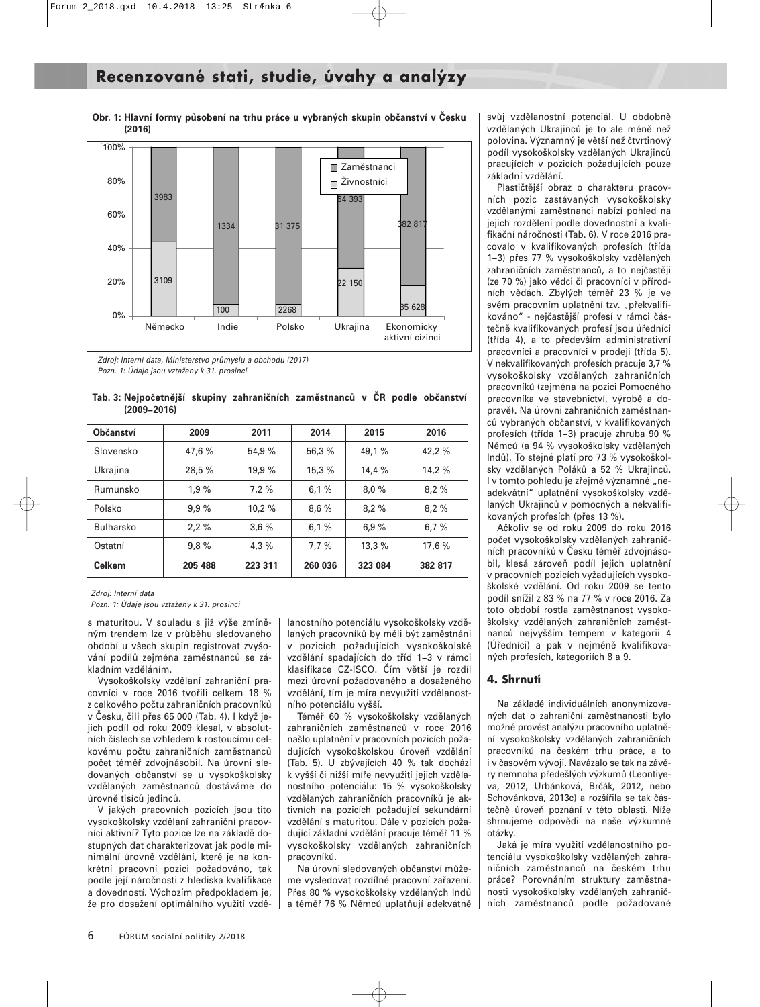**Obr. 1: Hlavní formy působení na trhu práce u vybraných skupin občanství v Česku (2016)** 



Zdroj: Interní data, Ministerstvo průmyslu a obchodu (2017) Pozn. 1: Údaje jsou vztaženy k 31. prosinci

| Tab. 3: Nejpočetnější skupiny zahraničních zaměstnanců v ČR podle občanství |  |  |  |  |
|-----------------------------------------------------------------------------|--|--|--|--|
| $(2009 - 2016)$                                                             |  |  |  |  |

| <b>Občanství</b> | 2009    | 2011    | 2014    | 2015    | 2016    |
|------------------|---------|---------|---------|---------|---------|
| Slovensko        | 47,6 %  | 54,9 %  | 56,3 %  | 49,1 %  | 42,2 %  |
| Ukrajina         | 28,5 %  | 19,9 %  | 15.3%   | 14,4%   | 14,2%   |
| Rumunsko         | 1.9%    | 7.2%    | 6,1%    | 8.0%    | 8.2%    |
| Polsko           | 9.9%    | 10.2%   | 8.6%    | 8.2%    | 8.2%    |
| <b>Bulharsko</b> | 2.2%    | 3,6%    | 6.1%    | 6.9%    | 6.7%    |
| Ostatní          | 9.8%    | 4.3%    | 7.7%    | 13,3%   | 17,6 %  |
| <b>Celkem</b>    | 205 488 | 223 311 | 260 036 | 323 084 | 382 817 |

Zdroj: Interní data

Pozn. 1: Údaje jsou vztaženy k 31. prosinci

s maturitou. V souladu s již výše zmíněným trendem lze v průběhu sledovaného období u všech skupin registrovat zvyšování podílů zejména zaměstnanců se základním vzděláním.

Vysokoškolsky vzdělaní zahraniční pracovníci v roce 2016 tvořili celkem 18 % z celkového počtu zahraničních pracovníků v Česku, čili přes 65 000 (Tab. 4). I když jejich podíl od roku 2009 klesal, v absolutních číslech se vzhledem k rostoucímu celkovému počtu zahraničních zaměstnanců počet téměř zdvojnásobil. Na úrovni sledovaných občanství se u vysokoškolsky vzdělaných zaměstnanců dostáváme do úrovně tisíců jedinců.

V jakých pracovních pozicích jsou tito vysokoškolsky vzdělaní zahraniční pracovníci aktivní? Tyto pozice lze na základě dostupných dat charakterizovat jak podle minimální úrovně vzdělání, které je na konkrétní pracovní pozici požadováno, tak podle její náročnosti z hlediska kvalifikace a dovedností. Výchozím předpokladem je, že pro dosažení optimálního využití vzdělanostního potenciálu vysokoškolsky vzdělaných pracovníků by měli být zaměstnáni v pozicích požadujících vysokoškolské vzdělání spadajících do tříd 1−3 v rámci klasifikace CZ-ISCO. Čím větší je rozdíl mezi úrovní požadovaného a dosaženého vzdělání, tím je míra nevyužití vzdělanostního potenciálu vyšší.

Téměř 60 % vysokoškolsky vzdělaných zahraničních zaměstnanců v roce 2016 našlo uplatnění v pracovních pozicích požadujících vysokoškolskou úroveň vzdělání (Tab. 5). U zbývajících 40 % tak dochází k vyšší či nižší míře nevyužití jejich vzdělanostního potenciálu: 15 % vysokoškolsky vzdělaných zahraničních pracovníků je aktivních na pozicích požadující sekundární vzdělání s maturitou. Dále v pozicích požadující základní vzdělání pracuje téměř 11 % vysokoškolsky vzdělaných zahraničních pracovníků.

Na úrovni sledovaných občanství můžeme vysledovat rozdílné pracovní zařazení. Přes 80 % vysokoškolsky vzdělaných Indů a téměř 76 % Němců uplatňují adekvátně svůj vzdělanostní potenciál. U obdobně vzdělaných Ukrajinců je to ale méně než polovina. Významný je větší než čtvrtinový podíl vysokoškolsky vzdělaných Ukrajinců pracujících v pozicích požadujících pouze základní vzdělání.

Plastičtější obraz o charakteru pracovních pozic zastávaných vysokoškolsky vzdělanými zaměstnanci nabízí pohled na jejich rozdělení podle dovednostní a kvalifikační náročnosti (Tab. 6). V roce 2016 pracovalo v kvalifikovaných profesích (třída 1−3) přes 77 % vysokoškolsky vzdělaných zahraničních zaměstnanců, a to nejčastěji (ze 70 %) jako vědci či pracovníci v přírodních vědách. Zbylých téměř 23 % je ve svém pracovním uplatnění tzv. "překvalifikováno" - nejčastější profesí v rámci částečně kvalifikovaných profesí jsou úředníci (třída 4), a to především administrativní pracovníci a pracovníci v prodeji (třída 5). V nekvalifikovaných profesích pracuje 3,7 % vysokoškolsky vzdělaných zahraničních pracovníků (zejména na pozici Pomocného pracovníka ve stavebnictví, výrobě a dopravě). Na úrovni zahraničních zaměstnanců vybraných občanství, v kvalifikovaných profesích (třída 1−3) pracuje zhruba 90 % Němců (a 94 % vysokoškolsky vzdělaných Indů). To stejné platí pro 73 % vysokoškolsky vzdělaných Poláků a 52 % Ukrajinců. I v tomto pohledu je zřejmé významné "neadekvátní" uplatnění vysokoškolsky vzdělaných Ukrajinců v pomocných a nekvalifikovaných profesích (přes 13 %).

Ačkoliv se od roku 2009 do roku 2016 počet vysokoškolsky vzdělaných zahraničních pracovníků v Česku téměř zdvojnásobil, klesá zároveň podíl jejich uplatnění v pracovních pozicích vyžadujících vysokoškolské vzdělání. Od roku 2009 se tento podíl snížil z 83 % na 77 % v roce 2016. Za toto období rostla zaměstnanost vysokoškolsky vzdělaných zahraničních zaměstnanců nejvyšším tempem v kategorii 4 (Úředníci) a pak v nejméně kvalifikovaných profesích, kategoriích 8 a 9.

#### **4. Shrnutí**

Na základě individuálních anonymizovaných dat o zahraniční zaměstnanosti bylo možné provést analýzu pracovního uplatnění vysokoškolsky vzdělaných zahraničních pracovníků na českém trhu práce, a to i v časovém vývoji. Navázalo se tak na závěry nemnoha předešlých výzkumů (Leontiyeva, 2012, Urbánková, Brčák, 2012, nebo Schovánková, 2013c) a rozšířila se tak částečně úroveň poznání v této oblasti. Níže shrnujeme odpovědi na naše výzkumné otázky.

Jaká je míra využití vzdělanostního potenciálu vysokoškolsky vzdělaných zahraničních zaměstnanců na českém trhu práce? Porovnáním struktury zaměstnanosti vysokoškolsky vzdělaných zahraničních zaměstnanců podle požadované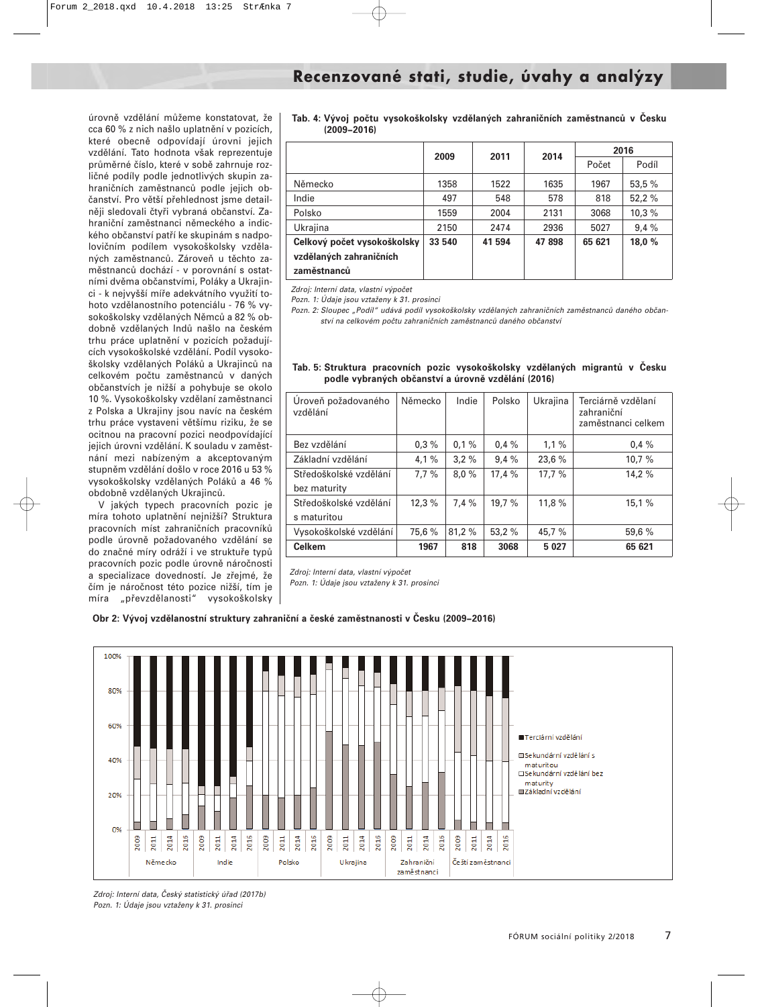úrovně vzdělání můžeme konstatovat, že cca 60 % z nich našlo uplatnění v pozicích, které obecně odpovídají úrovni jejich vzdělání. Tato hodnota však reprezentuje průměrné číslo, které v sobě zahrnuje rozličné podíly podle jednotlivých skupin zahraničních zaměstnanců podle jejich občanství. Pro větší přehlednost jsme detailněji sledovali čtyři vybraná občanství. Zahraniční zaměstnanci německého a indického občanství patří ke skupinám s nadpolovičním podílem vysokoškolsky vzdělaných zaměstnanců. Zároveň u těchto zaměstnanců dochází - v porovnání s ostatními dvěma občanstvími, Poláky a Ukrajinci - k nejvyšší míře adekvátního využití tohoto vzdělanostního potenciálu - 76 % vysokoškolsky vzdělaných Němců a 82 % obdobně vzdělaných Indů našlo na českém trhu práce uplatnění v pozicích požadujících vysokoškolské vzdělání. Podíl vysokoškolsky vzdělaných Poláků a Ukrajinců na celkovém počtu zaměstnanců v daných občanstvích je nižší a pohybuje se okolo 10 %. Vysokoškolsky vzdělaní zaměstnanci z Polska a Ukrajiny jsou navíc na českém trhu práce vystaveni většímu riziku, že se ocitnou na pracovní pozici neodpovídající jejich úrovni vzdělání. K souladu v zaměstnání mezi nabízeným a akceptovaným stupněm vzdělání došlo v roce 2016 u 53 % vysokoškolsky vzdělaných Poláků a 46 % obdobně vzdělaných Ukrajinců.

V jakých typech pracovních pozic je míra tohoto uplatnění nejnižší? Struktura pracovních míst zahraničních pracovníků podle úrovně požadovaného vzdělání se do značné míry odráží i ve struktuře typů pracovních pozic podle úrovně náročnosti a specializace dovedností. Je zřejmé, že čím je náročnost této pozice nižší, tím je míra "převzdělanosti" vysokoškolsky **Tab. 4: Vývoj počtu vysokoškolsky vzdělaných zahraničních zaměstnanců v Česku (2009−2016)**

|                             | 2009   | 2011   | 2014  | 2016   |        |  |
|-----------------------------|--------|--------|-------|--------|--------|--|
|                             |        |        |       | Počet  | Podíl  |  |
| Německo                     | 1358   | 1522   | 1635  | 1967   | 53,5 % |  |
| Indie                       | 497    | 548    | 578   | 818    | 52,2%  |  |
| Polsko                      | 1559   | 2004   | 2131  | 3068   | 10.3%  |  |
| Ukrajina                    | 2150   | 2474   | 2936  | 5027   | 9,4%   |  |
| Celkový počet vysokoškolsky | 33 540 | 41 594 | 47898 | 65 621 | 18,0 % |  |
| vzdělaných zahraničních     |        |        |       |        |        |  |
| zaměstnanců                 |        |        |       |        |        |  |

Zdroj: Interní data, vlastní výpočet

Pozn. 1: Údaje jsou vztaženy k 31. prosinci

Pozn. 2: Sloupec "Podíl" udává podíl vysokoškolsky vzdělaných zahraničních zaměstnanců daného občanství na celkovém počtu zahraničních zaměstnanců daného občanství

| Uroveň požadovaného<br>vzdělání | Německo | Indie  | Polsko | Ukrajina | Terciárně vzdělaní<br>zahraniční<br>zaměstnanci celkem |
|---------------------------------|---------|--------|--------|----------|--------------------------------------------------------|
| Bez vzdělání                    | 0.3%    | 0.1%   | 0.4%   | 1,1%     | 0.4%                                                   |
| Základní vzdělání               | 4,1%    | 3.2%   | 9,4%   | 23,6 %   | 10.7%                                                  |
| Středoškolské vzdělání          | 7.7%    | 8,0%   | 17,4 % | 17.7%    | 14,2 %                                                 |
| bez maturity                    |         |        |        |          |                                                        |
| Středoškolské vzdělání          | 12,3%   | 7.4%   | 19,7 % | 11,8 %   | 15,1%                                                  |
| s maturitou                     |         |        |        |          |                                                        |
| Vysokoškolské vzdělání          | 75,6 %  | 81,2 % | 53,2 % | 45,7 %   | 59,6 %                                                 |
| <b>Celkem</b>                   | 1967    | 818    | 3068   | 5 0 27   | 65 621                                                 |

#### **Tab. 5: Struktura pracovních pozic vysokoškolsky vzdělaných migrantů v Česku podle vybraných občanství a úrovně vzdělání (2016)**

Zdroj: Interní data, vlastní výpočet

Pozn. 1: Údaje jsou vztaženy k 31. prosinci





Zdroj: Interní data, Český statistický úřad (2017b) Pozn. 1: Údaje jsou vztaženy k 31. prosinci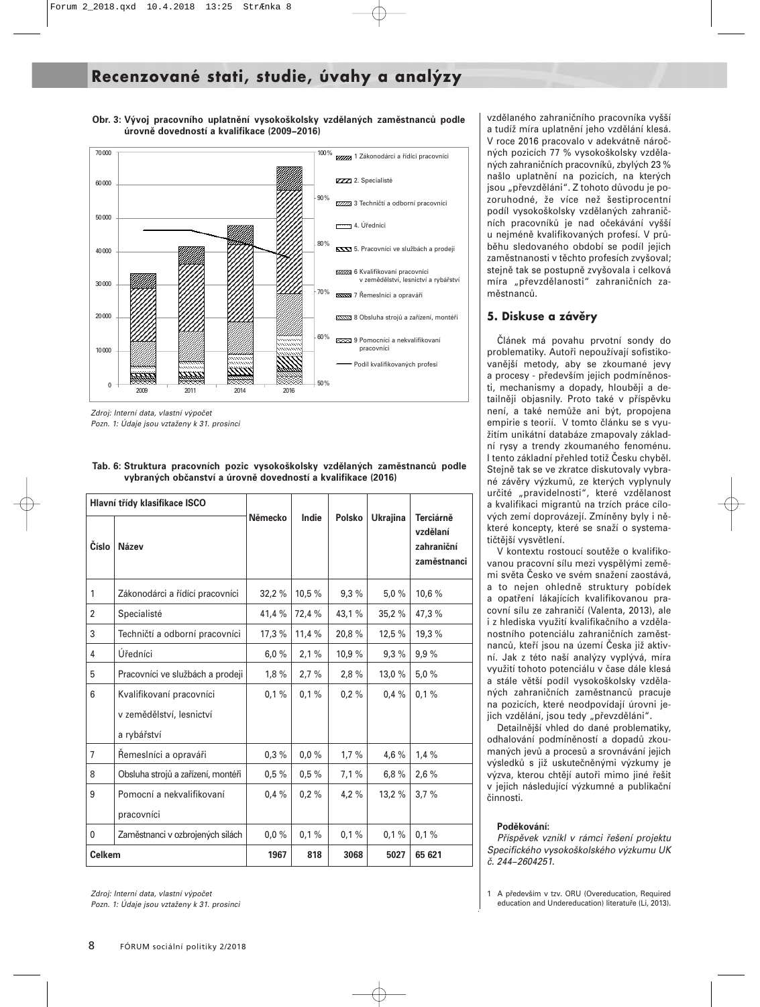## **Recenzované stati, studie, úvahy a analýzy**



**Obr. 3: Vývoj pracovního uplatnění vysokoškolsky vzdělaných zaměstnanců podle úrovně dovedností a kvalifikace (2009−2016)**

Zdroj: Interní data, vlastní výpočet Pozn. 1: Údaje jsou vztaženy k 31. prosinci

|                | Hlavní třídy klasifikace ISCO                                       |         |        |               |                 |                                                    |
|----------------|---------------------------------------------------------------------|---------|--------|---------------|-----------------|----------------------------------------------------|
| Číslo          | Název                                                               | Německo | Indie  | <b>Polsko</b> | <b>Ukrajina</b> | Terciárně<br>vzdělaní<br>zahraniční<br>zaměstnanci |
| 1              | Zákonodárci a řídící pracovníci                                     | 32,2%   | 10,5 % | 9.3%          | 5.0%            | 10,6 %                                             |
| $\overline{2}$ | Specialisté                                                         | 41,4 %  | 72,4 % | 43,1%         | 35,2%           | 47,3 %                                             |
| 3              | Techničtí a odborní pracovníci                                      | 17,3%   | 11,4%  | 20,8%         | 12,5 %          | 19,3 %                                             |
| 4              | Úředníci                                                            | 6,0%    | 2,1%   | 10,9 %        | 9,3%            | 9.9%                                               |
| 5              | Pracovníci ve službách a prodeji                                    | 1,8%    | 2.7%   | 2,8%          | 13,0 %          | 5.0%                                               |
| 6              | Kvalifikovaní pracovníci<br>v zemědělství, lesnictví<br>a rybářství | 0,1%    | 0,1%   | 0.2%          | 0.4%            | 0,1%                                               |
| $\overline{7}$ | Remeslníci a opraváři                                               | 0.3%    | 0.0%   | 1,7%          | 4.6%            | 1.4%                                               |
| 8              | Obsluha strojů a zařízení, montéři                                  | 0.5%    | 0.5%   | 7,1%          | 6,8%            | 2,6%                                               |
| 9              | Pomocní a nekvalifikovaní<br>pracovníci                             | 0.4%    | 0.2%   | 4,2%          | 13,2 %          | 3.7%                                               |
| 0              | Zaměstnanci v ozbrojených silách                                    | 0.0%    | 0,1%   | 0,1%          | 0,1%            | 0,1%                                               |
| <b>Celkem</b>  |                                                                     | 1967    | 818    | 3068          | 5027            | 65 621                                             |

**Tab. 6: Struktura pracovních pozic vysokoškolsky vzdělaných zaměstnanců podle vybraných občanství a úrovně dovedností a kvalifikace (2016)**

Zdroj: Interní data, vlastní výpočet Pozn. 1: Údaje jsou vztaženy k 31. prosinci

vzdělaného zahraničního pracovníka vyšší a tudíž míra uplatnění jeho vzdělání klesá. V roce 2016 pracovalo v adekvátně náročných pozicích 77 % vysokoškolsky vzdělaných zahraničních pracovníků, zbylých 23 % našlo uplatnění na pozicích, na kterých jsou "převzděláni". Z tohoto důvodu je pozoruhodné, že více než šestiprocentní podíl vysokoškolsky vzdělaných zahraničních pracovníků je nad očekávání vyšší u nejméně kvalifikovaných profesí. V průběhu sledovaného období se podíl jejich zaměstnanosti v těchto profesích zvyšoval; stejně tak se postupně zvyšovala i celková míra "převzdělanosti" zahraničních zaměstnanců.

#### **5. Diskuse a závěry**

Článek má povahu prvotní sondy do problematiky. Autoři nepoužívají sofistikovanější metody, aby se zkoumané jevy a procesy - především jejich podmíněnosti, mechanismy a dopady, hlouběji a detailněji objasnily. Proto také v příspěvku není, a také nemůže ani být, propojena empirie s teorií. V tomto článku se s využitím unikátní databáze zmapovaly základní rysy a trendy zkoumaného fenoménu. I tento základní přehled totiž Česku chyběl. Stejně tak se ve zkratce diskutovaly vybrané závěry výzkumů, ze kterých vyplynuly určité "pravidelnosti", které vzdělanost a kvalifikaci migrantů na trzích práce cílových zemí doprovázejí. Zmíněny byly i některé koncepty, které se snaží o systematičtější vysvětlení.

V kontextu rostoucí soutěže o kvalifikovanou pracovní sílu mezi vyspělými zeměmi světa Česko ve svém snažení zaostává, a to nejen ohledně struktury pobídek a opatření lákajících kvalifikovanou pracovní sílu ze zahraničí (Valenta, 2013), ale i z hlediska využití kvalifikačního a vzdělanostního potenciálu zahraničních zaměstnanců, kteří jsou na území Česka již aktivní. Jak z této naší analýzy vyplývá, míra využití tohoto potenciálu v čase dále klesá a stále větší podíl vysokoškolsky vzdělaných zahraničních zaměstnanců pracuje na pozicích, které neodpovídají úrovni jejich vzdělání, jsou tedy "převzděláni".

Detailnější vhled do dané problematiky, odhalování podmíněností a dopadů zkoumaných jevů a procesů a srovnávání jejich výsledků s již uskutečněnými výzkumy je výzva, kterou chtějí autoři mimo jiné řešit v jejich následující výzkumné a publikační činnosti.

#### **Poděkování:**

Příspěvek vznikl v rámci řešení projektu Specifického vysokoškolského výzkumu UK č. 244−2604251.

<sup>1</sup> A především v tzv. ORU (Overeducation, Required education and Undereducation) literatuře (Li, 2013).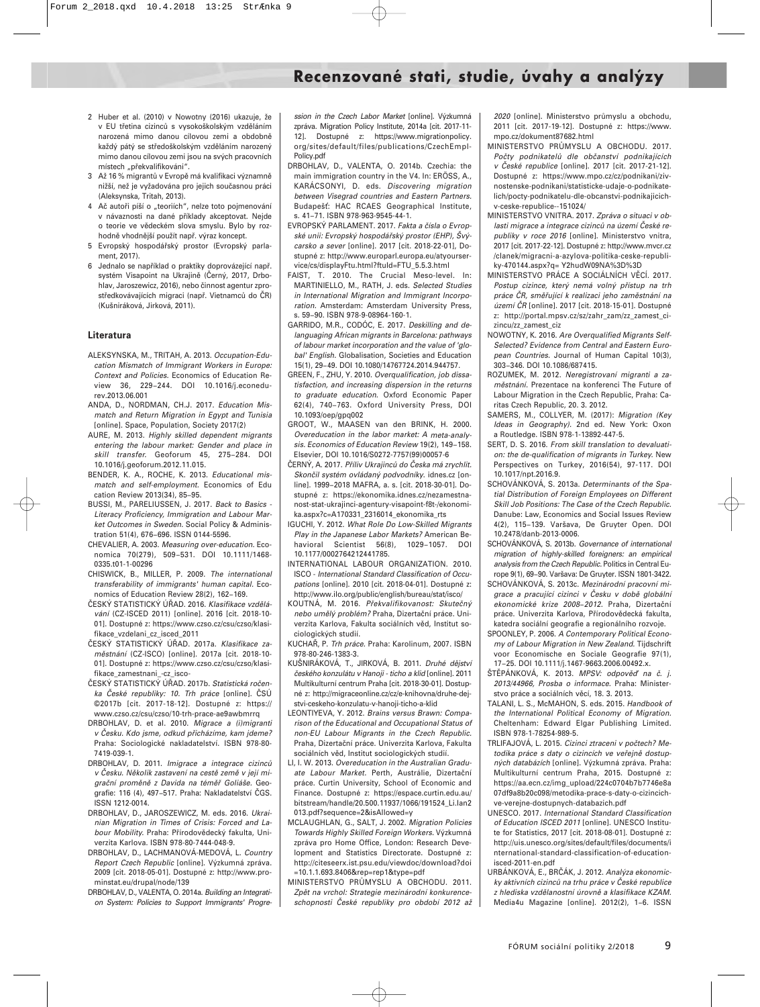## **Recenzované stati, studie, úvahy a analýzy**

- 2 Huber et al. (2010) v Nowotny (2016) ukazuje, že v EU třetina cizinců s vysokoškolským vzděláním narozená mimo danou cílovou zemi a obdobně každý pátý se středoškolským vzděláním narozený mimo danou cílovou zemi jsou na svých pracovních místech "překvalifikováni".
- 3 Až 16 % migrantů v Evropě má kvalifikaci významně nižší, než je vyžadována pro jejich současnou práci (Aleksynska, Tritah, 2013).
- 4 Ač autoři píší o "teoriích", nelze toto pojmenování v návaznosti na dané příklady akceptovat. Nejde o teorie ve vědeckém slova smyslu. Bylo by rozhodně vhodnější použít např. výraz koncept.
- 5 Evropský hospodářský prostor (Evropský parlament, 2017).
- Jednalo se například o praktiky doprovázející např. systém Visapoint na Ukrajině (Černý, 2017, Drbohlav, Jaroszewicz, 2016), nebo činnost agentur zprostředkovávajících migraci (např. Vietnamců do ČR) (Kušniráková, Jirková, 2011).

#### **Literatura**

- ALEKSYNSKA, M., TRITAH, A. 2013. Occupation-Education Mismatch of Immigrant Workers in Europe: Context and Policies. Economics of Education Review 36, 229−244. DOI 10.1016/j.econedurev.2013.06.001
- ANDA, D., NORDMAN, CH.J. 2017. Education Mismatch and Return Migration in Egypt and Tunisia [online]. Space, Population, Society 2017(2)
- AURE, M. 2013. Highly skilled dependent migrants entering the labour market: Gender and place in skill transfer. Geoforum 45, 275−284. DOI 10.1016/j.geoforum.2012.11.015.
- BENDER, K. A., ROCHE, K. 2013. Educational mismatch and self-employment. Economics of Edu cation Review 2013(34), 85−95.
- BUSSI, M., PARELIUSSEN, J. 2017. Back to Basics Literacy Proficiency, Immigration and Labour Market Outcomes in Sweden. Social Policy & Administration 51(4), 676−696. ISSN 0144-5596.
- CHEVALIER, A. 2003. Measuring over-education. Economica 70(279), 509−531. DOI 10.1111/1468- 0335.t01-1-00296
- CHISWICK, B., MILLER, P. 2009. The international transferability of immigrants' human capital. Economics of Education Review 28(2), 162−169.
- ČESKÝ STATISTICKÝ ÚŘAD. 2016. Klasifikace vzdělávání (CZ-ISCED 2011) [online]. 2016 [cit. 2018-10- 01]. Dostupné z: https://www.czso.cz/csu/czso/klasifikace\_vzdelani\_cz\_isced\_2011
- ČESKÝ STATISTICKÝ ÚŘAD. 2017a. Klasifikace zaměstnání (CZ-ISCO) [online]. 2017a [cit. 2018-10- 01]. Dostupné z: https://www.czso.cz/csu/czso/klasifikace\_zamestnani\_-cz\_isco-
- ČESKÝ STATISTICKÝ ÚŘAD. 2017b. Statistická ročenka České republiky: 10. Trh práce [online]. ČSÚ ©2017b [cit. 2017-18-12]. Dostupné z: https:// www.czso.cz/csu/czso/10-trh-prace-ae9awbmrrq
- DRBOHLAV, D. et al. 2010. Migrace a (i)migranti v Česku. Kdo jsme, odkud přicházíme, kam jdeme? Praha: Sociologické nakladatelství. ISBN 978-80- 7419-039-1.
- DRBOHLAV, D. 2011. Imigrace a integrace cizinců v Česku. Několik zastavení na cestě země v její migrační proměně z Davida na téměř Goliáše. Geografie: 116 (4), 497−517. Praha: Nakladatelství ČGS. ISSN 1212-0014.
- DRBOHLAV, D., JAROSZEWICZ, M. eds. 2016. Ukrainian Migration in Times of Crisis: Forced and Labour Mobility. Praha: Přírodovědecký fakulta, Univerzita Karlova. ISBN 978-80-7444-048-9.
- DRBOHLAV, D., LACHMANOVÁ-MEDOVÁ, L. Country Report Czech Republic [online]. Výzkumná zpráva. 2009 [cit. 2018-05-01]. Dostupné z: http://www.prominstat.eu/drupal/node/139
- DRBOHLAV, D., VALENTA, O. 2014a. Building an Integration System: Policies to Support Immigrants' Progre-

ssion in the Czech Labor Market [online]. Výzkumná zpráva. Migration Policy Institute, 2014a [cit. 2017-11- 12]. Dostupné z: https://www.migrationpolicy. org/sites/default/files/publications/CzechEmpl-Policy.pdf

- DRBOHLAV, D., VALENTA, O. 2014b. Czechia: the main immigration country in the V4. In: ERÖSS, A., KARÁCSONYI, D. eds. Discovering migration between Visegrad countries and Eastern Partners. Budapešť: HAC RCAES Geographical Institute, s. 41−71. ISBN 978-963-9545-44-1.
- EVROPSKÝ PARLAMENT. 2017. Fakta a čísla o Evropské unii: Evropský hospodářský prostor (EHP), Švýcarsko a sever [online]. 2017 [cit. 2018-22-01], Dostupné z: http://www.europarl.europa.eu/atyourservice/cs/displayFtu.html?ftuId=FTU\_5.5.3.html
- FAIST, T. 2010. The Crucial Meso-level. In: MARTINIELLO, M., RATH, J. eds. Selected Studies in International Migration and Immigrant Incorporation. Amsterdam: Amsterdam University Press, s. 59−90. ISBN 978-9-08964-160-1.

GARRIDO, M.R., CODÓC, E. 2017. Deskilling and delanguaging African migrants in Barcelona: pathways of labour market incorporation and the value of 'global' English. Globalisation, Societies and Education 15(1), 29−49. DOI 10.1080/14767724.2014.944757.

- GREEN, F., ZHU, Y. 2010. Overqualification, job dissatisfaction, and increasing dispersion in the returns to graduate education. Oxford Economic Paper 62(4), 740−763. Oxford University Press, DOI 10.1093/oep/gpq002
- GROOT, W., MAASEN van den BRINK, H. 2000. Overeducation in the labor market: A meta-analysis. Economics of Education Review 19(2), 149−158. Elsevier, DOI 10.1016/S0272-7757(99)00057-6
- ČERNÝ, A. 2017. Příliv Ukrajinců do Česka má zrychlit. Skončil systém ovládaný podvodníky. idnes.cz [online]. 1999−2018 MAFRA, a. s. [cit. 2018-30-01]. Dostupné z: https://ekonomika.idnes.cz/nezamestnanost-stat-ukrajinci-agentury-visapoint-f8t-/ekonomika.aspx?c=A170331\_2316014\_ekonomika\_rts
- IGUCHI, Y. 2012. What Role Do Low-Skilled Migrants Play in the Japanese Labor Markets? American Behavioral Scientist 56(8), 1029−1057. DOI 10.1177/0002764212441785.
- INTERNATIONAL LABOUR ORGANIZATION. 2010. ISCO - International Standard Classification of Occupations [online]. 2010 [cit. 2018-04-01]. Dostupné z: http://www.ilo.org/public/english/bureau/stat/isco/
- KOUTNÁ, M. 2016. Překvalifikovanost: Skutečný nebo umělý problém? Praha, Dizertační práce. Univerzita Karlova, Fakulta sociálních věd, Institut sociologických studií.
- KUCHAŘ, P. Trh práce. Praha: Karolinum, 2007. ISBN 978-80-246-1383-3.
- KUŠNIRÁKOVÁ, T., JIRKOVÁ, B. 2011. Druhé dějství českého konzulátu v Hanoji - ticho a klid [online]. 2011 Multikulturní centrum Praha [cit. 2018-30-01]. Dostupné z: http://migraceonline.cz/cz/e-knihovna/druhe-dejstvi-ceskeho-konzulatu-v-hanoji-ticho-a-klid
- LEONTIYEVA, Y. 2012. Brains versus Brawn: Comparison of the Educational and Occupational Status of non-EU Labour Migrants in the Czech Republic. Praha, Dizertační práce. Univerzita Karlova, Fakulta sociálních věd, Institut sociologických studií.
- LI, I. W. 2013. Overeducation in the Australian Graduate Labour Market. Perth, Austrálie, Dizertační práce. Curtin University, School of Economic and Finance. Dostupné z: https://espace.curtin.edu.au/ bitstream/handle/20.500.11937/1066/191524\_Li.Ian2 013.pdf?sequence=2&isAllowed=y
- MCLAUGHLAN, G., SALT, J. 2002. Migration Policies Towards Highly Skilled Foreign Workers. Výzkumná zpráva pro Home Office, London: Research Development and Statistics Directorate. Dostupné z: http://citeseerx.ist.psu.edu/viewdoc/download?doi =10.1.1.693.8406&rep=rep1&type=pdf
- MINISTERSTVO PRŮMYSLU A OBCHODU. 2011. Zpět na vrchol: Strategie mezinárodní konkurenceschopnosti České republiky pro období 2012 až

2020 [online]. Ministerstvo průmyslu a obchodu, 2011 [cit. 2017-19-12]. Dostupné z: https://www. mpo.cz/dokument87682.html

- MINISTERSTVO PRŮMYSLU A OBCHODU. 2017. Počty podnikatelů dle občanství podnikajících v České republice [online]. 2017 [cit. 2017-21-12]. Dostupné z: https://www.mpo.cz/cz/podnikani/zivnostenske-podnikani/statisticke-udaje-o-podnikatelich/pocty-podnikatelu-dle-obcanstvi-podnikajicichv-ceske-republice--151024/
- MINISTERSTVO VNITRA. 2017. Zpráva o situaci v oblasti migrace a integrace cizinců na území České republiky v roce 2016 [online]. Ministerstvo vnitra, 2017 [cit. 2017-22-12]. Dostupné z: http://www.mvcr.cz /clanek/migracni-a-azylova-politika-ceske-republiky-470144.aspx?q= Y2hudW09NA%3D%3D
- MINISTERSTVO PRÁCE A SOCIÁLNÍCH VĚCÍ. 2017. Postup cizince, který nemá volný přístup na trh práce ČR, směřující k realizaci jeho zaměstnání na území ČR [online]. 2017 [cit. 2018-15-01]. Dostupné z: http://portal.mpsv.cz/sz/zahr\_zam/zz\_zamest\_cizincu/zz\_zamest\_ciz
- NOWOTNY, K. 2016. Are Overqualified Migrants Self-Selected? Evidence from Central and Eastern European Countries. Journal of Human Capital 10(3), 303−346. DOI 10.1086/687415.
- ROZUMEK, M. 2012. Neregistrovaní migranti a zaměstnání. Prezentace na konferenci The Future of Labour Migration in the Czech Republic, Praha: Caritas Czech Republic, 20. 3. 2012.
- SAMERS, M., COLLYER, M. (2017): Migration (Key Ideas in Geography). 2nd ed. New York: Oxon a Routledge. ISBN 978-1-13892-447-5.
- SERT, D. S. 2016. From skill translation to devaluation: the de-qualification of migrants in Turkey. New Perspectives on Turkey, 2016(54), 97-117. DOI 10.1017/npt.2016.9.
- SCHOVÁNKOVÁ, S. 2013a. Determinants of the Spatial Distribution of Foreign Employees on Different Skill Job Positions: The Case of the Czech Republic. Danube: Law, Economics and Social Issues Review 4(2), 115−139. Varšava, De Gruyter Open. DOI 10.2478/danb-2013-0006.
- SCHOVÁNKOVÁ, S. 2013b. Governance of international migration of highly-skilled foreigners: an empirical analysis from the Czech Republic. Politics in Central Europe 9(1), 69−90. Varšava: De Gruyter. ISSN 1801-3422.
- SCHOVÁNKOVÁ, S. 2013c. Mezinárodní pracovní migrace a pracující cizinci v Česku v době globální ekonomické krize 2008−2012. Praha, Dizertační práce. Univerzita Karlova, Přírodovědecká fakulta, katedra sociální geografie a regionálního rozvoje.
- SPOONLEY, P. 2006. A Contemporary Political Economy of Labour Migration in New Zealand. Tijdschrift voor Economische en Sociale Geografie 97(1), 17−25. DOI 10.1111/j.1467-9663.2006.00492.x.
- ŠTĚPÁNKOVÁ, K. 2013. MPSV: odpověď na č. j. 2013/44966, Prosba o informace. Praha: Ministerstvo práce a sociálních věcí, 18. 3. 2013.
- TALANI, L. S., McMAHON, S. eds. 2015. Handbook of the International Political Economy of Migration. Cheltenham: Edward Elgar Publishing Limited. ISBN 978-1-78254-989-5.
- TRLIFAJOVÁ, L. 2015. Cizinci ztraceni v počtech? Metodika práce s daty o cizincích ve veřejně dostupných databázích [online]. Výzkumná zpráva. Praha: Multikulturní centrum Praha, 2015. Dostupné z: https://aa.ecn.cz/img\_upload/224c0704b7b7746e8a 07df9a8b20c098/metodika-prace-s-daty-o-cizincichve-verejne-dostupnych-databazich.pdf
- UNESCO. 2017. International Standard Classification of Education ISCED 2011 [online]. UNESCO Institute for Statistics, 2017 [cit. 2018-08-01]. Dostupné z: http://uis.unesco.org/sites/default/files/documents/i nternational-standard-classification-of-educationisced-2011-en.pdf
- URBÁNKOVÁ, E., BRČÁK, J. 2012. Analýza ekonomicky aktivních cizinců na trhu práce v České republice z hlediska vzdělanostní úrovně a klasifikace KZAM. Media4u Magazine [online]. 2012(2), 1−6. ISSN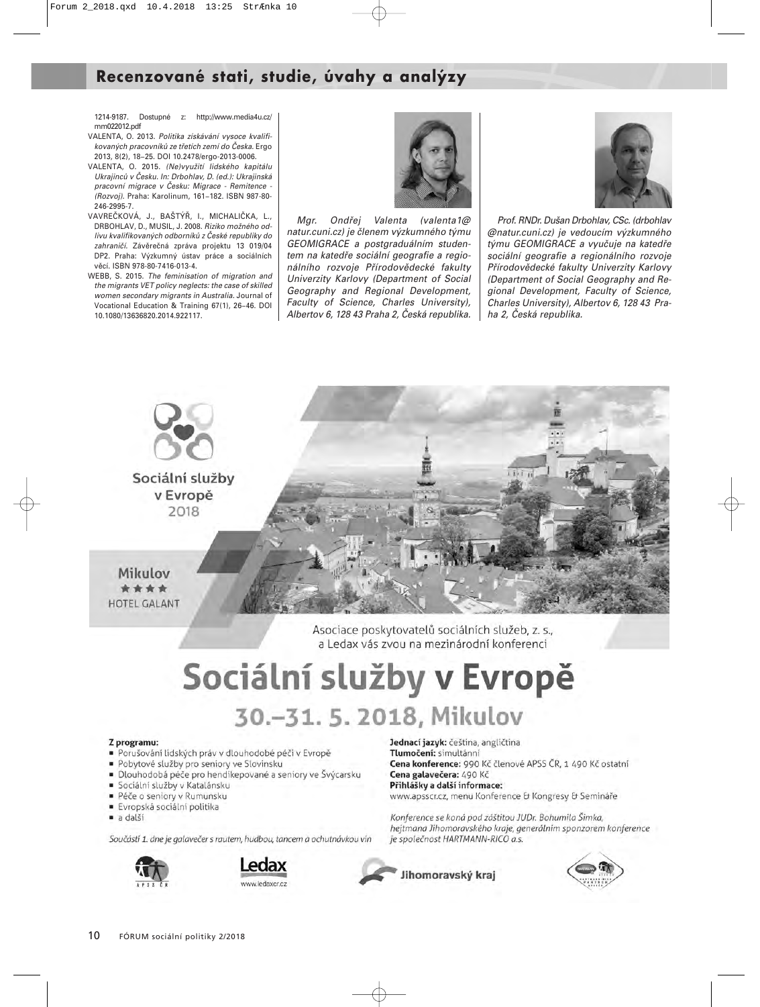## **Recenzované stati, studie, úvahy a analýzy**

1214-9187. Dostupné z: http://www.media4u.cz/ mm022012.pdf

- VALENTA, O. 2013. Politika získávání vysoce kvalifikovaných pracovníků ze třetích zemí do Česka. Ergo 2013, 8(2), 18−25. DOI 10.2478/ergo-2013-0006.
- VALENTA, O. 2015. (Ne)využití lidského kapitálu Ukrajinců v Česku. In: Drbohlav, D. (ed.): Ukrajinská pracovní migrace v Česku: Migrace - Remitence - (Rozvoj). Praha: Karolinum, 161−182. ISBN 987-80- 246-2995-7.
- VAVREČKOVÁ, J., BAŠTÝŘ, I., MICHALIČKA, L., DRBOHLAV, D., MUSIL, J. 2008. Riziko možného odlivu kvalifikovaných odborníků z České republiky do zahraničí. Závěrečná zpráva projektu 13 019/04 DP2. Praha: Výzkumný ústav práce a sociálních věcí. ISBN 978-80-7416-013-4.
- WEBB, S. 2015. The feminisation of migration and the migrants VET policy neglects: the case of skilled women secondary migrants in Australia. Journal of Vocational Education & Training 67(1), 26−46. DOI 10.1080/13636820.2014.922117.



Mgr. Ondřej Valenta (valenta1@ natur.cuni.cz) je členem výzkumného týmu GEOMIGRACE a postgraduálním studentem na katedře sociální geografie a regionálního rozvoje Přírodovědecké fakulty Univerzity Karlovy (Department of Social Geography and Regional Development, Faculty of Science, Charles University), Albertov 6, 128 43 Praha 2, Česká republika.



Prof. RNDr. Dušan Drbohlav, CSc. (drbohlav @natur.cuni.cz) je vedoucím výzkumného týmu GEOMIGRACE a vyučuje na katedře sociální geografie a regionálního rozvoje Přírodovědecké fakulty Univerzity Karlovy (Department of Social Geography and Regional Development, Faculty of Science, Charles University), Albertov 6, 128 43 Praha 2, Česká republika.



Asociace poskytovatelů sociálních služeb, z. s., a Ledax vás zvou na mezinárodní konferenci

# Sociální služby v Evropě 30.-31. 5. 2018, Mikulov

#### Z programu:

- Porušování lidských práv v dlouhodobé péči v Evropě
- · Pobytové služby pro seniory ve Slovinsku
- · Dlouhodobá péče pro hendikepované a seniory ve Švýcarsku
- · Sociální služby v Katalánsku
- Péče o seniory v Rumunsku
- Evropská sociální politika
- · a další

Součástí 1. dne je galavečer s rautem, hudbou, tancem a ochutnávkou vín





Jednací jazyk: čeština, angličtina Tlumočení: simultánní Cena konference: 990 Kč členové APSS ČR, 1 490 Kč ostatní Cena galavečera: 490 Kč Přihlášky a další informace: www.apsscr.cz, menu Konference & Kongresy & Semináře

Konference se koná pod záštitou JUDr. Bohumila Šimka, hejtmana Jihomoravského kraje, generálním sponzorem konference je společnost HARTMANN-RICO a.s.

Jihomoravský kraj

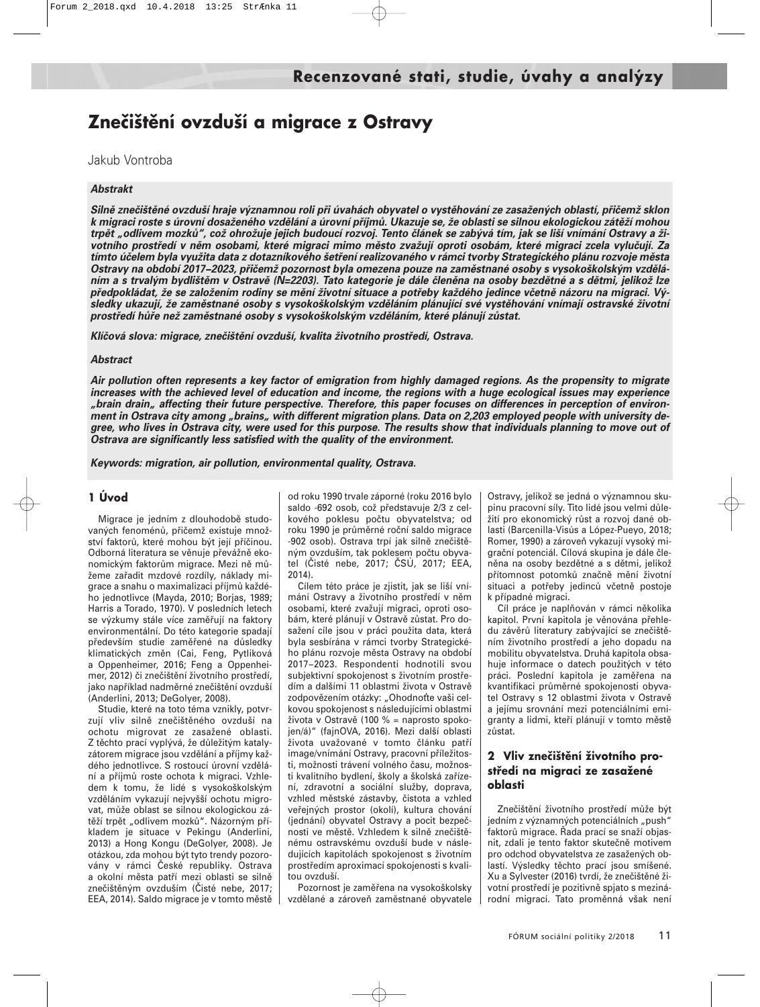## **Znečištění ovzduší a migrace z Ostravy**

Jakub Vontroba

#### *Abstrakt*

*Silně znečištěné ovzduší hraje významnou roli při úvahách obyvatel o vystěhování ze zasažených oblastí, přičemž sklon k migraci roste s úrovní dosaženého vzdělání a úrovní příjmů. Ukazuje se, že oblasti se silnou ekologickou zátěží mohou trpět "odlivem mozků", což ohrožuje jejich budoucí rozvoj. Tento článek se zabývá tím, jak se liší vnímání Ostravy a životního prostředí v něm osobami, které migraci mimo město zvažují oproti osobám, které migraci zcela vylučují. Za tímto účelem byla využita data z dotazníkového šetření realizovaného v rámci tvorby Strategického plánu rozvoje města Ostravy na období 2017−2023, přičemž pozornost byla omezena pouze na zaměstnané osoby s vysokoškolským vzděláním a s trvalým bydlištěm v Ostravě (N=2203). Tato kategorie je dále členěna na osoby bezdětné a s dětmi, jelikož lze předpokládat, že se založením rodiny se mění životní situace a potřeby každého jedince včetně názoru na migraci. Výsledky ukazují, že zaměstnané osoby s vysokoškolským vzděláním plánující své vystěhování vnímají ostravské životní prostředí hůře než zaměstnané osoby s vysokoškolským vzděláním, které plánují zůstat.*

*Klíčová slova: migrace, znečištění ovzduší, kvalita životního prostředí, Ostrava.*

#### *Abstract*

*Air pollution often represents a key factor of emigration from highly damaged regions. As the propensity to migrate increases with the achieved level of education and income, the regions with a huge ecological issues may experience* "brain drain" affecting their future perspective. Therefore, this paper focuses on differences in perception of environment in Ostrava city among "brains" with different migration plans. Data on 2,203 employed people with university de*gree, who lives in Ostrava city, were used for this purpose. The results show that individuals planning to move out of Ostrava are significantly less satisfied with the quality of the environment.*

*Keywords: migration, air pollution, environmental quality, Ostrava.*

#### **1 Úvod**

Migrace je jedním z dlouhodobě studovaných fenoménů, přičemž existuje množství faktorů, které mohou být její příčinou. Odborná literatura se věnuje převážně ekonomickým faktorům migrace. Mezi ně můžeme zařadit mzdové rozdíly, náklady migrace a snahu o maximalizaci příjmů každého jednotlivce (Mayda, 2010; Borjas, 1989; Harris a Torado, 1970). V posledních letech se výzkumy stále více zaměřují na faktory environmentální. Do této kategorie spadají především studie zaměřené na důsledky klimatických změn (Cai, Feng, Pytliková a Oppenheimer, 2016; Feng a Oppenheimer, 2012) či znečištění životního prostředí, jako například nadměrné znečištění ovzduší (Anderlini, 2013; DeGolyer, 2008).

Studie, které na toto téma vznikly, potvrzují vliv silně znečištěného ovzduší na ochotu migrovat ze zasažené oblasti. Z těchto prací vyplývá, že důležitým katalyzátorem migrace jsou vzdělání a příjmy každého jednotlivce. S rostoucí úrovní vzdělání a příjmů roste ochota k migraci. Vzhledem k tomu, že lidé s vysokoškolským vzděláním vykazují nejvyšší ochotu migrovat, může oblast se silnou ekologickou zátěží trpět "odlivem mozků". Názorným příkladem je situace v Pekingu (Anderlini, 2013) a Hong Kongu (DeGolyer, 2008). Je otázkou, zda mohou být tyto trendy pozorovány v rámci České republiky. Ostrava a okolní města patří mezi oblasti se silně znečištěným ovzduším (Čisté nebe, 2017; EEA, 2014). Saldo migrace je v tomto městě

od roku 1990 trvale záporné (roku 2016 bylo saldo -692 osob, což představuje 2/3 z celkového poklesu počtu obyvatelstva; od roku 1990 je průměrné roční saldo migrace -902 osob). Ostrava trpí jak silně znečištěným ovzduším, tak poklesem počtu obyvatel (Čisté nebe, 2017; ČSÚ, 2017; EEA, 2014).

Cílem této práce je zjistit, jak se liší vnímání Ostravy a životního prostředí v něm osobami, které zvažují migraci, oproti osobám, které plánují v Ostravě zůstat. Pro dosažení cíle jsou v práci použita data, která byla sesbírána v rámci tvorby Strategického plánu rozvoje města Ostravy na období 2017−2023. Respondenti hodnotili svou subjektivní spokojenost s životním prostředím a dalšími 11 oblastmi života v Ostravě zodpovězením otázky: "Ohodnoťte vaši celkovou spokojenost s následujícími oblastmi života v Ostravě (100 % = naprosto spokojen/á)" (fajnOVA, 2016). Mezi další oblasti života uvažované v tomto článku patří image/vnímání Ostravy, pracovní příležitosti, možnosti trávení volného času, možnosti kvalitního bydlení, školy a školská zařízení, zdravotní a sociální služby, doprava, vzhled městské zástavby, čistota a vzhled veřejných prostor (okolí), kultura chování (jednání) obyvatel Ostravy a pocit bezpečnosti ve městě. Vzhledem k silně znečištěnému ostravskému ovzduší bude v následujících kapitolách spokojenost s životním prostředím aproximací spokojenosti s kvalitou ovzduší.

Pozornost je zaměřena na vysokoškolsky vzdělané a zároveň zaměstnané obyvatele

Ostravy, jelikož se jedná o významnou skupinu pracovní síly. Tito lidé jsou velmi důležití pro ekonomický růst a rozvoj dané oblasti (Barcenilla-Visús a López-Pueyo, 2018; Romer, 1990) a zároveň vykazují vysoký migrační potenciál. Cílová skupina je dále členěna na osoby bezdětné a s dětmi, jelikož přítomnost potomků značně mění životní situaci a potřeby jedinců včetně postoje k případné migraci.

Cíl práce je naplňován v rámci několika kapitol. První kapitola je věnována přehledu závěrů literatury zabývající se znečištěním životního prostředí a jeho dopadu na mobilitu obyvatelstva. Druhá kapitola obsahuje informace o datech použitých v této práci. Poslední kapitola je zaměřena na kvantifikaci průměrné spokojenosti obyvatel Ostravy s 12 oblastmi života v Ostravě a jejímu srovnání mezi potenciálními emigranty a lidmi, kteří plánují v tomto městě zůstat.

#### **2 Vliv znečištění životního prostředí na migraci ze zasažené oblasti**

Znečištění životního prostředí může být jedním z významných potenciálních "push" faktorů migrace. Řada prací se snaží objasnit, zdali je tento faktor skutečně motivem pro odchod obyvatelstva ze zasažených oblastí. Výsledky těchto prací jsou smíšené. Xu a Sylvester (2016) tvrdí, že znečištěné životní prostředí je pozitivně spjato s mezinárodní migrací. Tato proměnná však není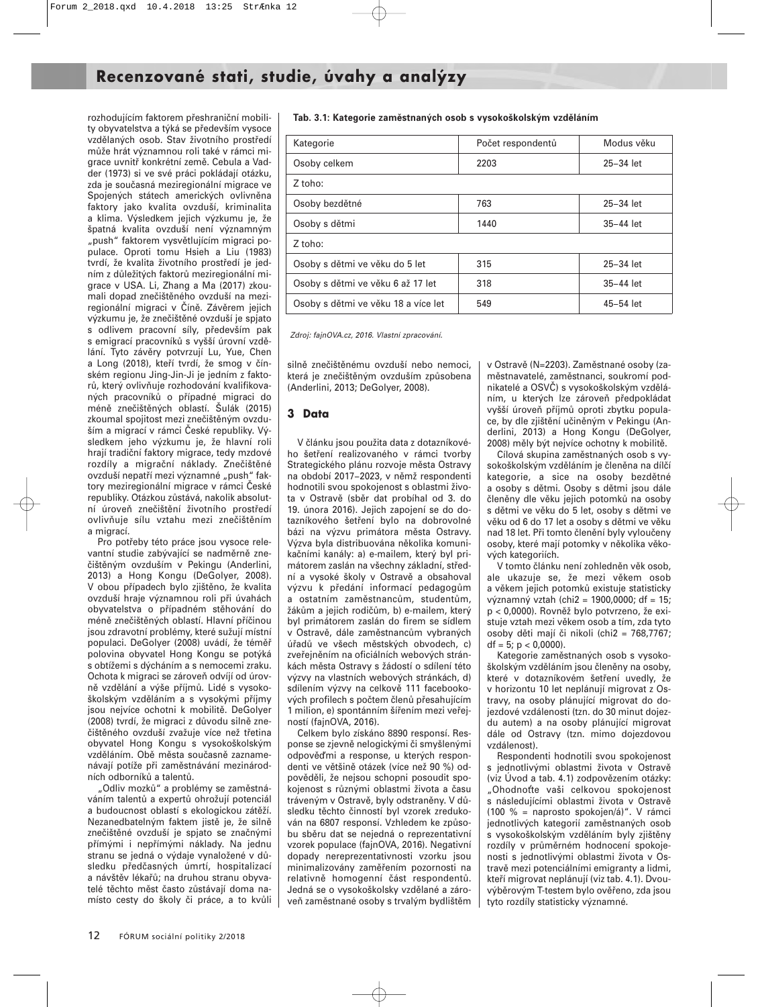rozhodujícím faktorem přeshraniční mobility obyvatelstva a týká se především vysoce vzdělaných osob. Stav životního prostředí může hrát významnou roli také v rámci migrace uvnitř konkrétní země. Cebula a Vadder (1973) si ve své práci pokládají otázku, zda je současná meziregionální migrace ve Spojených státech amerických ovlivněna faktory jako kvalita ovzduší, kriminalita a klima. Výsledkem jejich výzkumu je, že špatná kvalita ovzduší není významným "push" faktorem vysvětlujícím migraci populace. Oproti tomu Hsieh a Liu (1983) tvrdí, že kvalita životního prostředí je jedním z důležitých faktorů meziregionální migrace v USA. Li, Zhang a Ma (2017) zkoumali dopad znečištěného ovzduší na meziregionální migraci v Číně. Závěrem jejich výzkumu je, že znečištěné ovzduší je spjato s odlivem pracovní síly, především pak s emigrací pracovníků s vyšší úrovní vzdělání. Tyto závěry potvrzují Lu, Yue, Chen a Long (2018), kteří tvrdí, že smog v čínském regionu Jing-Jin-Ji je jedním z faktorů, který ovlivňuje rozhodování kvalifikovaných pracovníků o případné migraci do méně znečištěných oblastí. Šulák (2015) zkoumal spojitost mezi znečištěným ovzduším a migrací v rámci České republiky. Výsledkem jeho výzkumu je, že hlavní roli hrají tradiční faktory migrace, tedy mzdové rozdíly a migrační náklady. Znečištěné ovzduší nepatří mezi významné "push" faktory meziregionální migrace v rámci České republiky. Otázkou zůstává, nakolik absolutní úroveň znečištění životního prostředí ovlivňuje sílu vztahu mezi znečištěním a migrací.

Pro potřeby této práce jsou vysoce relevantní studie zabývající se nadměrně znečištěným ovzduším v Pekingu (Anderlini, 2013) a Hong Kongu (DeGolyer, 2008). V obou případech bylo zjištěno, že kvalita ovzduší hraje významnou roli při úvahách obyvatelstva o případném stěhování do méně znečištěných oblastí. Hlavní příčinou jsou zdravotní problémy, které sužují místní populaci. DeGolyer (2008) uvádí, že téměř polovina obyvatel Hong Kongu se potýká s obtížemi s dýcháním a s nemocemi zraku. Ochota k migraci se zároveň odvíjí od úrovně vzdělání a výše příjmů. Lidé s vysokoškolským vzděláním a s vysokými příjmy jsou nejvíce ochotni k mobilitě. DeGolyer (2008) tvrdí, že migraci z důvodu silně znečištěného ovzduší zvažuje více než třetina obyvatel Hong Kongu s vysokoškolským vzděláním. Obě města současně zaznamenávají potíže při zaměstnávání mezinárodních odborníků a talentů.

"Odliv mozků" a problémy se zaměstnáváním talentů a expertů ohrožují potenciál a budoucnost oblastí s ekologickou zátěží. Nezanedbatelným faktem jistě je, že silně znečištěné ovzduší je spjato se značnými přímými i nepřímými náklady. Na jednu stranu se jedná o výdaje vynaložené v důsledku předčasných úmrtí, hospitalizací a návštěv lékařů; na druhou stranu obyvatelé těchto měst často zůstávají doma namísto cesty do školy či práce, a to kvůli

| Tab. 3.1: Kategorie zaměstnaných osob s vysokoškolským vzděláním |  |
|------------------------------------------------------------------|--|
|------------------------------------------------------------------|--|

| Kategorie                           | Počet respondentů | Modus věku  |
|-------------------------------------|-------------------|-------------|
| Osoby celkem                        | 2203              | $25-34$ let |
| Z toho:                             |                   |             |
| Osoby bezdětné                      | 763               | $25-34$ let |
| Osoby s dětmi                       | 1440              | $35-44$ let |
| Z toho:                             |                   |             |
| Osoby s dětmi ve věku do 5 let      | 315               | $25-34$ let |
| Osoby s dětmi ve věku 6 až 17 let   | 318               | 35-44 let   |
| Osoby s dětmi ve věku 18 a více let | 549               | 45-54 let   |

Zdroj: fajnOVA.cz, 2016. Vlastní zpracování.

silně znečištěnému ovzduší nebo nemoci, která je znečištěným ovzduším způsobena (Anderlini, 2013; DeGolyer, 2008).

#### **3 Data**

V článku jsou použita data z dotazníkového šetření realizovaného v rámci tvorby Strategického plánu rozvoje města Ostravy na období 2017−2023, v němž respondenti hodnotili svou spokojenost s oblastmi života v Ostravě (sběr dat probíhal od 3. do 19. února 2016). Jejich zapojení se do dotazníkového šetření bylo na dobrovolné bázi na výzvu primátora města Ostravy. Výzva byla distribuována několika komunikačními kanály: a) e-mailem, který byl primátorem zaslán na všechny základní, střední a vysoké školy v Ostravě a obsahoval výzvu k předání informací pedagogům a ostatním zaměstnancům, studentům, žákům a jejich rodičům, b) e-mailem, který byl primátorem zaslán do firem se sídlem v Ostravě, dále zaměstnancům vybraných úřadů ve všech městských obvodech, c) zveřejněním na oficiálních webových stránkách města Ostravy s žádostí o sdílení této výzvy na vlastních webových stránkách, d) sdílením výzvy na celkově 111 facebookových profilech s počtem členů přesahujícím 1 milion, e) spontánním šířením mezi veřejností (fajnOVA, 2016).

Celkem bylo získáno 8890 responsí. Response se zjevně nelogickými či smyšlenými odpověmi a response, u kterých respondenti ve většině otázek (více než 90 %) odpověděli, že nejsou schopni posoudit spokojenost s různými oblastmi života a času tráveným v Ostravě, byly odstraněny. V důsledku těchto činností byl vzorek zredukován na 6807 responsí. Vzhledem ke způsobu sběru dat se nejedná o reprezentativní vzorek populace (fajnOVA, 2016). Negativní dopady nereprezentativnosti vzorku jsou minimalizovány zaměřením pozornosti na relativně homogenní část respondentů. Jedná se o vysokoškolsky vzdělané a zároveň zaměstnané osoby s trvalým bydlištěm v Ostravě (N=2203). Zaměstnané osoby (zaměstnavatelé, zaměstnanci, soukromí podnikatelé a OSVČ) s vysokoškolským vzděláním, u kterých lze zároveň předpokládat vyšší úroveň příjmů oproti zbytku populace, by dle zjištění učiněným v Pekingu (Anderlini, 2013) a Hong Kongu (DeGolyer, 2008) měly být nejvíce ochotny k mobilitě.

Cílová skupina zaměstnaných osob s vysokoškolským vzděláním je členěna na dílčí kategorie, a sice na osoby bezdětné a osoby s dětmi. Osoby s dětmi jsou dále členěny dle věku jejich potomků na osoby s dětmi ve věku do 5 let, osoby s dětmi ve věku od 6 do 17 let a osoby s dětmi ve věku nad 18 let. Při tomto členění byly vyloučeny osoby, které mají potomky v několika věkových kategoriích.

V tomto článku není zohledněn věk osob, ale ukazuje se, že mezi věkem osob a věkem jejich potomků existuje statisticky významný vztah (chi2 = 1900,0000; df = 15; p < 0,0000). Rovněž bylo potvrzeno, že existuje vztah mezi věkem osob a tím, zda tyto osoby děti mají či nikoli (chi2 = 768,7767;  $df = 5$ ;  $p < 0,0000$ ).

Kategorie zaměstnaných osob s vysokoškolským vzděláním jsou členěny na osoby, které v dotazníkovém šetření uvedly, že v horizontu 10 let neplánují migrovat z Ostravy, na osoby plánující migrovat do dojezdové vzdálenosti (tzn. do 30 minut dojezdu autem) a na osoby plánující migrovat dále od Ostravy (tzn. mimo dojezdovou vzdálenost).

Respondenti hodnotili svou spokojenost s jednotlivými oblastmi života v Ostravě (viz Úvod a tab. 4.1) zodpovězením otázky: "Ohodnoťte vaši celkovou spokojenost s následujícími oblastmi života v Ostravě (100 % = naprosto spokojen/á)". V rámci jednotlivých kategorií zaměstnaných osob s vysokoškolským vzděláním byly zjištěny rozdíly v průměrném hodnocení spokojenosti s jednotlivými oblastmi života v Ostravě mezi potenciálními emigranty a lidmi, kteří migrovat neplánují (viz tab. 4.1). Dvouvýběrovým T-testem bylo ověřeno, zda jsou tyto rozdíly statisticky významné.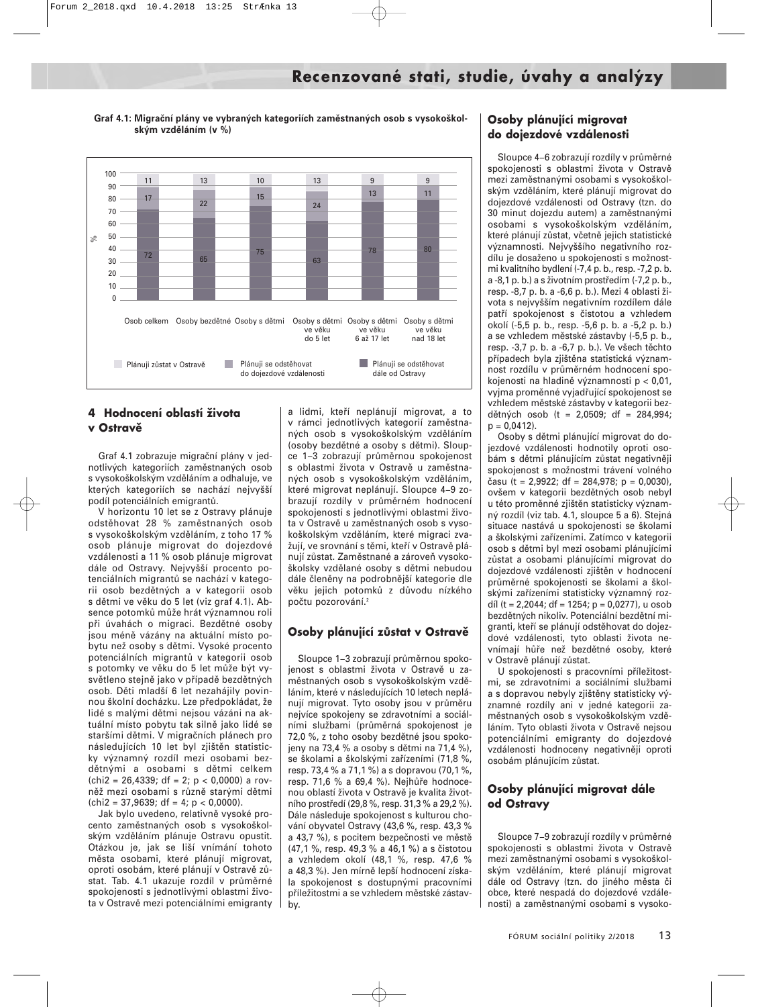**Graf 4.1: Migrační plány ve vybraných kategoriích zaměstnaných osob s vysokoškolským vzděláním (v %)**



#### **4 Hodnocení oblastí života v Ostravě**

Graf 4.1 zobrazuje migrační plány v jednotlivých kategoriích zaměstnaných osob s vysokoškolským vzděláním a odhaluje, ve kterých kategoriích se nachází nejvyšší podíl potenciálních emigrantů.

V horizontu 10 let se z Ostravy plánuje odstěhovat 28 % zaměstnaných osob s vysokoškolským vzděláním, z toho 17 % osob plánuje migrovat do dojezdové vzdálenosti a 11 % osob plánuje migrovat dále od Ostravy. Nejvyšší procento potenciálních migrantů se nachází v kategorii osob bezdětných a v kategorii osob s dětmi ve věku do 5 let (viz graf 4.1). Absence potomků může hrát významnou roli při úvahách o migraci. Bezdětné osoby jsou méně vázány na aktuální místo pobytu než osoby s dětmi. Vysoké procento potenciálních migrantů v kategorii osob s potomky ve věku do 5 let může být vysvětleno stejně jako v případě bezdětných osob. Děti mladší 6 let nezahájily povinnou školní docházku. Lze předpokládat, že lidé s malými dětmi nejsou vázáni na aktuální místo pobytu tak silně jako lidé se staršími dětmi. V migračních plánech pro následujících 10 let byl zjištěn statisticky významný rozdíl mezi osobami bezdětnými a osobami s dětmi celkem  $chi2 = 26,4339$ ; df = 2; p < 0,0000) a rovněž mezi osobami s různě starými dětmi  $\text{(chi2 = 37,9639; df = 4; p < 0,0000).}$ 

Jak bylo uvedeno, relativně vysoké procento zaměstnaných osob s vysokoškolským vzděláním plánuje Ostravu opustit. Otázkou je, jak se liší vnímání tohoto města osobami, které plánují migrovat, oproti osobám, které plánují v Ostravě zůstat. Tab. 4.1 ukazuje rozdíl v průměrné spokojenosti s jednotlivými oblastmi života v Ostravě mezi potenciálními emigranty

a lidmi, kteří neplánují migrovat, a to v rámci jednotlivých kategorií zaměstnaných osob s vysokoškolským vzděláním (osoby bezdětné a osoby s dětmi). Sloupce 1−3 zobrazují průměrnou spokojenost s oblastmi života v Ostravě u zaměstnaných osob s vysokoškolským vzděláním, které migrovat neplánují. Sloupce 4−9 zobrazují rozdíly v průměrném hodnocení spokojenosti s jednotlivými oblastmi života v Ostravě u zaměstnaných osob s vysokoškolským vzděláním, které migraci zvažují, ve srovnání s těmi, kteří v Ostravě plánují zůstat. Zaměstnané a zároveň vysokoškolsky vzdělané osoby s dětmi nebudou dále členěny na podrobnější kategorie dle věku jejich potomků z důvodu nízkého počtu pozorování.<sup>2</sup>

#### **Osoby plánující zůstat v Ostravě**

Sloupce 1−3 zobrazují průměrnou spokojenost s oblastmi života v Ostravě u zaměstnaných osob s vysokoškolským vzděláním, které v následujících 10 letech neplánují migrovat. Tyto osoby jsou v průměru nejvíce spokojeny se zdravotními a sociálními službami (průměrná spokojenost je 72,0 %, z toho osoby bezdětné jsou spokojeny na 73,4 % a osoby s dětmi na 71,4 %), se školami a školskými zařízeními (71,8 %, resp. 73,4 % a 71,1 %) a s dopravou (70,1 %, resp. 71,6 % a 69,4 %). Nejhůře hodnocenou oblastí života v Ostravě je kvalita životního prostředí (29,8 %, resp. 31,3 % a 29,2 %). Dále následuje spokojenost s kulturou chování obyvatel Ostravy (43,6 %, resp. 43,3 % a 43,7 %), s pocitem bezpečnosti ve městě (47,1 %, resp. 49,3 % a 46,1 %) a s čistotou a vzhledem okolí (48,1 %, resp. 47,6 % a 48,3 %). Jen mírně lepší hodnocení získala spokojenost s dostupnými pracovními příležitostmi a se vzhledem městské zástavby.

#### **Osoby plánující migrovat do dojezdové vzdálenosti**

Sloupce 4−6 zobrazují rozdíly v průměrné spokojenosti s oblastmi života v Ostravě mezi zaměstnanými osobami s vysokoškolským vzděláním, které plánují migrovat do dojezdové vzdálenosti od Ostravy (tzn. do 30 minut dojezdu autem) a zaměstnanými osobami s vysokoškolským vzděláním, které plánují zůstat, včetně jejich statistické významnosti. Nejvyššího negativního rozdílu je dosaženo u spokojenosti s možnostmi kvalitního bydlení (-7,4 p. b., resp. -7,2 p. b. a -8,1 p. b.) a s životním prostředím (-7,2 p. b., resp. -8,7 p. b. a -6,6 p. b.). Mezi 4 oblasti života s nejvyšším negativním rozdílem dále patří spokojenost s čistotou a vzhledem okolí (-5,5 p. b., resp. -5,6 p. b. a -5,2 p. b.) a se vzhledem městské zástavby (-5,5 p. b., resp. -3,7 p. b. a -6,7 p. b.). Ve všech těchto případech byla zjištěna statistická významnost rozdílu v průměrném hodnocení spokojenosti na hladině významnosti p < 0,01, vyjma proměnné vyjadřující spokojenost se vzhledem městské zástavby v kategorii bezdětných osob (t = 2,0509; df = 284,994;  $p = 0,0412$ .

Osoby s dětmi plánující migrovat do dojezdové vzdálenosti hodnotily oproti osobám s dětmi plánujícím zůstat negativněji spokojenost s možnostmi trávení volného času (t = 2,9922; df = 284,978; p = 0,0030), ovšem v kategorii bezdětných osob nebyl u této proměnné zjištěn statisticky významný rozdíl (viz tab. 4.1, sloupce 5 a 6). Stejná situace nastává u spokojenosti se školami a školskými zařízeními. Zatímco v kategorii osob s dětmi byl mezi osobami plánujícími zůstat a osobami plánujícími migrovat do dojezdové vzdálenosti zjištěn v hodnocení průměrné spokojenosti se školami a školskými zařízeními statisticky významný rozdíl (t = 2,2044; df = 1254; p = 0,0277), u osob bezdětných nikoliv. Potenciální bezdětní migranti, kteří se plánují odstěhovat do dojezdové vzdálenosti, tyto oblasti života nevnímají hůře než bezdětné osoby, které v Ostravě plánují zůstat.

U spokojenosti s pracovními příležitostmi, se zdravotními a sociálními službami a s dopravou nebyly zjištěny statisticky významné rozdíly ani v jedné kategorii zaměstnaných osob s vysokoškolským vzděláním. Tyto oblasti života v Ostravě nejsou potenciálními emigranty do dojezdové vzdálenosti hodnoceny negativněji oproti osobám plánujícím zůstat.

#### **Osoby plánující migrovat dále od Ostravy**

Sloupce 7−9 zobrazují rozdíly v průměrné spokojenosti s oblastmi života v Ostravě mezi zaměstnanými osobami s vysokoškolským vzděláním, které plánují migrovat dále od Ostravy (tzn. do jiného města či obce, které nespadá do dojezdové vzdálenosti) a zaměstnanými osobami s vysoko-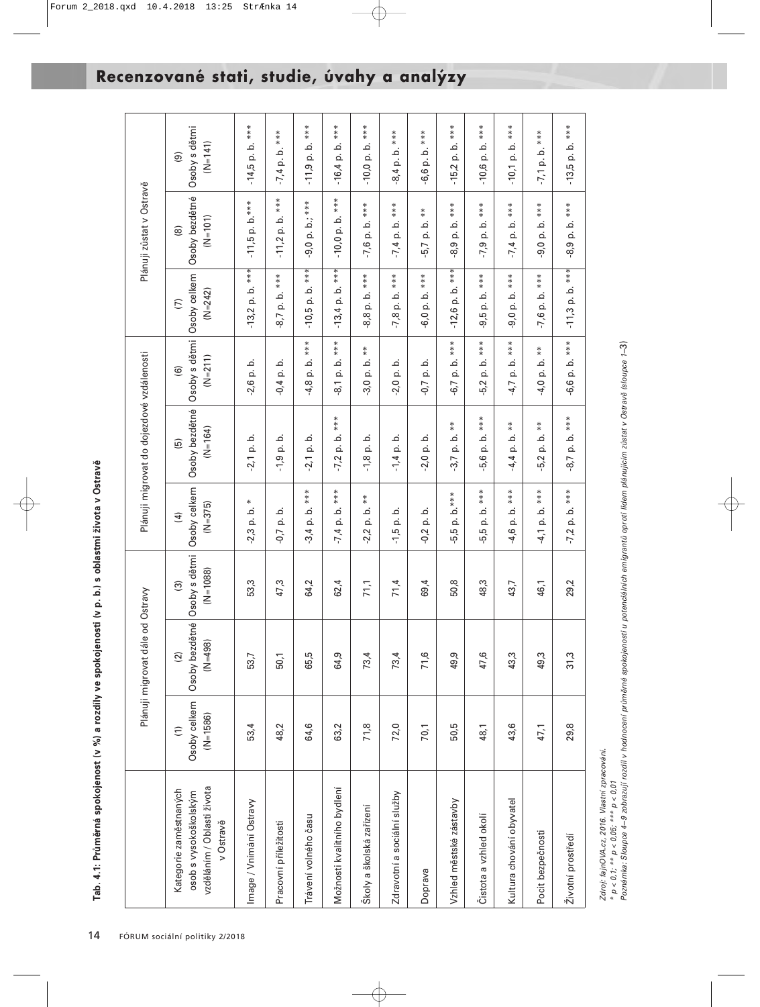|                                                                                            |                                             | Plánuji migrovat dále od O                   | stravy                                                 |                                            | Plánuji migrovat do dojezdové vzdálenosti               |                                                                   |                                         | Plánuji zůstat v Ostravě                   |                                                        |
|--------------------------------------------------------------------------------------------|---------------------------------------------|----------------------------------------------|--------------------------------------------------------|--------------------------------------------|---------------------------------------------------------|-------------------------------------------------------------------|-----------------------------------------|--------------------------------------------|--------------------------------------------------------|
| vzděláním / Oblasti života<br>Kategorie zaměstnaných<br>osob s vysokoškolským<br>v Ostravě | Osoby celkem<br>$(N=1586)$<br>$\widehat{E}$ | Osoby bezdětné<br>$(N=498)$<br>$\widehat{2}$ | Osoby s dětmi<br>$(N=1088)$<br>$\widehat{\mathcal{O}}$ | Osoby celkem<br>$(N=375)$<br>$\widehat{f}$ | Osoby bezdětné<br>$(N=164)$<br>$\widehat{\mathfrak{G}}$ | Osoby s dětmi Osoby celkem<br>$(N=211)$<br>$\widehat{\mathbf{e}}$ | $(N=242)$<br>$\widehat{\triangleright}$ | Osoby bezdětné<br>$(N=101)$<br>$\circledR$ | Osoby s dětmi<br>$(N=141)$<br>$\widehat{\mathcal{D}}$  |
| Image / Vnímání Ostravy                                                                    | 53,4                                        | 53,7                                         | 53,3                                                   | $\ast$<br>$-2,3$ p. b.                     | $-2,1$ p. b.                                            | $-2,6$ p. b.                                                      | $-13,2$ p. b. ***                       | $-11,5$ p. b.***                           | $-14,5$ p. b. ***                                      |
| Pracovní příležitosti                                                                      | 48,2                                        | 50,1                                         | 47,3                                                   | $-0,7$ p. b.                               | p. b.<br>$-1,9$                                         | p. b.<br>$-0, 4$                                                  | p. b. ***<br>$-8,7$                     | $-11,2$ p. b. $***$                        | $b.***$<br>$-7,4$ p. $\blacksquare$                    |
| Trávení volného času                                                                       | 64,6                                        | 65,5                                         | 64,2                                                   | ***<br>$3,4$ p. b.                         | $-2,1$ p. b.                                            | ***<br>خ<br>ن<br>ف<br>$-4,8$                                      | $***$<br>$-10,5$ p. b.                  | $-9,0$ p. b.; ***                          | ***<br>p. b.<br>$-11,9$                                |
| Možnosti kvalitního bydlení                                                                | 63,2                                        | 64,9                                         | 62,4                                                   | ***<br>$-7,4$ p. b.                        | ***<br><u>ٰہ</u><br>$\dot{\Omega}$<br>$-7,2$            | ***<br>$\dot{\mathbf{c}}$<br>$\dot{\Omega}$<br>$\overline{\circ}$ | ***<br>$-13,4$ p. b.                    | ***<br>$-10,0$ p. b.                       | ***<br>.<br>ف<br>$-16,4$ p.                            |
| Školy a školská zařízení                                                                   | 71,8                                        | 73,4                                         | 71,1                                                   | $* *$<br>$-2,2$ p. b.                      | $-1,8$ p. b.                                            | $* *$<br>$-3,0$ p. b.                                             | ***<br>8,8 p. b.                        | ***<br>$-7,6$ p. b.                        | ***<br>$-10,0$ p. b.                                   |
| Zdravotní a sociální služby                                                                | 72,0                                        | 73,4                                         | 71,4                                                   | $-1,5$ p. b.                               | $-1,4$ p. b.                                            | p. b.<br>$-2,0$                                                   | $-7,8$ p. b. $***$                      | $-7,4$ p. b. ***                           | $-8,4$ p. b. $***$                                     |
| Doprava                                                                                    | 70,1                                        | 71,6                                         | 69,4                                                   | $-0.2$ p. b.                               | $2,0$ p. b.                                             | p. b.<br>$-0,7$                                                   | p. b. ***<br>$-6,0$                     | $* *$<br>$-5,7$ p. b.                      | p. b. ***<br>-6,6                                      |
| Vzhled městské zástavby                                                                    | 50,5                                        | 49,9                                         | 50,8                                                   | p. b.***<br>$-5,5$                         | $* *$<br><u>.</u><br>$-3,7$ p.                          | ***<br><u>ٰء</u><br>$\dot{\Omega}$<br>6,7                         | ***<br>$-12,6$ p. b.                    | ***<br>خ<br>$\dot{\mathbf{Q}}$<br>.8,9     | ***<br>$\dot{\mathbf{c}}$<br>$\dot{\Omega}$<br>$-15,2$ |
| Čistota a vzhled okolí                                                                     | 48,1                                        | 47,6                                         | 48,3                                                   | ***<br>.<br>ف<br>$\dot{\Omega}$<br>5,5     | ***<br><u>ٰء</u><br>$\dot{\mathbf{Q}}$<br>5,6           | ***<br>خ<br>$\dot{\Omega}$<br>-5,2                                | ***<br>خ<br>$\dot{\Omega}$<br>9,5       | ***<br>خ<br>$-7,9$ p.                      | ***<br>.<br>ف<br>$\dot{\Omega}$<br>$-10,6$             |
| Kultura chování obyvatel                                                                   | 43,6                                        | 43,3                                         | 43,7                                                   | ***<br>$-4,6$ p. b.                        | $* *$<br>$\dot{\circ}$<br>$-4,4$ p.                     | ***<br>p. b.<br>$-4,7$                                            | ***<br>p. b.<br>9,0                     | ***<br>$-7,4$ p. b.                        | ***<br>$-10,1$ p. b.                                   |
| Pocit bezpečnosti                                                                          | 47,1                                        | 49,3                                         | 46,1                                                   | $-4,1$ p. b. ***                           | $* *$<br>$-5,2$ p. b.                                   | $* *$<br>$-4,0$ p. b.                                             | $-7,6$ p. b. $***$                      | ***<br>$-9,0$ p.b.                         | $-7,1$ p. b. $***$                                     |
| Životní prostředí                                                                          | 29,8                                        | 31,3                                         | 29,2                                                   | $-7,2$ p. b. $***$                         | $-8,7$ p. b. $***$                                      | $-6,6$ p. b. $***$                                                | $-11,3$ p. b. $***$                     | $-8,9$ p. b. $***$                         | $-13,5$ p. b. ***                                      |

Zdroj: fajnOVA.cz, 2016. Vlastní zpracování.  $P^*$   $p < 0, 1$ ; \*\*  $p < 0.05$ ; \*\*\*  $p < 0.01$ 

Zdroj: fajnOVA.cz, 2016. Vlastní zpracování.<br>\* p < 0,1; \*\* p < 0,05; \*\*\* p < 0,01<br>Poznámka: Sloupce 4–9 zobrazují rozdíl v hodnocení průměrné spokojenosti u potenciálních emigrantů oproti lidem plánujícím zůstat v Ostravě Poznámka: Sloupce 4−9 zobrazují rozdíl v hodnocení průměrné spokojenosti u potenciálních emigrantů oproti lidem plánujícím zůstat v Ostravě (sloupce 1−3)

## **Recenzované stati, studie, úvahy a analýzy**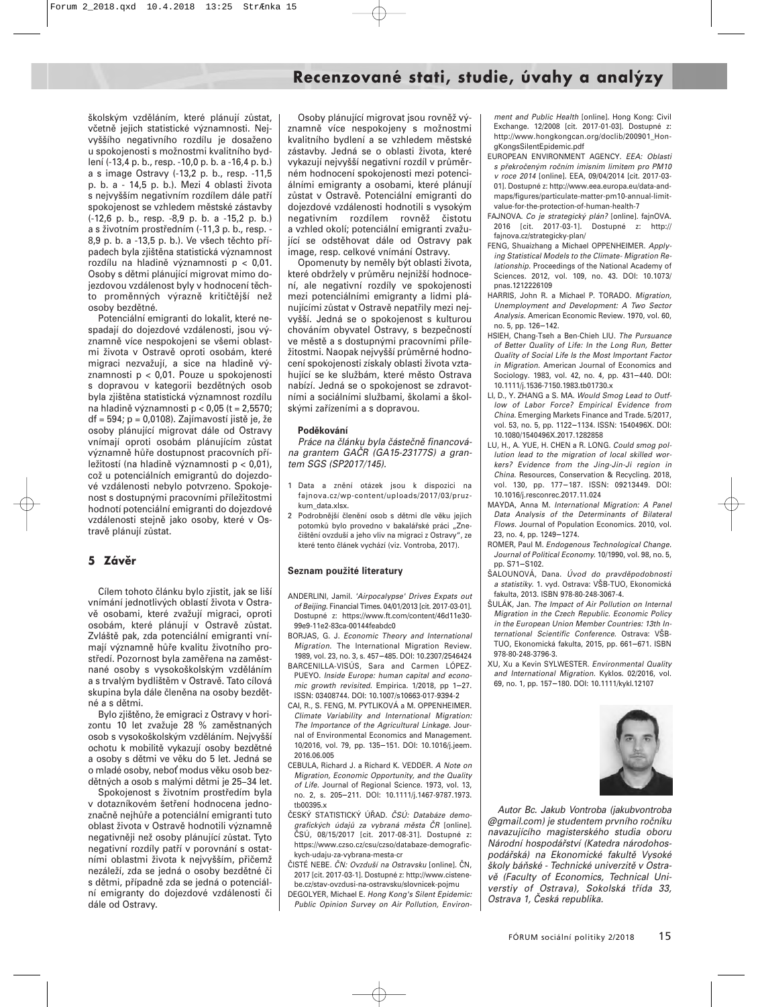školským vzděláním, které plánují zůstat, včetně jejich statistické významnosti. Nejvyššího negativního rozdílu je dosaženo u spokojenosti s možnostmi kvalitního bydlení (-13,4 p. b., resp. -10,0 p. b. a -16,4 p. b.) a s image Ostravy (-13,2 p. b., resp. -11,5 p. b. a - 14,5 p. b.). Mezi 4 oblasti života s nejvyšším negativním rozdílem dále patří spokojenost se vzhledem městské zástavby (-12,6 p. b., resp. -8,9 p. b. a -15,2 p. b.) a s životním prostředním (-11,3 p. b., resp. - 8,9 p. b. a -13,5 p. b.). Ve všech těchto případech byla zjištěna statistická významnost rozdílu na hladině významnosti p < 0,01. Osoby s dětmi plánující migrovat mimo dojezdovou vzdálenost byly v hodnocení těchto proměnných výrazně kritičtější než osoby bezdětné.

Potenciální emigranti do lokalit, které nespadají do dojezdové vzdálenosti, jsou významně více nespokojeni se všemi oblastmi života v Ostravě oproti osobám, které migraci nezvažují, a sice na hladině významnosti p < 0,01. Pouze u spokojenosti s dopravou v kategorii bezdětných osob byla zjištěna statistická významnost rozdílu na hladině významnosti p < 0,05 (t = 2,5570; df = 594; p = 0,0108). Zajímavostí jistě je, že osoby plánující migrovat dále od Ostravy vnímají oproti osobám plánujícím zůstat významně hůře dostupnost pracovních příležitostí (na hladině významnosti p < 0,01), což u potenciálních emigrantů do dojezdové vzdálenosti nebylo potvrzeno. Spokojenost s dostupnými pracovními příležitostmi hodnotí potenciální emigranti do dojezdové vzdálenosti stejně jako osoby, které v Ostravě plánují zůstat.

#### **5 Závěr**

Cílem tohoto článku bylo zjistit, jak se liší vnímání jednotlivých oblastí života v Ostravě osobami, které zvažují migraci, oproti osobám, které plánují v Ostravě zůstat. Zvláště pak, zda potenciální emigranti vnímají významně hůře kvalitu životního prostředí. Pozornost byla zaměřena na zaměstnané osoby s vysokoškolským vzděláním a s trvalým bydlištěm v Ostravě. Tato cílová skupina byla dále členěna na osoby bezdětné a s dětmi.

Bylo zjištěno, že emigraci z Ostravy v horizontu 10 let zvažuje 28 % zaměstnaných osob s vysokoškolským vzděláním. Nejvyšší ochotu k mobilitě vykazují osoby bezdětné a osoby s dětmi ve věku do 5 let. Jedná se o mladé osoby, neboť modus věku osob bezdětných a osob s malými dětmi je 25−34 let.

Spokojenost s životním prostředím byla v dotazníkovém šetření hodnocena jednoznačně nejhůře a potenciální emigranti tuto oblast života v Ostravě hodnotili významně negativněji než osoby plánující zůstat. Tyto negativní rozdíly patří v porovnání s ostatními oblastmi života k nejvyšším, přičemž nezáleží, zda se jedná o osoby bezdětné či s dětmi, případně zda se jedná o potenciální emigranty do dojezdové vzdálenosti či dále od Ostravy.

Osoby plánující migrovat jsou rovněž významně více nespokojeny s možnostmi kvalitního bydlení a se vzhledem městské zástavby. Jedná se o oblasti života, které vykazují nejvyšší negativní rozdíl v průměrném hodnocení spokojenosti mezi potenciálními emigranty a osobami, které plánují zůstat v Ostravě. Potenciální emigranti do dojezdové vzdálenosti hodnotili s vysokým negativním rozdílem rovněž čistotu a vzhled okolí; potenciální emigranti zvažující se odstěhovat dále od Ostravy pak image, resp. celkové vnímání Ostravy.

Opomenuty by neměly být oblasti života, které obdržely v průměru nejnižší hodnocení, ale negativní rozdíly ve spokojenosti mezi potenciálními emigranty a lidmi plánujícími zůstat v Ostravě nepatřily mezi nejvyšší. Jedná se o spokojenost s kulturou chováním obyvatel Ostravy, s bezpečností ve městě a s dostupnými pracovními příležitostmi. Naopak nejvyšší průměrné hodnocení spokojenosti získaly oblasti života vztahující se ke službám, které město Ostrava nabízí. Jedná se o spokojenost se zdravotními a sociálními službami, školami a školskými zařízeními a s dopravou.

#### **Poděkování**

Práce na článku byla částečně financována grantem GAČR (GA15-23177S) a grantem SGS (SP2017/145).

- 1 Data a znění otázek jsou k dispozici na fajnova.cz/wp-content/uploads/2017/03/pruzkum\_data.xlsx.
- 2 Podrobnější členění osob s dětmi dle věku jejich potomků bylo provedno v bakalářské práci "Znečištění ovzduší a jeho vliv na migraci z Ostravy", ze které tento článek vychází (viz. Vontroba, 2017).

#### **Seznam použité literatury**

- ANDERLINI, Jamil. 'Airpocalypse' Drives Expats out of Beijing. Financial Times. 04/01/2013 [cit. 2017-03-01]. Dostupné z: https://www.ft.com/content/46d11e30- 99e9-11e2-83ca-00144feabdc0
- BORJAS, G. J. Economic Theory and International Migration. The International Migration Review. 1989, vol. 23, no. 3, s. 457−485. DOI: 10.2307/2546424
- BARCENILLA-VISÚS, Sara and Carmen LÓPEZ-PUEYO. Inside Europe: human capital and economic growth revisited. Empirica. 1/2018, pp 1−27. ISSN: 03408744. DOI: 10.1007/s10663-017-9394-2
- CAI, R., S. FENG, M. PYTLIKOVÁ a M. OPPENHEIMER. Climate Variability and International Migration: The Importance of the Agricultural Linkage. Journal of Environmental Economics and Management. 10/2016, vol. 79, pp. 135−151. DOI: 10.1016/j.jeem. 2016.06.005
- CEBULA, Richard J. a Richard K. VEDDER. A Note on Migration, Economic Opportunity, and the Quality of Life. Journal of Regional Science. 1973, vol. 13, no. 2, s. 205−211. DOI: 10.1111/j.1467-9787.1973. tb00395.x
- ČESKÝ STATISTICKÝ ÚŘAD. ČSÚ: Databáze demografických údajů za vybraná města ČR [online]. ČSÚ, 08/15/2017 [cit. 2017-08-31]. Dostupné z: https://www.czso.cz/csu/czso/databaze-demografickych-udaju-za-vybrana-mesta-cr
- ČISTÉ NEBE. ČN: Ovzduší na Ostravsku [online]. ČN, 2017 [cit. 2017-03-1]. Dostupné z: http://www.cistenebe.cz/stav-ovzdusi-na-ostravsku/slovnicek-pojmu
- DEGOLYER, Michael E. Hong Kong's Silent Epidemic: Public Opinion Survey on Air Pollution, Environ-

ment and Public Health [online]. Hong Kong: Civil Exchange. 12/2008 [cit. 2017-01-03]. Dostupné z: http://www.hongkongcan.org/doclib/200901\_HongKongsSilentEpidemic.pdf

- EUROPEAN ENVIRONMENT AGENCY. EEA: Oblasti s překročeným ročním imisním limitem pro PM10 v roce 2014 [online]. EEA, 09/04/2014 [cit. 2017-03- 01]. Dostupné z: http://www.eea.europa.eu/data-andmaps/figures/particulate-matter-pm10-annual-limitvalue-for-the-protection-of-human-health-7
- FAJNOVA. Co je strategický plán? [online]. fajnOVA. 2016 [cit. 2017-03-1]. Dostupné z: http:// fajnova.cz/strategicky-plan/
- FENG, Shuaizhang a Michael OPPENHEIMER. Applying Statistical Models to the Climate- Migration Relationship. Proceedings of the National Academy of Sciences. 2012, vol. 109, no. 43. DOI: 10.1073/ pnas.1212226109
- HARRIS, John R. a Michael P. TORADO. Migration, Unemployment and Development: A Two Sector Analysis. American Economic Review. 1970, vol. 60, no. 5, pp. 126−142.
- HSIEH, Chang-Tseh a Ben-Chieh LIU. The Pursuance of Better Quality of Life: In the Long Run, Better Quality of Social Life Is the Most Important Factor in Migration. American Journal of Economics and Sociology. 1983, vol. 42, no. 4, pp. 431−440. DOI: 10.1111/j.1536-7150.1983.tb01730.x
- LI, D., Y. ZHANG a S. MA. Would Smog Lead to Outflow of Labor Force? Empirical Evidence from China. Emerging Markets Finance and Trade. 5/2017, vol. 53, no. 5, pp. 1122−1134. ISSN: 1540496X. DOI: 10.1080/1540496X.2017.1282858
- LU, H., A. YUE, H. CHEN a R. LONG. Could smog pollution lead to the migration of local skilled workers? Evidence from the Jing-Jin-Ji region in China. Resources, Conservation & Recycling. 2018, vol. 130, pp. 177−187. ISSN: 09213449. DOI: 10.1016/j.resconrec.2017.11.024
- MAYDA, Anna M. International Migration: A Panel Data Analysis of the Determinants of Bilateral Flows. Journal of Population Economics. 2010, vol. 23, no. 4, pp. 1249−1274.
- ROMER, Paul M. Endogenous Technological Change. Journal of Political Economy. 10/1990, vol. 98, no. 5, pp. S71−S102.
- ŠALOUNOVÁ, Dana. Úvod do pravděpodobnosti a statistiky. 1. vyd. Ostrava: VŠB-TUO, Ekonomická fakulta, 2013. ISBN 978-80-248-3067-4.
- ŠULÁK, Jan. The Impact of Air Pollution on Internal Migration in the Czech Republic. Economic Policy in the European Union Member Countries: 13th International Scientific Conference. Ostrava: VŠB-TUO, Ekonomická fakulta, 2015, pp. 661−671. ISBN 978-80-248-3796-3.
- XU, Xu a Kevin SYLWESTER. Environmental Quality and International Migration. Kyklos. 02/2016, vol. 69, no. 1, pp. 157−180. DOI: 10.1111/kykl.12107



Autor Bc. Jakub Vontroba (jakubvontroba @gmail.com) je studentem prvního ročníku navazujícího magisterského studia oboru Národní hospodářství (Katedra národohospodářská) na Ekonomické fakultě Vysoké školy báňské - Technické univerzitě v Ostravě (Faculty of Economics, Technical Universtiy of Ostrava), Sokolská třída 33, Ostrava 1, Česká republika.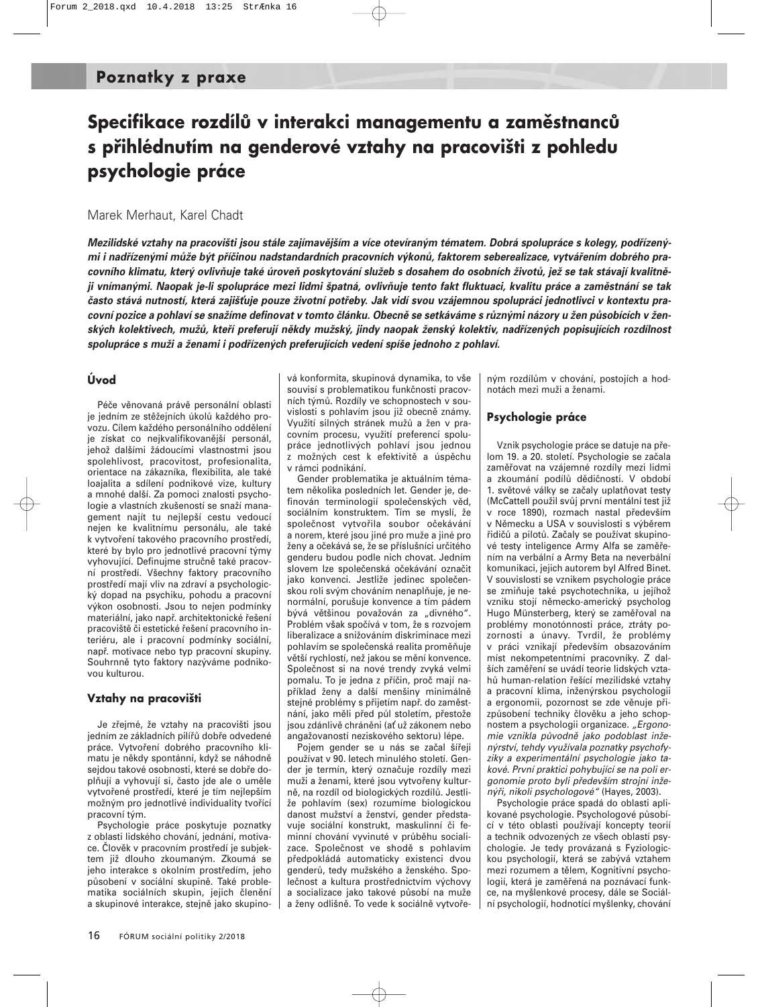## **Specifikace rozdílů v interakci managementu a zaměstnanců s přihlédnutím na genderové vztahy na pracovišti z pohledu psychologie práce**

#### Marek Merhaut, Karel Chadt

*Mezilidské vztahy na pracovišti jsou stále zajímavějším a více otevíraným tématem. Dobrá spolupráce s kolegy, podřízenými i nadřízenými může být příčinou nadstandardních pracovních výkonů, faktorem seberealizace, vytvářením dobrého pracovního klimatu, který ovlivňuje také úroveň poskytování služeb s dosahem do osobních životů, jež se tak stávají kvalitněji vnímanými. Naopak je-li spolupráce mezi lidmi špatná, ovlivňuje tento fakt fluktuaci, kvalitu práce a zaměstnání se tak* často stává nutností, která zajišťuje pouze životní potřeby. Jak vidí svou vzájemnou spolupráci jednotlivci v kontextu pra*covní pozice a pohlaví se snažíme definovat v tomto článku. Obecně se setkáváme s různými názory u žen působících v ženských kolektivech, mužů, kteří preferují někdy mužský, jindy naopak ženský kolektiv, nadřízených popisujících rozdílnost spolupráce s muži a ženami i podřízených preferujících vedení spíše jednoho z pohlaví.*

#### **Úvod**

Péče věnovaná právě personální oblasti je jedním ze stěžejních úkolů každého provozu. Cílem každého personálního oddělení je získat co nejkvalifikovanější personál, jehož dalšími žádoucími vlastnostmi jsou spolehlivost, pracovitost, profesionalita, orientace na zákazníka, flexibilita, ale také loajalita a sdílení podnikové vize, kultury a mnohé další. Za pomoci znalosti psychologie a vlastních zkušeností se snaží management najít tu nejlepší cestu vedoucí nejen ke kvalitnímu personálu, ale také k vytvoření takového pracovního prostředí, které by bylo pro jednotlivé pracovní týmy vyhovující. Definujme stručně také pracovní prostředí. Všechny faktory pracovního prostředí mají vliv na zdraví a psychologický dopad na psychiku, pohodu a pracovní výkon osobnosti. Jsou to nejen podmínky materiální, jako např. architektonické řešení pracoviště či estetické řešení pracovního interiéru, ale i pracovní podmínky sociální, např. motivace nebo typ pracovní skupiny. Souhrnně tyto faktory nazýváme podnikovou kulturou.

#### **Vztahy na pracovišti**

Je zřejmé, že vztahy na pracovišti jsou jedním ze základních pilířů dobře odvedené práce. Vytvoření dobrého pracovního klimatu je někdy spontánní, když se náhodně sejdou takové osobnosti, které se dobře doplňují a vyhovují si, často jde ale o uměle vytvořené prostředí, které je tím nejlepším možným pro jednotlivé individuality tvořící pracovní tým.

Psychologie práce poskytuje poznatky z oblasti lidského chování, jednání, motivace. Člověk v pracovním prostředí je subjektem již dlouho zkoumaným. Zkoumá se jeho interakce s okolním prostředím, jeho působení v sociální skupině. Také problematika sociálních skupin, jejich členění a skupinové interakce, stejně jako skupinová konformita, skupinová dynamika, to vše souvisí s problematikou funkčnosti pracovních týmů. Rozdíly ve schopnostech v souvislosti s pohlavím jsou již obecně známy. Využití silných stránek mužů a žen v pracovním procesu, využití preferencí spolupráce jednotlivých pohlaví jsou jednou z možných cest k efektivitě a úspěchu v rámci podnikání.

Gender problematika je aktuálním tématem několika posledních let. Gender je, definován terminologií společenských věd, sociálním konstruktem. Tím se myslí, že společnost vytvořila soubor očekávání a norem, které jsou jiné pro muže a jiné pro ženy a očekává se, že se příslušníci určitého genderu budou podle nich chovat. Jedním slovem lze společenská očekávání označit jako konvenci. Jestliže jedinec společenskou roli svým chováním nenaplňuje, je nenormální, porušuje konvence a tím pádem bývá většinou považován za "divného". Problém však spočívá v tom, že s rozvojem liberalizace a snižováním diskriminace mezi pohlavím se společenská realita proměňuje větší rychlostí, než jakou se mění konvence. Společnost si na nové trendy zvyká velmi pomalu. To je jedna z příčin, proč mají například ženy a další menšiny minimálně stejné problémy s přijetím např. do zaměstnání, jako měli před půl stoletím, přestože jsou zdánlivě chráněni (ať už zákonem nebo angažovaností neziskového sektoru) lépe.

Pojem gender se u nás se začal šířeji používat v 90. letech minulého století. Gender je termín, který označuje rozdíly mezi muži a ženami, které jsou vytvořeny kulturně, na rozdíl od biologických rozdílů. Jestliže pohlavím (sex) rozumíme biologickou danost mužství a ženství, gender představuje sociální konstrukt, maskulinní či feminní chování vyvinuté v průběhu socializace. Společnost ve shodě s pohlavím předpokládá automaticky existenci dvou genderů, tedy mužského a ženského. Společnost a kultura prostřednictvím výchovy a socializace jako takové působí na muže a ženy odlišně. To vede k sociálně vytvoře-

ným rozdílům v chování, postojích a hodnotách mezi muži a ženami.

#### **Psychologie práce**

Vznik psychologie práce se datuje na přelom 19. a 20. století. Psychologie se začala zaměřovat na vzájemné rozdíly mezi lidmi a zkoumání podílů dědičnosti. V období 1. světové války se začaly uplatňovat testy (McCattell použil svůj první mentální test již v roce 1890), rozmach nastal především v Německu a USA v souvislosti s výběrem řidičů a pilotů. Začaly se používat skupinové testy inteligence Army Alfa se zaměřením na verbální a Army Beta na neverbální komunikaci, jejich autorem byl Alfred Binet. V souvislosti se vznikem psychologie práce se zmiňuje také psychotechnika, u jejíhož vzniku stojí německo-americký psycholog Hugo Münsterberg, který se zaměřoval na problémy monotónnosti práce, ztráty pozornosti a únavy. Tvrdil, že problémy v práci vznikají především obsazováním míst nekompetentními pracovníky. Z dalších zaměření se uvádí teorie lidských vztahů human-relation řešící mezilidské vztahy a pracovní klima, inženýrskou psychologii a ergonomii, pozornost se zde věnuje přizpůsobení techniky člověku a jeho schopnostem a psychologii organizace. "Ergonomie vznikla původně jako podoblast inženýrství, tehdy využívala poznatky psychofyziky a experimentální psychologie jako takové. První praktici pohybující se na poli ergonomie proto byli především strojní inženýři, nikoli psychologové" (Hayes, 2003).

Psychologie práce spadá do oblasti aplikované psychologie. Psychologové působící v této oblasti používají koncepty teorií a technik odvozených ze všech oblastí psychologie. Je tedy provázaná s Fyziologickou psychologií, která se zabývá vztahem mezi rozumem a tělem, Kognitivní psychologií, která je zaměřená na poznávací funkce, na myšlenkové procesy, dále se Sociální psychologií, hodnotící myšlenky, chování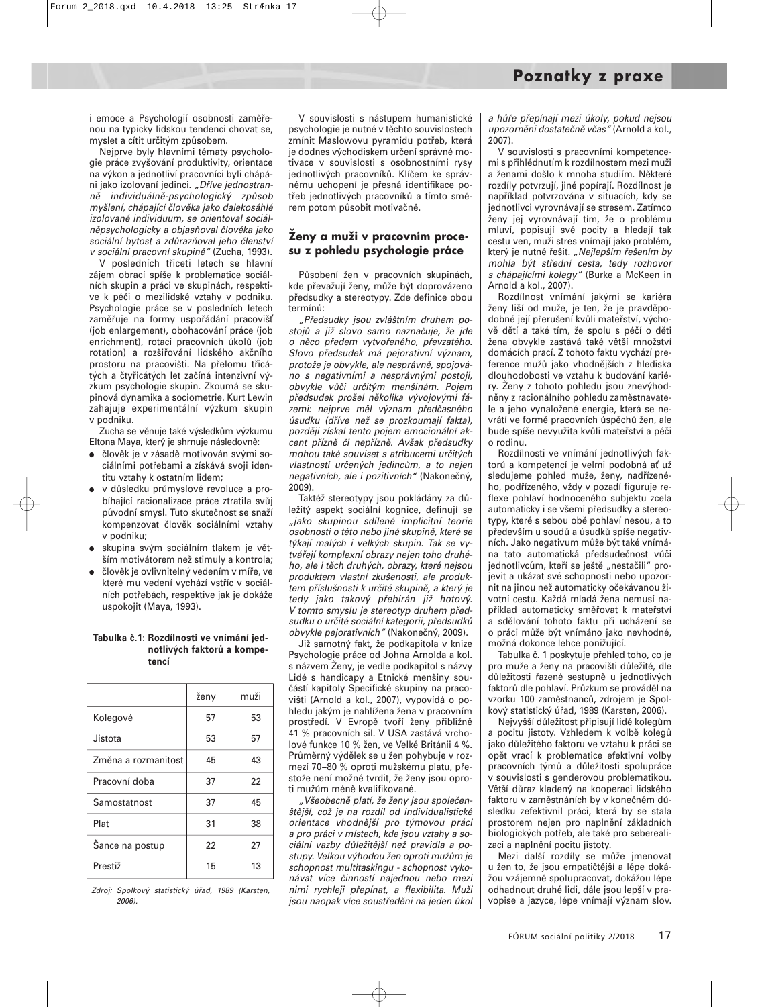i emoce a Psychologií osobnosti zaměřenou na typicky lidskou tendenci chovat se, myslet a cítit určitým způsobem.

Nejprve byly hlavními tématy psychologie práce zvyšování produktivity, orientace na výkon a jednotliví pracovníci byli chápáni jako izolovaní jedinci. "Dříve jednostranně individuálně-psychologický způsob myšlení, chápající člověka jako dalekosáhlé izolované individuum, se orientoval sociálněpsychologicky a objasňoval člověka jako sociální bytost a zdůrazňoval jeho členství v sociální pracovní skupině" (Zucha, 1993).

V posledních třiceti letech se hlavní zájem obrací spíše k problematice sociálních skupin a práci ve skupinách, respektive k péči o mezilidské vztahy v podniku. Psychologie práce se v posledních letech zaměřuje na formy uspořádání pracoviš (job enlargement), obohacování práce (job enrichment), rotaci pracovních úkolů (job rotation) a rozšiřování lidského akčního prostoru na pracovišti. Na přelomu třicátých a čtyřicátých let začíná intenzivní výzkum psychologie skupin. Zkoumá se skupinová dynamika a sociometrie. Kurt Lewin zahajuje experimentální výzkum skupin v podniku.

Zucha se věnuje také výsledkům výzkumu Eltona Maya, který je shrnuje následovně:

- člověk je v zásadě motivován svými sociálními potřebami a získává svoji identitu vztahy k ostatním lidem;
- v důsledku průmyslové revoluce a probíhající racionalizace práce ztratila svůj původní smysl. Tuto skutečnost se snaží kompenzovat člověk sociálními vztahy v podniku;
- skupina svým sociálním tlakem je větším motivátorem než stimuly a kontrola;
- člověk je ovlivnitelný vedením v míře, ve které mu vedení vychází vstříc v sociálních potřebách, respektive jak je dokáže uspokojit (Maya, 1993).

#### **Tabulka č.1: Rozdílnosti ve vnímání jednotlivých faktorů a kompetencí**

|                     | ženy | muži |
|---------------------|------|------|
| Kolegové            | 57   | 53   |
| Jistota             | 53   | 57   |
| Změna a rozmanitost | 45   | 43   |
| Pracovní doba       | 37   | 22   |
| Samostatnost        | 37   | 45   |
| Plat                | 31   | 38   |
| Šance na postup     | 22   | 27   |
| Prestiž             | 15   | 13   |

Zdroj: Spolkový statistický úřad, 1989 (Karsten,  $2006$ 

V souvislosti s nástupem humanistické psychologie je nutné v těchto souvislostech zmínit Maslowovu pyramidu potřeb, která je dodnes východiskem určení správné motivace v souvislosti s osobnostními rysy jednotlivých pracovníků. Klíčem ke správnému uchopení je přesná identifikace potřeb jednotlivých pracovníků a tímto směrem potom působit motivačně.

#### **Ženy a muži v pracovním procesu z pohledu psychologie práce**

Působení žen v pracovních skupinách, kde převažují ženy, může být doprovázeno předsudky a stereotypy. Zde definice obou termínů:

"Předsudky jsou zvláštním druhem postojů a již slovo samo naznačuje, že jde o něco předem vytvořeného, převzatého. Slovo předsudek má pejorativní význam, protože je obvykle, ale nesprávně, spojováno s negativními a nesprávnými postoji, obvykle vůči určitým menšinám. Pojem předsudek prošel několika vývojovými fázemi: nejprve měl význam předčasného úsudku (dříve než se prozkoumají fakta), později získal tento pojem emocionální akcent přízně či nepřízně. Avšak předsudky mohou také souviset s atribucemi určitých vlastností určených jedincům, a to nejen negativních, ale i pozitivních" (Nakonečný, 2009).

Taktéž stereotypy jsou pokládány za důležitý aspekt sociální kognice, definují se "jako skupinou sdílené implicitní teorie osobnosti o této nebo jiné skupině, které se týkají malých i velkých skupin. Tak se vytvářejí komplexní obrazy nejen toho druhého, ale i těch druhých, obrazy, které nejsou produktem vlastní zkušenosti, ale produktem příslušnosti k určité skupině, a který je tedy jako takový přebírán již hotový. V tomto smyslu je stereotyp druhem předsudku o určité sociální kategorii, předsudků obvykle pejorativních" (Nakonečný, 2009).

Již samotný fakt, že podkapitola v knize Psychologie práce od Johna Arnolda a kol. s názvem Ženy, je vedle podkapitol s názvy Lidé s handicapy a Etnické menšiny součástí kapitoly Specifické skupiny na pracovišti (Arnold a kol., 2007), vypovídá o pohledu jakým je nahlížena žena v pracovním prostředí. V Evropě tvoří ženy přibližně 41 % pracovních sil. V USA zastává vrcholové funkce 10 % žen, ve Velké Británii 4 %. Průměrný výdělek se u žen pohybuje v rozmezí 70−80 % oproti mužskému platu, přestože není možné tvrdit, že ženy jsou oproti mužům méně kvalifikované.

"Všeobecně platí, že ženy jsou společenštější, což je na rozdíl od individualistické orientace vhodnější pro týmovou práci a pro práci v místech, kde jsou vztahy a sociální vazby důležitější než pravidla a postupy. Velkou výhodou žen oproti mužům je schopnost multitaskingu - schopnost vykonávat více činností najednou nebo mezi nimi rychleji přepínat, a flexibilita. Muži jsou naopak více soustředěni na jeden úkol

a hůře přepínají mezi úkoly, pokud nejsou upozornění dostatečně včas" (Arnold a kol., 2007).

V souvislosti s pracovními kompetencemi s přihlédnutím k rozdílnostem mezi muži a ženami došlo k mnoha studiím. Některé rozdíly potvrzují, jiné popírají. Rozdílnost je například potvrzována v situacích, kdy se jednotlivci vyrovnávají se stresem. Zatímco ženy jej vyrovnávají tím, že o problému mluví, popisují své pocity a hledají tak cestu ven, muži stres vnímají jako problém, který je nutné řešit. "Nejlepším řešením by mohla být střední cesta, tedy rozhovor s chápajícími kolegy" (Burke a McKeen in Arnold a kol., 2007).

Rozdílnost vnímání jakými se kariéra ženy liší od muže, je ten, že je pravděpodobné její přerušení kvůli mateřství, výchově dětí a také tím, že spolu s péčí o děti žena obvykle zastává také větší množství domácích prací. Z tohoto faktu vychází preference mužů jako vhodnějších z hlediska dlouhodobosti ve vztahu k budování kariéry. Ženy z tohoto pohledu jsou znevýhodněny z racionálního pohledu zaměstnavatele a jeho vynaložené energie, která se nevrátí ve formě pracovních úspěchů žen, ale bude spíše nevyužita kvůli mateřství a péči o rodinu.

Rozdílnosti ve vnímání jednotlivých faktorů a kompetencí je velmi podobná ať už sledujeme pohled muže, ženy, nadřízeného, podřízeného, vždy v pozadí figuruje reflexe pohlaví hodnoceného subjektu zcela automaticky i se všemi předsudky a stereotypy, které s sebou obě pohlaví nesou, a to především u soudů a úsudků spíše negativních. Jako negativum může být také vnímána tato automatická předsudečnost vůči jednotlivcům, kteří se ještě "nestačili" projevit a ukázat své schopnosti nebo upozornit na jinou než automaticky očekávanou životní cestu. Každá mladá žena nemusí například automaticky směřovat k mateřství a sdělování tohoto faktu při ucházení se o práci může být vnímáno jako nevhodné, možná dokonce lehce ponižující.

Tabulka č. 1 poskytuje přehled toho, co je pro muže a ženy na pracovišti důležité, dle důležitosti řazené sestupně u jednotlivých faktorů dle pohlaví. Průzkum se prováděl na vzorku 100 zaměstnanců, zdrojem je Spolkový statistický úřad, 1989 (Karsten, 2006).

Nejvyšší důležitost připisují lidé kolegům a pocitu jistoty. Vzhledem k volbě kolegů jako důležitého faktoru ve vztahu k práci se opět vrací k problematice efektivní volby pracovních týmů a důležitosti spolupráce v souvislosti s genderovou problematikou. Větší důraz kladený na kooperaci lidského faktoru v zaměstnáních by v konečném důsledku zefektivnil práci, která by se stala prostorem nejen pro naplnění základních biologických potřeb, ale také pro seberealizaci a naplnění pocitu jistoty.

Mezi další rozdíly se může jmenovat u žen to, že jsou empatičtější a lépe dokážou vzájemně spolupracovat, dokážou lépe odhadnout druhé lidi, dále jsou lepší v pravopise a jazyce, lépe vnímají význam slov.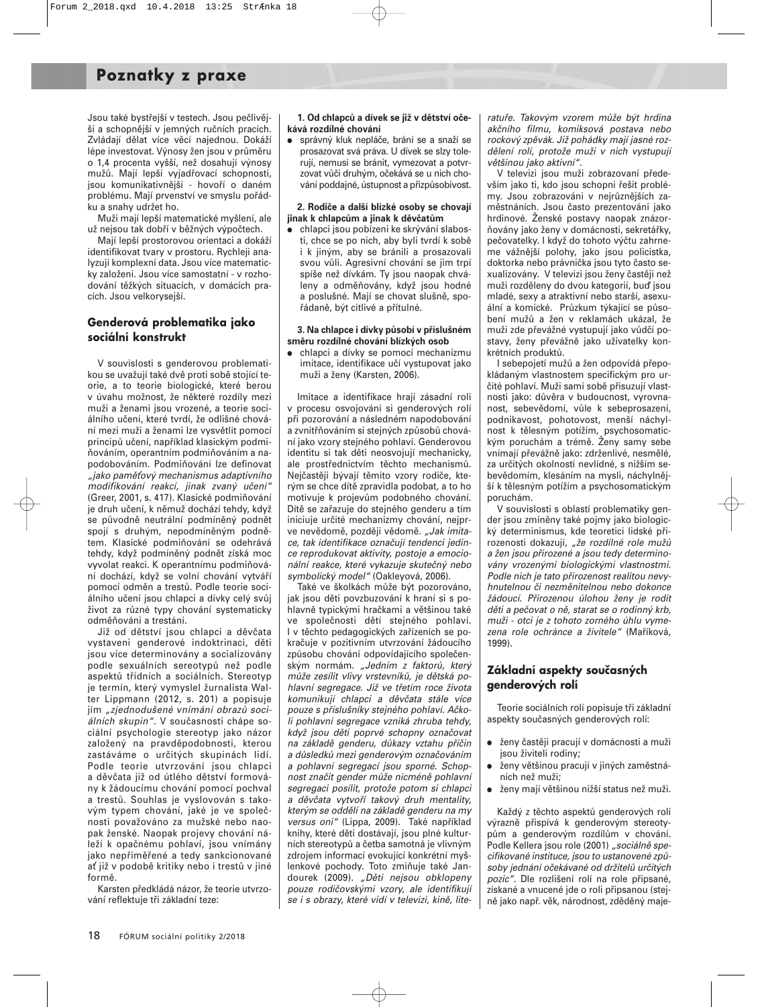## **Poznatky z praxe**

Jsou také bystřejší v testech. Jsou pečlivější a schopnější v jemných ručních pracích. Zvládají dělat více věcí najednou. Dokáží lépe investovat. Výnosy žen jsou v průměru o 1,4 procenta vyšší, než dosahují výnosy mužů. Mají lepší vyjadřovací schopnosti, jsou komunikativnější - hovoří o daném problému. Mají prvenství ve smyslu pořádku a snahy udržet ho.

Muži mají lepší matematické myšlení, ale už nejsou tak dobří v běžných výpočtech.

Mají lepší prostorovou orientaci a dokáží identifikovat tvary v prostoru. Rychleji analyzují komplexní data. Jsou více matematicky založeni. Jsou více samostatní - v rozhodování těžkých situacích, v domácích pracích. Jsou velkorysejší.

#### **Genderová problematika jako sociální konstrukt**

V souvislosti s genderovou problematikou se uvažují také dvě proti sobě stojící teorie, a to teorie biologické, které berou v úvahu možnost, že některé rozdíly mezi muži a ženami jsou vrozené, a teorie sociálního učení, které tvrdí, že odlišné chování mezi muži a ženami lze vysvětlit pomocí principů učení, například klasickým podmiňováním, operantním podmiňováním a napodobováním. Podmiňování lze definovat "jako paměťový mechanismus adaptivního modifikování reakcí, jinak zvaný učení" (Greer, 2001, s. 417). Klasické podmiňování je druh učení, k němuž dochází tehdy, když se původně neutrální podmíněný podnět spojí s druhým, nepodmíněným podnětem. Klasické podmiňování se odehrává tehdy, když podmíněný podnět získá moc vyvolat reakci. K operantnímu podmiňování dochází, když se volní chování vytváří pomocí odměn a trestů. Podle teorie sociálního učení jsou chlapci a dívky celý svůj život za různé typy chování systematicky odměňováni a trestáni.

Již od dětství jsou chlapci a děvčata vystaveni genderové indoktrinaci, děti jsou více determinovány a socializovány podle sexuálních sereotypů než podle aspektů třídních a sociálních. Stereotyp je termín, který vymyslel žurnalista Walter Lippmann (2012, s. 201) a popisuje jím "zjednodušené vnímání obrazů sociálních skupin". V současnosti chápe sociální psychologie stereotyp jako názor založený na pravděpodobnosti, kterou zastáváme o určitých skupinách lidí. Podle teorie utvrzování jsou chlapci a děvčata již od útlého dětství formovány k žádoucímu chování pomocí pochval a trestů. Souhlas je vyslovován s takovým typem chování, jaké je ve společnosti považováno za mužské nebo naopak ženské. Naopak projevy chování náleží k opačnému pohlaví, jsou vnímány jako nepřiměřené a tedy sankcionované ať již v podobě kritiky nebo i trestů v jiné formě.

Karsten předkládá názor, že teorie utvrzování reflektuje tři základní teze:

#### **1. Od chlapců a dívek se již v dětství očekává rozdílné chování**

 správný kluk nepláče, brání se a snaží se prosazovat svá práva. U dívek se slzy tolerují, nemusí se bránit, vymezovat a potvrzovat vůči druhým, očekává se u nich chování poddajné, ústupnost a přizpůsobivost.

#### **2. Rodiče a další blízké osoby se chovají jinak k chlapcům a jinak k děvčatům**

 chlapci jsou pobízeni ke skrývání slabosti, chce se po nich, aby byli tvrdí k sobě i k jiným, aby se bránili a prosazovali svou vůli. Agresivní chování se jim trpí spíše než dívkám. Ty jsou naopak chváleny a odměňovány, když jsou hodné a poslušné. Mají se chovat slušně, spořádaně, být citlivé a přítulné.

#### **3. Na chlapce i dívky působí v příslušném směru rozdílné chování blízkých osob**

 chlapci a dívky se pomocí mechanizmu imitace, identifikace učí vystupovat jako muži a ženy (Karsten, 2006).

Imitace a identifikace hrají zásadní roli v procesu osvojování si genderových rolí při pozorování a následném napodobování a zvnitřňováním si stejných způsobů chování jako vzory stejného pohlaví. Genderovou identitu si tak děti neosvojují mechanicky, ale prostřednictvím těchto mechanismů. Nejčastěji bývají těmito vzory rodiče, kterým se chce dítě zpravidla podobat, a to ho motivuje k projevům podobného chování. Dítě se zařazuje do stejného genderu a tím iniciuje určité mechanizmy chování, nejprve nevědomě, později vědomě. "Jak imitace, tak identifikace označují tendenci jedince reprodukovat aktivity, postoje a emocionální reakce, které vykazuje skutečný nebo symbolický model" (Oakleyová, 2006).

Také ve školkách může být pozorováno, jak jsou děti povzbuzování k hraní si s pohlavně typickými hračkami a většinou také ve společnosti dětí stejného pohlaví. I v těchto pedagogických zařízeních se pokračuje v pozitivním utvrzování žádoucího způsobu chování odpovídajícího společenským normám. "Jedním z faktorů, který může zesílit vlivy vrstevníků, je dětská pohlavní segregace. Již ve třetím roce života komunikují chlapci a děvčata stále více pouze s příslušníky stejného pohlaví. Ačkoli pohlavní segregace vzniká zhruba tehdy, když jsou děti poprvé schopny označovat na základě genderu, důkazy vztahu příčin a důsledků mezi genderovým označováním a pohlavní segregací jsou sporné. Schopnost značit gender může nicméně pohlavní segregaci posílit, protože potom si chlapci a děvčata vytvoří takový druh mentality, kterým se oddělí na základě genderu na my versus oni" (Lippa, 2009). Také například knihy, které děti dostávají, jsou plné kulturních stereotypů a četba samotná je vlivným zdrojem informací evokující konkrétní myšlenkové pochody. Toto zmiňuje také Jandourek (2009). "Děti nejsou obklopeny pouze rodičovskými vzory, ale identifikují se i s obrazy, které vidí v televizi, kině, literatuře. Takovým vzorem může být hrdina akčního filmu, komiksová postava nebo rockový zpěvák. Již pohádky mají jasné rozdělení rolí, protože muži v nich vystupují většinou jako aktivní".

V televizi jsou muži zobrazovaní především jako ti, kdo jsou schopni řešit problémy. Jsou zobrazováni v nejrůznějších zaměstnáních. Jsou často prezentováni jako hrdinové. Ženské postavy naopak znázorňovány jako ženy v domácnosti, sekretářky, pečovatelky. I když do tohoto výčtu zahrneme vážnější polohy, jako jsou policistka, doktorka nebo právnička jsou tyto často sexualizovány. V televizi jsou ženy častěji než muži rozděleny do dvou kategorií, buď jsou mladé, sexy a atraktivní nebo starší, asexuální a komické. Průzkum týkající se působení mužů a žen v reklamách ukázal, že muži zde převážné vystupují jako vůdčí postavy, ženy převážně jako uživatelky konkrétních produktů.

I sebepojetí mužů a žen odpovídá přepokládaným vlastnostem specifickým pro určité pohlaví. Muži sami sobě přisuzují vlastnosti jako: důvěra v budoucnost, vyrovnanost, sebevědomí, vůle k sebeprosazení, podnikavost, pohotovost, menší náchylnost k tělesným potížím, psychosomatickým poruchám a trémě. Ženy samy sebe vnímají převážně jako: zdrženlivé, nesmělé, za určitých okolností nevlídné, s nižším sebevědomím, klesáním na mysli, náchylnější k tělesným potížím a psychosomatickým poruchám.

V souvislosti s oblastí problematiky gender jsou zmíněny také pojmy jako biologický determinismus, kde teoretici lidské přirozenosti dokazují, "že rozdílné role mužů a žen jsou přirozené a jsou tedy determinovány vrozenými biologickými vlastnostmi. Podle nich je tato přirozenost realitou nevyhnutelnou či nezměnitelnou nebo dokonce žádoucí. Přirozenou úlohou ženy je rodit děti a pečovat o ně, starat se o rodinný krb, muži - otci je z tohoto zorného úhlu vymezena role ochránce a živitele" (Maříková, 1999).

#### **Základní aspekty současných genderových rolí**

Teorie sociálních rolí popisuje tři základní aspekty současných genderových rolí:

- ženy častěji pracují v domácnosti a muži jsou živiteli rodiny;
- ženy většinou pracují v jiných zaměstnáních než muži;
- ženy mají většinou nižší status než muži.

Každý z těchto aspektů genderových rolí výrazně přispívá k genderovým stereotypům a genderovým rozdílům v chování. Podle Kellera jsou role (2001) "sociálně specifikované instituce, jsou to ustanovené způsoby jednání očekávané od držitelů určitých pozic". Dle rozlišení rolí na role připsané, získané a vnucené jde o roli připsanou (stejně jako např. věk, národnost, zděděný maje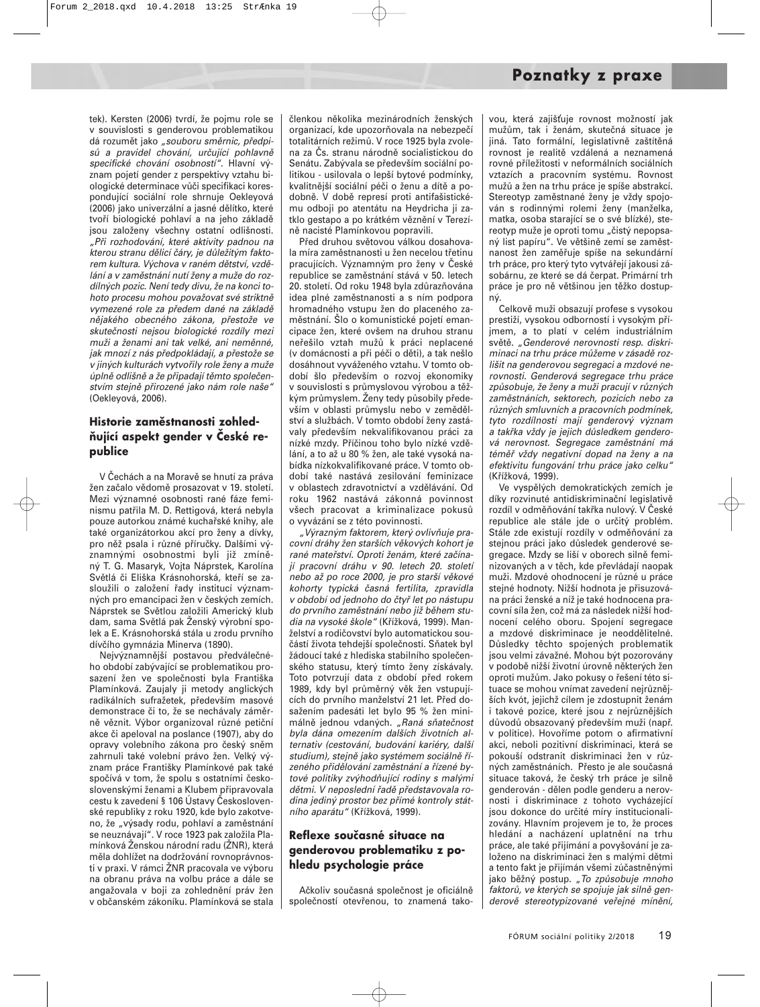tek). Kersten (2006) tvrdí, že pojmu role se v souvislosti s genderovou problematikou dá rozumět jako "souboru směrnic, předpisů a pravidel chování, určující pohlavně specifické chování osobností". Hlavní význam pojetí gender z perspektivy vztahu biologické determinace vůči specifikaci korespondující sociální role shrnuje Oekleyová (2006) jako univerzální a jasné dělítko, které tvoří biologické pohlaví a na jeho základě jsou založeny všechny ostatní odlišnosti. "Při rozhodování, které aktivity padnou na kterou stranu dělicí čáry, je důležitým faktorem kultura. Výchova v raném dětství, vzdělání a v zaměstnání nutí ženy a muže do rozdílných pozic. Není tedy divu, že na konci tohoto procesu mohou považovat své striktně vymezené role za předem dané na základě nějakého obecného zákona, přestože ve skutečnosti nejsou biologické rozdíly mezi muži a ženami ani tak velké, ani neměnné, jak mnozí z nás předpokládají, a přestože se v jiných kulturách vytvořily role ženy a muže úplně odlišně a že připadají těmto společenstvím stejně přirozené jako nám role naše" (Oekleyová, 2006).

#### **Historie zaměstnanosti zohledňující aspekt gender v České republice**

V Čechách a na Moravě se hnutí za práva žen začalo vědomě prosazovat v 19. století. Mezi významné osobnosti rané fáze feminismu patřila M. D. Rettigová, která nebyla pouze autorkou známé kuchařské knihy, ale také organizátorkou akcí pro ženy a dívky, pro něž psala i různé příručky. Dalšími významnými osobnostmi byli již zmíněný T. G. Masaryk, Vojta Náprstek, Karolína Světlá či Eliška Krásnohorská, kteří se zasloužili o založení řady institucí významných pro emancipaci žen v českých zemích. Náprstek se Světlou založili Americký klub dam, sama Světlá pak Ženský výrobní spolek a E. Krásnohorská stála u zrodu prvního dívčího gymnázia Minerva (1890).

Nejvýznamnější postavou předválečného období zabývající se problematikou prosazení žen ve společnosti byla Františka Plamínková. Zaujaly ji metody anglických radikálních sufražetek, především masové demonstrace či to, že se nechávaly záměrně věznit. Výbor organizoval různé petiční akce či apeloval na poslance (1907), aby do opravy volebního zákona pro český sněm zahrnuli také volební právo žen. Velký význam práce Františky Plamínkové pak také spočívá v tom, že spolu s ostatními československými ženami a Klubem připravovala cestu k zavedení § 106 Ústavy Československé republiky z roku 1920, kde bylo zakotveno, že "výsady rodu, pohlaví a zaměstnání se neuznávají". V roce 1923 pak založila Plamínková Ženskou národní radu (ŽNR), která měla dohlížet na dodržování rovnoprávnosti v praxi. V rámci ŽNR pracovala ve výboru na obranu práva na volbu práce a dále se angažovala v boji za zohlednění práv žen v občanském zákoníku. Plamínková se stala členkou několika mezinárodních ženských organizací, kde upozorňovala na nebezpečí totalitárních režimů. V roce 1925 byla zvolena za Čs. stranu národně socialistickou do Senátu. Zabývala se především sociální politikou - usilovala o lepší bytové podmínky, kvalitnější sociální péči o ženu a dítě a podobně. V době represí proti antifašistickému odboji po atentátu na Heydricha ji zatklo gestapo a po krátkém věznění v Terezíně nacisté Plamínkovou popravili.

Před druhou světovou válkou dosahovala míra zaměstnanosti u žen necelou třetinu pracujících. Významným pro ženy v České republice se zaměstnání stává v 50. letech 20. století. Od roku 1948 byla zdůrazňována idea plné zaměstnanosti a s ním podpora hromadného vstupu žen do placeného zaměstnání. Šlo o komunistické pojetí emancipace žen, které ovšem na druhou stranu neřešilo vztah mužů k práci neplacené (v domácnosti a při péči o děti), a tak nešlo dosáhnout vyváženého vztahu. V tomto období šlo především o rozvoj ekonomiky v souvislosti s průmyslovou výrobou a těžkým průmyslem. Ženy tedy působily především v oblasti průmyslu nebo v zemědělství a službách. V tomto období ženy zastávaly především nekvalifikovanou práci za nízké mzdy. Příčinou toho bylo nízké vzdělání, a to až u 80 % žen, ale také vysoká nabídka nízkokvalifikované práce. V tomto období také nastává zesilování feminizace v oblastech zdravotnictví a vzdělávání. Od roku 1962 nastává zákonná povinnost všech pracovat a kriminalizace pokusů o vyvázání se z této povinnosti.

"Výrazným faktorem, který ovlivňuje pracovní dráhy žen starších věkových kohort je rané mateřství. Oproti ženám, které začínají pracovní dráhu v 90. letech 20. století nebo až po roce 2000, je pro starší věkové kohorty typická časná fertilita, zpravidla v období od jednoho do čtyř let po nástupu do prvního zaměstnání nebo již během studia na vysoké škole" (Křížková, 1999). Manželství a rodičovství bylo automatickou součástí života tehdejší společnosti. Sňatek byl žádoucí také z hlediska stabilního společenského statusu, který tímto ženy získávaly. Toto potvrzují data z období před rokem 1989, kdy byl průměrný věk žen vstupujících do prvního manželství 21 let. Před dosažením padesáti let bylo 95 % žen minimálně jednou vdaných. "Raná sňatečnost byla dána omezením dalších životních alternativ (cestování, budování kariéry, další studium), stejně jako systémem sociálně řízeného přidělování zaměstnání a řízené bytové politiky zvýhodňující rodiny s malými dětmi. V neposlední řadě představovala rodina jediný prostor bez přímé kontroly státního aparátu" (Křížková, 1999).

#### **Reflexe současné situace na genderovou problematiku z pohledu psychologie práce**

Ačkoliv současná společnost je oficiálně společností otevřenou, to znamená takovou, která zajišťuje rovnost možností jak mužům, tak i ženám, skutečná situace je jiná. Tato formální, legislativně zaštítěná rovnost je realitě vzdálená a neznamená rovné příležitosti v neformálních sociálních vztazích a pracovním systému. Rovnost mužů a žen na trhu práce je spíše abstrakcí. Stereotyp zaměstnané ženy je vždy spojován s rodinnými rolemi ženy (manželka, matka, osoba starající se o své blízké), stereotyp muže je oproti tomu "čistý nepopsaný list papíru". Ve většině zemí se zaměstnanost žen zaměřuje spíše na sekundární trh práce, pro který tyto vytvářejí jakousi zásobárnu, ze které se dá čerpat. Primární trh práce je pro ně většinou jen těžko dostupný.

Celkově muži obsazují profese s vysokou prestiží, vysokou odborností i vysokým příjmem, a to platí v celém industriálním světě. "Genderové nerovnosti resp. diskriminaci na trhu práce můžeme v zásadě rozlišit na genderovou segregaci a mzdové nerovnosti. Genderová segregace trhu práce způsobuje, že ženy a muži pracují v různých zaměstnáních, sektorech, pozicích nebo za různých smluvních a pracovních podmínek, tyto rozdílnosti mají genderový význam a takřka vždy je jejich důsledkem genderová nerovnost. Segregace zaměstnání má téměř vždy negativní dopad na ženy a na efektivitu fungování trhu práce jako celku" (Křížková, 1999).

Ve vyspělých demokratických zemích je díky rozvinuté antidiskriminační legislativě rozdíl v odměňování takřka nulový. V České republice ale stále jde o určitý problém. Stále zde existují rozdíly v odměňování za stejnou práci jako důsledek genderové segregace. Mzdy se liší v oborech silně feminizovaných a v těch, kde převládají naopak muži. Mzdové ohodnocení je různé u práce stejné hodnoty. Nižší hodnota je přisuzována práci ženské a níž je také hodnocena pracovní síla žen, což má za následek nižší hodnocení celého oboru. Spojení segregace a mzdové diskriminace je neoddělitelné. Důsledky těchto spojených problematik jsou velmi závažné. Mohou být pozorovány v podobě nižší životní úrovně některých žen oproti mužům. Jako pokusy o řešení této situace se mohou vnímat zavedení nejrůznějších kvót, jejichž cílem je zdostupnit ženám i takové pozice, které jsou z nejrůznějších důvodů obsazovaný především muži (např. v politice). Hovoříme potom o afirmativní akci, neboli pozitivní diskriminaci, která se pokouší odstranit diskriminaci žen v různých zaměstnáních. Přesto je ale současná situace taková, že český trh práce je silně genderován - dělen podle genderu a nerovnosti i diskriminace z tohoto vycházející jsou dokonce do určité míry institucionalizovány. Hlavním projevem je to, že proces hledání a nacházení uplatnění na trhu práce, ale také přijímání a povyšování je založeno na diskriminaci žen s malými dětmi a tento fakt je přijímán všemi zúčastněnými jako běžný postup. "To způsobuje mnoho faktorů, ve kterých se spojuje jak silně genderově stereotypizované veřejné mínění,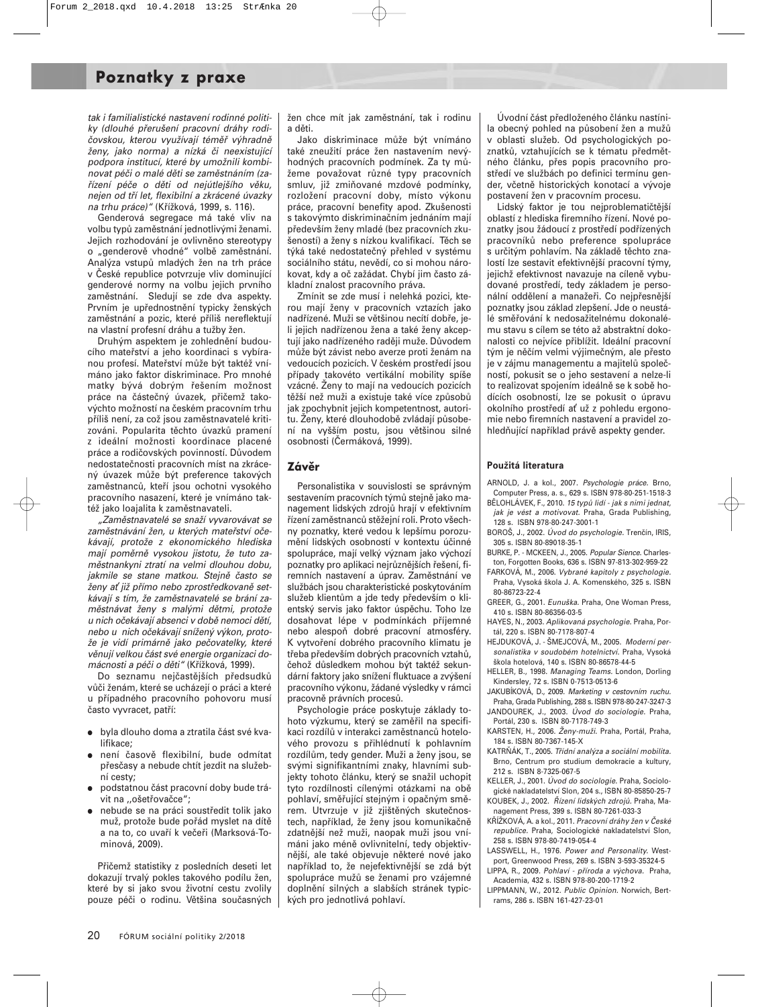## **Poznatky z praxe**

tak i familialistické nastavení rodinné politiky (dlouhé přerušení pracovní dráhy rodičovskou, kterou využívají téměř výhradně ženy, jako norma) a nízká či neexistující podpora institucí, které by umožnili kombinovat péči o malé děti se zaměstnáním (zařízení péče o děti od nejútlejšího věku, nejen od tří let, flexibilní a zkrácené úvazky na trhu práce)" (Křížková, 1999, s. 116).

Genderová segregace má také vliv na volbu typů zaměstnání jednotlivými ženami. Jejich rozhodování je ovlivněno stereotypy o "genderově vhodné" volbě zaměstnání. Analýza vstupů mladých žen na trh práce v České republice potvrzuje vliv dominující genderové normy na volbu jejich prvního zaměstnání. Sledují se zde dva aspekty. Prvním je upřednostnění typicky ženských zaměstnání a pozic, které příliš nereflektují na vlastní profesní dráhu a tužby žen.

Druhým aspektem je zohlednění budoucího mateřství a jeho koordinaci s vybíranou profesí. Mateřství může být taktéž vnímáno jako faktor diskriminace. Pro mnohé matky bývá dobrým řešením možnost práce na částečný úvazek, přičemž takovýchto možností na českém pracovním trhu příliš není, za což jsou zaměstnavatelé kritizováni. Popularita těchto úvazků pramení z ideální možnosti koordinace placené práce a rodičovských povinností. Důvodem nedostatečnosti pracovních míst na zkrácený úvazek může být preference takových zaměstnanců, kteří jsou ochotni vysokého pracovního nasazení, které je vnímáno taktéž jako loajalita k zaměstnavateli.

"Zaměstnavatelé se snaží vyvarovávat se zaměstnávání žen, u kterých mateřství očekávají, protože z ekonomického hlediska mají poměrně vysokou jistotu, že tuto zaměstnankyni ztratí na velmi dlouhou dobu, jakmile se stane matkou. Stejně často se ženy ať již přímo nebo zprostředkovaně setkávají s tím, že zaměstnavatelé se brání zaměstnávat ženy s malými dětmi, protože u nich očekávají absenci v době nemoci dětí, nebo u nich očekávají snížený výkon, protože je vidí primárně jako pečovatelky, které věnují velkou část své energie organizaci domácnosti a péči o děti" (Křížková, 1999).

Do seznamu nejčastějších předsudků vůči ženám, které se ucházejí o práci a které u případného pracovního pohovoru musí často vyvracet, patří:

- byla dlouho doma a ztratila část své kvalifikace;
- není časově flexibilní, bude odmítat přesčasy a nebude chtít jezdit na služební cesty;
- podstatnou část pracovní doby bude trávit na ,,ošetřovačce";
- nebude se na práci soustředit tolik jako muž, protože bude pořád myslet na dítě a na to, co uvaří k večeři (Marksová-Tominová, 2009).

Přičemž statistiky z posledních deseti let dokazují trvalý pokles takového podílu žen, které by si jako svou životní cestu zvolily pouze péči o rodinu. Většina současných žen chce mít jak zaměstnání, tak i rodinu a děti.

Jako diskriminace může být vnímáno také zneužití práce žen nastavením nevýhodných pracovních podmínek. Za ty můžeme považovat různé typy pracovních smluv, již zmiňované mzdové podmínky, rozložení pracovní doby, místo výkonu práce, pracovní benefity apod. Zkušenosti s takovýmto diskriminačním jednáním mají především ženy mladé (bez pracovních zkušeností) a ženy s nízkou kvalifikací. Těch se týká také nedostatečný přehled v systému sociálního státu, nevědí, co si mohou nárokovat, kdy a oč zažádat. Chybí jim často základní znalost pracovního práva.

Zmínit se zde musí i nelehká pozici, kterou mají ženy v pracovních vztazích jako nadřízené. Muži se většinou necítí dobře, jeli jejich nadřízenou žena a také ženy akceptují jako nadřízeného raději muže. Důvodem může být závist nebo averze proti ženám na vedoucích pozicích. V českém prostředí jsou případy takovéto vertikální mobility spíše vzácné. Ženy to mají na vedoucích pozicích těžší než muži a existuje také více způsobů jak zpochybnit jejich kompetentnost, autoritu. Ženy, které dlouhodobě zvládají působení na vyšším postu, jsou většinou silné osobnosti (Čermáková, 1999).

#### **Závěr**

Personalistika v souvislosti se správným sestavením pracovních týmů stejně jako management lidských zdrojů hrají v efektivním řízení zaměstnanců stěžejní roli. Proto všechny poznatky, které vedou k lepšímu porozumění lidských osobností v kontextu účinné spolupráce, mají velký význam jako výchozí poznatky pro aplikaci nejrůznějších řešení, firemních nastavení a úprav. Zaměstnání ve službách jsou charakteristické poskytováním služeb klientům a jde tedy především o klientský servis jako faktor úspěchu. Toho lze dosahovat lépe v podmínkách příjemné nebo alespoň dobré pracovní atmosféry. K vytvoření dobrého pracovního klimatu je třeba především dobrých pracovních vztahů, čehož důsledkem mohou být taktéž sekundární faktory jako snížení fluktuace a zvýšení pracovního výkonu, žádané výsledky v rámci pracovně právních procesů.

Psychologie práce poskytuje základy tohoto výzkumu, který se zaměřil na specifikaci rozdílů v interakci zaměstnanců hotelového provozu s přihlédnutí k pohlavním rozdílům, tedy gender. Muži a ženy jsou, se svými signifikantními znaky, hlavními subjekty tohoto článku, který se snažil uchopit tyto rozdílnosti cílenými otázkami na obě pohlaví, směřující stejným i opačným směrem. Utvrzuje v již zjištěných skutečnostech, například, že ženy jsou komunikačně zdatnější než muži, naopak muži jsou vnímáni jako méně ovlivnitelní, tedy objektivnější, ale také objevuje některé nové jako například to, že nejefektivnější se zdá být spolupráce mužů se ženami pro vzájemné doplnění silných a slabších stránek typických pro jednotlivá pohlaví.

Úvodní část předloženého článku nastínila obecný pohled na působení žen a mužů v oblasti služeb. Od psychologických poznatků, vztahujících se k tématu předmětného článku, přes popis pracovního prostředí ve službách po definici termínu gender, včetně historických konotací a vývoje postavení žen v pracovním procesu.

Lidský faktor je tou nejproblematičtější oblastí z hlediska firemního řízení. Nové poznatky jsou žádoucí z prostředí podřízených pracovníků nebo preference spolupráce s určitým pohlavím. Na základě těchto znalostí lze sestavit efektivnější pracovní týmy, jejichž efektivnost navazuje na cíleně vybudované prostředí, tedy základem je personální oddělení a manažeři. Co nejpřesnější poznatky jsou základ zlepšení. Jde o neustálé směřování k nedosažitelnému dokonalému stavu s cílem se této až abstraktní dokonalosti co nejvíce přiblížit. Ideální pracovní tým je něčím velmi výjimečným, ale přesto je v zájmu managementu a majitelů společností, pokusit se o jeho sestavení a nelze-li to realizovat spojením ideálně se k sobě hodících osobností, lze se pokusit o úpravu okolního prostředí ať už z pohledu ergonomie nebo firemních nastavení a pravidel zohledňující například právě aspekty gender.

#### **Použitá literatura**

- ARNOLD, J. a kol., 2007. Psychologie práce. Brno, Computer Press, a. s., 629 s. ISBN 978-80-251-1518-3
- BĚLOHLÁVEK, F., 2010. 15 typů lidí jak s nimi jednat, jak je vést a motivovat. Praha, Grada Publishing, 128 s. ISBN 978-80-247-3001-1
- BOROŠ, J., 2002. Úvod do psychologie. Trenčín, IRIS, 305 s. ISBN 80-89018-35-1
- BURKE, P. MCKEEN, J., 2005. Popular Sience. Charleston, Forgotten Books, 636 s. ISBN 97-813-302-959-22
- FARKOVÁ, M., 2006. Vybrané kapitoly z psychologie. Praha, Vysoká škola J. A. Komenského, 325 s. ISBN 80-86723-22-4
- GREER, G., 2001. Eunuška. Praha, One Woman Press, 410 s. ISBN 80-86356-03-5
- HAYES, N., 2003. Aplikovaná psychologie. Praha, Portál, 220 s. ISBN 80-7178-807-4
- HEJDUKOVÁ, J. ŠMEJCOVÁ, M., 2005. Moderní personalistika v soudobém hotelnictví. Praha, Vysoká škola hotelová, 140 s. ISBN 80-86578-44-5
- HELLER, B., 1998. Managing Teams. London, Dorling Kindersley, 72 s. ISBN 0-7513-0513-6
- JAKUBÍKOVÁ, D., 2009. Marketing v cestovním ruchu. Praha, Grada Publishing, 288 s. ISBN 978-80-247-3247-3 JANDOUREK, J., 2003. Úvod do sociologie. Praha,
- Portál, 230 s. ISBN 80-7178-749-3 KARSTEN, H., 2006. Ženy-muži. Praha, Portál, Praha,
- 184 s. ISBN 80-7367-145-X
- KATRŇÁK, T., 2005. Třídní analýza a sociální mobilita. Brno, Centrum pro studium demokracie a kultury, 212 s. ISBN 8-7325-067-5
- KELLER, J., 2001. Úvod do sociologie. Praha, Sociologické nakladatelství Slon, 204 s., ISBN 80-85850-25-7
- KOUBEK, J., 2002. Řízení lidských zdrojů. Praha, Management Press, 399 s. ISBN 80-7261-033-3
- KŘÍŽKOVÁ, A. a kol., 2011. Pracovní dráhy žen v České republice. Praha, Sociologické nakladatelství Slon, 258 s. ISBN 978-80-7419-054-4
- LASSWELL, H., 1976. Power and Personality. Westport, Greenwood Press, 269 s. ISBN 3-593-35324-5 LIPPA, R., 2009. Pohlaví - příroda a výchova. Praha,
- Academia, 432 s. ISBN 978-80-200-1719-2
- LIPPMANN, W., 2012. Public Opinion. Norwich, Bertrams, 286 s. ISBN 161-427-23-01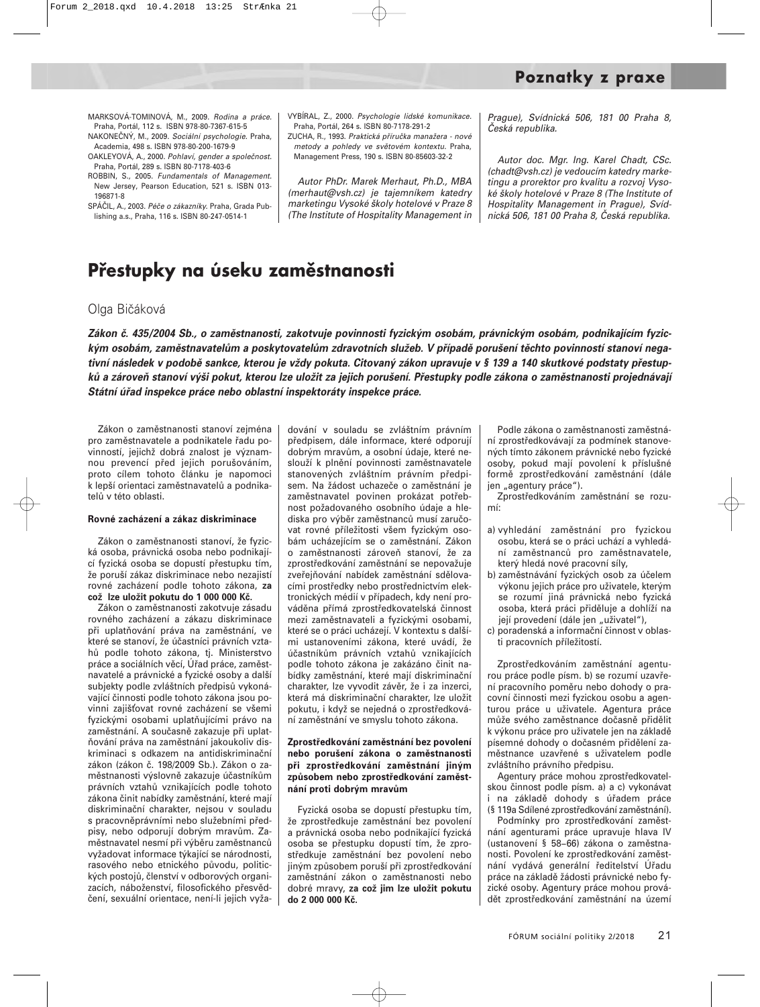MARKSOVÁ-TOMINOVÁ, M., 2009. Rodina a práce. Praha, Portál, 112 s. ISBN 978-80-7367-615-5

NAKONEČNÝ, M., 2009. Sociální psychologie. Praha, Academia, 498 s. ISBN 978-80-200-1679-9

OAKLEYOVÁ, A., 2000. Pohlaví, gender a společnost. Praha, Portál, 289 s. ISBN 80-7178-403-6

ROBBIN, S., 2005. Fundamentals of Management. New Jersey, Pearson Education, 521 s. ISBN 013- 196871-8

SPÁČIL, A., 2003. Péče o zákazníky. Praha, Grada Publishing a.s., Praha, 116 s. ISBN 80-247-0514-1

VYBÍRAL, Z., 2000. Psychologie lidské komunikace. Praha, Portál, 264 s. ISBN 80-7178-291-2

ZUCHA, R., 1993. Praktická příručka manažera - nové metody a pohledy ve světovém kontextu. Praha, Management Press, 190 s. ISBN 80-85603-32-2

Autor PhDr. Marek Merhaut, Ph.D., MBA (merhaut@vsh.cz) je tajemníkem katedry marketingu Vysoké školy hotelové v Praze 8 (The Institute of Hospitality Management in Prague), Svídnická 506, 181 00 Praha 8, Česká republika.

Autor doc. Mgr. Ing. Karel Chadt, CSc. (chadt@vsh.cz) je vedoucím katedry marketingu a prorektor pro kvalitu a rozvoj Vysoké školy hotelové v Praze 8 (The Institute of Hospitality Management in Prague), Svídnická 506, 181 00 Praha 8, Česká republika.

## **Přestupky na úseku zaměstnanosti**

#### Olga Bičáková

*Zákon č. 435/2004 Sb., o zaměstnanosti, zakotvuje povinnosti fyzickým osobám, právnickým osobám, podnikajícím fyzickým osobám, zaměstnavatelům a poskytovatelům zdravotních služeb. V případě porušení těchto povinností stanoví negativní následek v podobě sankce, kterou je vždy pokuta. Citovaný zákon upravuje v § 139 a 140 skutkové podstaty přestupků a zároveň stanoví výši pokut, kterou lze uložit za jejich porušení. Přestupky podle zákona o zaměstnanosti projednávají Státní úřad inspekce práce nebo oblastní inspektoráty inspekce práce.*

Zákon o zaměstnanosti stanoví zejména pro zaměstnavatele a podnikatele řadu povinností, jejichž dobrá znalost je významnou prevencí před jejich porušováním, proto cílem tohoto článku je napomoci k lepší orientaci zaměstnavatelů a podnikatelů v této oblasti.

#### **Rovné zacházení a zákaz diskriminace**

Zákon o zaměstnanosti stanoví, že fyzická osoba, právnická osoba nebo podnikající fyzická osoba se dopustí přestupku tím, že poruší zákaz diskriminace nebo nezajistí rovné zacházení podle tohoto zákona, **za což lze uložit pokutu do 1 000 000 Kč.**

Zákon o zaměstnanosti zakotvuje zásadu rovného zacházení a zákazu diskriminace při uplatňování práva na zaměstnání, ve které se stanoví, že účastníci právních vztahů podle tohoto zákona, tj. Ministerstvo práce a sociálních věcí, Úřad práce, zaměstnavatelé a právnické a fyzické osoby a další subjekty podle zvláštních předpisů vykonávající činnosti podle tohoto zákona jsou povinni zajišovat rovné zacházení se všemi fyzickými osobami uplatňujícími právo na zaměstnání. A současně zakazuje při uplatňování práva na zaměstnání jakoukoliv diskriminaci s odkazem na antidiskriminační zákon (zákon č. 198/2009 Sb.). Zákon o zaměstnanosti výslovně zakazuje účastníkům právních vztahů vznikajících podle tohoto zákona činit nabídky zaměstnání, které mají diskriminační charakter, nejsou v souladu s pracovněprávními nebo služebními předpisy, nebo odporují dobrým mravům. Zaměstnavatel nesmí při výběru zaměstnanců vyžadovat informace týkající se národnosti, rasového nebo etnického původu, politických postojů, členství v odborových organizacích, náboženství, filosofického přesvědčení, sexuální orientace, není-li jejich vyža-

dování v souladu se zvláštním právním předpisem, dále informace, které odporují dobrým mravům, a osobní údaje, které neslouží k plnění povinnosti zaměstnavatele stanovených zvláštním právním předpisem. Na žádost uchazeče o zaměstnání je zaměstnavatel povinen prokázat potřebnost požadovaného osobního údaje a hlediska pro výběr zaměstnanců musí zaručovat rovné příležitosti všem fyzickým osobám ucházejícím se o zaměstnání. Zákon o zaměstnanosti zároveň stanoví, že za zprostředkování zaměstnání se nepovažuje zveřejňování nabídek zaměstnání sdělovacími prostředky nebo prostřednictvím elektronických médií v případech, kdy není prováděna přímá zprostředkovatelská činnost mezi zaměstnavateli a fyzickými osobami, které se o práci ucházejí. V kontextu s dalšími ustanoveními zákona, které uvádí, že účastníkům právních vztahů vznikajících podle tohoto zákona je zakázáno činit nabídky zaměstnání, které mají diskriminační charakter, lze vyvodit závěr, že i za inzerci, která má diskriminační charakter, lze uložit pokutu, i když se nejedná o zprostředkování zaměstnání ve smyslu tohoto zákona.

#### **Zprostředkování zaměstnání bez povolení nebo porušení zákona o zaměstnanosti při zprostředkování zaměstnání jiným způsobem nebo zprostředkování zaměstnání proti dobrým mravům**

Fyzická osoba se dopustí přestupku tím, že zprostředkuje zaměstnání bez povolení a právnická osoba nebo podnikající fyzická osoba se přestupku dopustí tím, že zprostředkuje zaměstnání bez povolení nebo jiným způsobem poruší při zprostředkování zaměstnání zákon o zaměstnanosti nebo dobré mravy, **za což jim lze uložit pokutu do 2 000 000 Kč.**

Podle zákona o zaměstnanosti zaměstnání zprostředkovávají za podmínek stanovených tímto zákonem právnické nebo fyzické osoby, pokud mají povolení k příslušné formě zprostředkování zaměstnání (dále jen "agentury práce").

Zprostředkováním zaměstnání se rozumí:

- a) vyhledání zaměstnání pro fyzickou osobu, která se o práci uchází a vyhledání zaměstnanců pro zaměstnavatele, který hledá nové pracovní síly,
- b) zaměstnávání fyzických osob za účelem výkonu jejich práce pro uživatele, kterým se rozumí jiná právnická nebo fyzická osoba, která práci přiděluje a dohlíží na její provedení (dále jen "uživatel"),
- c) poradenská a informační činnost v oblasti pracovních příležitostí.

Zprostředkováním zaměstnání agenturou práce podle písm. b) se rozumí uzavření pracovního poměru nebo dohody o pracovní činnosti mezi fyzickou osobu a agenturou práce u uživatele. Agentura práce může svého zaměstnance dočasně přidělit k výkonu práce pro uživatele jen na základě písemné dohody o dočasném přidělení zaměstnance uzavřené s uživatelem podle zvláštního právního předpisu.

Agentury práce mohou zprostředkovatelskou činnost podle písm. a) a c) vykonávat i na základě dohody s úřadem práce (§ 119a Sdílené zprostředkování zaměstnání).

Podmínky pro zprostředkování zaměstnání agenturami práce upravuje hlava IV (ustanovení § 58−66) zákona o zaměstnanosti. Povolení ke zprostředkování zaměstnání vydává generální ředitelství Úřadu práce na základě žádosti právnické nebo fyzické osoby. Agentury práce mohou provádět zprostředkování zaměstnání na území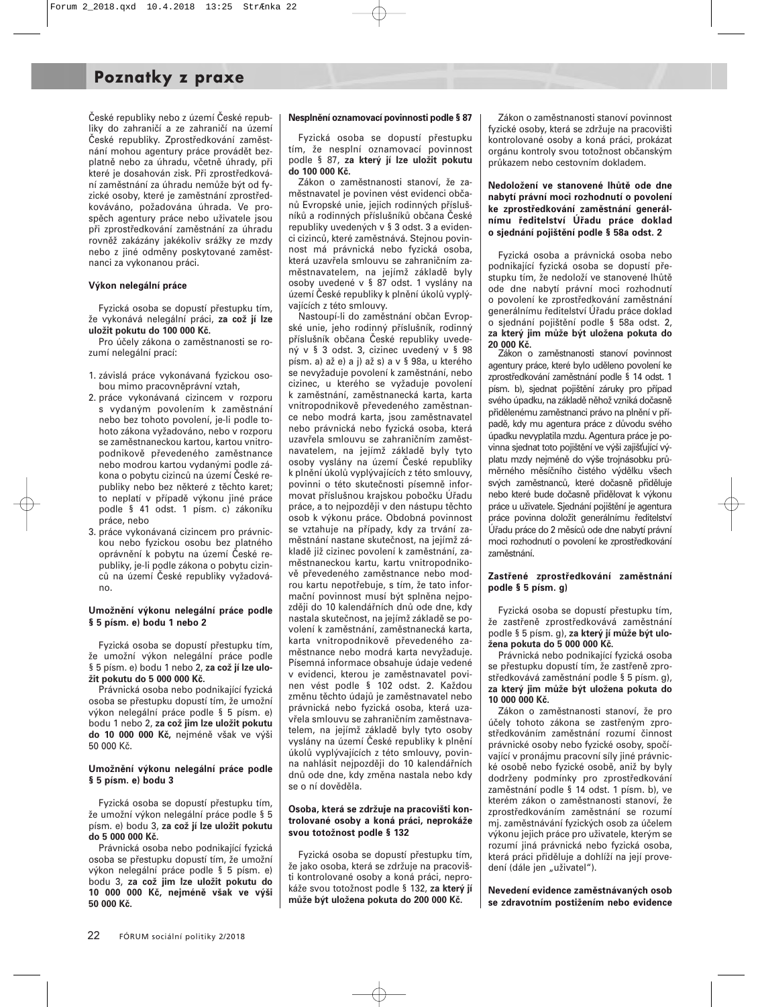## **Poznatky z praxe**

České republiky nebo z území České republiky do zahraničí a ze zahraničí na území České republiky. Zprostředkování zaměstnání mohou agentury práce provádět bezplatně nebo za úhradu, včetně úhrady, při které je dosahován zisk. Při zprostředkování zaměstnání za úhradu nemůže být od fyzické osoby, které je zaměstnání zprostředkováváno, požadována úhrada. Ve prospěch agentury práce nebo uživatele jsou při zprostředkování zaměstnání za úhradu rovněž zakázány jakékoliv srážky ze mzdy nebo z jiné odměny poskytované zaměstnanci za vykonanou práci.

#### **Výkon nelegální práce**

Fyzická osoba se dopustí přestupku tím, že vykonává nelegální práci, **za což jí lze uložit pokutu do 100 000 Kč.**

Pro účely zákona o zaměstnanosti se rozumí nelegální prací:

- 1. závislá práce vykonávaná fyzickou osobou mimo pracovněprávní vztah,
- 2. práce vykonávaná cizincem v rozporu s vydaným povolením k zaměstnání nebo bez tohoto povolení, je-li podle tohoto zákona vyžadováno, nebo v rozporu se zaměstnaneckou kartou, kartou vnitropodnikově převedeného zaměstnance nebo modrou kartou vydanými podle zákona o pobytu cizinců na území České republiky nebo bez některé z těchto karet; to neplatí v případě výkonu jiné práce podle § 41 odst. 1 písm. c) zákoníku práce, nebo
- 3. práce vykonávaná cizincem pro právnickou nebo fyzickou osobu bez platného oprávnění k pobytu na území České republiky, je-li podle zákona o pobytu cizinců na území České republiky vyžadováno.

#### **Umožnění výkonu nelegální práce podle § 5 písm. e) bodu 1 nebo 2**

Fyzická osoba se dopustí přestupku tím, že umožní výkon nelegální práce podle § 5 písm. e) bodu 1 nebo 2, **za což jí lze uložit pokutu do 5 000 000 Kč.**

Právnická osoba nebo podnikající fyzická osoba se přestupku dopustí tím, že umožní výkon nelegální práce podle § 5 písm. e) bodu 1 nebo 2, **za což jim lze uložit pokutu do 10 000 000 Kč,** nejméně však ve výši 50 000 Kč.

#### **Umožnění výkonu nelegální práce podle § 5 písm. e) bodu 3**

Fyzická osoba se dopustí přestupku tím, že umožní výkon nelegální práce podle § 5 písm. e) bodu 3, **za což jí lze uložit pokutu do 5 000 000 Kč.**

Právnická osoba nebo podnikající fyzická osoba se přestupku dopustí tím, že umožní výkon nelegální práce podle § 5 písm. e) bodu 3, **za což jim lze uložit pokutu do 10 000 000 Kč, nejméně však ve výši 50 000 Kč.**

#### **Nesplnění oznamovací povinnosti podle § 87**

Fyzická osoba se dopustí přestupku tím, že nesplní oznamovací povinnost podle § 87, **za který jí lze uložit pokutu do 100 000 Kč.**

Zákon o zaměstnanosti stanoví, že zaměstnavatel je povinen vést evidenci občanů Evropské unie, jejich rodinných příslušníků a rodinných příslušníků občana České republiky uvedených v § 3 odst. 3 a evidenci cizinců, které zaměstnává. Stejnou povinnost má právnická nebo fyzická osoba, která uzavřela smlouvu se zahraničním zaměstnavatelem, na jejímž základě byly osoby uvedené v § 87 odst. 1 vyslány na území České republiky k plnění úkolů vyplývajících z této smlouvy.

Nastoupí-li do zaměstnání občan Evropské unie, jeho rodinný příslušník, rodinný příslušník občana České republiky uvedený v § 3 odst. 3, cizinec uvedený v § 98 písm. a) až e) a j) až s) a v § 98a, u kterého se nevyžaduje povolení k zaměstnání, nebo cizinec, u kterého se vyžaduje povolení k zaměstnání, zaměstnanecká karta, karta vnitropodnikově převedeného zaměstnance nebo modrá karta, jsou zaměstnavatel nebo právnická nebo fyzická osoba, která uzavřela smlouvu se zahraničním zaměstnavatelem, na jejímž základě byly tyto osoby vyslány na území České republiky k plnění úkolů vyplývajících z této smlouvy, povinni o této skutečnosti písemně informovat příslušnou krajskou pobočku Úřadu práce, a to nejpozději v den nástupu těchto osob k výkonu práce. Obdobná povinnost se vztahuje na případy, kdy za trvání zaměstnání nastane skutečnost, na jejímž základě již cizinec povolení k zaměstnání, zaměstnaneckou kartu, kartu vnitropodnikově převedeného zaměstnance nebo modrou kartu nepotřebuje, s tím, že tato informační povinnost musí být splněna nejpozději do 10 kalendářních dnů ode dne, kdy nastala skutečnost, na jejímž základě se povolení k zaměstnání, zaměstnanecká karta, karta vnitropodnikově převedeného zaměstnance nebo modrá karta nevyžaduje. Písemná informace obsahuje údaje vedené v evidenci, kterou je zaměstnavatel povinen vést podle § 102 odst. 2. Každou změnu těchto údajů je zaměstnavatel nebo právnická nebo fyzická osoba, která uzavřela smlouvu se zahraničním zaměstnavatelem, na jejímž základě byly tyto osoby vyslány na území České republiky k plnění úkolů vyplývajících z této smlouvy, povinna nahlásit nejpozději do 10 kalendářních dnů ode dne, kdy změna nastala nebo kdy se o ní dověděla.

#### **Osoba, která se zdržuje na pracovišti kontrolované osoby a koná práci, neprokáže svou totožnost podle § 132**

Fyzická osoba se dopustí přestupku tím, že jako osoba, která se zdržuje na pracovišti kontrolované osoby a koná práci, neprokáže svou totožnost podle § 132, **za který jí může být uložena pokuta do 200 000 Kč.**

Zákon o zaměstnanosti stanoví povinnost fyzické osoby, která se zdržuje na pracovišti kontrolované osoby a koná práci, prokázat orgánu kontroly svou totožnost občanským průkazem nebo cestovním dokladem.

#### **Nedoložení ve stanovené lhůtě ode dne nabytí právní moci rozhodnutí o povolení ke zprostředkování zaměstnání generálnímu ředitelství Úřadu práce doklad o sjednání pojištění podle § 58a odst. 2**

Fyzická osoba a právnická osoba nebo podnikající fyzická osoba se dopustí přestupku tím, že nedoloží ve stanovené lhůtě ode dne nabytí právní moci rozhodnutí o povolení ke zprostředkování zaměstnání generálnímu ředitelství Úřadu práce doklad o sjednání pojištění podle § 58a odst. 2, **za který jim může být uložena pokuta do 20 000 Kč.**

Zákon o zaměstnanosti stanoví povinnost agentury práce, které bylo uděleno povolení ke zprostředkování zaměstnání podle § 14 odst. 1 písm. b), sjednat pojištění záruky pro případ svého úpadku, na základě něhož vzniká dočasně přidělenému zaměstnanci právo na plnění v případě, kdy mu agentura práce z důvodu svého úpadku nevyplatila mzdu. Agentura práce je povinna sjednat toto pojištění ve výši zajišťující výplatu mzdy nejméně do výše trojnásobku průměrného měsíčního čistého výdělku všech svých zaměstnanců, které dočasně přiděluje nebo které bude dočasně přidělovat k výkonu práce u uživatele. Sjednání pojištění je agentura práce povinna doložit generálnímu ředitelství Úřadu práce do 2 měsíců ode dne nabytí právní moci rozhodnutí o povolení ke zprostředkování zaměstnání.

#### **Zastřené zprostředkování zaměstnání podle § 5 písm. g)**

Fyzická osoba se dopustí přestupku tím, že zastřeně zprostředkovává zaměstnání podle § 5 písm. g), **za který jí může být uložena pokuta do 5 000 000 Kč.**

Právnická nebo podnikající fyzická osoba se přestupku dopustí tím, že zastřeně zprostředkovává zaměstnání podle § 5 písm. g), **za který jim může být uložena pokuta do 10 000 000 Kč.**

Zákon o zaměstnanosti stanoví, že pro účely tohoto zákona se zastřeným zprostředkováním zaměstnání rozumí činnost právnické osoby nebo fyzické osoby, spočívající v pronájmu pracovní síly jiné právnické osobě nebo fyzické osobě, aniž by byly dodrženy podmínky pro zprostředkování zaměstnání podle § 14 odst. 1 písm. b), ve kterém zákon o zaměstnanosti stanoví, že zprostředkováním zaměstnání se rozumí mj. zaměstnávání fyzických osob za účelem výkonu jejich práce pro uživatele, kterým se rozumí jiná právnická nebo fyzická osoba, která práci přiděluje a dohlíží na její provedení (dále jen "uživatel").

**Nevedení evidence zaměstnávaných osob se zdravotním postižením nebo evidence**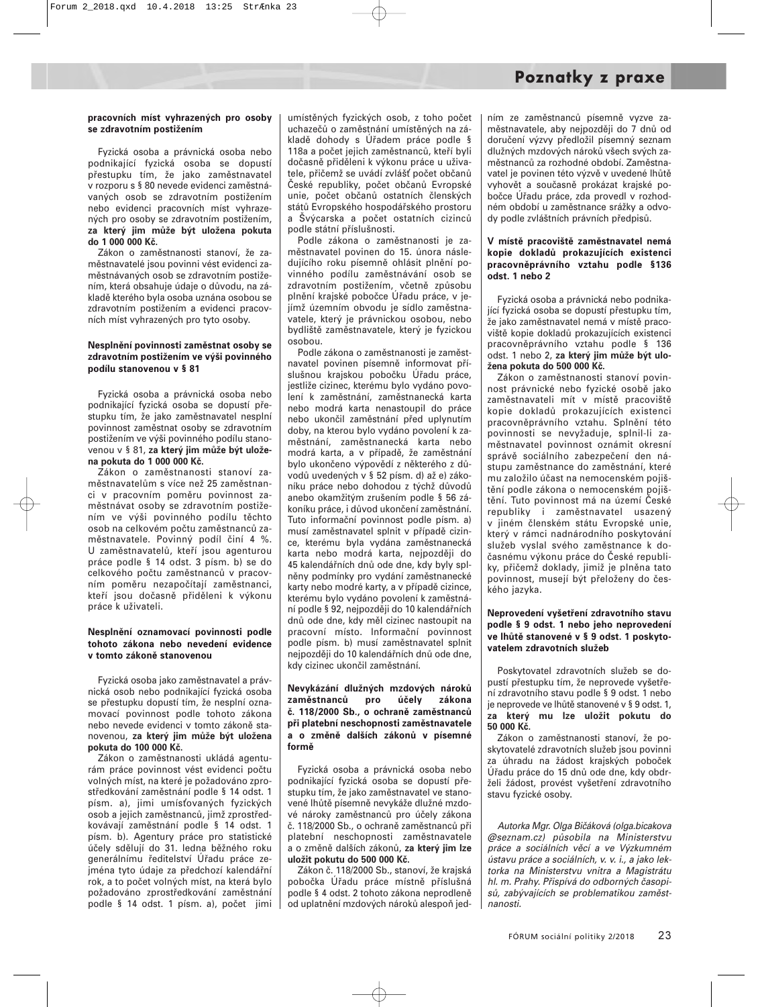#### **pracovních míst vyhrazených pro osoby se zdravotním postižením**

Fyzická osoba a právnická osoba nebo podnikající fyzická osoba se dopustí přestupku tím, že jako zaměstnavatel v rozporu s § 80 nevede evidenci zaměstnávaných osob se zdravotním postižením nebo evidenci pracovních míst vyhrazených pro osoby se zdravotním postižením, **za který jim může být uložena pokuta do 1 000 000 Kč.**

Zákon o zaměstnanosti stanoví, že zaměstnavatelé jsou povinni vést evidenci zaměstnávaných osob se zdravotním postižením, která obsahuje údaje o důvodu, na základě kterého byla osoba uznána osobou se zdravotním postižením a evidenci pracovních míst vyhrazených pro tyto osoby.

#### **Nesplnění povinnosti zaměstnat osoby se zdravotním postižením ve výši povinného podílu stanovenou v § 81**

Fyzická osoba a právnická osoba nebo podnikající fyzická osoba se dopustí přestupku tím, že jako zaměstnavatel nesplní povinnost zaměstnat osoby se zdravotním postižením ve výši povinného podílu stanovenou v § 81, **za který jim může být uložena pokuta do 1 000 000 Kč.**

Zákon o zaměstnanosti stanoví zaměstnavatelům s více než 25 zaměstnanci v pracovním poměru povinnost zaměstnávat osoby se zdravotním postižením ve výši povinného podílu těchto osob na celkovém počtu zaměstnanců zaměstnavatele. Povinný podíl činí 4 %. U zaměstnavatelů, kteří jsou agenturou práce podle § 14 odst. 3 písm. b) se do celkového počtu zaměstnanců v pracovním poměru nezapočítají zaměstnanci, kteří jsou dočasně přiděleni k výkonu práce k uživateli.

#### **Nesplnění oznamovací povinnosti podle tohoto zákona nebo nevedení evidence v tomto zákoně stanovenou**

Fyzická osoba jako zaměstnavatel a právnická osob nebo podnikající fyzická osoba se přestupku dopustí tím, že nesplní oznamovací povinnost podle tohoto zákona nebo nevede evidenci v tomto zákoně stanovenou, **za který jim může být uložena pokuta do 100 000 Kč.**

Zákon o zaměstnanosti ukládá agenturám práce povinnost vést evidenci počtu volných míst, na které je požadováno zprostředkování zaměstnání podle § 14 odst. 1 písm. a), jimi umísťovaných fyzických osob a jejich zaměstnanců, jimž zprostředkovávají zaměstnání podle § 14 odst. 1 písm. b). Agentury práce pro statistické účely sdělují do 31. ledna běžného roku generálnímu ředitelství Úřadu práce zejména tyto údaje za předchozí kalendářní rok, a to počet volných míst, na která bylo požadováno zprostředkování zaměstnání podle § 14 odst. 1 písm. a), počet jimi umístěných fyzických osob, z toho počet uchazečů o zaměstnání umístěných na základě dohody s Úřadem práce podle § 118a a počet jejich zaměstnanců, kteří byli dočasně přiděleni k výkonu práce u uživatele, přičemž se uvádí zvlášť počet občanů České republiky, počet občanů Evropské unie, počet občanů ostatních členských států Evropského hospodářského prostoru a Švýcarska a počet ostatních cizinců podle státní příslušnosti.

Podle zákona o zaměstnanosti je zaměstnavatel povinen do 15. února následujícího roku písemně ohlásit plnění povinného podílu zaměstnávání osob se zdravotním postižením, včetně způsobu plnění krajské pobočce Úřadu práce, v jejímž územním obvodu je sídlo zaměstnavatele, který je právnickou osobou, nebo bydliště zaměstnavatele, který je fyzickou osobou.

Podle zákona o zaměstnanosti je zaměstnavatel povinen písemně informovat příslušnou krajskou pobočku Úřadu práce, jestliže cizinec, kterému bylo vydáno povolení k zaměstnání, zaměstnanecká karta nebo modrá karta nenastoupil do práce nebo ukončil zaměstnání před uplynutím doby, na kterou bylo vydáno povolení k zaměstnání, zaměstnanecká karta nebo modrá karta, a v případě, že zaměstnání bylo ukončeno výpovědí z některého z důvodů uvedených v § 52 písm. d) až e) zákoníku práce nebo dohodou z týchž důvodů anebo okamžitým zrušením podle § 56 zákoníku práce, i důvod ukončení zaměstnání. Tuto informační povinnost podle písm. a) musí zaměstnavatel splnit v případě cizince, kterému byla vydána zaměstnanecká karta nebo modrá karta, nejpozději do 45 kalendářních dnů ode dne, kdy byly splněny podmínky pro vydání zaměstnanecké karty nebo modré karty, a v případě cizince, kterému bylo vydáno povolení k zaměstnání podle § 92, nejpozději do 10 kalendářních dnů ode dne, kdy měl cizinec nastoupit na pracovní místo. Informační povinnost podle písm. b) musí zaměstnavatel splnit nejpozději do 10 kalendářních dnů ode dne, kdy cizinec ukončil zaměstnání.

#### **Nevykázání dlužných mzdových nároků zaměstnanců pro účely zákona č. 118/2000 Sb., o ochraně zaměstnanců při platební neschopnosti zaměstnavatele a o změně dalších zákonů v písemné formě**

Fyzická osoba a právnická osoba nebo podnikající fyzická osoba se dopustí přestupku tím, že jako zaměstnavatel ve stanovené lhůtě písemně nevykáže dlužné mzdové nároky zaměstnanců pro účely zákona č. 118/2000 Sb., o ochraně zaměstnanců při platební neschopnosti zaměstnavatele a o změně dalších zákonů, **za který jim lze uložit pokutu do 500 000 Kč.**

Zákon č. 118/2000 Sb., stanoví, že krajská pobočka Úřadu práce místně příslušná podle § 4 odst. 2 tohoto zákona neprodleně od uplatnění mzdových nároků alespoň jedním ze zaměstnanců písemně vyzve zaměstnavatele, aby nejpozději do 7 dnů od doručení výzvy předložil písemný seznam dlužných mzdových nároků všech svých zaměstnanců za rozhodné období. Zaměstnavatel je povinen této výzvě v uvedené lhůtě vyhovět a současně prokázat krajské pobočce Úřadu práce, zda provedl v rozhodném období u zaměstnance srážky a odvody podle zvláštních právních předpisů.

#### **V místě pracoviště zaměstnavatel nemá kopie dokladů prokazujících existenci pracovněprávního vztahu podle §136 odst. 1 nebo 2**

Fyzická osoba a právnická nebo podnikající fyzická osoba se dopustí přestupku tím, že jako zaměstnavatel nemá v místě pracoviště kopie dokladů prokazujících existenci pracovněprávního vztahu podle § 136 odst. 1 nebo 2, **za který jim může být uložena pokuta do 500 000 Kč.**

Zákon o zaměstnanosti stanoví povinnost právnické nebo fyzické osobě jako zaměstnavateli mít v místě pracoviště kopie dokladů prokazujících existenci pracovněprávního vztahu. Splnění této povinnosti se nevyžaduje, splnil-li zaměstnavatel povinnost oznámit okresní správě sociálního zabezpečení den nástupu zaměstnance do zaměstnání, které mu založilo účast na nemocenském pojištění podle zákona o nemocenském pojištění. Tuto povinnost má na území České republiky i zaměstnavatel usazený v jiném členském státu Evropské unie, který v rámci nadnárodního poskytování služeb vyslal svého zaměstnance k dočasnému výkonu práce do České republiky, přičemž doklady, jimiž je plněna tato povinnost, musejí být přeloženy do českého jazyka.

#### **Neprovedení vyšetření zdravotního stavu podle § 9 odst. 1 nebo jeho neprovedení ve lhůtě stanovené v § 9 odst. 1 poskytovatelem zdravotních služeb**

Poskytovatel zdravotních služeb se dopustí přestupku tím, že neprovede vyšetření zdravotního stavu podle § 9 odst. 1 nebo je neprovede ve lhůtě stanovené v § 9 odst. 1, **za který mu lze uložit pokutu do 50 000 Kč.**

Zákon o zaměstnanosti stanoví, že poskytovatelé zdravotních služeb jsou povinni za úhradu na žádost krajských poboček Úřadu práce do 15 dnů ode dne, kdy obdrželi žádost, provést vyšetření zdravotního stavu fyzické osoby.

Autorka Mgr. Olga Bičáková (olga.bicakova @seznam.cz) působila na Ministerstvu práce a sociálních věcí a ve Výzkumném ústavu práce a sociálních, v. v. i., a jako lektorka na Ministerstvu vnitra a Magistrátu hl. m. Prahy. Přispívá do odborných časopisů, zabývajících se problematikou zaměstnanosti.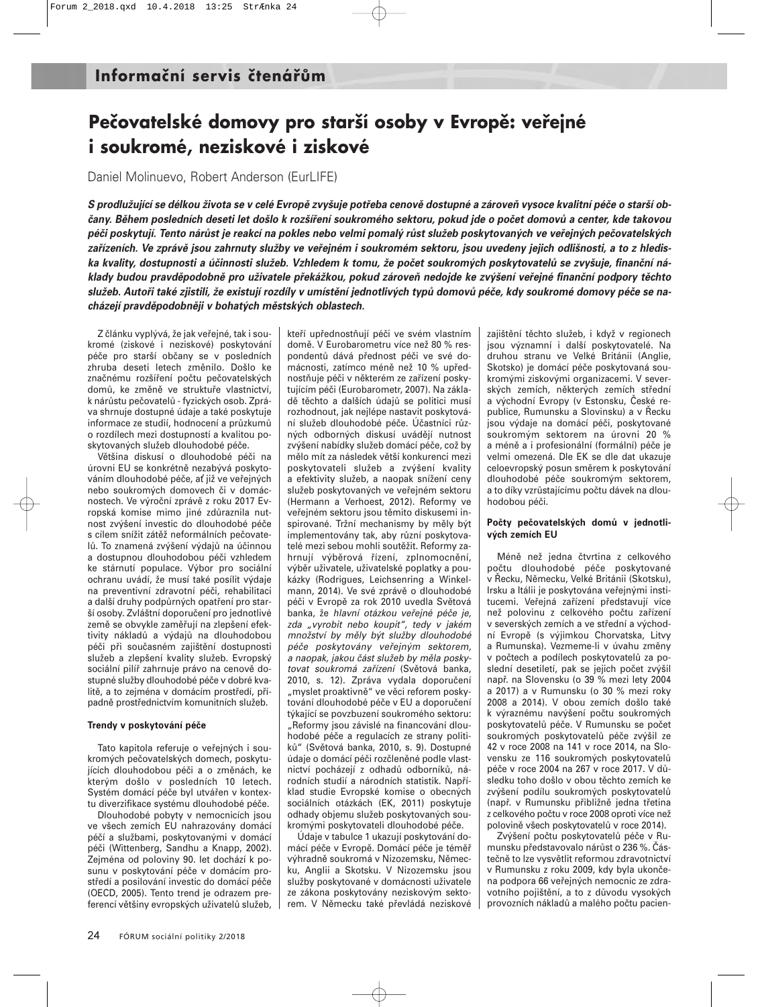## **Pečovatelské domovy pro starší osoby v Evropě: veřejné i soukromé, neziskové i ziskové**

Daniel Molinuevo, Robert Anderson (EurLIFE)

*S prodlužující se délkou života se v celé Evropě zvyšuje potřeba cenově dostupné a zároveň vysoce kvalitní péče o starší občany. Během posledních deseti let došlo k rozšíření soukromého sektoru, pokud jde o počet domovů a center, kde takovou péči poskytují. Tento nárůst je reakcí na pokles nebo velmi pomalý růst služeb poskytovaných ve veřejných pečovatelských zařízeních. Ve zprávě jsou zahrnuty služby ve veřejném i soukromém sektoru, jsou uvedeny jejich odlišnosti, a to z hlediska kvality, dostupnosti a účinnosti služeb. Vzhledem k tomu, že počet soukromých poskytovatelů se zvyšuje, finanční náklady budou pravděpodobně pro uživatele překážkou, pokud zároveň nedojde ke zvýšení veřejné finanční podpory těchto služeb. Autoři také zjistili, že existují rozdíly v umístění jednotlivých typů domovů péče, kdy soukromé domovy péče se nacházejí pravděpodobněji v bohatých městských oblastech.* 

Z článku vyplývá, že jak veřejné, tak i soukromé (ziskové i neziskové) poskytování péče pro starší občany se v posledních zhruba deseti letech změnilo. Došlo ke značnému rozšíření počtu pečovatelských domů, ke změně ve struktuře vlastnictví, k nárůstu pečovatelů - fyzických osob. Zpráva shrnuje dostupné údaje a také poskytuje informace ze studií, hodnocení a průzkumů o rozdílech mezi dostupností a kvalitou poskytovaných služeb dlouhodobé péče.

Většina diskusí o dlouhodobé péči na úrovni EU se konkrétně nezabývá poskytováním dlouhodobé péče, ať již ve veřejných nebo soukromých domovech či v domácnostech. Ve výroční zprávě z roku 2017 Evropská komise mimo jiné zdůraznila nutnost zvýšení investic do dlouhodobé péče s cílem snížit zátěž neformálních pečovatelů. To znamená zvýšení výdajů na účinnou a dostupnou dlouhodobou péči vzhledem ke stárnutí populace. Výbor pro sociální ochranu uvádí, že musí také posílit výdaje na preventivní zdravotní péči, rehabilitaci a další druhy podpůrných opatření pro starší osoby. Zvláštní doporučení pro jednotlivé země se obvykle zaměřují na zlepšení efektivity nákladů a výdajů na dlouhodobou péči při současném zajištění dostupnosti služeb a zlepšení kvality služeb. Evropský sociální pilíř zahrnuje právo na cenově dostupné služby dlouhodobé péče v dobré kvalitě, a to zejména v domácím prostředí, případně prostřednictvím komunitních služeb.

#### **Trendy v poskytování péče**

Tato kapitola referuje o veřejných i soukromých pečovatelských domech, poskytujících dlouhodobou péči a o změnách, ke kterým došlo v posledních 10 letech. Systém domácí péče byl utvářen v kontextu diverzifikace systému dlouhodobé péče.

Dlouhodobé pobyty v nemocnicích jsou ve všech zemích EU nahrazovány domácí péčí a službami, poskytovanými v domácí péči (Wittenberg, Sandhu a Knapp, 2002). Zejména od poloviny 90. let dochází k posunu v poskytování péče v domácím prostředí a posilování investic do domácí péče (OECD, 2005). Tento trend je odrazem preferencí většiny evropských uživatelů služeb, kteří upřednostňují péči ve svém vlastním domě. V Eurobarometru více než 80 % respondentů dává přednost péči ve své domácnosti, zatímco méně než 10 % upřednostňuje péči v některém ze zařízení poskytujícím péči (Eurobarometr, 2007). Na základě těchto a dalších údajů se politici musí rozhodnout, jak nejlépe nastavit poskytování služeb dlouhodobé péče. Účastníci různých odborných diskusí uvádějí nutnost zvýšení nabídky služeb domácí péče, což by mělo mít za následek větší konkurenci mezi poskytovateli služeb a zvýšení kvality a efektivity služeb, a naopak snížení ceny služeb poskytovaných ve veřejném sektoru (Hermann a Verhoest, 2012). Reformy ve veřejném sektoru jsou těmito diskusemi inspirované. Tržní mechanismy by měly být implementovány tak, aby různí poskytovatelé mezi sebou mohli soutěžit. Reformy zahrnují výběrová řízení, zplnomocnění, výběr uživatele, uživatelské poplatky a poukázky (Rodrigues, Leichsenring a Winkelmann, 2014). Ve své zprávě o dlouhodobé péči v Evropě za rok 2010 uvedla Světová banka, že hlavní otázkou veřejné péče je, zda "vyrobit nebo koupit", tedy v jakém množství by měly být služby dlouhodobé péče poskytovány veřejným sektorem, a naopak, jakou část služeb by měla poskytovat soukromá zařízení (Světová banka, 2010, s. 12). Zpráva vydala doporučení "myslet proaktivně" ve věci reforem poskytování dlouhodobé péče v EU a doporučení týkající se povzbuzení soukromého sektoru: "Reformy jsou závislé na financování dlouhodobé péče a regulacích ze strany politiků" (Světová banka, 2010, s. 9). Dostupné údaje o domácí péči rozčleněné podle vlastnictví pocházejí z odhadů odborníků, národních studií a národních statistik. Například studie Evropské komise o obecných sociálních otázkách (EK, 2011) poskytuje odhady objemu služeb poskytovaných soukromými poskytovateli dlouhodobé péče.

Údaje v tabulce 1 ukazují poskytování domácí péče v Evropě. Domácí péče je téměř výhradně soukromá v Nizozemsku, Německu, Anglii a Skotsku. V Nizozemsku jsou služby poskytované v domácnosti uživatele ze zákona poskytovány neziskovým sektorem. V Německu také převládá neziskové

zajištění těchto služeb, i když v regionech jsou významní i další poskytovatelé. Na druhou stranu ve Velké Británii (Anglie, Skotsko) je domácí péče poskytovaná soukromými ziskovými organizacemi. V severských zemích, některých zemích střední a východní Evropy (v Estonsku, České republice, Rumunsku a Slovinsku) a v Řecku jsou výdaje na domácí péči, poskytované soukromým sektorem na úrovni 20 % a méně a i profesionální (formální) péče je velmi omezená. Dle EK se dle dat ukazuje celoevropský posun směrem k poskytování dlouhodobé péče soukromým sektorem, a to díky vzrůstajícímu počtu dávek na dlouhodobou péči.

#### **Počty pečovatelských domů v jednotlivých zemích EU**

Méně než jedna čtvrtina z celkového počtu dlouhodobé péče poskytované v Řecku, Německu, Velké Británii (Skotsku), Irsku a Itálii je poskytována veřejnými institucemi. Veřejná zařízení představují více než polovinu z celkového počtu zařízení v severských zemích a ve střední a východní Evropě (s výjimkou Chorvatska, Litvy a Rumunska). Vezmeme-li v úvahu změny v počtech a podílech poskytovatelů za poslední desetiletí, pak se jejich počet zvýšil např. na Slovensku (o 39 % mezi lety 2004 a 2017) a v Rumunsku (o 30 % mezi roky 2008 a 2014). V obou zemích došlo také k výraznému navýšení počtu soukromých poskytovatelů péče. V Rumunsku se počet soukromých poskytovatelů péče zvýšil ze 42 v roce 2008 na 141 v roce 2014, na Slovensku ze 116 soukromých poskytovatelů péče v roce 2004 na 267 v roce 2017. V důsledku toho došlo v obou těchto zemích ke zvýšení podílu soukromých poskytovatelů (např. v Rumunsku přibližně jedna třetina z celkového počtu v roce 2008 oproti více než polovině všech poskytovatelů v roce 2014).

Zvýšení počtu poskytovatelů péče v Rumunsku představovalo nárůst o 236 %. Částečně to lze vysvětlit reformou zdravotnictví v Rumunsku z roku 2009, kdy byla ukončena podpora 66 veřejných nemocnic ze zdravotního pojištění, a to z důvodu vysokých provozních nákladů a malého počtu pacien-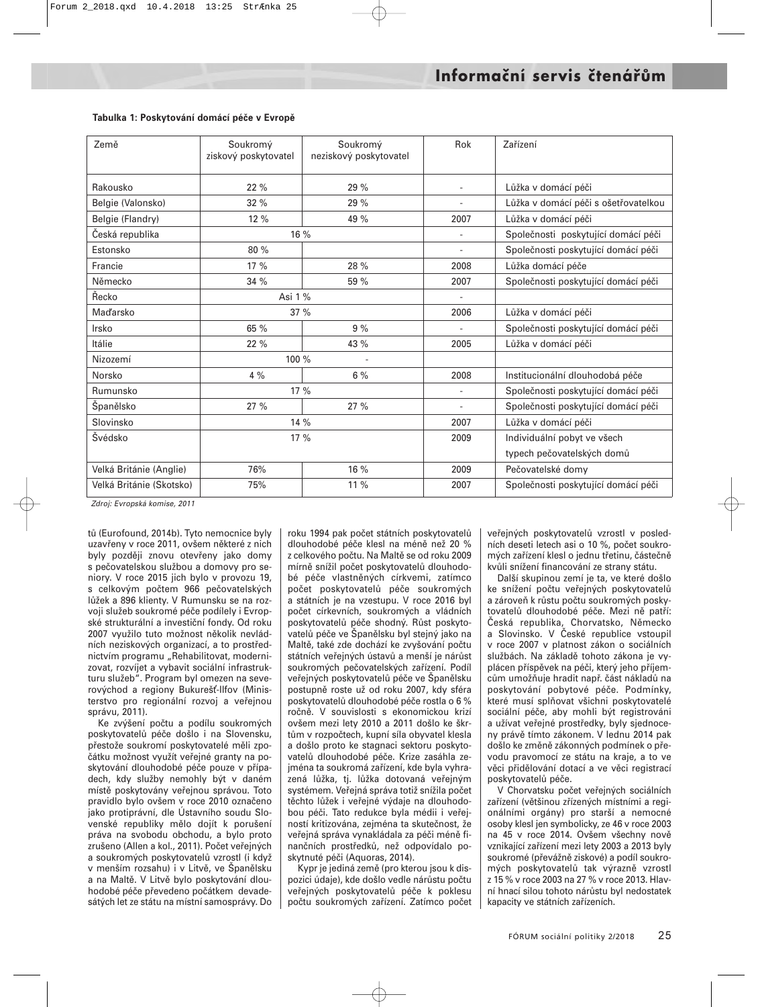| Země                     | Soukromý             | Soukromý               | Rok                      | Zařízení                             |
|--------------------------|----------------------|------------------------|--------------------------|--------------------------------------|
|                          | ziskový poskytovatel | neziskový poskytovatel |                          |                                      |
| Rakousko                 | 22%                  | 29 %                   |                          |                                      |
|                          |                      |                        |                          | Lůžka v domácí péči                  |
| Belgie (Valonsko)        | 32%                  | 29 %                   |                          | Lůžka v domácí péči s ošetřovatelkou |
| Belgie (Flandry)         | 12%                  | 49 %                   | 2007                     | Lůžka v domácí péči                  |
| Česká republika          | 16 %                 |                        |                          | Společnosti poskytující domácí péči  |
| Estonsko                 | 80 %                 |                        |                          | Společnosti poskytující domácí péči  |
| Francie                  | 17 %                 | 28 %                   | 2008                     | Lůžka domácí péče                    |
| Německo                  | 34 %                 | 59 %                   | 2007                     | Společnosti poskytující domácí péči  |
| Řecko                    | Asi 1 %              |                        |                          |                                      |
| <b>Maďarsko</b>          | 37%                  |                        | 2006                     | Lůžka v domácí péči                  |
| Irsko                    | 65 %                 | 9%                     |                          | Společnosti poskytující domácí péči  |
| Itálie                   | 22 %                 | 43 %                   | 2005                     | Lůžka v domácí péči                  |
| Nizozemí                 | 100 %                |                        |                          |                                      |
| Norsko                   | 4%                   | 6%                     | 2008                     | Institucionální dlouhodobá péče      |
| Rumunsko                 | 17 %                 |                        | $\sim$                   | Společnosti poskytující domácí péči  |
| Španělsko                | 27 %                 | 27 %                   | $\overline{\phantom{a}}$ | Společnosti poskytující domácí péči  |
| Slovinsko                | 14 %                 |                        | 2007                     | Lůžka v domácí péči                  |
| Švédsko                  | 17 %                 |                        | 2009                     | Individuální pobyt ve všech          |
|                          |                      |                        |                          | typech pečovatelských domů           |
| Velká Británie (Anglie)  | 76%                  | 16 %                   | 2009                     | Pečovatelské domy                    |
| Velká Británie (Skotsko) | 75%                  | 11 %                   | 2007                     | Společnosti poskytující domácí péči  |

#### **Tabulka 1: Poskytování domácí péče v Evropě**

Zdroj: Evropská komise, 2011

tů (Eurofound, 2014b). Tyto nemocnice byly uzavřeny v roce 2011, ovšem některé z nich byly později znovu otevřeny jako domy s pečovatelskou službou a domovy pro seniory. V roce 2015 jich bylo v provozu 19, s celkovým počtem 966 pečovatelských lůžek a 896 klienty. V Rumunsku se na rozvoji služeb soukromé péče podílely i Evropské strukturální a investiční fondy. Od roku 2007 využilo tuto možnost několik nevládních neziskových organizací, a to prostřednictvím programu "Rehabilitovat, modernizovat, rozvíjet a vybavit sociální infrastrukturu služeb". Program byl omezen na severovýchod a regiony Bukurešť-Ilfov (Ministerstvo pro regionální rozvoj a veřejnou správu, 2011).

Ke zvýšení počtu a podílu soukromých poskytovatelů péče došlo i na Slovensku, přestože soukromí poskytovatelé měli zpočátku možnost využít veřejné granty na poskytování dlouhodobé péče pouze v případech, kdy služby nemohly být v daném místě poskytovány veřejnou správou. Toto pravidlo bylo ovšem v roce 2010 označeno jako protiprávní, dle Ústavního soudu Slovenské republiky mělo dojít k porušení práva na svobodu obchodu, a bylo proto zrušeno (Allen a kol., 2011). Počet veřejných a soukromých poskytovatelů vzrostl (i když v menším rozsahu) i v Litvě, ve Španělsku a na Maltě. V Litvě bylo poskytování dlouhodobé péče převedeno počátkem devadesátých let ze státu na místní samosprávy. Do roku 1994 pak počet státních poskytovatelů dlouhodobé péče klesl na méně než 20 % z celkového počtu. Na Maltě se od roku 2009 mírně snížil počet poskytovatelů dlouhodobé péče vlastněných církvemi, zatímco počet poskytovatelů péče soukromých a státních je na vzestupu. V roce 2016 byl počet církevních, soukromých a vládních poskytovatelů péče shodný. Růst poskytovatelů péče ve Španělsku byl stejný jako na Maltě, také zde dochází ke zvyšování počtu státních veřejných ústavů a menší je nárůst soukromých pečovatelských zařízení. Podíl veřejných poskytovatelů péče ve Španělsku postupně roste už od roku 2007, kdy sféra poskytovatelů dlouhodobé péče rostla o 6 % ročně. V souvislosti s ekonomickou krizí ovšem mezi lety 2010 a 2011 došlo ke škrtům v rozpočtech, kupní síla obyvatel klesla a došlo proto ke stagnaci sektoru poskytovatelů dlouhodobé péče. Krize zasáhla zejména ta soukromá zařízení, kde byla vyhrazená lůžka, tj. lůžka dotovaná veřejným systémem. Veřejná správa totiž snížila počet těchto lůžek i veřejné výdaje na dlouhodobou péči. Tato redukce byla médii i veřejností kritizována, zejména ta skutečnost, že veřejná správa vynakládala za péči méně finančních prostředků, než odpovídalo poskytnuté péči (Aquoras, 2014).

Kypr je jediná země (pro kterou jsou k dispozici údaje), kde došlo vedle nárůstu počtu veřejných poskytovatelů péče k poklesu počtu soukromých zařízení. Zatímco počet veřejných poskytovatelů vzrostl v posledních deseti letech asi o 10 %, počet soukromých zařízení klesl o jednu třetinu, částečně kvůli snížení financování ze strany státu.

Další skupinou zemí je ta, ve které došlo ke snížení počtu veřejných poskytovatelů a zároveň k růstu počtu soukromých poskytovatelů dlouhodobé péče. Mezi ně patří: Česká republika, Chorvatsko, Německo a Slovinsko. V České republice vstoupil v roce 2007 v platnost zákon o sociálních službách. Na základě tohoto zákona je vyplácen příspěvek na péči, který jeho příjemcům umožňuje hradit např. část nákladů na poskytování pobytové péče. Podmínky, které musí splňovat všichni poskytovatelé sociální péče, aby mohli být registrováni a užívat veřejné prostředky, byly sjednoceny právě tímto zákonem. V lednu 2014 pak došlo ke změně zákonných podmínek o převodu pravomocí ze státu na kraje, a to ve věci přidělování dotací a ve věci registrací poskytovatelů péče.

V Chorvatsku počet veřejných sociálních zařízení (většinou zřízených místními a regionálními orgány) pro starší a nemocné osoby klesl jen symbolicky, ze 46 v roce 2003 na 45 v roce 2014. Ovšem všechny nově vznikající zařízení mezi lety 2003 a 2013 byly soukromé (převážně ziskové) a podíl soukromých poskytovatelů tak výrazně vzrostl z 15 % v roce 2003 na 27 % v roce 2013. Hlavní hnací silou tohoto nárůstu byl nedostatek kapacity ve státních zařízeních.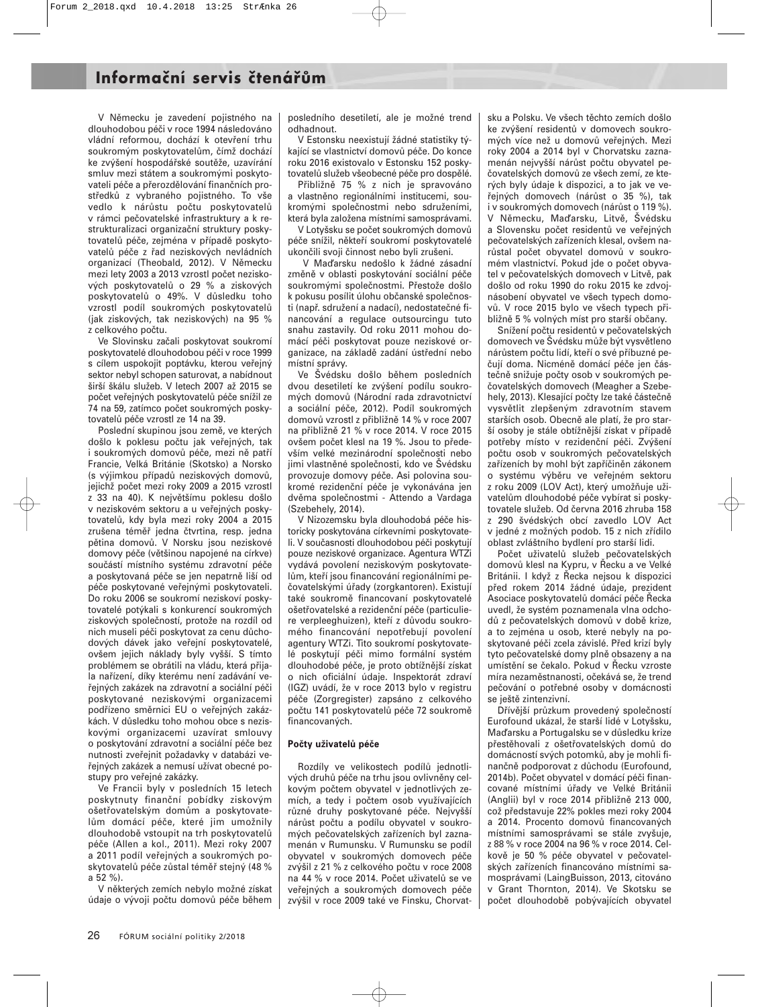V Německu je zavedení pojistného na dlouhodobou péči v roce 1994 následováno vládní reformou, dochází k otevření trhu soukromým poskytovatelům, čímž dochází ke zvýšení hospodářské soutěže, uzavírání smluv mezi státem a soukromými poskytovateli péče a přerozdělování finančních prostředků z vybraného pojistného. To vše vedlo k nárůstu počtu poskytovatelů v rámci pečovatelské infrastruktury a k restrukturalizaci organizační struktury poskytovatelů péče, zejména v případě poskytovatelů péče z řad neziskových nevládních organizací (Theobald, 2012). V Německu mezi lety 2003 a 2013 vzrostl počet neziskových poskytovatelů o 29 % a ziskových poskytovatelů o 49%. V důsledku toho vzrostl podíl soukromých poskytovatelů (jak ziskových, tak neziskových) na 95 % z celkového počtu.

Ve Slovinsku začali poskytovat soukromí poskytovatelé dlouhodobou péči v roce 1999 s cílem uspokojit poptávku, kterou veřejný sektor nebyl schopen saturovat, a nabídnout širší škálu služeb. V letech 2007 až 2015 se počet veřejných poskytovatelů péče snížil ze 74 na 59, zatímco počet soukromých poskytovatelů péče vzrostl ze 14 na 39.

Poslední skupinou jsou země, ve kterých došlo k poklesu počtu jak veřejných, tak i soukromých domovů péče, mezi ně patří Francie, Velká Británie (Skotsko) a Norsko (s výjimkou případů neziskových domovů, jejichž počet mezi roky 2009 a 2015 vzrostl z 33 na 40). K největšímu poklesu došlo v neziskovém sektoru a u veřejných poskytovatelů, kdy byla mezi roky 2004 a 2015 zrušena téměř jedna čtvrtina, resp. jedna pětina domovů. V Norsku jsou neziskové domovy péče (většinou napojené na církve) součástí místního systému zdravotní péče a poskytovaná péče se jen nepatrně liší od péče poskytované veřejnými poskytovateli. Do roku 2006 se soukromí neziskoví poskytovatelé potýkali s konkurencí soukromých ziskových společností, protože na rozdíl od nich museli péči poskytovat za cenu důchodových dávek jako veřejní poskytovatelé, ovšem jejich náklady byly vyšší. S tímto problémem se obrátili na vládu, která přijala nařízení, díky kterému není zadávání veřejných zakázek na zdravotní a sociální péči poskytované neziskovými organizacemi podřízeno směrnici EU o veřejných zakázkách. V důsledku toho mohou obce s neziskovými organizacemi uzavírat smlouvy o poskytování zdravotní a sociální péče bez nutnosti zveřejnit požadavky v databázi veřejných zakázek a nemusí užívat obecné postupy pro veřejné zakázky.

Ve Francii byly v posledních 15 letech poskytnuty finanční pobídky ziskovým ošetřovatelským domům a poskytovatelům domácí péče, které jim umožnily dlouhodobě vstoupit na trh poskytovatelů péče (Allen a kol., 2011). Mezi roky 2007 a 2011 podíl veřejných a soukromých poskytovatelů péče zůstal téměř stejný (48 % a 52 %).

V některých zemích nebylo možné získat údaje o vývoji počtu domovů péče během

posledního desetiletí, ale je možné trend odhadnout.

V Estonsku neexistují žádné statistiky týkající se vlastnictví domovů péče. Do konce roku 2016 existovalo v Estonsku 152 poskytovatelů služeb všeobecné péče pro dospělé.

Přibližně 75 % z nich je spravováno a vlastněno regionálními institucemi, soukromými společnostmi nebo sdruženími, která byla založena místními samosprávami.

V Lotyšsku se počet soukromých domovů péče snížil, někteří soukromí poskytovatelé ukončili svoji činnost nebo byli zrušeni.

V Maďarsku nedošlo k žádné zásadní změně v oblasti poskytování sociální péče soukromými společnostmi. Přestože došlo k pokusu posílit úlohu občanské společnosti (např. sdružení a nadací), nedostatečné financování a regulace outsourcingu tuto snahu zastavily. Od roku 2011 mohou domácí péči poskytovat pouze neziskové organizace, na základě zadání ústřední nebo místní správy.

Ve Švédsku došlo během posledních dvou desetiletí ke zvýšení podílu soukromých domovů (Národní rada zdravotnictví a sociální péče, 2012). Podíl soukromých domovů vzrostl z přibližně 14 % v roce 2007 na přibližně 21 % v roce 2014. V roce 2015 ovšem počet klesl na 19 %. Jsou to především velké mezinárodní společnosti nebo jimi vlastněné společnosti, kdo ve Švédsku provozuje domovy péče. Asi polovina soukromé rezidenční péče je vykonávána jen dvěma společnostmi - Attendo a Vardaga (Szebehely, 2014).

V Nizozemsku byla dlouhodobá péče historicky poskytována církevními poskytovateli. V současnosti dlouhodobou péči poskytují pouze neziskové organizace. Agentura WTZi vydává povolení neziskovým poskytovatelům, kteří jsou financování regionálními pečovatelskými úřady (zorgkantoren). Existují také soukromě financovaní poskytovatelé ošetřovatelské a rezidenční péče (particuliere verpleeghuizen), kteří z důvodu soukromého financování nepotřebují povolení agentury WTZi. Tito soukromí poskytovatelé poskytují péči mimo formální systém dlouhodobé péče, je proto obtížnější získat o nich oficiální údaje. Inspektorát zdraví (IGZ) uvádí, že v roce 2013 bylo v registru péče (Zorgregister) zapsáno z celkového počtu 141 poskytovatelů péče 72 soukromě financovaných.

#### **Počty uživatelů péče**

Rozdíly ve velikostech podílů jednotlivých druhů péče na trhu jsou ovlivněny celkovým počtem obyvatel v jednotlivých zemích, a tedy i počtem osob využívajících různé druhy poskytované péče. Nejvyšší nárůst počtu a podílu obyvatel v soukromých pečovatelských zařízeních byl zaznamenán v Rumunsku. V Rumunsku se podíl obyvatel v soukromých domovech péče zvýšil z 21 % z celkového počtu v roce 2008 na 44 % v roce 2014. Počet uživatelů se ve veřejných a soukromých domovech péče zvýšil v roce 2009 také ve Finsku, Chorvatsku a Polsku. Ve všech těchto zemích došlo ke zvýšení residentů v domovech soukromých více než u domovů veřejných. Mezi roky 2004 a 2014 byl v Chorvatsku zaznamenán nejvyšší nárůst počtu obyvatel pečovatelských domovů ze všech zemí, ze kterých byly údaje k dispozici, a to jak ve veřejných domovech (nárůst o 35 %), tak i v soukromých domovech (nárůst o 119 %). V Německu, Maďarsku, Litvě, Švédsku a Slovensku počet residentů ve veřejných pečovatelských zařízeních klesal, ovšem narůstal počet obyvatel domovů v soukromém vlastnictví. Pokud jde o počet obyvatel v pečovatelských domovech v Litvě, pak došlo od roku 1990 do roku 2015 ke zdvojnásobení obyvatel ve všech typech domovů. V roce 2015 bylo ve všech typech přibližně 5 % volných míst pro starší občany.

Snížení počtu residentů v pečovatelských domovech ve Švédsku může být vysvětleno nárůstem počtu lidí, kteří o své příbuzné pečují doma. Nicméně domácí péče jen částečně snižuje počty osob v soukromých pečovatelských domovech (Meagher a Szebehely, 2013). Klesající počty lze také částečně vysvětlit zlepšeným zdravotním stavem starších osob. Obecně ale platí, že pro starší osoby je stále obtížnější získat v případě potřeby místo v rezidenční péči. Zvýšení počtu osob v soukromých pečovatelských zařízeních by mohl být zapříčiněn zákonem o systému výběru ve veřejném sektoru z roku 2009 (LOV Act), který umožňuje uživatelům dlouhodobé péče vybírat si poskytovatele služeb. Od června 2016 zhruba 158 z 290 švédských obcí zavedlo LOV Act v jedné z možných podob. 15 z nich zřídilo oblast zvláštního bydlení pro starší lidi.

Počet uživatelů služeb pečovatelských domovů klesl na Kypru, v Řecku a ve Velké Británii. I když z Řecka nejsou k dispozici před rokem 2014 žádné údaje, prezident Asociace poskytovatelů domácí péče Řecka uvedl, že systém poznamenala vlna odchodů z pečovatelských domovů v době krize, a to zejména u osob, které nebyly na poskytované péči zcela závislé. Před krizí byly tyto pečovatelské domy plně obsazeny a na umístění se čekalo. Pokud v Řecku vzroste míra nezaměstnanosti, očekává se, že trend pečování o potřebné osoby v domácnosti se ještě zintenzivní.

Dřívější průzkum provedený společností Eurofound ukázal, že starší lidé v Lotyšsku, Maďarsku a Portugalsku se v důsledku krize přestěhovali z ošetřovatelských domů do domácností svých potomků, aby je mohli finančně podporovat z důchodu (Eurofound, 2014b). Počet obyvatel v domácí péči financované místními úřady ve Velké Británii (Anglii) byl v roce 2014 přibližně 213 000, což představuje 22% pokles mezi roky 2004 a 2014. Procento domovů financovaných místními samosprávami se stále zvyšuje, z 88 % v roce 2004 na 96 % v roce 2014. Celkově je 50 % péče obyvatel v pečovatelských zařízeních financováno místními samosprávami (LaingBuisson, 2013, citováno v Grant Thornton, 2014). Ve Skotsku se počet dlouhodobě pobývajících obyvatel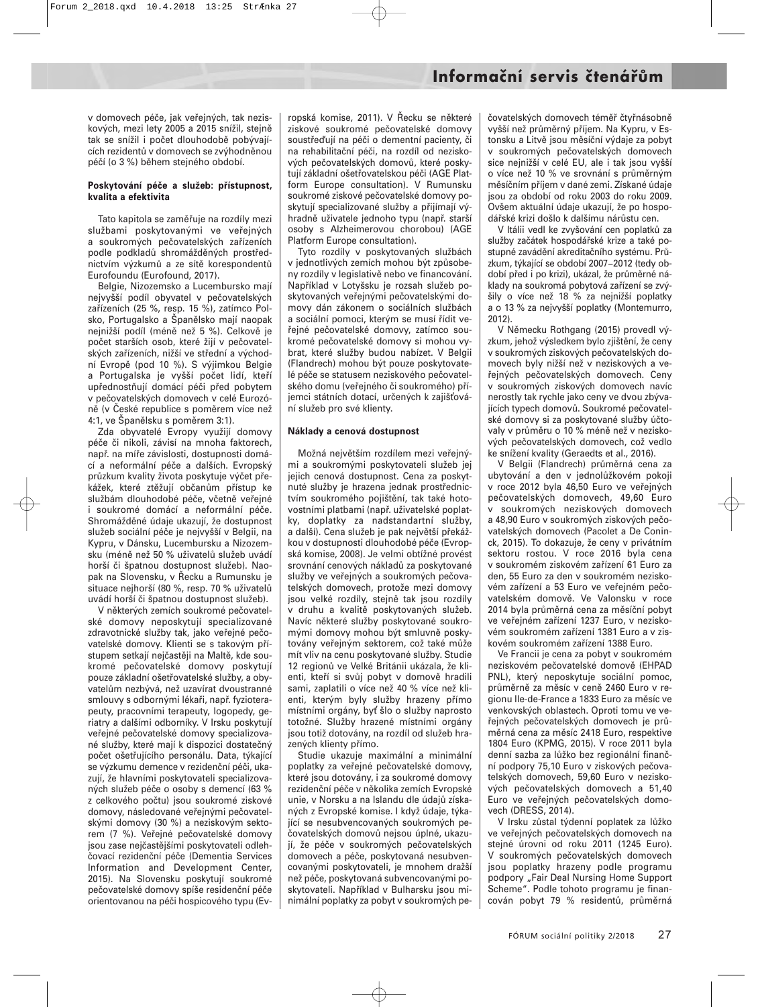v domovech péče, jak veřejných, tak neziskových, mezi lety 2005 a 2015 snížil, stejně tak se snížil i počet dlouhodobě pobývajících rezidentů v domovech se zvýhodněnou péčí (o 3 %) během stejného období.

#### **Poskytování péče a služeb: přístupnost, kvalita a efektivita**

Tato kapitola se zaměřuje na rozdíly mezi službami poskytovanými ve veřejných a soukromých pečovatelských zařízeních podle podkladů shromážděných prostřednictvím výzkumů a ze sítě korespondentů Eurofoundu (Eurofound, 2017).

Belgie, Nizozemsko a Lucembursko mají nejvyšší podíl obyvatel v pečovatelských zařízeních (25 %, resp. 15 %), zatímco Polsko, Portugalsko a Španělsko mají naopak nejnižší podíl (méně než 5 %). Celkově je počet starších osob, které žijí v pečovatelských zařízeních, nižší ve střední a východní Evropě (pod 10 %). S výjimkou Belgie a Portugalska je vyšší počet lidí, kteří upřednostňují domácí péči před pobytem v pečovatelských domovech v celé Eurozóně (v České republice s poměrem více než 4:1, ve Španělsku s poměrem 3:1).

Zda obyvatelé Evropy využijí domovy péče či nikoli, závisí na mnoha faktorech, např. na míře závislosti, dostupnosti domácí a neformální péče a dalších. Evropský průzkum kvality života poskytuje výčet překážek, které ztěžují občanům přístup ke službám dlouhodobé péče, včetně veřejné i soukromé domácí a neformální péče. Shromážděné údaje ukazují, že dostupnost služeb sociální péče je nejvyšší v Belgii, na Kypru, v Dánsku, Lucembursku a Nizozemsku (méně než 50 % uživatelů služeb uvádí horší či špatnou dostupnost služeb). Naopak na Slovensku, v Řecku a Rumunsku je situace nejhorší (80 %, resp. 70 % uživatelů uvádí horší či špatnou dostupnost služeb).

V některých zemích soukromé pečovatelské domovy neposkytují specializované zdravotnické služby tak, jako veřejné pečovatelské domovy. Klienti se s takovým přístupem setkají nejčastěji na Maltě, kde soukromé pečovatelské domovy poskytují pouze základní ošetřovatelské služby, a obyvatelům nezbývá, než uzavírat dvoustranné smlouvy s odbornými lékaři, např. fyzioterapeuty, pracovními terapeuty, logopedy, geriatry a dalšími odborníky. V Irsku poskytují veřejné pečovatelské domovy specializované služby, které mají k dispozici dostatečný počet ošetřujícího personálu. Data, týkající se výzkumu demence v rezidenční péči, ukazují, že hlavními poskytovateli specializovaných služeb péče o osoby s demencí (63 % z celkového počtu) jsou soukromé ziskové domovy, následované veřejnými pečovatelskými domovy (30 %) a neziskovým sektorem (7 %). Veřejné pečovatelské domovy jsou zase nejčastějšími poskytovateli odlehčovací rezidenční péče (Dementia Services Information and Development Center, 2015). Na Slovensku poskytují soukromé pečovatelské domovy spíše residenční péče orientovanou na péči hospicového typu (Ev-

ropská komise, 2011). V Řecku se některé ziskové soukromé pečovatelské domovy soustřeďují na péči o dementní pacienty, či na rehabilitační péči, na rozdíl od neziskových pečovatelských domovů, které poskytují základní ošetřovatelskou péči (AGE Platform Europe consultation). V Rumunsku soukromé ziskové pečovatelské domovy poskytují specializované služby a přijímají výhradně uživatele jednoho typu (např. starší osoby s Alzheimerovou chorobou) (AGE Platform Europe consultation).

Tyto rozdíly v poskytovaných službách v jednotlivých zemích mohou být způsobeny rozdíly v legislativě nebo ve financování. Například v Lotyšsku je rozsah služeb poskytovaných veřejnými pečovatelskými domovy dán zákonem o sociálních službách a sociální pomoci, kterým se musí řídit veřejné pečovatelské domovy, zatímco soukromé pečovatelské domovy si mohou vybrat, které služby budou nabízet. V Belgii (Flandrech) mohou být pouze poskytovatelé péče se statusem neziskového pečovatelského domu (veřejného či soukromého) příjemci státních dotací, určených k zajišťování služeb pro své klienty.

#### **Náklady a cenová dostupnost**

Možná největším rozdílem mezi veřejnými a soukromými poskytovateli služeb jej jejich cenová dostupnost. Cena za poskytnuté služby je hrazena jednak prostřednictvím soukromého pojištění, tak také hotovostními platbami (např. uživatelské poplatky, doplatky za nadstandartní služby, a další). Cena služeb je pak největší překážkou v dostupnosti dlouhodobé péče (Evropská komise, 2008). Je velmi obtížné provést srovnání cenových nákladů za poskytované služby ve veřejných a soukromých pečovatelských domovech, protože mezi domovy jsou velké rozdíly, stejně tak jsou rozdíly v druhu a kvalitě poskytovaných služeb. Navíc některé služby poskytované soukromými domovy mohou být smluvně poskytovány veřejným sektorem, což také může mít vliv na cenu poskytované služby. Studie 12 regionů ve Velké Británii ukázala, že klienti, kteří si svůj pobyt v domově hradili sami, zaplatili o více než 40 % více než klienti, kterým byly služby hrazeny přímo místními orgány, byť šlo o služby naprosto totožné. Služby hrazené místními orgány jsou totiž dotovány, na rozdíl od služeb hrazených klienty přímo.

Studie ukazuje maximální a minimální poplatky za veřejné pečovatelské domovy, které jsou dotovány, i za soukromé domovy rezidenční péče v několika zemích Evropské unie, v Norsku a na Islandu dle údajů získaných z Evropské komise. I když údaje, týkající se nesubvencovaných soukromých pečovatelských domovů nejsou úplné, ukazují, že péče v soukromých pečovatelských domovech a péče, poskytovaná nesubvencovanými poskytovateli, je mnohem dražší než péče, poskytovaná subvencovanými poskytovateli. Například v Bulharsku jsou minimální poplatky za pobyt v soukromých pe-

čovatelských domovech téměř čtyřnásobně vyšší než průměrný příjem. Na Kypru, v Estonsku a Litvě jsou měsíční výdaje za pobyt v soukromých pečovatelských domovech sice nejnižší v celé EU, ale i tak jsou vyšší o více než 10 % ve srovnání s průměrným měsíčním příjem v dané zemi. Získané údaje jsou za období od roku 2003 do roku 2009. Ovšem aktuální údaje ukazují, že po hospodářské krizi došlo k dalšímu nárůstu cen.

V Itálii vedl ke zvyšování cen poplatků za služby začátek hospodářské krize a také postupné zavádění akreditačního systému. Průzkum, týkající se období 2007−2012 (tedy období před i po krizi), ukázal, že průměrné náklady na soukromá pobytová zařízení se zvýšily o více než 18 % za nejnižší poplatky a o 13 % za nejvyšší poplatky (Montemurro, 2012).

V Německu Rothgang (2015) provedl výzkum, jehož výsledkem bylo zjištění, že ceny v soukromých ziskových pečovatelských domovech byly nižší než v neziskových a veřejných pečovatelských domovech. Ceny v soukromých ziskových domovech navíc nerostly tak rychle jako ceny ve dvou zbývajících typech domovů. Soukromé pečovatelské domovy si za poskytované služby účtovaly v průměru o 10 % méně než v neziskových pečovatelských domovech, což vedlo ke snížení kvality (Geraedts et al., 2016).

V Belgii (Flandrech) průměrná cena za ubytování a den v jednolůžkovém pokoji v roce 2012 byla 46,50 Euro ve veřejných pečovatelských domovech, 49,60 Euro v soukromých neziskových domovech a 48,90 Euro v soukromých ziskových pečovatelských domovech (Pacolet a De Coninck, 2015). To dokazuje, že ceny v privátním sektoru rostou. V roce 2016 byla cena v soukromém ziskovém zařízení 61 Euro za den, 55 Euro za den v soukromém neziskovém zařízení a 53 Euro ve veřejném pečovatelském domově. Ve Valonsku v roce 2014 byla průměrná cena za měsíční pobyt ve veřejném zařízení 1237 Euro, v neziskovém soukromém zařízení 1381 Euro a v ziskovém soukromém zařízení 1388 Euro.

Ve Francii je cena za pobyt v soukromém neziskovém pečovatelské domově (EHPAD PNL), který neposkytuje sociální pomoc, průměrně za měsíc v ceně 2460 Euro v regionu Ile-de-France a 1833 Euro za měsíc ve venkovských oblastech. Oproti tomu ve veřejných pečovatelských domovech je průměrná cena za měsíc 2418 Euro, respektive 1804 Euro (KPMG, 2015). V roce 2011 byla denní sazba za lůžko bez regionální finanční podpory 75,10 Euro v ziskových pečovatelských domovech, 59,60 Euro v neziskových pečovatelských domovech a 51,40 Euro ve veřejných pečovatelských domovech (DRESS, 2014).

V Irsku zůstal týdenní poplatek za lůžko ve veřejných pečovatelských domovech na stejné úrovni od roku 2011 (1245 Euro). V soukromých pečovatelských domovech jsou poplatky hrazeny podle programu podpory "Fair Deal Nursing Home Support Scheme". Podle tohoto programu je financován pobyt 79 % residentů, průměrná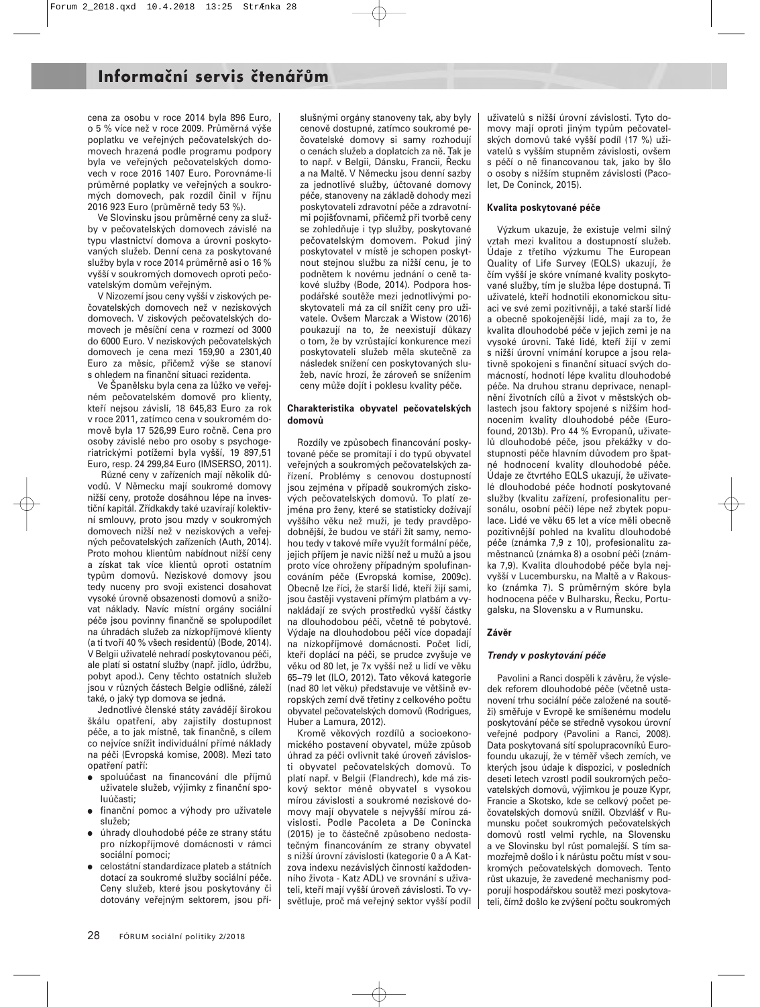cena za osobu v roce 2014 byla 896 Euro, o 5 % více než v roce 2009. Průměrná výše poplatku ve veřejných pečovatelských domovech hrazená podle programu podpory byla ve veřejných pečovatelských domovech v roce 2016 1407 Euro. Porovnáme-li průměrné poplatky ve veřejných a soukromých domovech, pak rozdíl činil v říjnu 2016 923 Euro (průměrně tedy 53 %).

Ve Slovinsku jsou průměrné ceny za služby v pečovatelských domovech závislé na typu vlastnictví domova a úrovni poskytovaných služeb. Denní cena za poskytované služby byla v roce 2014 průměrně asi o 16 % vyšší v soukromých domovech oproti pečovatelským domům veřejným.

V Nizozemí jsou ceny vyšší v ziskových pečovatelských domovech než v neziskových domovech. V ziskových pečovatelských domovech je měsíční cena v rozmezí od 3000 do 6000 Euro. V neziskových pečovatelských domovech je cena mezi 159,90 a 2301,40 Euro za měsíc, přičemž výše se stanoví s ohledem na finanční situaci rezidenta.

Ve Španělsku byla cena za lůžko ve veřejném pečovatelském domově pro klienty, kteří nejsou závislí, 18 645,83 Euro za rok v roce 2011, zatímco cena v soukromém domově byla 17 526,99 Euro ročně. Cena pro osoby závislé nebo pro osoby s psychogeriatrickými potížemi byla vyšší, 19 897,51 Euro, resp. 24 299,84 Euro (IMSERSO, 2011).

Různé ceny v zařízeních mají několik důvodů. V Německu mají soukromé domovy nižší ceny, protože dosáhnou lépe na investiční kapitál. Zřídkakdy také uzavírají kolektivní smlouvy, proto jsou mzdy v soukromých domovech nižší než v neziskových a veřejných pečovatelských zařízeních (Auth, 2014). Proto mohou klientům nabídnout nižší ceny a získat tak více klientů oproti ostatním typům domovů. Neziskové domovy jsou tedy nuceny pro svoji existenci dosahovat vysoké úrovně obsazenosti domovů a snižovat náklady. Navíc místní orgány sociální péče jsou povinny finančně se spolupodílet na úhradách služeb za nízkopříjmové klienty (a ti tvoří 40 % všech residentů) (Bode, 2014). V Belgii uživatelé nehradí poskytovanou péči, ale platí si ostatní služby (např. jídlo, údržbu, pobyt apod.). Ceny těchto ostatních služeb jsou v různých částech Belgie odlišné, záleží také, o jaký typ domova se jedná.

Jednotlivé členské státy zavádějí širokou škálu opatření, aby zajistily dostupnost péče, a to jak místně, tak finančně, s cílem co nejvíce snížit individuální přímé náklady na péči (Evropská komise, 2008). Mezi tato opatření patří:

- spoluúčast na financování dle příjmů uživatele služeb, výjimky z finanční spoluúčasti;
- finanční pomoc a výhody pro uživatele služeb;
- úhrady dlouhodobé péče ze strany státu pro nízkopříjmové domácnosti v rámci sociální pomoci;
- celostátní standardizace plateb a státních dotací za soukromé služby sociální péče. Ceny služeb, které jsou poskytovány či dotovány veřejným sektorem, jsou pří-

slušnými orgány stanoveny tak, aby byly cenově dostupné, zatímco soukromé pečovatelské domovy si samy rozhodují o cenách služeb a doplatcích za ně. Tak je to např. v Belgii, Dánsku, Francii, Řecku a na Maltě. V Německu jsou denní sazby za jednotlivé služby, účtované domovy péče, stanoveny na základě dohody mezi poskytovateli zdravotní péče a zdravotními pojišťovnami, přičemž při tvorbě ceny se zohledňuje i typ služby, poskytované pečovatelským domovem. Pokud jiný poskytovatel v místě je schopen poskytnout stejnou službu za nižší cenu, je to podnětem k novému jednání o ceně takové služby (Bode, 2014). Podpora hospodářské soutěže mezi jednotlivými poskytovateli má za cíl snížit ceny pro uživatele. Ovšem Marczak a Wistow (2016) poukazují na to, že neexistují důkazy o tom, že by vzrůstající konkurence mezi poskytovateli služeb měla skutečně za následek snížení cen poskytovaných služeb, navíc hrozí, že zároveň se snížením ceny může dojít i poklesu kvality péče.

#### **Charakteristika obyvatel pečovatelských domovů**

Rozdíly ve způsobech financování poskytované péče se promítají i do typů obyvatel veřejných a soukromých pečovatelských zařízení. Problémy s cenovou dostupností jsou zejména v případě soukromých ziskových pečovatelských domovů. To platí zejména pro ženy, které se statisticky dožívají vyššího věku než muži, je tedy pravděpodobnější, že budou ve stáří žít samy, nemohou tedy v takové míře využít formální péče, jejich příjem je navíc nižší než u mužů a jsou proto více ohroženy případným spolufinancováním péče (Evropská komise, 2009c). Obecně lze říci, že starší lidé, kteří žijí sami, jsou častěji vystaveni přímým platbám a vynakládají ze svých prostředků vyšší částky na dlouhodobou péči, včetně té pobytové. Výdaje na dlouhodobou péči více dopadají na nízkopříjmové domácnosti. Počet lidí, kteří doplácí na péči, se prudce zvyšuje ve věku od 80 let, je 7x vyšší než u lidí ve věku 65−79 let (ILO, 2012). Tato věková kategorie (nad 80 let věku) představuje ve většině evropských zemí dvě třetiny z celkového počtu obyvatel pečovatelských domovů (Rodrigues, Huber a Lamura, 2012).

Kromě věkových rozdílů a socioekonomického postavení obyvatel, může způsob úhrad za péči ovlivnit také úroveň závislosti obyvatel pečovatelských domovů. To platí např. v Belgii (Flandrech), kde má ziskový sektor méně obyvatel s vysokou mírou závislosti a soukromé neziskové domovy mají obyvatele s nejvyšší mírou závislosti. Podle Pacoleta a De Conincka (2015) je to částečně způsobeno nedostatečným financováním ze strany obyvatel s nižší úrovní závislosti (kategorie 0 a A Katzova indexu nezávislých činností každodenního života - Katz ADL) ve srovnání s uživateli, kteří mají vyšší úroveň závislosti. To vysvětluje, proč má veřejný sektor vyšší podíl uživatelů s nižší úrovní závislosti. Tyto domovy mají oproti jiným typům pečovatelských domovů také vyšší podíl (17 %) uživatelů s vyšším stupněm závislosti, ovšem s péčí o ně financovanou tak, jako by šlo o osoby s nižším stupněm závislosti (Pacolet, De Coninck, 2015).

#### **Kvalita poskytované péče**

Výzkum ukazuje, že existuje velmi silný vztah mezi kvalitou a dostupností služeb. Údaje z třetího výzkumu The European Quality of Life Survey (EQLS) ukazují, že čím vyšší je skóre vnímané kvality poskytované služby, tím je služba lépe dostupná. Ti uživatelé, kteří hodnotili ekonomickou situaci ve své zemi pozitivněji, a také starší lidé a obecně spokojenější lidé, mají za to, že kvalita dlouhodobé péče v jejich zemi je na vysoké úrovni. Také lidé, kteří žijí v zemi s nižší úrovní vnímání korupce a jsou relativně spokojeni s finanční situací svých domácností, hodnotí lépe kvalitu dlouhodobé péče. Na druhou stranu deprivace, nenaplnění životních cílů a život v městských oblastech jsou faktory spojené s nižším hodnocením kvality dlouhodobé péče (Eurofound, 2013b). Pro 44 % Evropanů, uživatelů dlouhodobé péče, jsou překážky v dostupnosti péče hlavním důvodem pro špatné hodnocení kvality dlouhodobé péče. Údaje ze čtvrtého EQLS ukazují, že uživatelé dlouhodobé péče hodnotí poskytované služby (kvalitu zařízení, profesionalitu personálu, osobní péči) lépe než zbytek populace. Lidé ve věku 65 let a více měli obecně pozitivnější pohled na kvalitu dlouhodobé péče (známka 7,9 z 10), profesionalitu zaměstnanců (známka 8) a osobní péči (známka 7,9). Kvalita dlouhodobé péče byla nejvyšší v Lucembursku, na Maltě a v Rakousko (známka 7). S průměrným skóre byla hodnocena péče v Bulharsku, Řecku, Portugalsku, na Slovensku a v Rumunsku.

#### **Závěr**

#### *Trendy v poskytování péče*

Pavolini a Ranci dospěli k závěru, že výsledek reforem dlouhodobé péče (včetně ustanovení trhu sociální péče založené na soutěži) směřuje v Evropě ke smíšenému modelu poskytování péče se středně vysokou úrovní veřejné podpory (Pavolini a Ranci, 2008). Data poskytovaná sítí spolupracovníků Eurofoundu ukazují, že v téměř všech zemích, ve kterých jsou údaje k dispozici, v posledních deseti letech vzrostl podíl soukromých pečovatelských domovů, výjimkou je pouze Kypr, Francie a Skotsko, kde se celkový počet pečovatelských domovů snížil. Obzvlášť v Rumunsku počet soukromých pečovatelských domovů rostl velmi rychle, na Slovensku a ve Slovinsku byl růst pomalejší. S tím samozřejmě došlo i k nárůstu počtu míst v soukromých pečovatelských domovech. Tento růst ukazuje, že zavedené mechanismy podporují hospodářskou soutěž mezi poskytovateli, čímž došlo ke zvýšení počtu soukromých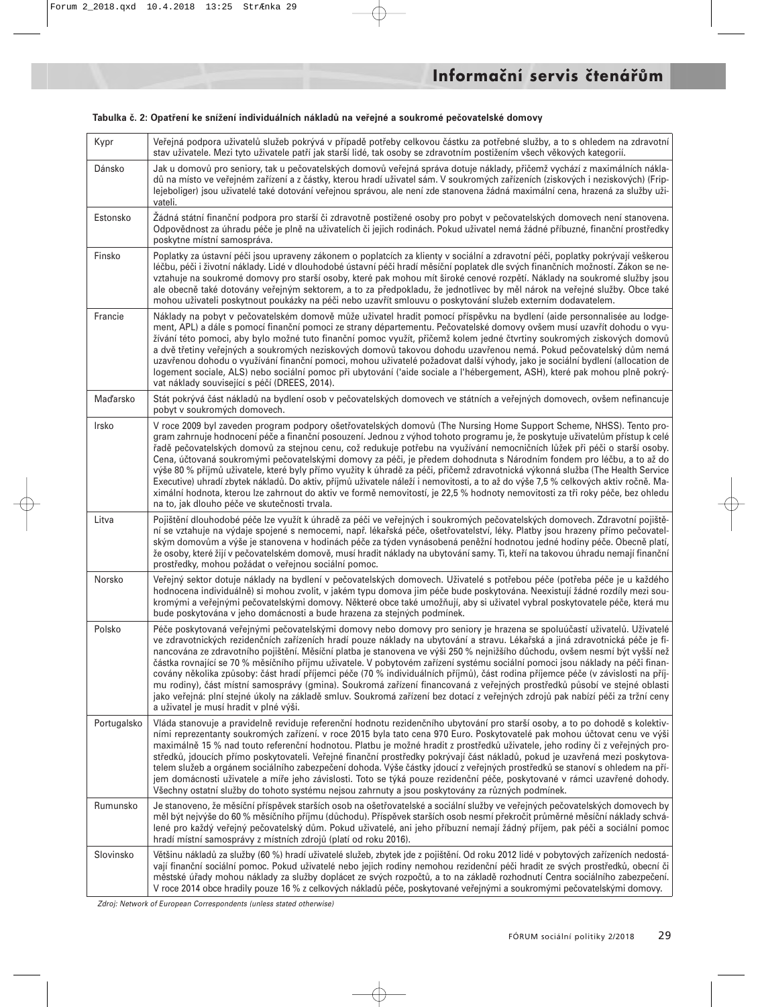| Kypr        | Veřejná podpora uživatelů služeb pokrývá v případě potřeby celkovou částku za potřebné služby, a to s ohledem na zdravotní<br>stav uživatele. Mezi tyto uživatele patří jak starší lidé, tak osoby se zdravotním postižením všech věkových kategorií.                                                                                                                                                                                                                                                                                                                                                                                                                                                                                                                                                                                                                                                                                                                  |
|-------------|------------------------------------------------------------------------------------------------------------------------------------------------------------------------------------------------------------------------------------------------------------------------------------------------------------------------------------------------------------------------------------------------------------------------------------------------------------------------------------------------------------------------------------------------------------------------------------------------------------------------------------------------------------------------------------------------------------------------------------------------------------------------------------------------------------------------------------------------------------------------------------------------------------------------------------------------------------------------|
| Dánsko      | Jak u domovů pro seniory, tak u pečovatelských domovů veřejná správa dotuje náklady, přičemž vychází z maximálních nákla-<br>dů na místo ve veřejném zařízení a z částky, kterou hradí uživatel sám. V soukromých zařízeních (ziskových i neziskových) (Frip-<br>lejeboliger) jsou uživatelé také dotování veřejnou správou, ale není zde stanovena žádná maximální cena, hrazená za služby uži-<br>vateli.                                                                                                                                                                                                                                                                                                                                                                                                                                                                                                                                                            |
| Estonsko    | Žádná státní finanční podpora pro starší či zdravotně postižené osoby pro pobyt v pečovatelských domovech není stanovena.<br>Odpovědnost za úhradu péče je plně na uživatelích či jejich rodinách. Pokud uživatel nemá žádné příbuzné, finanční prostředky<br>poskytne místní samospráva.                                                                                                                                                                                                                                                                                                                                                                                                                                                                                                                                                                                                                                                                              |
| Finsko      | Poplatky za ústavní péči jsou upraveny zákonem o poplatcích za klienty v sociální a zdravotní péči, poplatky pokrývají veškerou<br>léčbu, péči i životní náklady. Lidé v dlouhodobé ústavní péči hradí měsíční poplatek dle svých finančních možností. Zákon se ne-<br>vztahuje na soukromé domovy pro starší osoby, které pak mohou mít široké cenové rozpětí. Náklady na soukromé služby jsou<br>ale obecně také dotovány veřejným sektorem, a to za předpokladu, že jednotlivec by měl nárok na veřejné služby. Obce také<br>mohou uživateli poskytnout poukázky na péči nebo uzavřít smlouvu o poskytování služeb externím dodavatelem.                                                                                                                                                                                                                                                                                                                            |
| Francie     | Náklady na pobyt v pečovatelském domově může uživatel hradit pomocí příspěvku na bydlení (aide personnalisée au lodge-<br>ment, APL) a dále s pomocí finanční pomoci ze strany départementu. Pečovatelské domovy ovšem musí uzavřít dohodu o vyu-<br>žívání této pomoci, aby bylo možné tuto finanční pomoc využít, přičemž kolem jedné čtvrtiny soukromých ziskových domovů<br>a dvě třetiny veřejných a soukromých neziskových domovů takovou dohodu uzavřenou nemá. Pokud pečovatelský dům nemá<br>uzavřenou dohodu o využívání finanční pomoci, mohou uživatelé požadovat další výhody, jako je sociální bydlení (allocation de<br>logement sociale, ALS) nebo sociální pomoc při ubytování ('aide sociale a l'hébergement, ASH), které pak mohou plně pokrý-<br>vat náklady související s péčí (DREES, 2014).                                                                                                                                                     |
| Maďarsko    | Stát pokrývá část nákladů na bydlení osob v pečovatelských domovech ve státních a veřejných domovech, ovšem nefinancuje<br>pobyt v soukromých domovech.                                                                                                                                                                                                                                                                                                                                                                                                                                                                                                                                                                                                                                                                                                                                                                                                                |
| Irsko       | V roce 2009 byl zaveden program podpory ošetřovatelských domovů (The Nursing Home Support Scheme, NHSS). Tento pro-<br>gram zahrnuje hodnocení péče a finanční posouzení. Jednou z výhod tohoto programu je, že poskytuje uživatelům přístup k celé<br>řadě pečovatelských domovů za stejnou cenu, což redukuje potřebu na využívání nemocničních lůžek při péči o starší osoby.<br>Cena, účtovaná soukromými pečovatelskými domovy za péči, je předem dohodnuta s Národním fondem pro léčbu, a to až do<br>výše 80 % příjmů uživatele, které byly přímo využity k úhradě za péči, přičemž zdravotnická výkonná služba (The Health Service<br>Executive) uhradí zbytek nákladů. Do aktiv, příjmů uživatele náleží i nemovitosti, a to až do výše 7,5 % celkových aktiv ročně. Ma-<br>ximální hodnota, kterou lze zahrnout do aktiv ve formě nemovitostí, je 22,5 % hodnoty nemovitosti za tři roky péče, bez ohledu<br>na to, jak dlouho péče ve skutečnosti trvala.   |
| Litva       | Pojištění dlouhodobé péče lze využít k úhradě za péči ve veřejných i soukromých pečovatelských domovech. Zdravotní pojiště-<br>ní se vztahuje na výdaje spojené s nemocemi, např. lékařská péče, ošetřovatelství, léky. Platby jsou hrazeny přímo pečovatel-<br>ským domovům a výše je stanovena v hodinách péče za týden vynásobená peněžní hodnotou jedné hodiny péče. Obecně platí,<br>že osoby, které žijí v pečovatelském domově, musí hradit náklady na ubytování samy. Ti, kteří na takovou úhradu nemají finanční<br>prostředky, mohou požádat o veřejnou sociální pomoc.                                                                                                                                                                                                                                                                                                                                                                                      |
| Norsko      | Veřejný sektor dotuje náklady na bydlení v pečovatelských domovech. Uživatelé s potřebou péče (potřeba péče je u každého<br>hodnocena individuálně) si mohou zvolit, v jakém typu domova jim péče bude poskytována. Neexistují žádné rozdíly mezi sou-<br>kromými a veřejnými pečovatelskými domovy. Některé obce také umožňují, aby si uživatel vybral poskytovatele péče, která mu<br>bude poskytována v jeho domácnosti a bude hrazena za stejných podmínek.                                                                                                                                                                                                                                                                                                                                                                                                                                                                                                        |
| Polsko      | Péče poskytovaná veřejnými pečovatelskými domovy nebo domovy pro seniory je hrazena se spoluúčastí uživatelů. Uživatelé<br>ve zdravotnických rezidenčních zařízeních hradí pouze náklady na ubytování a stravu. Lékařská a jiná zdravotnická péče je fi-<br>nancována ze zdravotního pojištění. Měsíční platba je stanovena ve výši 250 % nejnižšího důchodu, ovšem nesmí být vyšší než<br>částka rovnající se 70 % měsíčního příjmu uživatele. V pobytovém zařízení systému sociální pomoci jsou náklady na péči finan-<br>covány několika způsoby: část hradí příjemci péče (70 % individuálních příjmů), část rodina příjemce péče (v závislosti na příj-<br>mu rodiny), část místní samosprávy (gmina). Soukromá zařízení financovaná z veřejných prostředků působí ve stejné oblasti<br>jako veřejná: plní stejné úkoly na základě smluv. Soukromá zařízení bez dotací z veřejných zdrojů pak nabízí péči za tržní ceny<br>a uživatel je musí hradit v plné výši. |
| Portugalsko | Vláda stanovuje a pravidelně reviduje referenční hodnotu rezidenčního ubytování pro starší osoby, a to po dohodě s kolektiv-<br>ními reprezentanty soukromých zařízení. v roce 2015 byla tato cena 970 Euro. Poskytovatelé pak mohou účtovat cenu ve výši<br>maximálně 15 % nad touto referenční hodnotou. Platbu je možné hradit z prostředků uživatele, jeho rodiny či z veřejných pro-<br>středků, jdoucích přímo poskytovateli. Veřejné finanční prostředky pokrývají část nákladů, pokud je uzavřená mezi poskytova-<br>telem služeb a orgánem sociálního zabezpečení dohoda. Výše částky jdoucí z veřejných prostředků se stanoví s ohledem na pří-<br>jem domácnosti uživatele a míře jeho závislosti. Toto se týká pouze rezidenční péče, poskytované v rámci uzavřené dohody.<br>Všechny ostatní služby do tohoto systému nejsou zahrnuty a jsou poskytovány za různých podmínek.                                                                             |
| Rumunsko    | Je stanoveno, že měsíční příspěvek starších osob na ošetřovatelské a sociální služby ve veřejných pečovatelských domovech by<br>měl být nejvýše do 60 % měsíčního příjmu (důchodu). Příspěvek starších osob nesmí překročit průměrné měsíční náklady schvá-<br>lené pro každý veřejný pečovatelský dům. Pokud uživatelé, ani jeho příbuzní nemají žádný příjem, pak péči a sociální pomoc<br>hradí místní samosprávy z místních zdrojů (platí od roku 2016).                                                                                                                                                                                                                                                                                                                                                                                                                                                                                                           |
| Slovinsko   | Většinu nákladů za služby (60 %) hradí uživatelé služeb, zbytek jde z pojištění. Od roku 2012 lidé v pobytových zařízeních nedostá-<br>vají finanční sociální pomoc. Pokud uživatelé nebo jejich rodiny nemohou rezidenční péči hradit ze svých prostředků, obecní či<br>městské úřady mohou náklady za služby doplácet ze svých rozpočtů, a to na základě rozhodnutí Centra sociálního zabezpečení.<br>V roce 2014 obce hradily pouze 16 % z celkových nákladů péče, poskytované veřejnými a soukromými pečovatelskými domovy.                                                                                                                                                                                                                                                                                                                                                                                                                                        |

#### **Tabulka č. 2: Opatření ke snížení individuálních nákladů na veřejné a soukromé pečovatelské domovy**

Zdroj: Network of European Correspondents (unless stated otherwise)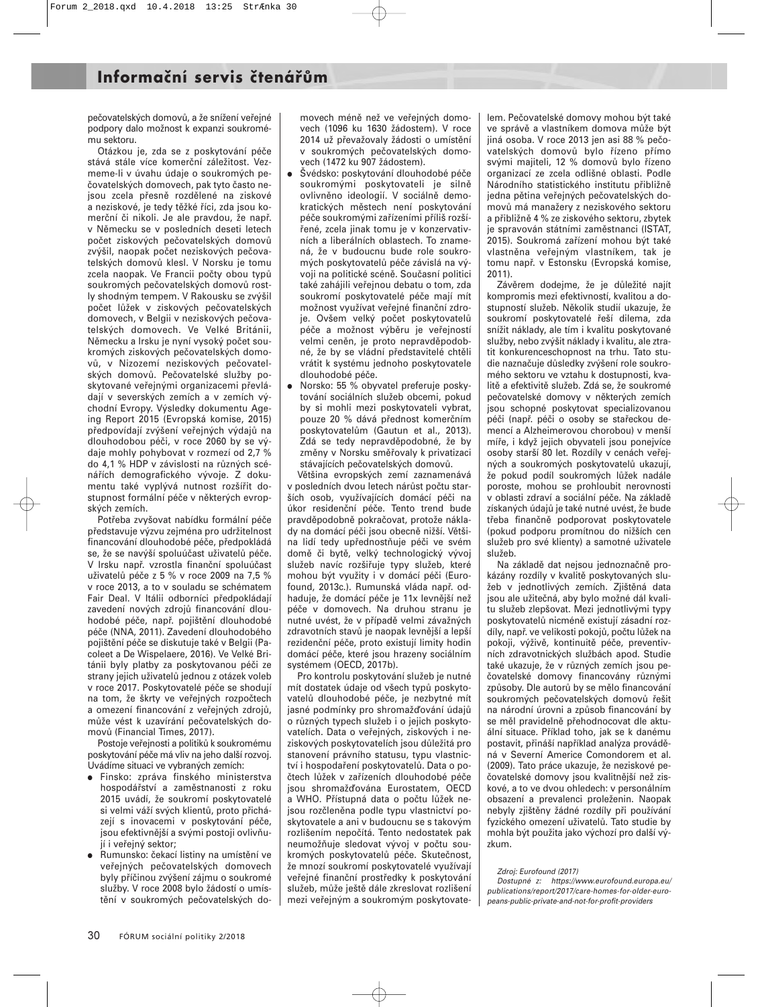pečovatelských domovů, a že snížení veřejné podpory dalo možnost k expanzi soukromému sektoru.

Otázkou je, zda se z poskytování péče stává stále více komerční záležitost. Vezmeme-li v úvahu údaje o soukromých pečovatelských domovech, pak tyto často nejsou zcela přesně rozdělené na ziskové a neziskové, je tedy těžké říci, zda jsou komerční či nikoli. Je ale pravdou, že např. v Německu se v posledních deseti letech počet ziskových pečovatelských domovů zvýšil, naopak počet neziskových pečovatelských domovů klesl. V Norsku je tomu zcela naopak. Ve Francii počty obou typů soukromých pečovatelských domovů rostly shodným tempem. V Rakousku se zvýšil počet lůžek v ziskových pečovatelských domovech, v Belgii v neziskových pečovatelských domovech. Ve Velké Británii, Německu a Irsku je nyní vysoký počet soukromých ziskových pečovatelských domovů, v Nizozemí neziskových pečovatelských domovů. Pečovatelské služby poskytované veřejnými organizacemi převládají v severských zemích a v zemích východní Evropy. Výsledky dokumentu Ageing Report 2015 (Evropská komise, 2015) předpovídají zvýšení veřejných výdajů na dlouhodobou péči, v roce 2060 by se výdaje mohly pohybovat v rozmezí od 2,7 % do 4,1 % HDP v závislosti na různých scénářích demografického vývoje. Z dokumentu také vyplývá nutnost rozšířit dostupnost formální péče v některých evropských zemích.

Potřeba zvyšovat nabídku formální péče představuje výzvu zejména pro udržitelnost financování dlouhodobé péče, předpokládá se, že se navýší spoluúčast uživatelů péče. V Irsku např. vzrostla finanční spoluúčast uživatelů péče z 5 % v roce 2009 na 7,5 % v roce 2013, a to v souladu se schématem Fair Deal. V Itálii odborníci předpokládají zavedení nových zdrojů financování dlouhodobé péče, např. pojištění dlouhodobé péče (NNA, 2011). Zavedení dlouhodobého pojištění péče se diskutuje také v Belgii (Pacoleet a De Wispelaere, 2016). Ve Velké Británii byly platby za poskytovanou péči ze strany jejich uživatelů jednou z otázek voleb v roce 2017. Poskytovatelé péče se shodují na tom, že škrty ve veřejných rozpočtech a omezení financování z veřejných zdrojů, může vést k uzavírání pečovatelských domovů (Financial Times, 2017).

Postoje veřejnosti a politiků k soukromému poskytování péče má vliv na jeho další rozvoj. Uvádíme situaci ve vybraných zemích:

- Finsko: zpráva finského ministerstva hospodářství a zaměstnanosti z roku 2015 uvádí, že soukromí poskytovatelé si velmi váží svých klientů, proto přicházejí s inovacemi v poskytování péče, jsou efektivnější a svými postoji ovlivňují i veřejný sektor;
- Rumunsko: čekací listiny na umístění ve veřejných pečovatelských domovech byly příčinou zvýšení zájmu o soukromé služby. V roce 2008 bylo žádostí o umístění v soukromých pečovatelských do-

movech méně než ve veřejných domovech (1096 ku 1630 žádostem). V roce 2014 už převažovaly žádosti o umístění v soukromých pečovatelských domovech (1472 ku 907 žádostem).

- · Švédsko: poskytování dlouhodobé péče soukromými poskytovateli je silně ovlivněno ideologií. V sociálně demokratických městech není poskytování péče soukromými zařízeními příliš rozšířené, zcela jinak tomu je v konzervativních a liberálních oblastech. To znamená, že v budoucnu bude role soukromých poskytovatelů péče závislá na vývoji na politické scéně. Současní politici také zahájili veřejnou debatu o tom, zda soukromí poskytovatelé péče mají mít možnost využívat veřejné finanční zdroje. Ovšem velký počet poskytovatelů péče a možnost výběru je veřejností velmi ceněn, je proto nepravděpodobné, že by se vládní představitelé chtěli vrátit k systému jednoho poskytovatele dlouhodobé péče.
- Norsko: 55 % obyvatel preferuje poskytování sociálních služeb obcemi, pokud by si mohli mezi poskytovateli vybrat, pouze 20 % dává přednost komerčním poskytovatelům (Gautun et al., 2013). Zdá se tedy nepravděpodobné, že by změny v Norsku směřovaly k privatizaci stávajících pečovatelských domovů.

Většina evropských zemí zaznamenává v posledních dvou letech nárůst počtu starších osob, využívajících domácí péči na úkor residenční péče. Tento trend bude pravděpodobně pokračovat, protože náklady na domácí péči jsou obecně nižší. Většina lidí tedy upřednostňuje péči ve svém domě či bytě, velký technologický vývoj služeb navíc rozšiřuje typy služeb, které mohou být využity i v domácí péči (Eurofound, 2013c.). Rumunská vláda např. odhaduje, že domácí péče je 11x levnější než péče v domovech. Na druhou stranu je nutné uvést, že v případě velmi závažných zdravotních stavů je naopak levnější a lepší rezidenční péče, proto existují limity hodin domácí péče, které jsou hrazeny sociálním systémem (OECD, 2017b).

Pro kontrolu poskytování služeb je nutné mít dostatek údaje od všech typů poskytovatelů dlouhodobé péče, je nezbytné mít jasné podmínky pro shromažďování údajů o různých typech služeb i o jejich poskytovatelích. Data o veřejných, ziskových i neziskových poskytovatelích jsou důležitá pro stanovení právního statusu, typu vlastnictví i hospodaření poskytovatelů. Data o počtech lůžek v zařízeních dlouhodobé péče jsou shromažďována Eurostatem, OECD a WHO. Přístupná data o počtu lůžek nejsou rozčleněna podle typu vlastnictví poskytovatele a ani v budoucnu se s takovým rozlišením nepočítá. Tento nedostatek pak neumožňuje sledovat vývoj v počtu soukromých poskytovatelů péče. Skutečnost, že mnozí soukromí poskytovatelé využívají veřejné finanční prostředky k poskytování služeb, může ještě dále zkreslovat rozlišení mezi veřejným a soukromým poskytovatelem. Pečovatelské domovy mohou být také ve správě a vlastníkem domova může být jiná osoba. V roce 2013 jen asi 88 % pečovatelských domovů bylo řízeno přímo svými majiteli, 12 % domovů bylo řízeno organizací ze zcela odlišné oblasti. Podle Národního statistického institutu přibližně jedna pětina veřejných pečovatelských domovů má manažery z neziskového sektoru a přibližně 4 % ze ziskového sektoru, zbytek je spravován státními zaměstnanci (ISTAT, 2015). Soukromá zařízení mohou být také vlastněna veřejným vlastníkem, tak je tomu např. v Estonsku (Evropská komise, 2011).

Závěrem dodejme, že je důležité najít kompromis mezi efektivností, kvalitou a dostupností služeb. Několik studií ukazuje, že soukromí poskytovatelé řeší dilema, zda snížit náklady, ale tím i kvalitu poskytované služby, nebo zvýšit náklady i kvalitu, ale ztratit konkurenceschopnost na trhu. Tato studie naznačuje důsledky zvýšení role soukromého sektoru ve vztahu k dostupnosti, kvalitě a efektivitě služeb. Zdá se, že soukromé pečovatelské domovy v některých zemích jsou schopné poskytovat specializovanou péči (např. péči o osoby se stařeckou demencí a Alzheimerovou chorobou) v menší míře, i když jejich obyvateli jsou ponejvíce osoby starší 80 let. Rozdíly v cenách veřejných a soukromých poskytovatelů ukazují, že pokud podíl soukromých lůžek nadále poroste, mohou se prohloubit nerovnosti v oblasti zdraví a sociální péče. Na základě získaných údajů je také nutné uvést, že bude třeba finančně podporovat poskytovatele (pokud podporu promítnou do nižších cen služeb pro své klienty) a samotné uživatele služeb.

Na základě dat nejsou jednoznačně prokázány rozdíly v kvalitě poskytovaných služeb v jednotlivých zemích. Zjištěná data jsou ale užitečná, aby bylo možné dál kvalitu služeb zlepšovat. Mezi jednotlivými typy poskytovatelů nicméně existují zásadní rozdíly, např. ve velikosti pokojů, počtu lůžek na pokoji, výživě, kontinuitě péče, preventivních zdravotnických službách apod. Studie také ukazuje, že v různých zemích jsou pečovatelské domovy financovány různými způsoby. Dle autorů by se mělo financování soukromých pečovatelských domovů řešit na národní úrovni a způsob financování by se měl pravidelně přehodnocovat dle aktuální situace. Příklad toho, jak se k danému postavit, přináší například analýza prováděná v Severní Americe Comondorem et al. (2009). Tato práce ukazuje, že neziskové pečovatelské domovy jsou kvalitnější než ziskové, a to ve dvou ohledech: v personálním obsazení a prevalenci proleženin. Naopak nebyly zjištěny žádné rozdíly při používání fyzického omezení uživatelů. Tato studie by mohla být použita jako výchozí pro další výzkum.

#### Zdroj: Eurofound (2017)

Dostupné z: https://www.eurofound.europa.eu/ publications/report/2017/care-homes-for-older-europeans-public-private-and-not-for-profit-providers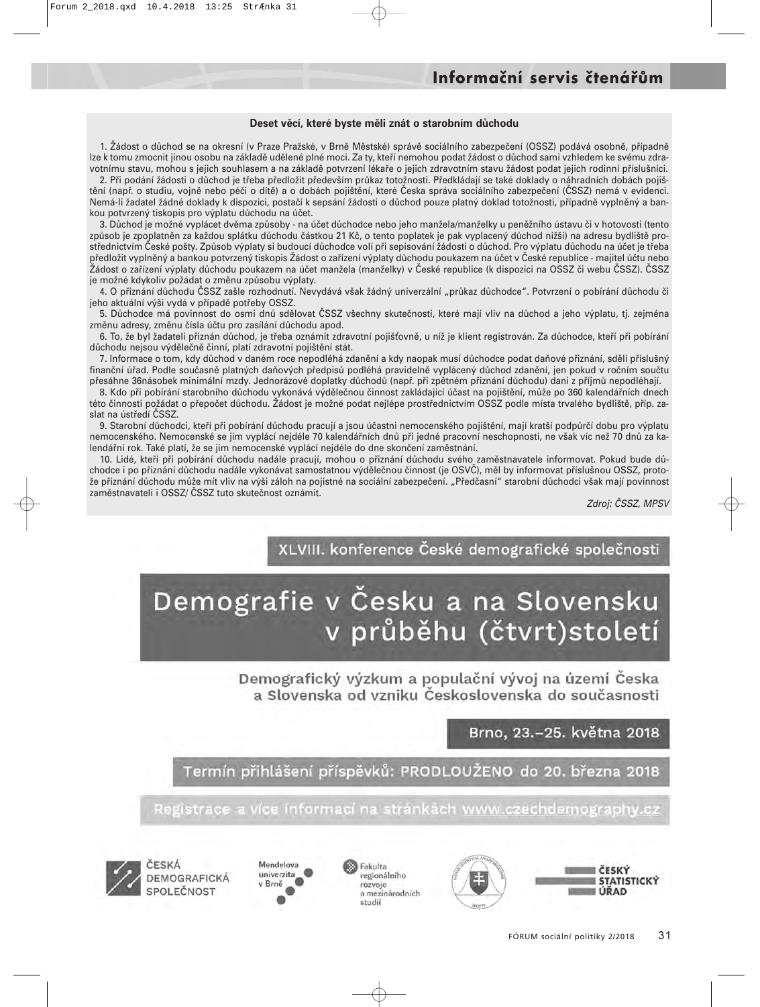#### **Deset věcí, které byste měli znát o starobním důchodu**

1. Žádost o důchod se na okresní (v Praze Pražské, v Brně Městské) správě sociálního zabezpečení (OSSZ) podává osobně, případně lze k tomu zmocnit jinou osobu na základě udělené plné moci. Za ty, kteří nemohou podat žádost o důchod sami vzhledem ke svému zdravotnímu stavu, mohou s jejich souhlasem a na základě potvrzení lékaře o jejich zdravotním stavu žádost podat jejich rodinní příslušníci.

2. Při podání žádosti o důchod je třeba předložit především průkaz totožnosti. Předkládají se také doklady o náhradních dobách pojištění (např. o studiu, vojně nebo péči o dítě) a o dobách pojištění, které Česka správa sociálního zabezpečení (ČSSZ) nemá v evidenci. Nemá-li žadatel žádné doklady k dispozici, postačí k sepsání žádosti o důchod pouze platný doklad totožnosti, případně vyplněný a bankou potvrzený tiskopis pro výplatu důchodu na účet.

3. Důchod je možné vyplácet dvěma způsoby - na účet důchodce nebo jeho manžela/manželky u peněžního ústavu či v hotovosti (tento způsob je zpoplatněn za každou splátku důchodu částkou 21 Kč, o tento poplatek je pak vyplacený důchod nižší) na adresu bydliště prostřednictvím České pošty. Způsob výplaty si budoucí důchodce volí při sepisování žádosti o důchod. Pro výplatu důchodu na účet je třeba předložit vyplněný a bankou potvrzený tiskopis Žádost o zařízení výplaty důchodu poukazem na účet v České republice - majitel účtu nebo Žádost o zařízení výplaty důchodu poukazem na účet manžela (manželky) v České republice (k dispozici na OSSZ či webu ČSSZ). ČSSZ je možné kdykoliv požádat o změnu způsobu výplaty.

4. O přiznání důchodu ČSSZ zašle rozhodnutí. Nevydává však žádný univerzální "průkaz důchodce". Potvrzení o pobírání důchodu či jeho aktuální výši vydá v případě potřeby OSSZ.

5. Důchodce má povinnost do osmi dnů sdělovat ČSSZ všechny skutečnosti, které mají vliv na důchod a jeho výplatu, tj. zejména změnu adresy, změnu čísla účtu pro zasílání důchodu apod.

6. To, že byl žadateli přiznán důchod, je třeba oznámit zdravotní pojišťovně, u níž je klient registrován. Za důchodce, kteří při pobírání důchodu nejsou výdělečně činní, platí zdravotní pojištění stát.

7. Informace o tom, kdy důchod v daném roce nepodléhá zdanění a kdy naopak musí důchodce podat daňové přiznání, sdělí příslušný finanční úřad. Podle současně platných daňových předpisů podléhá pravidelně vyplácený důchod zdanění, jen pokud v ročním součtu přesáhne 36násobek minimální mzdy. Jednorázové doplatky důchodů (např. při zpětném přiznání důchodu) dani z příjmů nepodléhají.

8. Kdo při pobírání starobního důchodu vykonává výdělečnou činnost zakládající účast na pojištění, může po 360 kalendářních dnech této činnosti požádat o přepočet důchodu. Žádost je možné podat nejlépe prostřednictvím OSSZ podle místa trvalého bydliště, příp. zaslat na ústředí ČSSZ.

9. Starobní důchodci, kteří při pobírání důchodu pracují a jsou účastni nemocenského pojištění, mají kratší podpůrčí dobu pro výplatu nemocenského. Nemocenské se jim vyplácí nejdéle 70 kalendářních dnů při jedné pracovní neschopnosti, ne však víc než 70 dnů za kalendářní rok. Také platí, že se jim nemocenské vyplácí nejdéle do dne skončení zaměstnání.

10. Lidé, kteří při pobírání důchodu nadále pracují, mohou o přiznání důchodu svého zaměstnavatele informovat. Pokud bude důchodce i po přiznání důchodu nadále vykonávat samostatnou výdělečnou činnost (je OSVČ), měl by informovat příslušnou OSSZ, protože přiznání důchodu může mít vliv na výši záloh na pojistné na sociální zabezpečení. "Předčasní" starobní důchodci však mají povinnost zaměstnavateli i OSSZ/ ČSSZ tuto skutečnost oznámit.

Zdroj: ČSSZ, MPSV

XLVIII. konference České demografické společnosti

# Demografie v Česku a na Slovensku v průběhu (čtvrt)století

Demografický výzkum a populační vývoj na území Česka a Slovenska od vzniku Československa do současnosti

Brno, 23.-25. května 2018

Termín přihlášení příspěvků: PRODLOUŽENO do 20. března 2018

Registrace a více informaci na stránkách www.czechdemography.cz



CESKA DEMOGRAFICKÁ





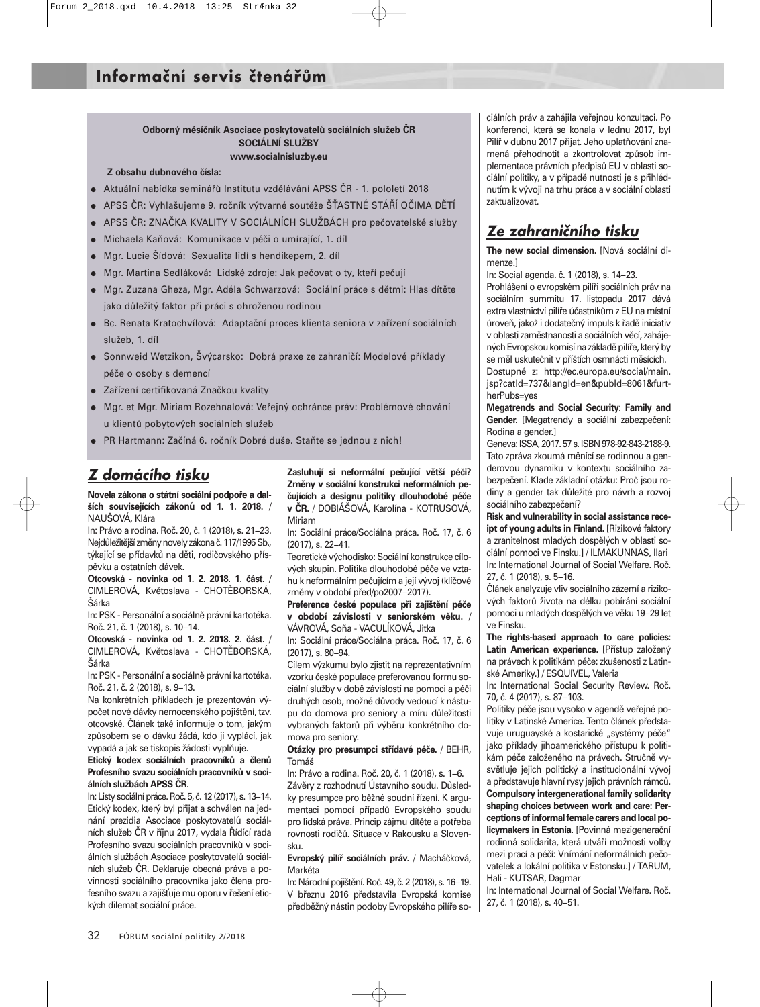#### **Odborný měsíčník Asociace poskytovatelů sociálních služeb ČR SOCIÁLNÍ SLUŽBY www.socialnisluzby.eu**

#### **Z obsahu dubnového čísla:**

- Aktuální nabídka seminářů Institutu vzdělávání APSS ČR 1. pololetí 2018
- APSS ČR: Vyhlašujeme 9. ročník výtvarné soutěže ŠŤASTNÉ STÁŘÍ OČIMA DĚTÍ
- APSS ČR: ZNAČKA KVALITY V SOCIÁLNÍCH SLUŽBÁCH pro pečovatelské služby
- Michaela Kaňová: Komunikace v péči o umírající, 1. díl
- Mgr. Lucie Šídová: Sexualita lidí s hendikepem, 2. díl
- Mgr. Martina Sedláková: Lidské zdroje: Jak pečovat o ty, kteří pečují
- Mgr. Zuzana Gheza, Mgr. Adéla Schwarzová: Sociální práce s dětmi: Hlas dítěte jako důležitý faktor při práci s ohroženou rodinou
- Bc. Renata Kratochvílová: Adaptační proces klienta seniora v zařízení sociálních služeb, 1. díl
- Sonnweid Wetzikon, Švýcarsko: Dobrá praxe ze zahraničí: Modelové příklady péče o osoby s demencí
- Zařízení certifikovaná Značkou kvality
- Mgr. et Mgr. Miriam Rozehnalová: Veřejný ochránce práv: Problémové chování u klientů pobytových sociálních služeb
- PR Hartmann: Začíná 6. ročník Dobré duše. Staňte se jednou z nich!

## *Z domácího tisku*

**Novela zákona o státní sociální podpoře a dalších souvisejících zákonů od 1. 1. 2018.** / NAUŠOVÁ, Klára

In: Právo a rodina. Roč. 20, č. 1 (2018), s. 21−23. Nejdůležitější změny novely zákona č.117/1995 Sb., týkající se přídavků na děti, rodičovského příspěvku a ostatních dávek.

**Otcovská - novinka od 1. 2. 2018. 1. část.** / CIMLEROVÁ, Květoslava - CHOTĚBORSKÁ, Šárka

In: PSK - Personální a sociálně právní kartotéka. Roč. 21, č. 1 (2018), s. 10−14.

**Otcovská - novinka od 1. 2. 2018. 2. část.** / CIMLEROVÁ, Květoslava - CHOTĚBORSKÁ, Šárka

In: PSK - Personální a sociálně právní kartotéka. Roč. 21, č. 2 (2018), s. 9−13.

Na konkrétních příkladech je prezentován výpočet nové dávky nemocenského pojištění, tzv. otcovské. Článek také informuje o tom, jakým způsobem se o dávku žádá, kdo ji vyplácí, jak vypadá a jak se tiskopis žádosti vyplňuje.

**Etický kodex sociálních pracovníků a členů Profesního svazu sociálních pracovníků v sociálních službách APSS ČR.**

In: Listy sociální práce. Roč. 5, č.12 (2017), s.13−14. Etický kodex, který byl přijat a schválen na jednání prezidia Asociace poskytovatelů sociálních služeb ČR v říjnu 2017, vydala Řídící rada Profesního svazu sociálních pracovníků v sociálních službách Asociace poskytovatelů sociálních služeb ČR. Deklaruje obecná práva a povinnosti sociálního pracovníka jako člena profesního svazu a zajišťuje mu oporu v řešení etických dilemat sociální práce.

**Zasluhují si neformální pečující větší péči? Změny v sociální konstrukci neformálních pečujících a designu politiky dlouhodobé péče v ČR.** / DOBIÁŠOVÁ, Karolína - KOTRUSOVÁ, Miriam

In: Sociální práce/Sociálna práca. Roč. 17, č. 6 (2017), s. 22−41.

Teoretické východisko: Sociální konstrukce cílových skupin. Politika dlouhodobé péče ve vztahu k neformálním pečujícím a její vývoj (klíčové změny v období před/po2007−2017).

**Preference české populace při zajištění péče v období závislosti v seniorském věku.** / VÁVROVÁ, Soňa - VACULÍKOVÁ, Jitka

In: Sociální práce/Sociálna práca. Roč. 17, č. 6 (2017), s. 80−94.

Cílem výzkumu bylo zjistit na reprezentativním vzorku české populace preferovanou formu sociální služby v době závislosti na pomoci a péči druhých osob, možné důvody vedoucí k nástupu do domova pro seniory a míru důležitosti vybraných faktorů při výběru konkrétního domova pro seniory.

**Otázky pro presumpci střídavé péče.** / BEHR, Tomáš

In: Právo a rodina. Roč. 20, č. 1 (2018), s. 1−6. Závěry z rozhodnutí Ústavního soudu. Důsledky presumpce pro běžné soudní řízení. K argumentaci pomocí případů Evropského soudu pro lidská práva. Princip zájmu dítěte a potřeba rovnosti rodičů. Situace v Rakousku a Slovensku.

**Evropský pilíř sociálních práv.** / Macháčková, Markéta

In: Národní pojištění. Roč. 49, č. 2 (2018), s. 16−19. V březnu 2016 představila Evropská komise předběžný nástin podoby Evropského pilíře so-

ciálních práv a zahájila veřejnou konzultaci. Po konferenci, která se konala v lednu 2017, byl Pilíř v dubnu 2017 přijat. Jeho uplatňování znamená přehodnotit a zkontrolovat způsob implementace právních předpisů EU v oblasti sociální politiky, a v případě nutnosti je s přihlédnutím k vývoji na trhu práce a v sociální oblasti zaktualizovat.

## *Ze zahraničního tisku*

**The new social dimension.** [Nová sociální dimenze.]

In: Social agenda. č. 1 (2018), s. 14−23.

Prohlášení o evropském pilíři sociálních práv na sociálním summitu 17. listopadu 2017 dává extra vlastnictví pilíře účastníkům z EU na místní úroveň, jakož i dodatečný impuls k řadě iniciativ v oblasti zaměstnanosti a sociálních věcí, zahájených Evropskou komisí na základě pilíře, který by se měl uskutečnit v příštích osmnácti měsících.

Dostupné z: http://ec.europa.eu/social/main. jsp?catId=737&langId=en&pubId=8061&furtherPubs=yes

**Megatrends and Social Security: Family and Gender.** [Megatrendy a sociální zabezpečení: Rodina a gender.]

Geneva: ISSA, 2017. 57 s.ISBN 978-92-843-2188-9. Tato zpráva zkoumá měnící se rodinnou a genderovou dynamiku v kontextu sociálního zabezpečení. Klade základní otázku: Proč jsou rodiny a gender tak důležité pro návrh a rozvoj sociálního zabezpečení?

**Risk and vulnerability in social assistance rece**ipt of young adults in Finland. [Rizikové faktory a zranitelnost mladých dospělých v oblasti sociální pomoci ve Finsku.] / ILMAKUNNAS, Ilari In: International Journal of Social Welfare. Roč. 27, č. 1 (2018), s. 5−16.

Článek analyzuje vliv sociálního zázemí a rizikových faktorů života na délku pobírání sociální pomoci u mladých dospělých ve věku 19−29 let ve Finsku.

**The rights-based approach to care policies: Latin American experience.** [Přístup založený na právech k politikám péče: zkušenosti z Latinské Ameriky.] / ESQUIVEL, Valeria

In: International Social Security Review. Roč. 70, č. 4 (2017), s. 87−103.

Politiky péče jsou vysoko v agendě veřejné politiky v Latinské Americe. Tento článek představuje uruguayské a kostarické "systémy péče" jako příklady jihoamerického přístupu k politikám péče založeného na právech. Stručně vysvětluje jejich politický a institucionální vývoj a představuje hlavní rysy jejich právních rámců. **Compulsory intergenerational family solidarity shaping choices between work and care: Perceptions of informal female carers and local policymakers in Estonia.** [Povinná mezigenerační rodinná solidarita, která utváří možnosti volby mezi prací a péčí: Vnímání neformálních pečovatelek a lokální politika v Estonsku.] / TARUM, Hali - KUTSAR, Dagmar

In: International Journal of Social Welfare. Roč. 27, č. 1 (2018), s. 40−51.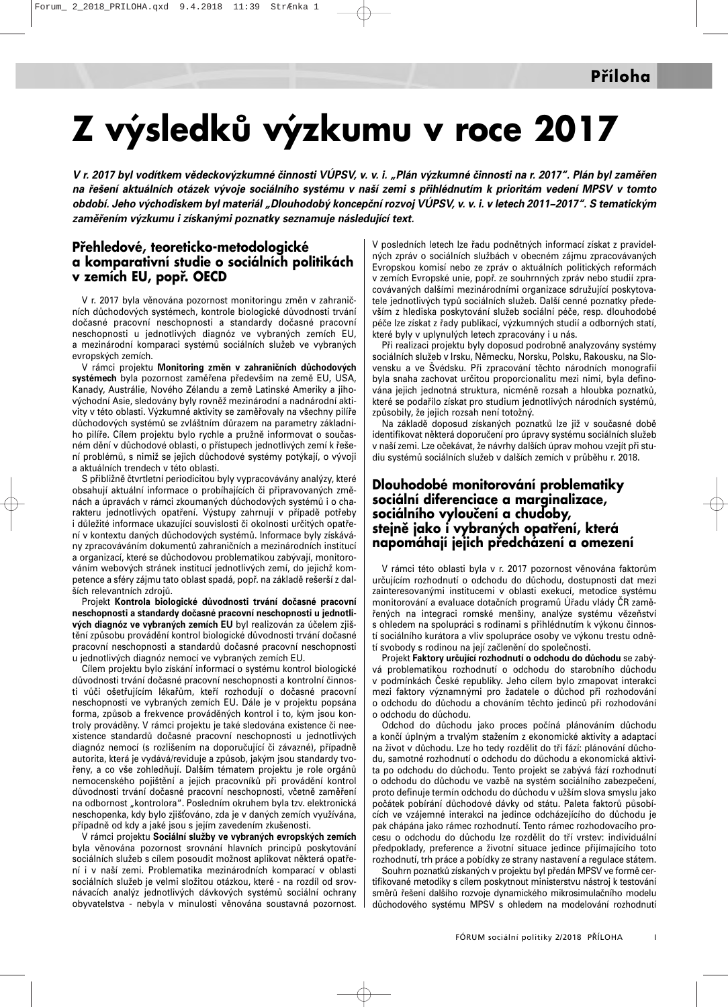# **Z výsledků výzkumu v roce 2017**

*V r. 2017 byl vodítkem vědeckovýzkumné činnosti VÚPSV, v. v. i. "Plán výzkumné činnosti na r. 2017". Plán byl zaměřen na řešení aktuálních otázek vývoje sociálního systému v naší zemi s přihlédnutím k prioritám vedení MPSV v tomto období. Jeho východiskem byl materiál "Dlouhodobý koncepční rozvoj VÚPSV, v. v. i. v letech 2011−2017". S tematickým zaměřením výzkumu i získanými poznatky seznamuje následující text.*

#### **Přehledové, teoreticko-metodologické a komparativní studie o sociálních politikách v zemích EU, popř. OECD**

V r. 2017 byla věnována pozornost monitoringu změn v zahraničních důchodových systémech, kontrole biologické důvodnosti trvání dočasné pracovní neschopnosti a standardy dočasné pracovní neschopnosti u jednotlivých diagnóz ve vybraných zemích EU, a mezinárodní komparaci systémů sociálních služeb ve vybraných evropských zemích.

V rámci projektu **Monitoring změn v zahraničních důchodových systémech** byla pozornost zaměřena především na země EU, USA, Kanady, Austrálie, Nového Zélandu a země Latinské Ameriky a jihovýchodní Asie, sledovány byly rovněž mezinárodní a nadnárodní aktivity v této oblasti. Výzkumné aktivity se zaměřovaly na všechny pilíře důchodových systémů se zvláštním důrazem na parametry základního pilíře. Cílem projektu bylo rychle a pružně informovat o současném dění v důchodové oblasti, o přístupech jednotlivých zemí k řešení problémů, s nimiž se jejich důchodové systémy potýkají, o vývoji a aktuálních trendech v této oblasti.

S přibližně čtvrtletní periodicitou byly vypracovávány analýzy, které obsahují aktuální informace o probíhajících či připravovaných změnách a úpravách v rámci zkoumaných důchodových systémů i o charakteru jednotlivých opatření. Výstupy zahrnují v případě potřeby i důležité informace ukazující souvislosti či okolnosti určitých opatření v kontextu daných důchodových systémů. Informace byly získávány zpracováváním dokumentů zahraničních a mezinárodních institucí a organizací, které se důchodovou problematikou zabývají, monitorováním webových stránek institucí jednotlivých zemí, do jejichž kompetence a sféry zájmu tato oblast spadá, popř. na základě rešerší z dalších relevantních zdrojů.

Projekt **Kontrola biologické důvodnosti trvání dočasné pracovní neschopnosti a standardy dočasné pracovní neschopnosti u jednotlivých diagnóz ve vybraných zemích EU** byl realizován za účelem zjištění způsobu provádění kontrol biologické důvodnosti trvání dočasné pracovní neschopnosti a standardů dočasné pracovní neschopnosti u jednotlivých diagnóz nemocí ve vybraných zemích EU.

Cílem projektu bylo získání informací o systému kontrol biologické důvodnosti trvání dočasné pracovní neschopnosti a kontrolní činnosti vůči ošetřujícím lékařům, kteří rozhodují o dočasné pracovní neschopnosti ve vybraných zemích EU. Dále je v projektu popsána forma, způsob a frekvence prováděných kontrol i to, kým jsou kontroly prováděny. V rámci projektu je také sledována existence či neexistence standardů dočasné pracovní neschopnosti u jednotlivých diagnóz nemocí (s rozlišením na doporučující či závazné), případně autorita, která je vydává/reviduje a způsob, jakým jsou standardy tvořeny, a co vše zohledňují. Dalším tématem projektu je role orgánů nemocenského pojištění a jejich pracovníků při provádění kontrol důvodnosti trvání dočasné pracovní neschopnosti, včetně zaměření na odbornost "kontrolora". Posledním okruhem byla tzv. elektronická neschopenka, kdy bylo zjišováno, zda je v daných zemích využívána, případně od kdy a jaké jsou s jejím zavedením zkušenosti.

V rámci projektu **Sociální služby ve vybraných evropských zemích** byla věnována pozornost srovnání hlavních principů poskytování sociálních služeb s cílem posoudit možnost aplikovat některá opatření i v naší zemi. Problematika mezinárodních komparací v oblasti sociálních služeb je velmi složitou otázkou, které - na rozdíl od srovnávacích analýz jednotlivých dávkových systémů sociální ochrany obyvatelstva - nebyla v minulosti věnována soustavná pozornost. V posledních letech lze řadu podnětných informací získat z pravidelných zpráv o sociálních službách v obecném zájmu zpracovávaných Evropskou komisí nebo ze zpráv o aktuálních politických reformách v zemích Evropské unie, popř. ze souhrnných zpráv nebo studií zpracovávaných dalšími mezinárodními organizace sdružující poskytovatele jednotlivých typů sociálních služeb. Další cenné poznatky především z hlediska poskytování služeb sociální péče, resp. dlouhodobé péče lze získat z řady publikací, výzkumných studií a odborných statí, které byly v uplynulých letech zpracovány i u nás.

Při realizaci projektu byly doposud podrobně analyzovány systémy sociálních služeb v Irsku, Německu, Norsku, Polsku, Rakousku, na Slovensku a ve Švédsku. Při zpracování těchto národních monografií byla snaha zachovat určitou proporcionalitu mezi nimi, byla definována jejich jednotná struktura, nicméně rozsah a hloubka poznatků, které se podařilo získat pro studium jednotlivých národních systémů, způsobily, že jejich rozsah není totožný.

Na základě doposud získaných poznatků lze již v současné době identifikovat některá doporučení pro úpravy systému sociálních služeb v naší zemi. Lze očekávat, že návrhy dalších úprav mohou vzejít při studiu systémů sociálních služeb v dalších zemích v průběhu r. 2018.

#### **Dlouhodobé monitorování problematiky sociální diferenciace a marginalizace, sociálního vyloučení a chudoby, stejně jako i vybraných opatření, která napomáhají jejich předcházení a omezení**

V rámci této oblasti byla v r. 2017 pozornost věnována faktorům určujícím rozhodnutí o odchodu do důchodu, dostupnosti dat mezi zainteresovanými institucemi v oblasti exekucí, metodice systému monitorování a evaluace dotačních programů Úřadu vlády ČR zaměřených na integraci romské menšiny, analýze systému vězeňství s ohledem na spolupráci s rodinami s přihlédnutím k výkonu činností sociálního kurátora a vliv spolupráce osoby ve výkonu trestu odnětí svobody s rodinou na její začlenění do společnosti.

Projekt **Faktory určující rozhodnutí o odchodu do důchodu** se zabývá problematikou rozhodnutí o odchodu do starobního důchodu v podmínkách České republiky. Jeho cílem bylo zmapovat interakci mezi faktory významnými pro žadatele o důchod při rozhodování o odchodu do důchodu a chováním těchto jedinců při rozhodování o odchodu do důchodu.

Odchod do důchodu jako proces počíná plánováním důchodu a končí úplným a trvalým stažením z ekonomické aktivity a adaptací na život v důchodu. Lze ho tedy rozdělit do tří fází: plánování důchodu, samotné rozhodnutí o odchodu do důchodu a ekonomická aktivita po odchodu do důchodu. Tento projekt se zabývá fází rozhodnutí o odchodu do důchodu ve vazbě na systém sociálního zabezpečení, proto definuje termín odchodu do důchodu v užším slova smyslu jako počátek pobírání důchodové dávky od státu. Paleta faktorů působících ve vzájemné interakci na jedince odcházejícího do důchodu je pak chápána jako rámec rozhodnutí. Tento rámec rozhodovacího procesu o odchodu do důchodu lze rozdělit do tří vrstev: individuální předpoklady, preference a životní situace jedince přijímajícího toto rozhodnutí, trh práce a pobídky ze strany nastavení a regulace státem.

Souhrn poznatků získaných v projektu byl předán MPSV ve formě certifikované metodiky s cílem poskytnout ministerstvu nástroj k testování směrů řešení dalšího rozvoje dynamického mikrosimulačního modelu důchodového systému MPSV s ohledem na modelování rozhodnutí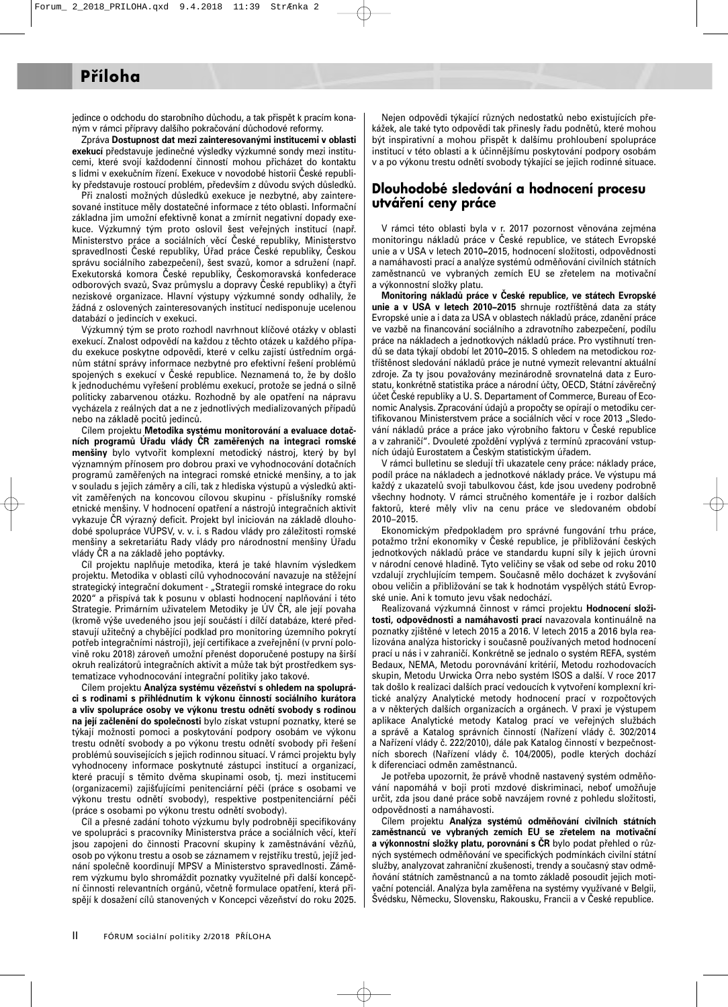### **Příloha**

jedince o odchodu do starobního důchodu, a tak přispět k pracím konaným v rámci přípravy dalšího pokračování důchodové reformy.

Zpráva **Dostupnost dat mezi zainteresovanými institucemi v oblasti exekucí** představuje jedinečné výsledky výzkumné sondy mezi institucemi, které svojí každodenní činností mohou přicházet do kontaktu s lidmi v exekučním řízení. Exekuce v novodobé historii České republiky představuje rostoucí problém, především z důvodu svých důsledků.

Při znalosti možných důsledků exekuce je nezbytné, aby zainteresované instituce měly dostatečné informace z této oblasti. Informační základna jim umožní efektivně konat a zmírnit negativní dopady exekuce. Výzkumný tým proto oslovil šest veřejných institucí (např. Ministerstvo práce a sociálních věcí České republiky, Ministerstvo spravedlnosti České republiky, Úřad práce České republiky, Českou správu sociálního zabezpečení), šest svazů, komor a sdružení (např. Exekutorská komora České republiky, Českomoravská konfederace odborových svazů, Svaz průmyslu a dopravy České republiky) a čtyři neziskové organizace. Hlavní výstupy výzkumné sondy odhalily, že žádná z oslovených zainteresovaných institucí nedisponuje ucelenou databází o jedincích v exekuci.

Výzkumný tým se proto rozhodl navrhnout klíčové otázky v oblasti exekucí. Znalost odpovědí na každou z těchto otázek u každého případu exekuce poskytne odpovědi, které v celku zajistí ústředním orgánům státní správy informace nezbytné pro efektivní řešení problémů spojených s exekucí v České republice. Neznamená to, že by došlo k jednoduchému vyřešení problému exekucí, protože se jedná o silně politicky zabarvenou otázku. Rozhodně by ale opatření na nápravu vycházela z reálných dat a ne z jednotlivých medializovaných případů nebo na základě pocitů jedinců.

Cílem projektu **Metodika systému monitorování a evaluace dotačních programů Úřadu vlády ČR zaměřených na integraci romské menšiny** bylo vytvořit komplexní metodický nástroj, který by byl významným přínosem pro dobrou praxi ve vyhodnocování dotačních programů zaměřených na integraci romské etnické menšiny, a to jak v souladu s jejich záměry a cíli, tak z hlediska výstupů a výsledků aktivit zaměřených na koncovou cílovou skupinu - příslušníky romské etnické menšiny. V hodnocení opatření a nástrojů integračních aktivit vykazuje ČR výrazný deficit. Projekt byl iniciován na základě dlouhodobé spolupráce VÚPSV, v. v. i. s Radou vlády pro záležitosti romské menšiny a sekretariátu Rady vlády pro národnostní menšiny Úřadu vlády ČR a na základě jeho poptávky.

Cíl projektu naplňuje metodika, která je také hlavním výsledkem projektu. Metodika v oblasti cílů vyhodnocování navazuje na stěžejní strategický integrační dokument - "Strategii romské integrace do roku 2020" a přispívá tak k posunu v oblasti hodnocení naplňování i této Strategie. Primárním uživatelem Metodiky je ÚV ČR, ale její povaha (kromě výše uvedeného jsou její součástí i dílčí databáze, které představují užitečný a chybějící podklad pro monitoring územního pokrytí potřeb integračními nástroji), její certifikace a zveřejnění (v první polovině roku 2018) zároveň umožní přenést doporučené postupy na širší okruh realizátorů integračních aktivit a může tak být prostředkem systematizace vyhodnocování integrační politiky jako takové.

Cílem projektu **Analýza systému vězeňství s ohledem na spolupráci s rodinami s přihlédnutím k výkonu činností sociálního kurátora a vliv spolupráce osoby ve výkonu trestu odnětí svobody s rodinou na její začlenění do společnosti** bylo získat vstupní poznatky, které se týkají možnosti pomoci a poskytování podpory osobám ve výkonu trestu odnětí svobody a po výkonu trestu odnětí svobody při řešení problémů souvisejících s jejich rodinnou situací. V rámci projektu byly vyhodnoceny informace poskytnuté zástupci institucí a organizací, které pracují s těmito dvěma skupinami osob, tj. mezi institucemi (organizacemi) zajišujícími penitenciární péči (práce s osobami ve výkonu trestu odnětí svobody), respektive postpenitenciární péči (práce s osobami po výkonu trestu odnětí svobody).

Cíl a přesné zadání tohoto výzkumu byly podrobněji specifikovány ve spolupráci s pracovníky Ministerstva práce a sociálních věcí, kteří jsou zapojeni do činnosti Pracovní skupiny k zaměstnávání vězňů, osob po výkonu trestu a osob se záznamem v rejstříku trestů, jejíž jednání společně koordinují MPSV a Ministerstvo spravedlnosti. Záměrem výzkumu bylo shromáždit poznatky využitelné při další koncepční činnosti relevantních orgánů, včetně formulace opatření, která přispějí k dosažení cílů stanovených v Koncepci vězeňství do roku 2025.

Nejen odpovědi týkající různých nedostatků nebo existujících překážek, ale také tyto odpovědi tak přinesly řadu podnětů, které mohou být inspirativní a mohou přispět k dalšímu prohloubení spolupráce institucí v této oblasti a k účinnějšímu poskytování podpory osobám v a po výkonu trestu odnětí svobody týkající se jejich rodinné situace.

#### **Dlouhodobé sledování a hodnocení procesu utváření ceny práce**

V rámci této oblasti byla v r. 2017 pozornost věnována zejména monitoringu nákladů práce v České republice, ve státech Evropské unie a v USA v letech 2010**−**2015, hodnocení složitosti, odpovědnosti a namáhavosti prací a analýze systémů odměňování civilních státních zaměstnanců ve vybraných zemích EU se zřetelem na motivační a výkonnostní složky platu.

**Monitoring nákladů práce v České republice, ve státech Evropské unie a v USA v letech 2010−2015** shrnuje roztříštěná data za státy Evropské unie a i data za USA v oblastech nákladů práce, zdanění práce ve vazbě na financování sociálního a zdravotního zabezpečení, podílu práce na nákladech a jednotkových nákladů práce. Pro vystihnutí trendů se data týkají období let 2010**−**2015. S ohledem na metodickou roztříštěnost sledování nákladů práce je nutné vymezit relevantní aktuální zdroje. Za ty jsou považovány mezinárodně srovnatelná data z Eurostatu, konkrétně statistika práce a národní účty, OECD, Státní závěrečný účet České republiky a U. S. Departament of Commerce, Bureau of Economic Analysis. Zpracování údajů a propočty se opírají o metodiku certifikovanou Ministerstvem práce a sociálních věcí v roce 2013 "Sledování nákladů práce a práce jako výrobního faktoru v České republice a v zahraničí". Dvouleté zpoždění vyplývá z termínů zpracování vstupních údajů Eurostatem a Českým statistickým úřadem.

V rámci bulletinu se sledují tři ukazatele ceny práce: náklady práce, podíl práce na nákladech a jednotkové náklady práce. Ve výstupu má každý z ukazatelů svoji tabulkovou část, kde jsou uvedeny podrobně všechny hodnoty. V rámci stručného komentáře je i rozbor dalších faktorů, které měly vliv na cenu práce ve sledovaném období 2010−2015.

Ekonomickým předpokladem pro správné fungování trhu práce, potažmo tržní ekonomiky v České republice, je přibližování českých jednotkových nákladů práce ve standardu kupní síly k jejich úrovni v národní cenové hladině. Tyto veličiny se však od sebe od roku 2010 vzdalují zrychlujícím tempem. Současně mělo docházet k zvyšování obou veličin a přibližování se tak k hodnotám vyspělých států Evropské unie. Ani k tomuto jevu však nedochází.

Realizovaná výzkumná činnost v rámci projektu **Hodnocení složitosti, odpovědnosti a namáhavosti prací** navazovala kontinuálně na poznatky zjištěné v letech 2015 a 2016. V letech 2015 a 2016 byla realizována analýza historicky i současně používaných metod hodnocení prací u nás i v zahraničí. Konkrétně se jednalo o systém REFA, systém Bedaux, NEMA, Metodu porovnávání kritérií, Metodu rozhodovacích skupin, Metodu Urwicka Orra nebo systém ISOS a další. V roce 2017 tak došlo k realizaci dalších prací vedoucích k vytvoření komplexní kritické analýzy Analytické metody hodnocení prací v rozpočtových a v některých dalších organizacích a orgánech. V praxi je výstupem aplikace Analytické metody Katalog prací ve veřejných službách a správě a Katalog správních činností (Nařízení vlády č. 302/2014 a Nařízení vlády č. 222/2010), dále pak Katalog činností v bezpečnostních sborech (Nařízení vlády č. 104/2005), podle kterých dochází k diferenciaci odměn zaměstnanců.

Je potřeba upozornit, že právě vhodně nastavený systém odměňování napomáhá v boji proti mzdové diskriminaci, neboť umožňuje určit, zda jsou dané práce sobě navzájem rovné z pohledu složitosti, odpovědnosti a namáhavosti.

Cílem projektu **Analýza systémů odměňování civilních státních zaměstnanců ve vybraných zemích EU se zřetelem na motivační a výkonnostní složky platu, porovnání s ČR** bylo podat přehled o různých systémech odměňování ve specifických podmínkách civilní státní služby, analyzovat zahraniční zkušenosti, trendy a současný stav odměňování státních zaměstnanců a na tomto základě posoudit jejich motivační potenciál. Analýza byla zaměřena na systémy využívané v Belgii, Švédsku, Německu, Slovensku, Rakousku, Francii a v České republice.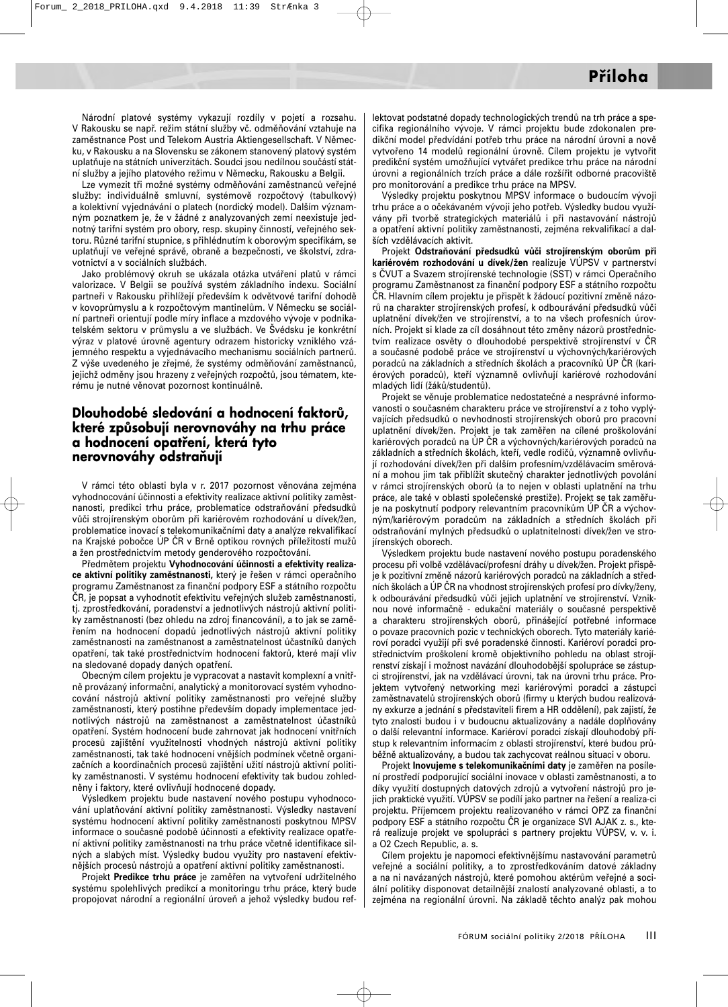Národní platové systémy vykazují rozdíly v pojetí a rozsahu. V Rakousku se např. režim státní služby vč. odměňování vztahuje na zaměstnance Post und Telekom Austria Aktiengesellschaft. V Německu, v Rakousku a na Slovensku se zákonem stanovený platový systém uplatňuje na státních univerzitách. Soudci jsou nedílnou součástí státní služby a jejího platového režimu v Německu, Rakousku a Belgii.

Lze vymezit tři možné systémy odměňování zaměstnanců veřejné služby: individuálně smluvní, systémově rozpočtový (tabulkový) a kolektivní vyjednávání o platech (nordický model). Dalším významným poznatkem je, že v žádné z analyzovaných zemí neexistuje jednotný tarifní systém pro obory, resp. skupiny činností, veřejného sektoru. Různé tarifní stupnice, s přihlédnutím k oborovým specifikám, se uplatňují ve veřejné správě, obraně a bezpečnosti, ve školství, zdravotnictví a v sociálních službách.

Jako problémový okruh se ukázala otázka utváření platů v rámci valorizace. V Belgii se používá systém základního indexu. Sociální partneři v Rakousku přihlížejí především k odvětvové tarifní dohodě v kovoprůmyslu a k rozpočtovým mantinelům. V Německu se sociální partneři orientují podle míry inflace a mzdového vývoje v podnikatelském sektoru v průmyslu a ve službách. Ve Švédsku je konkrétní výraz v platové úrovně agentury odrazem historicky vzniklého vzájemného respektu a vyjednávacího mechanismu sociálních partnerů. Z výše uvedeného je zřejmé, že systémy odměňování zaměstnanců, jejichž odměny jsou hrazeny z veřejných rozpočtů, jsou tématem, kterému je nutné věnovat pozornost kontinuálně.

#### **Dlouhodobé sledování a hodnocení faktorů, které způsobují nerovnováhy na trhu práce a hodnocení opatření, která tyto nerovnováhy odstraňují**

V rámci této oblasti byla v r. 2017 pozornost věnována zejména vyhodnocování účinnosti a efektivity realizace aktivní politiky zaměstnanosti, predikci trhu práce, problematice odstraňování předsudků vůči strojírenským oborům při kariérovém rozhodování u dívek/žen, problematice inovací s telekomunikačními daty a analýze rekvalifikací na Krajské pobočce ÚP ČR v Brně optikou rovných příležitostí mužů a žen prostřednictvím metody genderového rozpočtování.

Předmětem projektu **Vyhodnocování účinnosti a efektivity realizace aktivní politiky zaměstnanosti,** který je řešen v rámci operačního programu Zaměstnanost za finanční podpory ESF a státního rozpočtu ČR, je popsat a vyhodnotit efektivitu veřejných služeb zaměstnanosti, tj. zprostředkování, poradenství a jednotlivých nástrojů aktivní politiky zaměstnanosti (bez ohledu na zdroj financování), a to jak se zaměřením na hodnocení dopadů jednotlivých nástrojů aktivní politiky zaměstnanosti na zaměstnanost a zaměstnatelnost účastníků daných opatření, tak také prostřednictvím hodnocení faktorů, které mají vliv na sledované dopady daných opatření.

Obecným cílem projektu je vypracovat a nastavit komplexní a vnitřně provázaný informační, analytický a monitorovací systém vyhodnocování nástrojů aktivní politiky zaměstnanosti pro veřejné služby zaměstnanosti, který postihne především dopady implementace jednotlivých nástrojů na zaměstnanost a zaměstnatelnost účastníků opatření. Systém hodnocení bude zahrnovat jak hodnocení vnitřních procesů zajištění využitelnosti vhodných nástrojů aktivní politiky zaměstnanosti, tak také hodnocení vnějších podmínek včetně organizačních a koordinačních procesů zajištění užití nástrojů aktivní politiky zaměstnanosti. V systému hodnocení efektivity tak budou zohledněny i faktory, které ovlivňují hodnocené dopady.

Výsledkem projektu bude nastavení nového postupu vyhodnocování uplatňování aktivní politiky zaměstnanosti. Výsledky nastavení systému hodnocení aktivní politiky zaměstnanosti poskytnou MPSV informace o současné podobě účinnosti a efektivity realizace opatření aktivní politiky zaměstnanosti na trhu práce včetně identifikace silných a slabých míst. Výsledky budou využity pro nastavení efektivnějších procesů nástrojů a opatření aktivní politiky zaměstnanosti.

Projekt **Predikce trhu práce** je zaměřen na vytvoření udržitelného systému spolehlivých predikcí a monitoringu trhu práce, který bude propojovat národní a regionální úroveň a jehož výsledky budou reflektovat podstatné dopady technologických trendů na trh práce a specifika regionálního vývoje. V rámci projektu bude zdokonalen predikční model předvídání potřeb trhu práce na národní úrovni a nově vytvořeno 14 modelů regionální úrovně. Cílem projektu je vytvořit predikční systém umožňující vytvářet predikce trhu práce na národní úrovni a regionálních trzích práce a dále rozšířit odborné pracoviště pro monitorování a predikce trhu práce na MPSV.

Výsledky projektu poskytnou MPSV informace o budoucím vývoji trhu práce a o očekávaném vývoji jeho potřeb. Výsledky budou využívány při tvorbě strategických materiálů i při nastavování nástrojů a opatření aktivní politiky zaměstnanosti, zejména rekvalifikací a dalších vzdělávacích aktivit.

Projekt **Odstraňování předsudků vůči strojírenským oborům při kariérovém rozhodování u dívek/žen** realizuje VÚPSV v partnerství s ČVUT a Svazem strojírenské technologie (SST) v rámci Operačního programu Zaměstnanost za finanční podpory ESF a státního rozpočtu ČR. Hlavním cílem projektu je přispět k žádoucí pozitivní změně názorů na charakter strojírenských profesí, k odbourávání předsudků vůči uplatnění dívek/žen ve strojírenství, a to na všech profesních úrovních. Projekt si klade za cíl dosáhnout této změny názorů prostřednictvím realizace osvěty o dlouhodobé perspektivě strojírenství v ČR a současné podobě práce ve strojírenství u výchovných/kariérových poradců na základních a středních školách a pracovníků ÚP ČR (kariérových poradců), kteří významně ovlivňují kariérové rozhodování mladých lidí (žáků/studentů).

Projekt se věnuje problematice nedostatečné a nesprávné informovanosti o současném charakteru práce ve strojírenství a z toho vyplývajících předsudků o nevhodnosti strojírenských oborů pro pracovní uplatnění dívek/žen. Projekt je tak zaměřen na cílené proškolování kariérových poradců na ÚP ČR a výchovných/kariérových poradců na základních a středních školách, kteří, vedle rodičů, významně ovlivňují rozhodování dívek/žen při dalším profesním/vzdělávacím směrování a mohou jim tak přiblížit skutečný charakter jednotlivých povolání v rámci strojírenských oborů (a to nejen v oblasti uplatnění na trhu práce, ale také v oblasti společenské prestiže). Projekt se tak zaměřuje na poskytnutí podpory relevantním pracovníkům ÚP ČR a výchovným/kariérovým poradcům na základních a středních školách při odstraňování mylných předsudků o uplatnitelnosti dívek/žen ve strojírenských oborech.

Výsledkem projektu bude nastavení nového postupu poradenského procesu při volbě vzdělávací/profesní dráhy u dívek/žen. Projekt přispěje k pozitivní změně názorů kariérových poradců na základních a středních školách a ÚP ČR na vhodnost strojírenských profesí pro dívky/ženy, k odbourávání předsudků vůči jejich uplatnění ve strojírenství. Vzniknou nové informačně - edukační materiály o současné perspektivě a charakteru strojírenských oborů, přinášející potřebné informace o povaze pracovních pozic v technických oborech. Tyto materiály kariéroví poradci využijí při své poradenské činnosti. Kariéroví poradci prostřednictvím proškolení kromě objektivního pohledu na oblast strojírenství získají i možnost navázání dlouhodobější spolupráce se zástupci strojírenství, jak na vzdělávací úrovni, tak na úrovni trhu práce. Projektem vytvořený networking mezi kariérovými poradci a zástupci zaměstnavatelů strojírenských oborů (firmy u kterých budou realizovány exkurze a jednání s představiteli firem a HR oddělení), pak zajistí, že tyto znalosti budou i v budoucnu aktualizovány a nadále doplňovány o další relevantní informace. Kariéroví poradci získají dlouhodobý přístup k relevantním informacím z oblasti strojírenství, které budou průběžně aktualizovány, a budou tak zachycovat reálnou situaci v oboru.

Projekt **Inovujeme s telekomunikačními daty** je zaměřen na posílení prostředí podporující sociální inovace v oblasti zaměstnanosti, a to díky využití dostupných datových zdrojů a vytvoření nástrojů pro jejich praktické využití. VÚPSV se podílí jako partner na řešení a realiza-ci projektu. Příjemcem projektu realizovaného v rámci OPZ za finanční podpory ESF a státního rozpočtu ČR je organizace SVI AJAK z. s., která realizuje projekt ve spolupráci s partnery projektu VÚPSV, v. v. i. a O2 Czech Republic, a. s.

Cílem projektu je napomoci efektivnějšímu nastavování parametrů veřejné a sociální politiky, a to zprostředkováním datové základny a na ni navázaných nástrojů, které pomohou aktérům veřejné a sociální politiky disponovat detailnější znalostí analyzované oblasti, a to zejména na regionální úrovni. Na základě těchto analýz pak mohou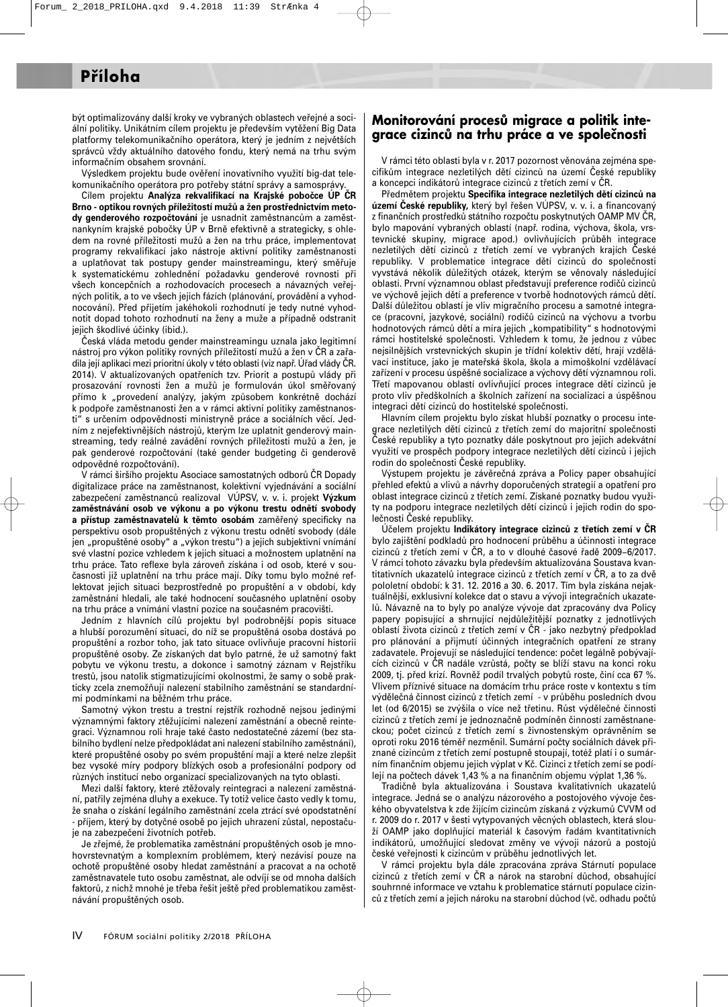být optimalizovány další kroky ve vybraných oblastech veřejné a sociální politiky. Unikátním cílem projektu je především vytěžení Big Data platformy telekomunikačního operátora, který je jedním z největších správců vždy aktuálního datového fondu, který nemá na trhu svým informačním obsahem srovnání.

Výsledkem projektu bude ověření inovativního využití big-dat telekomunikačního operátora pro potřeby státní správy a samosprávy.

Cílem projektu **Analýza rekvalifikací na Krajské pobočce ÚP ČR Brno - optikou rovných příležitostí mužů a žen prostřednictvím metody genderového rozpočtování** je usnadnit zaměstnancům a zaměstnankyním krajské pobočky ÚP v Brně efektivně a strategicky, s ohledem na rovné příležitosti mužů a žen na trhu práce, implementovat programy rekvalifikací jako nástroje aktivní politiky zaměstnanosti a uplatňovat tak postupy gender mainstreamingu, který směřuje k systematickému zohlednění požadavku genderové rovnosti při všech koncepčních a rozhodovacích procesech a návazných veřejných politik, a to ve všech jejich fázích (plánování, provádění a vyhodnocování). Před přijetím jakéhokoli rozhodnutí je tedy nutné vyhodnotit dopad tohoto rozhodnutí na ženy a muže a případně odstranit jejich škodlivé účinky (ibid.).

Česká vláda metodu gender mainstreamingu uznala jako legitimní nástroj pro výkon politiky rovných příležitostí mužů a žen v ČR a zařadila její aplikaci mezi prioritní úkoly v této oblasti (viz např. Úřad vlády ČR. 2014). V aktualizovaných opatřeních tzv. Priorit a postupů vlády při prosazování rovnosti žen a mužů je formulován úkol směřovaný přímo k "provedení analýzy, jakým způsobem konkrétně dochází k podpoře zaměstnanosti žen a v rámci aktivní politiky zaměstnanosti" s určením odpovědnosti ministryně práce a sociálních věcí. Jedním z nejefektivnějších nástrojů, kterým lze uplatnit genderový mainstreaming, tedy reálné zavádění rovných příležitosti mužů a žen, je pak genderové rozpočtování (také gender budgeting či genderově odpovědné rozpočtování).

V rámci širšího projektu Asociace samostatných odborů ČR Dopady digitalizace práce na zaměstnanost, kolektivní vyjednávání a sociální zabezpečení zaměstnanců realizoval VÚPSV, v. v. i. projekt **Výzkum zaměstnávání osob ve výkonu a po výkonu trestu odnětí svobody a přístup zaměstnavatelů k těmto osobám** zaměřený specificky na perspektivu osob propuštěných z výkonu trestu odnětí svobody (dále jen "propuštěné osoby" a "výkon trestu") a jejich subjektivní vnímání své vlastní pozice vzhledem k jejich situaci a možnostem uplatnění na trhu práce. Tato reflexe byla zároveň získána i od osob, které v současnosti již uplatnění na trhu práce mají. Díky tomu bylo možné reflektovat jejich situaci bezprostředně po propuštění a v období, kdy zaměstnání hledali, ale také hodnocení současného uplatnění osoby na trhu práce a vnímání vlastní pozice na současném pracovišti.

Jedním z hlavních cílů projektu byl podrobnější popis situace a hlubší porozumění situaci, do níž se propuštěná osoba dostává po propuštění a rozbor toho, jak tato situace ovlivňuje pracovní historii propuštěné osoby. Ze získaných dat bylo patrné, že už samotný fakt pobytu ve výkonu trestu, a dokonce i samotný záznam v Rejstříku trestů, jsou natolik stigmatizujícími okolnostmi, že samy o sobě prakticky zcela znemožňují nalezení stabilního zaměstnání se standardními podmínkami na běžném trhu práce.

Samotný výkon trestu a trestní rejstřík rozhodně nejsou jedinými významnými faktory ztěžujícími nalezení zaměstnání a obecně reintegraci. Významnou roli hraje také často nedostatečné zázemí (bez stabilního bydlení nelze předpokládat ani nalezení stabilního zaměstnání), které propuštěné osoby po svém propuštění mají a které nelze zlepšit bez vysoké míry podpory blízkých osob a profesionální podpory od různých institucí nebo organizací specializovaných na tyto oblasti.

Mezi další faktory, které ztěžovaly reintegraci a nalezení zaměstnání, patřily zejména dluhy a exekuce. Ty totiž velice často vedly k tomu, že snaha o získání legálního zaměstnání zcela ztrácí své opodstatnění - příjem, který by dotyčné osobě po jejich uhrazení zůstal, nepostačuje na zabezpečení životních potřeb.

Je zřejmé, že problematika zaměstnání propuštěných osob je mnohovrstevnatým a komplexním problémem, který nezávisí pouze na ochotě propuštěné osoby hledat zaměstnání a pracovat a na ochotě zaměstnavatele tuto osobu zaměstnat, ale odvíjí se od mnoha dalších faktorů, z nichž mnohé je třeba řešit ještě před problematikou zaměstnávání propuštěných osob.

#### **Monitorování procesů migrace a politik integrace cizinců na trhu práce a ve společnosti**

V rámci této oblasti byla v r. 2017 pozornost věnována zejména specifikům integrace nezletilých dětí cizinců na území České republiky a koncepci indikátorů integrace cizinců z třetích zemí v ČR.

Předmětem projektu **Specifika integrace nezletilých dětí cizinců na území České republiky,** který byl řešen VÚPSV, v. v. i. a financovaný z finančních prostředků státního rozpočtu poskytnutých OAMP MV ČR, bylo mapování vybraných oblastí (např. rodina, výchova, škola, vrstevnické skupiny, migrace apod.) ovlivňujících průběh integrace nezletilých dětí cizinců z třetích zemí ve vybraných krajích České republiky. V problematice integrace dětí cizinců do společnosti vyvstává několik důležitých otázek, kterým se věnovaly následující oblasti. První významnou oblast představují preference rodičů cizinců ve výchově jejich dětí a preference v tvorbě hodnotových rámců dětí. Další důležitou oblastí je vliv migračního procesu a samotné integrace (pracovní, jazykové, sociální) rodičů cizinců na výchovu a tvorbu hodnotových rámců dětí a míra jejich "kompatibility" s hodnotovými rámci hostitelské společnosti. Vzhledem k tomu, že jednou z vůbec nejsilnějších vrstevnických skupin je třídní kolektiv dětí, hrají vzdělávací instituce, jako je mateřská škola, škola a mimoškolní vzdělávací zařízení v procesu úspěšné socializace a výchovy dětí významnou roli. Třetí mapovanou oblastí ovlivňující proces integrace dětí cizinců je proto vliv předškolních a školních zařízení na socializaci a úspěšnou integraci dětí cizinců do hostitelské společnosti.

Hlavním cílem projektu bylo získat hlubší poznatky o procesu integrace nezletilých dětí cizinců z třetích zemí do majoritní společnosti České republiky a tyto poznatky dále poskytnout pro jejich adekvátní využití ve prospěch podpory integrace nezletilých dětí cizinců i jejich rodin do společnosti České republiky.

Výstupem projektu je závěrečná zpráva a Policy paper obsahující přehled efektů a vlivů a návrhy doporučených strategií a opatření pro oblast integrace cizinců z třetích zemí. Získané poznatky budou využity na podporu integrace nezletilých dětí cizinců i jejich rodin do společnosti České republiky.

Účelem projektu **Indikátory integrace cizinců z třetích zemí v ČR** bylo zajištění podkladů pro hodnocení průběhu a účinnosti integrace cizinců z třetích zemí v ČR, a to v dlouhé časové řadě 2009−6/2017. V rámci tohoto závazku byla především aktualizována Soustava kvantitativních ukazatelů integrace cizinců z třetích zemí v ČR, a to za dvě pololetní období: k 31. 12. 2016 a 30. 6. 2017. Tím byla získána nejaktuálnější, exklusivní kolekce dat o stavu a vývoji integračních ukazatelů. Návazně na to byly po analýze vývoje dat zpracovány dva Policy papery popisující a shrnující nejdůležitější poznatky z jednotlivých oblastí života cizinců z třetích zemí v ČR - jako nezbytný předpoklad pro plánování a přijmutí účinných integračních opatření ze strany zadavatele. Projevují se následující tendence: počet legálně pobývajících cizinců v ČR nadále vzrůstá, počty se blíží stavu na konci roku 2009, tj. před krizí. Rovněž podíl trvalých pobytů roste, činí cca 67 %. Vlivem příznivé situace na domácím trhu práce roste v kontextu s tím výdělečná činnost cizinců z třetích zemí - v průběhu posledních dvou let (od 6/2015) se zvýšila o více než třetinu. Růst výdělečné činnosti cizinců z třetích zemí je jednoznačně podmíněn činností zaměstnaneckou; počet cizinců z třetích zemí s živnostenským oprávněním se oproti roku 2016 téměř nezměnil. Sumární počty sociálních dávek přiznané cizincům z třetích zemí postupně stoupají, totéž platí i o sumárním finančním objemu jejich výplat v Kč. Cizinci z třetích zemí se podílejí na počtech dávek 1,43 % a na finančním objemu výplat 1,36 %.

Tradičně byla aktualizována i Soustava kvalitativních ukazatelů integrace. Jedná se o analýzu názorového a postojového vývoje českého obyvatelstva k zde žijícím cizincům získaná z výzkumů CVVM od r. 2009 do r. 2017 v šesti vytypovaných věcných oblastech, která slouží OAMP jako doplňující materiál k časovým řadám kvantitativních indikátorů, umožňující sledovat změny ve vývoji názorů a postojů české veřejnosti k cizincům v průběhu jednotlivých let.

V rámci projektu byla dále zpracována zpráva Stárnutí populace cizinců z třetích zemí v ČR a nárok na starobní důchod, obsahující souhrnné informace ve vztahu k problematice stárnutí populace cizinců z třetích zemí a jejich nároku na starobní důchod (vč. odhadu počtů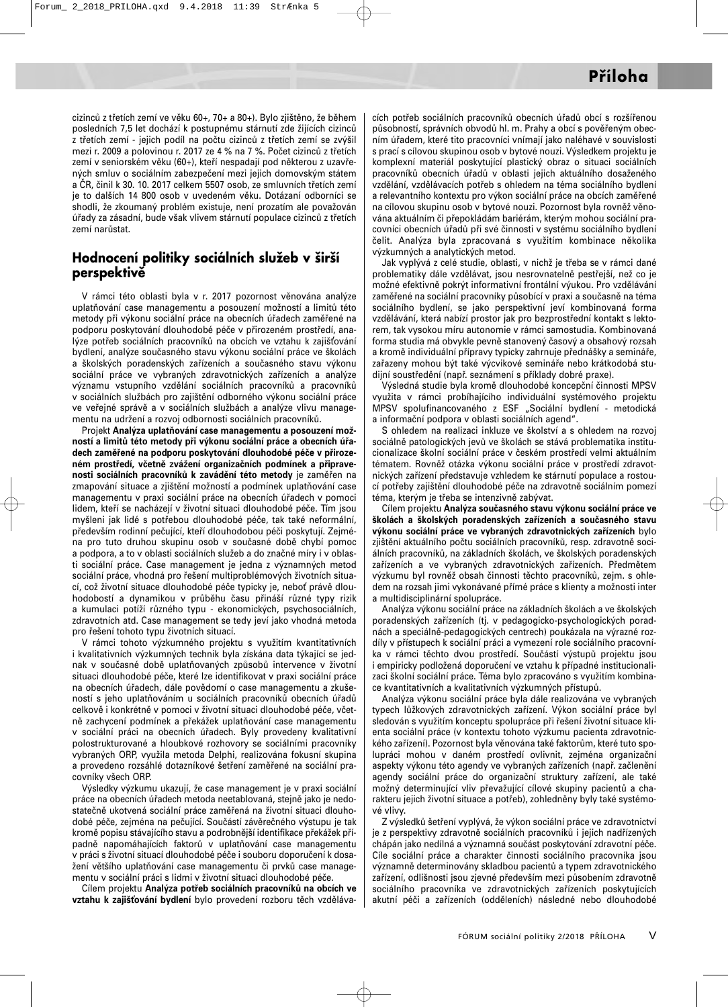cizinců z třetích zemí ve věku 60+, 70+ a 80+). Bylo zjištěno, že během posledních 7,5 let dochází k postupnému stárnutí zde žijících cizinců z třetích zemí - jejich podíl na počtu cizinců z třetích zemí se zvýšil mezi r. 2009 a polovinou r. 2017 ze 4 % na 7 %. Počet cizinců z třetích zemí v seniorském věku (60+), kteří nespadají pod některou z uzavřených smluv o sociálním zabezpečení mezi jejich domovským státem a ČR, činil k 30. 10. 2017 celkem 5507 osob, ze smluvních třetích zemí je to dalších 14 800 osob v uvedeném věku. Dotázaní odborníci se shodli, že zkoumaný problém existuje, není prozatím ale považován úřady za zásadní, bude však vlivem stárnutí populace cizinců z třetích zemí narůstat.

#### **Hodnocení politiky sociálních služeb v širší perspektivě**

V rámci této oblasti byla v r. 2017 pozornost věnována analýze uplatňování case managementu a posouzení možností a limitů této metody při výkonu sociální práce na obecních úřadech zaměřené na podporu poskytování dlouhodobé péče v přirozeném prostředí, analýze potřeb sociálních pracovníků na obcích ve vztahu k zajišťování bydlení, analýze současného stavu výkonu sociální práce ve školách a školských poradenských zařízeních a současného stavu výkonu sociální práce ve vybraných zdravotnických zařízeních a analýze významu vstupního vzdělání sociálních pracovníků a pracovníků v sociálních službách pro zajištění odborného výkonu sociální práce ve veřejné správě a v sociálních službách a analýze vlivu managementu na udržení a rozvoj odbornosti sociálních pracovníků.

Projekt **Analýza uplatňování case managementu a posouzení možností a limitů této metody při výkonu sociální práce a obecních úřadech zaměřené na podporu poskytování dlouhodobé péče v přirozeném prostředí, včetně zvážení organizačních podmínek a připravenosti sociálních pracovníků k zavádění této metody** je zaměřen na zmapování situace a zjištění možností a podmínek uplatňování case managementu v praxi sociální práce na obecních úřadech v pomoci lidem, kteří se nacházejí v životní situaci dlouhodobé péče. Tím jsou myšleni jak lidé s potřebou dlouhodobé péče, tak také neformální, především rodinní pečující, kteří dlouhodobou péči poskytují. Zejména pro tuto druhou skupinu osob v současné době chybí pomoc a podpora, a to v oblasti sociálních služeb a do značné míry i v oblasti sociální práce. Case management je jedna z významných metod sociální práce, vhodná pro řešení multiproblémových životních situací, což životní situace dlouhodobé péče typicky je, neboť právě dlouhodobostí a dynamikou v průběhu času přináší různé typy rizik a kumulaci potíží různého typu - ekonomických, psychosociálních, zdravotních atd. Case management se tedy jeví jako vhodná metoda pro řešení tohoto typu životních situací.

V rámci tohoto výzkumného projektu s využitím kvantitativních i kvalitativních výzkumných technik byla získána data týkající se jednak v současné době uplatňovaných způsobů intervence v životní situaci dlouhodobé péče, které lze identifikovat v praxi sociální práce na obecních úřadech, dále povědomí o case managementu a zkušeností s jeho uplatňováním u sociálních pracovníků obecních úřadů celkově i konkrétně v pomoci v životní situaci dlouhodobé péče, včetně zachycení podmínek a překážek uplatňování case managementu v sociální práci na obecních úřadech. Byly provedeny kvalitativní polostrukturované a hloubkové rozhovory se sociálními pracovníky vybraných ORP, využila metoda Delphi, realizována fokusní skupina a provedeno rozsáhlé dotazníkové šetření zaměřené na sociální pracovníky všech ORP.

Výsledky výzkumu ukazují, že case management je v praxi sociální práce na obecních úřadech metoda neetablovaná, stejně jako je nedostatečně ukotvená sociální práce zaměřená na životní situaci dlouhodobé péče, zejména na pečující. Součástí závěrečného výstupu je tak kromě popisu stávajícího stavu a podrobnější identifikace překážek případně napomáhajících faktorů v uplatňování case managementu v práci s životní situací dlouhodobé péče i souboru doporučení k dosažení většího uplatňování case managementu či prvků case managementu v sociální práci s lidmi v životní situaci dlouhodobé péče.

Cílem projektu **Analýza potřeb sociálních pracovníků na obcích ve** vztahu k zajišťování bydlení bylo provedení rozboru těch vzdělávacích potřeb sociálních pracovníků obecních úřadů obcí s rozšířenou působností, správních obvodů hl. m. Prahy a obcí s pověřeným obecním úřadem, které tito pracovníci vnímají jako naléhavé v souvislosti s prací s cílovou skupinou osob v bytové nouzi. Výsledkem projektu je komplexní materiál poskytující plastický obraz o situaci sociálních pracovníků obecních úřadů v oblasti jejich aktuálního dosaženého vzdělání, vzdělávacích potřeb s ohledem na téma sociálního bydlení a relevantního kontextu pro výkon sociální práce na obcích zaměřené na cílovou skupinu osob v bytové nouzi. Pozornost byla rovněž věnována aktuálním či přepokládám bariérám, kterým mohou sociální pracovníci obecních úřadů při své činnosti v systému sociálního bydlení čelit. Analýza byla zpracovaná s využitím kombinace několika výzkumných a analytických metod.

Jak vyplývá z celé studie, oblasti, v nichž je třeba se v rámci dané problematiky dále vzdělávat, jsou nesrovnatelně pestřejší, než co je možné efektivně pokrýt informativní frontální výukou. Pro vzdělávání zaměřené na sociální pracovníky působící v praxi a současně na téma sociálního bydlení, se jako perspektivní jeví kombinovaná forma vzdělávání, která nabízí prostor jak pro bezprostřední kontakt s lektorem, tak vysokou míru autonomie v rámci samostudia. Kombinovaná forma studia má obvykle pevně stanovený časový a obsahový rozsah a kromě individuální přípravy typicky zahrnuje přednášky a semináře, zařazeny mohou být také výcvikové semináře nebo krátkodobá studijní soustředění (např. seznámení s příklady dobré praxe).

Výsledná studie byla kromě dlouhodobé koncepční činnosti MPSV využita v rámci probíhajícího individuální systémového projektu MPSV spolufinancovaného z ESF "Sociální bydlení - metodická a informační podpora v oblasti sociálních agend".

S ohledem na realizaci inkluze ve školství a s ohledem na rozvoj sociálně patologických jevů ve školách se stává problematika institucionalizace školní sociální práce v českém prostředí velmi aktuálním tématem. Rovněž otázka výkonu sociální práce v prostředí zdravotnických zařízení představuje vzhledem ke stárnutí populace a rostoucí potřeby zajištění dlouhodobé péče na zdravotně sociálním pomezí téma, kterým je třeba se intenzivně zabývat.

Cílem projektu **Analýza současného stavu výkonu sociální práce ve školách a školských poradenských zařízeních a současného stavu výkonu sociální práce ve vybraných zdravotnických zařízeních** bylo zjištění aktuálního počtu sociálních pracovníků, resp. zdravotně sociálních pracovníků, na základních školách, ve školských poradenských zařízeních a ve vybraných zdravotnických zařízeních. Předmětem výzkumu byl rovněž obsah činnosti těchto pracovníků, zejm. s ohledem na rozsah jimi vykonávané přímé práce s klienty a možnosti inter a multidisciplinární spolupráce.

Analýza výkonu sociální práce na základních školách a ve školských poradenských zařízeních (tj. v pedagogicko-psychologických poradnách a speciálně-pedagogických centrech) poukázala na výrazné rozdíly v přístupech k sociální práci a vymezení role sociálního pracovníka v rámci těchto dvou prostředí. Součástí výstupů projektu jsou i empiricky podložená doporučení ve vztahu k případné institucionalizaci školní sociální práce. Téma bylo zpracováno s využitím kombinace kvantitativních a kvalitativních výzkumných přístupů.

Analýza výkonu sociální práce byla dále realizována ve vybraných typech lůžkových zdravotnických zařízení. Výkon sociální práce byl sledován s využitím konceptu spolupráce při řešení životní situace klienta sociální práce (v kontextu tohoto výzkumu pacienta zdravotnického zařízení). Pozornost byla věnována také faktorům, které tuto spolupráci mohou v daném prostředí ovlivnit, zejména organizační aspekty výkonu této agendy ve vybraných zařízeních (např. začlenění agendy sociální práce do organizační struktury zařízení, ale také možný determinující vliv převažující cílové skupiny pacientů a charakteru jejich životní situace a potřeb), zohledněny byly také systémové vlivy.

Z výsledků šetření vyplývá, že výkon sociální práce ve zdravotnictví je z perspektivy zdravotně sociálních pracovníků i jejich nadřízených chápán jako nedílná a významná součást poskytování zdravotní péče. Cíle sociální práce a charakter činnosti sociálního pracovníka jsou významně determinovány skladbou pacientů a typem zdravotnického zařízení, odlišnosti jsou zjevné především mezi působením zdravotně sociálního pracovníka ve zdravotnických zařízeních poskytujících akutní péči a zařízeních (odděleních) následné nebo dlouhodobé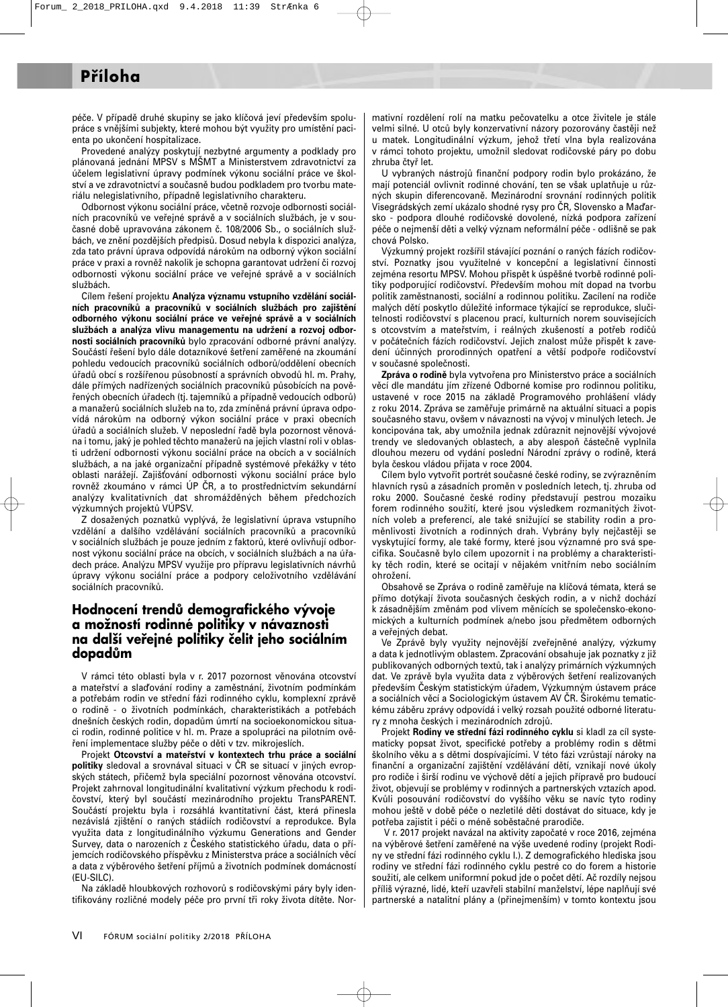péče. V případě druhé skupiny se jako klíčová jeví především spolupráce s vnějšími subjekty, které mohou být využity pro umístění pacienta po ukončení hospitalizace.

Provedené analýzy poskytují nezbytné argumenty a podklady pro plánovaná jednání MPSV s MŠMT a Ministerstvem zdravotnictví za účelem legislativní úpravy podmínek výkonu sociální práce ve školství a ve zdravotnictví a současně budou podkladem pro tvorbu materiálu nelegislativního, případně legislativního charakteru.

Odbornost výkonu sociální práce, včetně rozvoje odbornosti sociálních pracovníků ve veřejné správě a v sociálních službách, je v současné době upravována zákonem č. 108/2006 Sb., o sociálních službách, ve znění pozdějších předpisů. Dosud nebyla k dispozici analýza, zda tato právní úprava odpovídá nárokům na odborný výkon sociální práce v praxi a rovněž nakolik je schopna garantovat udržení či rozvoj odbornosti výkonu sociální práce ve veřejné správě a v sociálních službách.

Cílem řešení projektu **Analýza významu vstupního vzdělání sociálních pracovníků a pracovníků v sociálních službách pro zajištění odborného výkonu sociální práce ve veřejné správě a v sociálních službách a analýza vlivu managementu na udržení a rozvoj odbornosti sociálních pracovníků** bylo zpracování odborné právní analýzy. Součástí řešení bylo dále dotazníkové šetření zaměřené na zkoumání pohledu vedoucích pracovníků sociálních odborů/oddělení obecních úřadů obcí s rozšířenou působností a správních obvodů hl. m. Prahy, dále přímých nadřízených sociálních pracovníků působících na pověřených obecních úřadech (tj. tajemníků a případně vedoucích odborů) a manažerů sociálních služeb na to, zda zmíněná právní úprava odpovídá nárokům na odborný výkon sociální práce v praxi obecních úřadů a sociálních služeb. V neposlední řadě byla pozornost věnována i tomu, jaký je pohled těchto manažerů na jejich vlastní roli v oblasti udržení odbornosti výkonu sociální práce na obcích a v sociálních službách, a na jaké organizační případně systémové překážky v této oblasti narážejí. Zajišování odbornosti výkonu sociální práce bylo rovněž zkoumáno v rámci ÚP ČR, a to prostřednictvím sekundární analýzy kvalitativních dat shromážděných během předchozích výzkumných projektů VÚPSV.

Z dosažených poznatků vyplývá, že legislativní úprava vstupního vzdělání a dalšího vzdělávání sociálních pracovníků a pracovníků v sociálních službách je pouze jedním z faktorů, které ovlivňují odbornost výkonu sociální práce na obcích, v sociálních službách a na úřadech práce. Analýzu MPSV využije pro přípravu legislativních návrhů úpravy výkonu sociální práce a podpory celoživotního vzdělávání sociálních pracovníků.

#### **Hodnocení trendů demografického vývoje a možností rodinné politiky v návaznosti na další veřejné politiky čelit jeho sociálním dopadům**

V rámci této oblasti byla v r. 2017 pozornost věnována otcovství a mateřství a slaďování rodiny a zaměstnání, životním podmínkám a potřebám rodin ve střední fázi rodinného cyklu, komplexní zprávě o rodině - o životních podmínkách, charakteristikách a potřebách dnešních českých rodin, dopadům úmrtí na socioekonomickou situaci rodin, rodinné politice v hl. m. Praze a spolupráci na pilotním ověření implementace služby péče o děti v tzv. mikrojeslích.

Projekt **Otcovství a mateřství v kontextech trhu práce a sociální politiky** sledoval a srovnával situaci v ČR se situací v jiných evropských státech, přičemž byla speciální pozornost věnována otcovství. Projekt zahrnoval longitudinální kvalitativní výzkum přechodu k rodičovství, který byl součástí mezinárodního projektu TransPARENT. Součástí projektu byla i rozsáhlá kvantitativní část, která přinesla nezávislá zjištění o raných stádiích rodičovství a reprodukce. Byla využita data z longitudinálního výzkumu Generations and Gender Survey, data o narozeních z Českého statistického úřadu, data o příjemcích rodičovského příspěvku z Ministerstva práce a sociálních věcí a data z výběrového šetření příjmů a životních podmínek domácností (EU-SILC).

Na základě hloubkových rozhovorů s rodičovskými páry byly identifikovány rozličné modely péče pro první tři roky života dítěte. Normativní rozdělení rolí na matku pečovatelku a otce živitele je stále velmi silné. U otců byly konzervativní názory pozorovány častěji než u matek. Longitudinální výzkum, jehož třetí vlna byla realizována v rámci tohoto projektu, umožnil sledovat rodičovské páry po dobu zhruba čtyř let.

U vybraných nástrojů finanční podpory rodin bylo prokázáno, že mají potenciál ovlivnit rodinné chování, ten se však uplatňuje u různých skupin diferencovaně. Mezinárodní srovnání rodinných politik Visegrádských zemí ukázalo shodné rysy pro ČR, Slovensko a Maarsko - podpora dlouhé rodičovské dovolené, nízká podpora zařízení péče o nejmenší děti a velký význam neformální péče - odlišně se pak chová Polsko.

Výzkumný projekt rozšířil stávající poznání o raných fázích rodičovství. Poznatky jsou využitelné v koncepční a legislativní činnosti zejména resortu MPSV. Mohou přispět k úspěšné tvorbě rodinné politiky podporující rodičovství. Především mohou mít dopad na tvorbu politik zaměstnanosti, sociální a rodinnou politiku. Zacílení na rodiče malých dětí poskytlo důležité informace týkající se reprodukce, slučitelnosti rodičovství s placenou prací, kulturních norem souvisejících s otcovstvím a mateřstvím, i reálných zkušeností a potřeb rodičů v počátečních fázích rodičovství. Jejich znalost může přispět k zavedení účinných prorodinných opatření a větší podpoře rodičovství v současné společnosti.

**Zpráva o rodině** byla vytvořena pro Ministerstvo práce a sociálních věcí dle mandátu jím zřízené Odborné komise pro rodinnou politiku, ustavené v roce 2015 na základě Programového prohlášení vlády z roku 2014. Zpráva se zaměřuje primárně na aktuální situaci a popis současného stavu, ovšem v návaznosti na vývoj v minulých letech. Je koncipována tak, aby umožnila jednak zdůraznit nejnovější vývojové trendy ve sledovaných oblastech, a aby alespoň částečně vyplnila dlouhou mezeru od vydání poslední Národní zprávy o rodině, která byla českou vládou přijata v roce 2004.

Cílem bylo vytvořit portrét současné české rodiny, se zvýrazněním hlavních rysů a zásadních proměn v posledních letech, tj. zhruba od roku 2000. Současné české rodiny představují pestrou mozaiku forem rodinného soužití, které jsou výsledkem rozmanitých životních voleb a preferencí, ale také snižující se stability rodin a proměnlivosti životních a rodinných drah. Vybrány byly nejčastěji se vyskytující formy, ale také formy, které jsou významné pro svá specifika. Současně bylo cílem upozornit i na problémy a charakteristiky těch rodin, které se ocitají v nějakém vnitřním nebo sociálním ohrožení.

Obsahově se Zpráva o rodině zaměřuje na klíčová témata, která se přímo dotýkají života současných českých rodin, a v nichž dochází k zásadnějším změnám pod vlivem měnících se společensko-ekonomických a kulturních podmínek a/nebo jsou předmětem odborných a veřejných debat.

Ve Zprávě byly využity nejnovější zveřejněné analýzy, výzkumy a data k jednotlivým oblastem. Zpracování obsahuje jak poznatky z již publikovaných odborných textů, tak i analýzy primárních výzkumných dat. Ve zprávě byla využita data z výběrových šetření realizovaných především Českým statistickým úřadem, Výzkumným ústavem práce a sociálních věcí a Sociologickým ústavem AV ČR. Širokému tematickému záběru zprávy odpovídá i velký rozsah použité odborné literatury z mnoha českých i mezinárodních zdrojů.

Projekt **Rodiny ve střední fázi rodinného cyklu** si kladl za cíl systematicky popsat život, specifické potřeby a problémy rodin s dětmi školního věku a s dětmi dospívajícími. V této fázi vzrůstají nároky na finanční a organizační zajištění vzdělávání dětí, vznikají nové úkoly pro rodiče i širší rodinu ve výchově dětí a jejich přípravě pro budoucí život, objevují se problémy v rodinných a partnerských vztazích apod. Kvůli posouvání rodičovství do vyššího věku se navíc tyto rodiny mohou ještě v době péče o nezletilé děti dostávat do situace, kdy je potřeba zajistit i péči o méně soběstačné prarodiče.

V r. 2017 projekt navázal na aktivity započaté v roce 2016, zejména na výběrové šetření zaměřené na výše uvedené rodiny (projekt Rodiny ve střední fázi rodinného cyklu I.). Z demografického hlediska jsou rodiny ve střední fázi rodinného cyklu pestré co do forem a historie soužití, ale celkem uniformní pokud jde o počet dětí. Ač rozdíly nejsou příliš výrazné, lidé, kteří uzavřeli stabilní manželství, lépe naplňují své partnerské a natalitní plány a (přinejmenším) v tomto kontextu jsou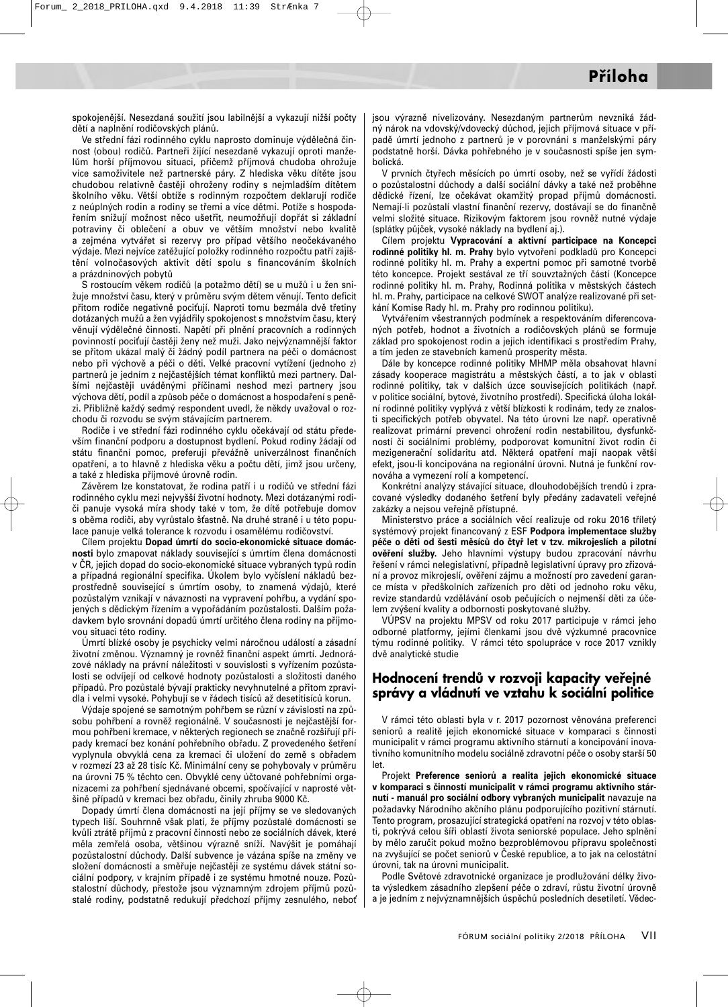spokojenější. Nesezdaná soužití jsou labilnější a vykazují nižší počty dětí a naplnění rodičovských plánů.

Ve střední fázi rodinného cyklu naprosto dominuje výdělečná činnost (obou) rodičů. Partneři žijící nesezdaně vykazují oproti manželům horší příjmovou situaci, přičemž příjmová chudoba ohrožuje více samoživitele než partnerské páry. Z hlediska věku dítěte jsou chudobou relativně častěji ohroženy rodiny s nejmladším dítětem školního věku. Větší obtíže s rodinným rozpočtem deklarují rodiče z neúplných rodin a rodiny se třemi a více dětmi. Potíže s hospodařením snižují možnost něco ušetřit, neumožňují dopřát si základní potraviny či oblečení a obuv ve větším množství nebo kvalitě a zejména vytvářet si rezervy pro případ většího neočekávaného výdaje. Mezi nejvíce zatěžující položky rodinného rozpočtu patří zajištění volnočasových aktivit dětí spolu s financováním školních a prázdninových pobytů

S rostoucím věkem rodičů (a potažmo dětí) se u mužů i u žen snižuje množství času, který v průměru svým dětem věnují. Tento deficit přitom rodiče negativně pociťují. Naproti tomu bezmála dvě třetiny dotázaných mužů a žen vyjádřily spokojenost s množstvím času, který věnují výdělečné činnosti. Napětí při plnění pracovních a rodinných povinností pociťují častěji ženy než muži. Jako nejvýznamnější faktor se přitom ukázal malý či žádný podíl partnera na péči o domácnost nebo při výchově a péči o děti. Velké pracovní vytížení (jednoho z) partnerů je jedním z nejčastějších témat konfliktů mezi partnery. Dalšími nejčastěji uváděnými příčinami neshod mezi partnery jsou výchova dětí, podíl a způsob péče o domácnost a hospodaření s penězi. Přibližně každý sedmý respondent uvedl, že někdy uvažoval o rozchodu či rozvodu se svým stávajícím partnerem.

Rodiče i ve střední fázi rodinného cyklu očekávají od státu především finanční podporu a dostupnost bydlení. Pokud rodiny žádají od státu finanční pomoc, preferují převážně univerzálnost finančních opatření, a to hlavně z hlediska věku a počtu dětí, jimž jsou určeny, a také z hlediska příjmové úrovně rodin.

Závěrem lze konstatovat, že rodina patří i u rodičů ve střední fázi rodinného cyklu mezi nejvyšší životní hodnoty. Mezi dotázanými rodiči panuje vysoká míra shody také v tom, že dítě potřebuje domov s oběma rodiči, aby vyrůstalo šťastně. Na druhé straně i u této populace panuje velká tolerance k rozvodu i osamělému rodičovství.

Cílem projektu **Dopad úmrtí do socio-ekonomické situace domácnosti** bylo zmapovat náklady související s úmrtím člena domácnosti v ČR, jejich dopad do socio-ekonomické situace vybraných typů rodin a případná regionální specifika. Úkolem bylo vyčíslení nákladů bezprostředně související s úmrtím osoby, to znamená výdajů, které pozůstalým vznikají v návaznosti na vypravení pohřbu, a vydání spojených s dědickým řízením a vypořádáním pozůstalosti. Dalším požadavkem bylo srovnání dopadů úmrtí určitého člena rodiny na příjmovou situaci této rodiny.

Úmrtí blízké osoby je psychicky velmi náročnou událostí a zásadní životní změnou. Významný je rovněž finanční aspekt úmrtí. Jednorázové náklady na právní náležitosti v souvislosti s vyřízením pozůstalosti se odvíjejí od celkové hodnoty pozůstalosti a složitosti daného případů. Pro pozůstalé bývají prakticky nevyhnutelné a přitom zpravidla i velmi vysoké. Pohybují se v řádech tisíců až desetitisíců korun.

Výdaje spojené se samotným pohřbem se různí v závislosti na způsobu pohřbení a rovněž regionálně. V současnosti je nejčastější formou pohřbení kremace, v některých regionech se značně rozšiřují případy kremací bez konání pohřebního obřadu. Z provedeného šetření vyplynula obvyklá cena za kremaci či uložení do země s obřadem v rozmezí 23 až 28 tisíc Kč. Minimální ceny se pohybovaly v průměru na úrovni 75 % těchto cen. Obvyklé ceny účtované pohřebními organizacemi za pohřbení sjednávané obcemi, spočívající v naprosté většině případů v kremaci bez obřadu, činily zhruba 9000 Kč.

Dopady úmrtí člena domácnosti na její příjmy se ve sledovaných typech liší. Souhrnně však platí, že příjmy pozůstalé domácnosti se kvůli ztrátě příjmů z pracovní činnosti nebo ze sociálních dávek, které měla zemřelá osoba, většinou výrazně sníží. Navýšit je pomáhají pozůstalostní důchody. Další subvence je vázána spíše na změny ve složení domácnosti a směřuje nejčastěji ze systému dávek státní sociální podpory, v krajním případě i ze systému hmotné nouze. Pozůstalostní důchody, přestože jsou významným zdrojem příjmů pozůstalé rodiny, podstatně redukují předchozí příjmy zesnulého, nebo jsou výrazně nivelizovány. Nesezdaným partnerům nevzniká žádný nárok na vdovský/vdovecký důchod, jejich příjmová situace v případě úmrtí jednoho z partnerů je v porovnání s manželskými páry podstatně horší. Dávka pohřebného je v současnosti spíše jen symbolická.

V prvních čtyřech měsících po úmrtí osoby, než se vyřídí žádosti o pozůstalostní důchody a další sociální dávky a také než proběhne dědické řízení, lze očekávat okamžitý propad příjmů domácnosti. Nemají-li pozůstalí vlastní finanční rezervy, dostávají se do finančně velmi složité situace. Rizikovým faktorem jsou rovněž nutné výdaje (splátky půjček, vysoké náklady na bydlení aj.).

Cílem projektu **Vypracování a aktivní participace na Koncepci rodinné politiky hl. m. Prahy** bylo vytvoření podkladů pro Koncepci rodinné politiky hl. m. Prahy a expertní pomoc při samotné tvorbě této koncepce. Projekt sestával ze tří souvztažných částí (Koncepce rodinné politiky hl. m. Prahy, Rodinná politika v městských částech hl. m. Prahy, participace na celkové SWOT analýze realizované při setkání Komise Rady hl. m. Prahy pro rodinnou politiku).

Vytvářením všestranných podmínek a respektováním diferencovaných potřeb, hodnot a životních a rodičovských plánů se formuje základ pro spokojenost rodin a jejich identifikaci s prostředím Prahy, a tím jeden ze stavebních kamenů prosperity města.

Dále by koncepce rodinné politiky MHMP měla obsahovat hlavní zásady kooperace magistrátu a městských částí, a to jak v oblasti rodinné politiky, tak v dalších úzce souvisejících politikách (např. v politice sociální, bytové, životního prostředí). Specifická úloha lokální rodinné politiky vyplývá z větší blízkosti k rodinám, tedy ze znalosti specifických potřeb obyvatel. Na této úrovni lze např. operativně realizovat primární prevenci ohrožení rodin nestabilitou, dysfunkčností či sociálními problémy, podporovat komunitní život rodin či mezigenerační solidaritu atd. Některá opatření mají naopak větší efekt, jsou-li koncipována na regionální úrovni. Nutná je funkční rovnováha a vymezení rolí a kompetencí.

Konkrétní analýzy stávající situace, dlouhodobějších trendů i zpracované výsledky dodaného šetření byly předány zadavateli veřejné zakázky a nejsou veřejně přístupné.

Ministerstvo práce a sociálních věcí realizuje od roku 2016 tříletý systémový projekt financovaný z ESF **Podpora implementace služby péče o děti od šesti měsíců do čtyř let v tzv. mikrojeslích a pilotní ověření služby.** Jeho hlavními výstupy budou zpracování návrhu řešení v rámci nelegislativní, případně legislativní úpravy pro zřizování a provoz mikrojeslí, ověření zájmu a možností pro zavedení garance místa v předškolních zařízeních pro děti od jednoho roku věku, revize standardů vzdělávání osob pečujících o nejmenší děti za účelem zvýšení kvality a odbornosti poskytované služby.

VÚPSV na projektu MPSV od roku 2017 participuje v rámci jeho odborné platformy, jejími členkami jsou dvě výzkumné pracovnice týmu rodinné politiky. V rámci této spolupráce v roce 2017 vznikly dvě analytické studie

#### **Hodnocení trendů v rozvoji kapacity veřejné správy a vládnutí ve vztahu k sociální politice**

V rámci této oblasti byla v r. 2017 pozornost věnována preferenci seniorů a realitě jejich ekonomické situace v komparaci s činností municipalit v rámci programu aktivního stárnutí a koncipování inovativního komunitního modelu sociálně zdravotní péče o osoby starší 50 let.

Projekt **Preference seniorů a realita jejich ekonomické situace v komparaci s činností municipalit v rámci programu aktivního stárnutí - manuál pro sociální odbory vybraných municipalit** navazuje na požadavky Národního akčního plánu podporujícího pozitivní stárnutí. Tento program, prosazující strategická opatření na rozvoj v této oblasti, pokrývá celou šíři oblastí života seniorské populace. Jeho splnění by mělo zaručit pokud možno bezproblémovou přípravu společnosti na zvyšující se počet seniorů v České republice, a to jak na celostátní úrovni, tak na úrovni municipalit.

Podle Světové zdravotnické organizace je prodlužování délky života výsledkem zásadního zlepšení péče o zdraví, růstu životní úrovně a je jedním z nejvýznamnějších úspěchů posledních desetiletí. Vědec-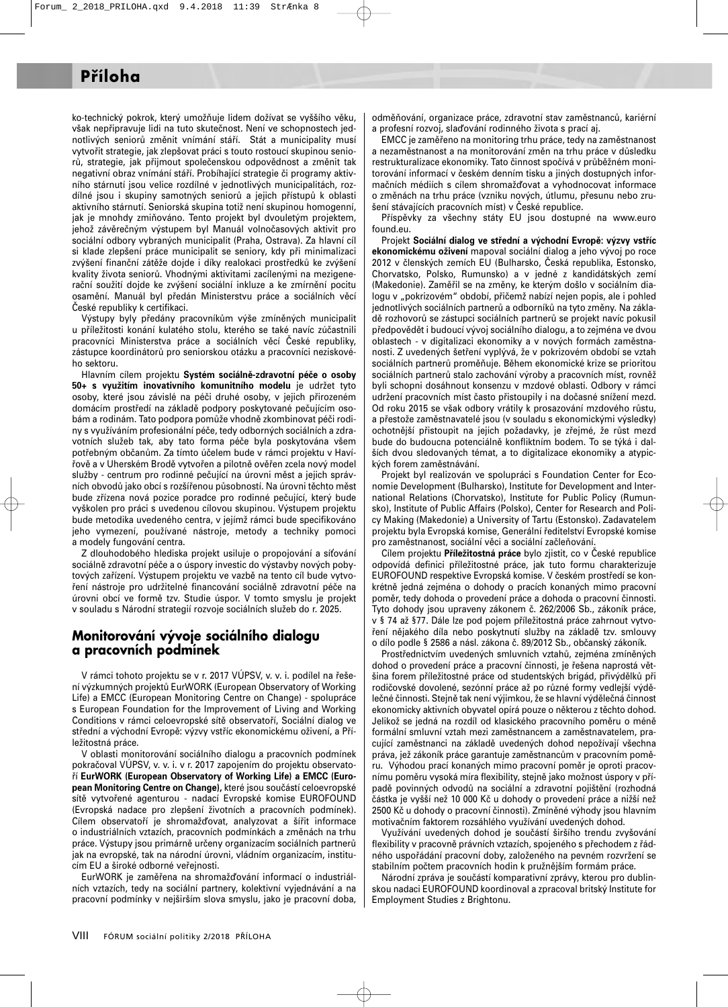ko-technický pokrok, který umožňuje lidem dožívat se vyššího věku, však nepřipravuje lidi na tuto skutečnost. Není ve schopnostech jednotlivých seniorů změnit vnímání stáří. Stát a municipality musí vytvořit strategie, jak zlepšovat práci s touto rostoucí skupinou seniorů, strategie, jak přijmout společenskou odpovědnost a změnit tak negativní obraz vnímání stáří. Probíhající strategie či programy aktivního stárnutí jsou velice rozdílné v jednotlivých municipalitách, rozdílné jsou i skupiny samotných seniorů a jejich přístupů k oblasti aktivního stárnutí. Seniorská skupina totiž není skupinou homogenní, jak je mnohdy zmiňováno. Tento projekt byl dvouletým projektem, jehož závěrečným výstupem byl Manuál volnočasových aktivit pro sociální odbory vybraných municipalit (Praha, Ostrava). Za hlavní cíl si klade zlepšení práce municipalit se seniory, kdy při minimalizaci zvýšení finanční zátěže dojde i díky realokaci prostředků ke zvýšení kvality života seniorů. Vhodnými aktivitami zacílenými na mezigenerační soužití dojde ke zvýšení sociální inkluze a ke zmírnění pocitu osamění. Manuál byl předán Ministerstvu práce a sociálních věcí České republiky k certifikaci.

Výstupy byly předány pracovníkům výše zmíněných municipalit u příležitosti konání kulatého stolu, kterého se také navíc zúčastnili pracovníci Ministerstva práce a sociálních věcí České republiky, zástupce koordinátorů pro seniorskou otázku a pracovníci neziskového sektoru.

Hlavním cílem projektu **Systém sociálně-zdravotní péče o osoby 50+ s využitím inovativního komunitního modelu** je udržet tyto osoby, které jsou závislé na péči druhé osoby, v jejich přirozeném domácím prostředí na základě podpory poskytované pečujícím osobám a rodinám. Tato podpora pomůže vhodně zkombinovat péči rodiny s využíváním profesionální péče, tedy odborných sociálních a zdravotních služeb tak, aby tato forma péče byla poskytována všem potřebným občanům. Za tímto účelem bude v rámci projektu v Havířově a v Uherském Brodě vytvořen a pilotně ověřen zcela nový model služby - centrum pro rodinné pečující na úrovni měst a jejich správních obvodů jako obcí s rozšířenou působností. Na úrovni těchto měst bude zřízena nová pozice poradce pro rodinné pečující, který bude vyškolen pro práci s uvedenou cílovou skupinou. Výstupem projektu bude metodika uvedeného centra, v jejímž rámci bude specifikováno jeho vymezení, používané nástroje, metody a techniky pomoci a modely fungování centra.

Z dlouhodobého hlediska projekt usiluje o propojování a síťování sociálně zdravotní péče a o úspory investic do výstavby nových pobytových zařízení. Výstupem projektu ve vazbě na tento cíl bude vytvoření nástroje pro udržitelné financování sociálně zdravotní péče na úrovni obcí ve formě tzv. Studie úspor. V tomto smyslu je projekt v souladu s Národní strategií rozvoje sociálních služeb do r. 2025.

#### **Monitorování vývoje sociálního dialogu a pracovních podmínek**

V rámci tohoto projektu se v r. 2017 VÚPSV, v. v. i. podílel na řešení výzkumných projektů EurWORK (European Observatory of Working Life) a EMCC (European Monitoring Centre on Change) - spolupráce s European Foundation for the Improvement of Living and Working Conditions v rámci celoevropské sítě observatoří, Sociální dialog ve střední a východní Evropě: výzvy vstříc ekonomickému oživení, a Příležitostná práce.

V oblasti monitorování sociálního dialogu a pracovních podmínek pokračoval VÚPSV, v. v. i. v r. 2017 zapojením do projektu observatoří **EurWORK (European Observatory of Working Life) a EMCC (European Monitoring Centre on Change),** které jsou součástí celoevropské sítě vytvořené agenturou - nadací Evropské komise EUROFOUND (Evropská nadace pro zlepšení životních a pracovních podmínek). Cílem observatoří je shromažďovat, analyzovat a šířit informace o industriálních vztazích, pracovních podmínkách a změnách na trhu práce. Výstupy jsou primárně určeny organizacím sociálních partnerů jak na evropské, tak na národní úrovni, vládním organizacím, institucím EU a široké odborné veřejnosti.

EurWORK je zaměřena na shromažďování informací o industriálních vztazích, tedy na sociální partnery, kolektivní vyjednávání a na pracovní podmínky v nejširším slova smyslu, jako je pracovní doba, odměňování, organizace práce, zdravotní stav zaměstnanců, kariérní a profesní rozvoj, slaďování rodinného života s prací aj.

EMCC je zaměřeno na monitoring trhu práce, tedy na zaměstnanost a nezaměstnanost a na monitorování změn na trhu práce v důsledku restrukturalizace ekonomiky. Tato činnost spočívá v průběžném monitorování informací v českém denním tisku a jiných dostupných informačních médiích s cílem shromažďovat a vyhodnocovat informace o změnách na trhu práce (vzniku nových, útlumu, přesunu nebo zrušení stávajících pracovních míst) v České republice.

Příspěvky za všechny státy EU jsou dostupné na www.euro found.eu.

Projekt **Sociální dialog ve střední a východní Evropě: výzvy vstříc ekonomickému oživení** mapoval sociální dialog a jeho vývoj po roce 2012 v členských zemích EU (Bulharsko, Česká republika, Estonsko, Chorvatsko, Polsko, Rumunsko) a v jedné z kandidátských zemí (Makedonie). Zaměřil se na změny, ke kterým došlo v sociálním dialogu v "pokrizovém" období, přičemž nabízí nejen popis, ale i pohled jednotlivých sociálních partnerů a odborníků na tyto změny. Na základě rozhovorů se zástupci sociálních partnerů se projekt navíc pokusil předpovědět i budoucí vývoj sociálního dialogu, a to zejména ve dvou oblastech - v digitalizaci ekonomiky a v nových formách zaměstnanosti. Z uvedených šetření vyplývá, že v pokrizovém období se vztah sociálních partnerů proměňuje. Během ekonomické krize se prioritou sociálních partnerů stalo zachování výroby a pracovních míst, rovněž byli schopni dosáhnout konsenzu v mzdové oblasti. Odbory v rámci udržení pracovních míst často přistoupily i na dočasné snížení mezd. Od roku 2015 se však odbory vrátily k prosazování mzdového růstu, a přestože zaměstnavatelé jsou (v souladu s ekonomickými výsledky) ochotnější přistoupit na jejich požadavky, je zřejmé, že růst mezd bude do budoucna potenciálně konfliktním bodem. To se týká i dalších dvou sledovaných témat, a to digitalizace ekonomiky a atypických forem zaměstnávání.

Projekt byl realizován ve spolupráci s Foundation Center for Economie Development (Bulharsko), Institute for Development and International Relations (Chorvatsko), Institute for Public Policy (Rumunsko), Institute of Public Affairs (Polsko), Center for Research and Policy Making (Makedonie) a University of Tartu (Estonsko). Zadavatelem projektu byla Evropská komise, Generální ředitelství Evropské komise pro zaměstnanost, sociální věci a sociální začleňování.

Cílem projektu **Příležitostná práce** bylo zjistit, co v České republice odpovídá definici příležitostné práce, jak tuto formu charakterizuje EUROFOUND respektive Evropská komise. V českém prostředí se konkrétně jedná zejména o dohody o pracích konaných mimo pracovní poměr, tedy dohoda o provedení práce a dohoda o pracovní činnosti. Tyto dohody jsou upraveny zákonem č. 262/2006 Sb., zákoník práce, v § 74 až §77. Dále lze pod pojem příležitostná práce zahrnout vytvoření nějakého díla nebo poskytnutí služby na základě tzv. smlouvy o dílo podle § 2586 a násl. zákona č. 89/2012 Sb., občanský zákoník.

Prostřednictvím uvedených smluvních vztahů, zejména zmíněných dohod o provedení práce a pracovní činnosti, je řešena naprostá většina forem příležitostné práce od studentských brigád, přivýdělků při rodičovské dovolené, sezónní práce až po různé formy vedlejší výdělečné činnosti. Stejně tak není výjimkou, že se hlavní výdělečná činnost ekonomicky aktivních obyvatel opírá pouze o některou z těchto dohod. Jelikož se jedná na rozdíl od klasického pracovního poměru o méně formální smluvní vztah mezi zaměstnancem a zaměstnavatelem, pracující zaměstnanci na základě uvedených dohod nepožívají všechna práva, jež zákoník práce garantuje zaměstnancům v pracovním poměru. Výhodou prací konaných mimo pracovní poměr je oproti pracovnímu poměru vysoká míra flexibility, stejně jako možnost úspory v případě povinných odvodů na sociální a zdravotní pojištění (rozhodná částka je vyšší než 10 000 Kč u dohody o provedení práce a nižší než 2500 Kč u dohody o pracovní činnosti). Zmíněné výhody jsou hlavním motivačním faktorem rozsáhlého využívání uvedených dohod.

Využívání uvedených dohod je součástí širšího trendu zvyšování flexibility v pracovně právních vztazích, spojeného s přechodem z řádného uspořádání pracovní doby, založeného na pevném rozvržení se stabilním počtem pracovních hodin k pružnějším formám práce.

Národní zpráva je součástí komparativní zprávy, kterou pro dublinskou nadaci EUROFOUND koordinoval a zpracoval britský Institute for Employment Studies z Brightonu.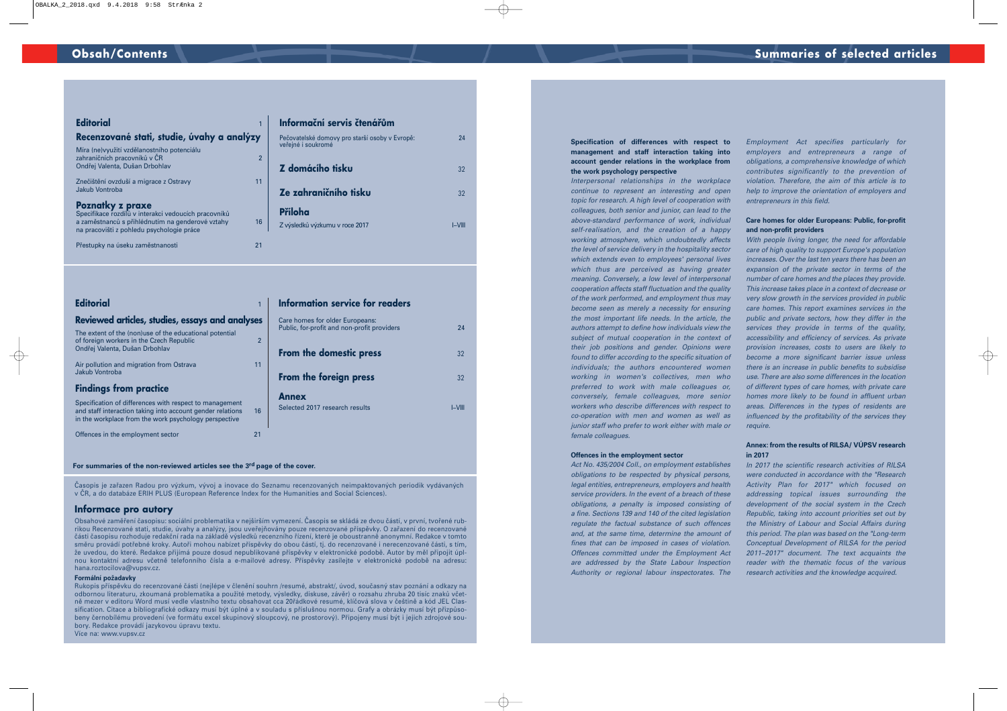#### **Specification of differences with respect to management and staff interaction taking into account gender relations in the workplace from the work psychology perspective**

Interpersonal relationships in the workplace continue to represent an interesting and open topic for research. A high level of cooperation with colleagues, both senior and junior, can lead to the above-standard performance of work, individual self-realisation, and the creation of a happy working atmosphere, which undoubtedly affects the level of service delivery in the hospitality sector which extends even to employees' personal lives which thus are perceived as having greater meaning. Conversely, a low level of interpersonal cooperation affects staff fluctuation and the quality of the work performed, and employment thus may become seen as merely a necessity for ensuring the most important life needs. In the article, the authors attempt to define how individuals view the subject of mutual cooperation in the context of their job positions and gender. Opinions were found to differ according to the specific situation of individuals; the authors encountered women working in women's collectives, men who preferred to work with male colleagues or, conversely, female colleagues, more senior workers who describe differences with respect to co-operation with men and women as well as junior staff who prefer to work either with male or female colleagues.

#### **Offences in the employment sector**

Act No. 435/2004 Coll., on employment establishes obligations to be respected by physical persons, legal entities, entrepreneurs, employers and health service providers. In the event of a breach of these obligations, a penalty is imposed consisting of a fine. Sections 139 and 140 of the cited legislation regulate the factual substance of such offences and, at the same time, determine the amount of fines that can be imposed in cases of violation. Offences committed under the Employment Act are addressed by the State Labour Inspection Authority or regional labour inspectorates. The Employment Act specifies particularly for employers and entrepreneurs a range of obligations, a comprehensive knowledge of which contributes significantly to the prevention of violation. Therefore, the aim of this article is to help to improve the orientation of employers and entrepreneurs in this field.

#### **Care homes for older Europeans: Public, for-profit and non-profit providers**

With people living longer, the need for affordable care of high quality to support Europe's population increases. Over the last ten years there has been an expansion of the private sector in terms of the number of care homes and the places they provide. This increase takes place in a context of decrease or very slow growth in the services provided in public care homes. This report examines services in the public and private sectors, how they differ in the services they provide in terms of the quality, accessibility and efficiency of services. As private provision increases, costs to users are likely to become a more significant barrier issue unless there is an increase in public benefits to subsidise use. There are also some differences in the location of different types of care homes, with private care homes more likely to be found in affluent urban areas. Differences in the types of residents are influenced by the profitability of the services they require.

#### **Annex: from the results of RILSA/ VÚPSV research in 2017**

In 2017 the scientific research activities of RILSA were conducted in accordance with the "Research Activity Plan for 2017" which focused on addressing topical issues surrounding the development of the social system in the Czech Republic, taking into account priorities set out by the Ministry of Labour and Social Affairs during this period. The plan was based on the "Long-term Conceptual Development of RILSA for the period 2011–2017" document. The text acquaints the reader with the thematic focus of the various research activities and the knowledge acquired.